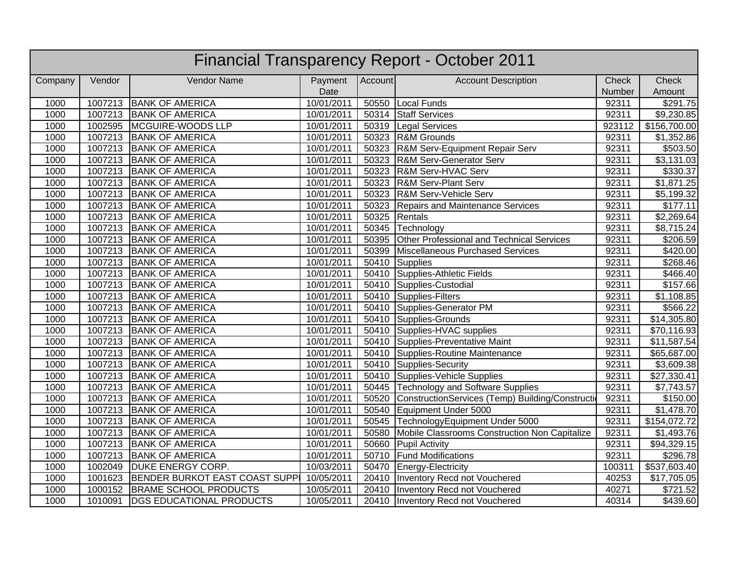|         |         |                                       |            |         | <b>Financial Transparency Report - October 2011</b> |        |                         |
|---------|---------|---------------------------------------|------------|---------|-----------------------------------------------------|--------|-------------------------|
| Company | Vendor  | Vendor Name                           | Payment    | Account | <b>Account Description</b>                          | Check  | Check                   |
|         |         |                                       | Date       |         |                                                     | Number | Amount                  |
| 1000    | 1007213 | <b>BANK OF AMERICA</b>                | 10/01/2011 |         | 50550 Local Funds                                   | 92311  | \$291.75                |
| 1000    |         | 1007213 BANK OF AMERICA               | 10/01/2011 |         | 50314 Staff Services                                | 92311  | 59,230.85               |
| 1000    |         | 1002595   MCGUIRE-WOODS LLP           | 10/01/2011 |         | 50319 Legal Services                                | 923112 | \$156,700.00            |
| 1000    | 1007213 | <b>BANK OF AMERICA</b>                | 10/01/2011 | 50323   | R&M Grounds                                         | 92311  | \$1,352.86              |
| 1000    | 1007213 | <b>BANK OF AMERICA</b>                | 10/01/2011 | 50323   | <b>R&amp;M Serv-Equipment Repair Serv</b>           | 92311  | \$503.50                |
| 1000    | 1007213 | <b>BANK OF AMERICA</b>                | 10/01/2011 | 50323   | <b>R&amp;M Serv-Generator Serv</b>                  | 92311  | \$3,131.03              |
| 1000    | 1007213 | <b>BANK OF AMERICA</b>                | 10/01/2011 | 50323   | R&M Serv-HVAC Serv                                  | 92311  | \$330.37                |
| 1000    | 1007213 | <b>BANK OF AMERICA</b>                | 10/01/2011 | 50323   | <b>R&amp;M Serv-Plant Serv</b>                      | 92311  | $\overline{\$1,871.25}$ |
| 1000    | 1007213 | <b>BANK OF AMERICA</b>                | 10/01/2011 | 50323   | <b>R&amp;M Serv-Vehicle Serv</b>                    | 92311  | \$5,199.32              |
| 1000    | 1007213 | <b>BANK OF AMERICA</b>                | 10/01/2011 | 50323   | <b>Repairs and Maintenance Services</b>             | 92311  | \$177.11                |
| 1000    | 1007213 | <b>BANK OF AMERICA</b>                | 10/01/2011 | 50325   | Rentals                                             | 92311  | \$2,269.64              |
| 1000    | 1007213 | <b>BANK OF AMERICA</b>                | 10/01/2011 | 50345   | Technology                                          | 92311  | \$8,715.24              |
| 1000    | 1007213 | <b>BANK OF AMERICA</b>                | 10/01/2011 | 50395   | Other Professional and Technical Services           | 92311  | \$206.59                |
| 1000    | 1007213 | <b>BANK OF AMERICA</b>                | 10/01/2011 | 50399   | Miscellaneous Purchased Services                    | 92311  | \$420.00                |
| 1000    | 1007213 | <b>BANK OF AMERICA</b>                | 10/01/2011 | 50410   | Supplies                                            | 92311  | \$268.46                |
| 1000    | 1007213 | <b>BANK OF AMERICA</b>                | 10/01/2011 | 50410   | Supplies-Athletic Fields                            | 92311  | \$466.40                |
| 1000    | 1007213 | <b>BANK OF AMERICA</b>                | 10/01/2011 | 50410   | Supplies-Custodial                                  | 92311  | \$157.66                |
| 1000    | 1007213 | <b>BANK OF AMERICA</b>                | 10/01/2011 | 50410   | Supplies-Filters                                    | 92311  | \$1,108.85              |
| 1000    | 1007213 | <b>BANK OF AMERICA</b>                | 10/01/2011 | 50410   | Supplies-Generator PM                               | 92311  | \$566.22                |
| 1000    | 1007213 | <b>BANK OF AMERICA</b>                | 10/01/2011 |         | 50410 Supplies-Grounds                              | 92311  | \$14,305.80             |
| 1000    | 1007213 | <b>BANK OF AMERICA</b>                | 10/01/2011 |         | 50410 Supplies-HVAC supplies                        | 92311  | \$70,116.93             |
| 1000    |         | 1007213 BANK OF AMERICA               | 10/01/2011 |         | 50410 Supplies-Preventative Maint                   | 92311  | \$11,587.54             |
| 1000    | 1007213 | <b>BANK OF AMERICA</b>                | 10/01/2011 | 50410   | Supplies-Routine Maintenance                        | 92311  | \$65,687.00             |
| 1000    | 1007213 | <b>BANK OF AMERICA</b>                | 10/01/2011 | 50410   | Supplies-Security                                   | 92311  | \$3,609.38              |
| 1000    |         | 1007213 BANK OF AMERICA               | 10/01/2011 |         | 50410 Supplies-Vehicle Supplies                     | 92311  | \$27,330.41             |
| 1000    | 1007213 | <b>BANK OF AMERICA</b>                | 10/01/2011 | 50445   | Technology and Software Supplies                    | 92311  | \$7,743.57              |
| 1000    | 1007213 | <b>BANK OF AMERICA</b>                | 10/01/2011 | 50520   | ConstructionServices (Temp) Building/Construction   | 92311  | \$150.00                |
| 1000    | 1007213 | <b>BANK OF AMERICA</b>                | 10/01/2011 | 50540   | Equipment Under 5000                                | 92311  | \$1,478.70              |
| 1000    |         | 1007213 BANK OF AMERICA               | 10/01/2011 | 50545   | TechnologyEquipment Under 5000                      | 92311  | \$154,072.72            |
| 1000    | 1007213 | <b>BANK OF AMERICA</b>                | 10/01/2011 | 50580   | Mobile Classrooms Construction Non Capitalize       | 92311  | \$1,493.76              |
| 1000    | 1007213 | <b>BANK OF AMERICA</b>                | 10/01/2011 | 50660   | <b>Pupil Activity</b>                               | 92311  | \$94,329.15             |
| 1000    | 1007213 | <b>BANK OF AMERICA</b>                | 10/01/2011 | 50710   | <b>Fund Modifications</b>                           | 92311  | \$296.78                |
| 1000    | 1002049 | DUKE ENERGY CORP.                     | 10/03/2011 | 50470   | Energy-Electricity                                  | 100311 | \$537,603.40            |
| 1000    | 1001623 | <b>BENDER BURKOT EAST COAST SUPPI</b> | 10/05/2011 | 20410   | Inventory Recd not Vouchered                        | 40253  | \$17,705.05             |
| 1000    | 1000152 | <b>BRAME SCHOOL PRODUCTS</b>          | 10/05/2011 | 20410   | Inventory Recd not Vouchered                        | 40271  | \$721.52                |
| 1000    | 1010091 | <b>DGS EDUCATIONAL PRODUCTS</b>       | 10/05/2011 |         | 20410   Inventory Recd not Vouchered                | 40314  | \$439.60                |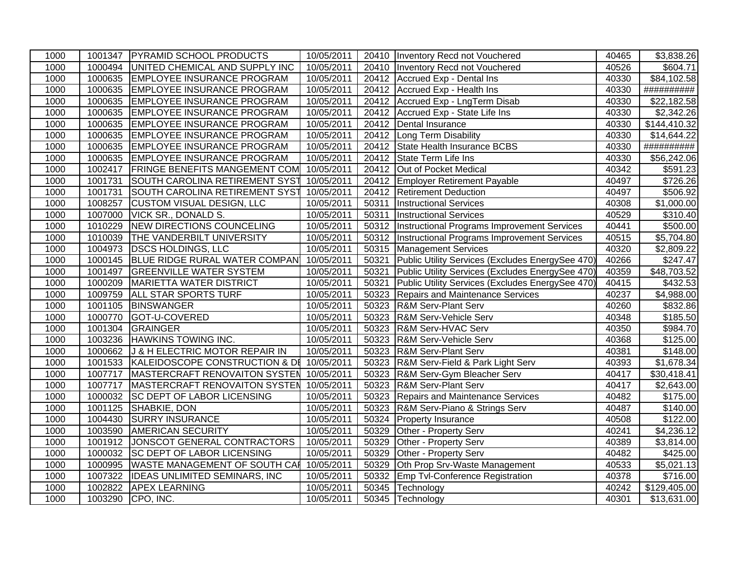| 1000 |         | 1001347   PYRAMID SCHOOL PRODUCTS                  | 10/05/2011 |       | 20410   Inventory Recd not Vouchered                | 40465 | \$3,838.26           |
|------|---------|----------------------------------------------------|------------|-------|-----------------------------------------------------|-------|----------------------|
| 1000 | 1000494 | UNITED CHEMICAL AND SUPPLY INC                     | 10/05/2011 |       | 20410 Inventory Recd not Vouchered                  | 40526 | \$604.71             |
| 1000 |         | 1000635 EMPLOYEE INSURANCE PROGRAM                 | 10/05/2011 |       | 20412 Accrued Exp - Dental Ins                      | 40330 | \$84,102.58          |
| 1000 |         | 1000635 EMPLOYEE INSURANCE PROGRAM                 | 10/05/2011 |       | 20412 Accrued Exp - Health Ins                      | 40330 | ##########           |
| 1000 |         | 1000635 EMPLOYEE INSURANCE PROGRAM                 | 10/05/2011 |       | 20412 Accrued Exp - LngTerm Disab                   | 40330 | \$22,182.58          |
| 1000 |         | 1000635 EMPLOYEE INSURANCE PROGRAM                 | 10/05/2011 | 20412 | Accrued Exp - State Life Ins                        | 40330 | \$2,342.26           |
| 1000 | 1000635 | <b>EMPLOYEE INSURANCE PROGRAM</b>                  | 10/05/2011 | 20412 | Dental Insurance                                    | 40330 | \$144,410.32         |
| 1000 |         | 1000635 EMPLOYEE INSURANCE PROGRAM                 | 10/05/2011 |       | 20412 Long Term Disability                          | 40330 | \$14,644.22          |
| 1000 |         | 1000635 EMPLOYEE INSURANCE PROGRAM                 | 10/05/2011 |       | 20412 State Health Insurance BCBS                   | 40330 | ##########           |
| 1000 |         | 1000635 EMPLOYEE INSURANCE PROGRAM                 | 10/05/2011 | 20412 | State Term Life Ins                                 | 40330 | \$56,242.06          |
| 1000 |         | 1002417 FRINGE BENEFITS MANGEMENT COM              | 10/05/2011 | 20412 | Out of Pocket Medical                               | 40342 | $\overline{$}591.23$ |
| 1000 | 1001731 | SOUTH CAROLINA RETIREMENT SYST                     | 10/05/2011 | 20412 | <b>Employer Retirement Payable</b>                  | 40497 | $\overline{$}726.26$ |
| 1000 | 1001731 | SOUTH CAROLINA RETIREMENT SYST                     | 10/05/2011 | 20412 | <b>Retirement Deduction</b>                         | 40497 | \$506.92             |
| 1000 | 1008257 | <b>CUSTOM VISUAL DESIGN, LLC</b>                   | 10/05/2011 | 50311 | <b>Instructional Services</b>                       | 40308 | \$1,000.00           |
| 1000 | 1007000 | VICK SR., DONALD S.                                | 10/05/2011 | 50311 | <b>Instructional Services</b>                       | 40529 | \$310.40             |
| 1000 |         | 1010229 NEW DIRECTIONS COUNCELING                  | 10/05/2011 |       | 50312   Instructional Programs Improvement Services | 40441 | \$500.00             |
| 1000 | 1010039 | <b>THE VANDERBILT UNIVERSITY</b>                   | 10/05/2011 | 50312 | Instructional Programs Improvement Services         | 40515 | \$5,704.80           |
| 1000 |         | 1004973 DSCS HOLDINGS, LLC                         | 10/05/2011 |       | 50315 Management Services                           | 40320 | \$2,809.22           |
| 1000 |         | 1000145 BLUE RIDGE RURAL WATER COMPAN              | 10/05/2011 | 50321 | Public Utility Services (Excludes EnergySee 470)    | 40266 | \$247.47             |
| 1000 |         | 1001497 GREENVILLE WATER SYSTEM                    | 10/05/2011 | 50321 | Public Utility Services (Excludes EnergySee 470)    | 40359 | \$48,703.52          |
| 1000 |         | 1000209   MARIETTA WATER DISTRICT                  | 10/05/2011 | 50321 | Public Utility Services (Excludes EnergySee 470)    | 40415 | \$432.53             |
| 1000 | 1009759 | <b>ALL STAR SPORTS TURF</b>                        | 10/05/2011 | 50323 | <b>Repairs and Maintenance Services</b>             | 40237 | \$4,988.00           |
| 1000 |         | 1001105 BINSWANGER                                 | 10/05/2011 | 50323 | <b>R&amp;M Serv-Plant Serv</b>                      | 40260 | \$832.86             |
| 1000 |         | 1000770 GOT-U-COVERED                              | 10/05/2011 | 50323 | R&M Serv-Vehicle Serv                               | 40348 | $\overline{$}185.50$ |
| 1000 | 1001304 | GRAINGER                                           | 10/05/2011 | 50323 | <b>R&amp;M Serv-HVAC Serv</b>                       | 40350 | \$984.70             |
| 1000 |         | 1003236 HAWKINS TOWING INC.                        | 10/05/2011 | 50323 | <b>R&amp;M Serv-Vehicle Serv</b>                    | 40368 | \$125.00             |
| 1000 |         | 1000662 J & H ELECTRIC MOTOR REPAIR IN             | 10/05/2011 | 50323 | <b>R&amp;M Serv-Plant Serv</b>                      | 40381 | $\overline{$}148.00$ |
| 1000 |         | 1001533 KALEIDOSCOPE CONSTRUCTION & DI             | 10/05/2011 | 50323 | R&M Serv-Field & Park Light Serv                    | 40393 | \$1,678.34           |
| 1000 |         | 1007717   MASTERCRAFT RENOVAITON SYSTEN 10/05/2011 |            | 50323 | R&M Serv-Gym Bleacher Serv                          | 40417 | \$30,418.41          |
| 1000 | 1007717 | MASTERCRAFT RENOVAITON SYSTEM                      | 10/05/2011 | 50323 | <b>R&amp;M Serv-Plant Serv</b>                      | 40417 | \$2,643.00           |
| 1000 |         | 1000032 SC DEPT OF LABOR LICENSING                 | 10/05/2011 |       | 50323 Repairs and Maintenance Services              | 40482 | \$175.00             |
| 1000 |         | 1001125 SHABKIE, DON                               | 10/05/2011 | 50323 | R&M Serv-Piano & Strings Serv                       | 40487 | \$140.00             |
| 1000 |         | 1004430 SURRY INSURANCE                            | 10/05/2011 | 50324 | <b>Property Insurance</b>                           | 40508 | \$122.00             |
| 1000 |         | 1003590 AMERICAN SECURITY                          | 10/05/2011 | 50329 | Other - Property Serv                               | 40241 | \$4,236.12           |
| 1000 | 1001912 | JONSCOT GENERAL CONTRACTORS                        | 10/05/2011 | 50329 | Other - Property Serv                               | 40389 | \$3,814.00           |
| 1000 |         | 1000032 SC DEPT OF LABOR LICENSING                 | 10/05/2011 | 50329 | Other - Property Serv                               | 40482 | \$425.00             |
| 1000 |         | 1000995 WASTE MANAGEMENT OF SOUTH CAH              | 10/05/2011 | 50329 | Oth Prop Srv-Waste Management                       | 40533 | \$5,021.13           |
| 1000 | 1007322 | <b>IDEAS UNLIMITED SEMINARS, INC</b>               | 10/05/2011 | 50332 | <b>Emp Tvl-Conference Registration</b>              | 40378 | \$716.00             |
| 1000 | 1002822 | <b>APEX LEARNING</b>                               | 10/05/2011 | 50345 | Technology                                          | 40242 | \$129,405.00         |
| 1000 |         | 1003290 CPO, INC.                                  | 10/05/2011 |       | 50345 Technology                                    | 40301 | \$13,631.00          |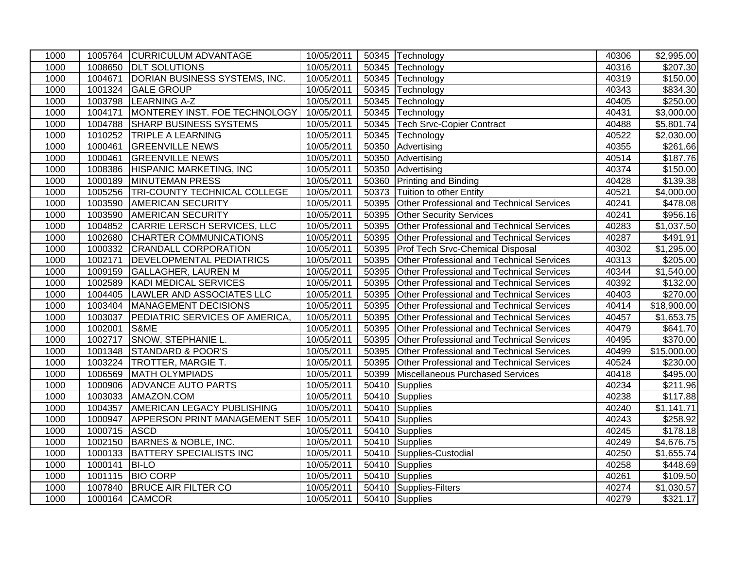| 1000 |              | 1005764 CURRICULUM ADVANTAGE                     | 10/05/2011 |       | 50345 Technology                                 | 40306 | \$2,995.00             |
|------|--------------|--------------------------------------------------|------------|-------|--------------------------------------------------|-------|------------------------|
| 1000 |              | 1008650 DLT SOLUTIONS                            | 10/05/2011 |       | 50345 Technology                                 | 40316 | \$207.30               |
| 1000 | 1004671      | DORIAN BUSINESS SYSTEMS, INC.                    | 10/05/2011 | 50345 | Technology                                       | 40319 | \$150.00               |
| 1000 |              | 1001324 GALE GROUP                               | 10/05/2011 |       | 50345 Technology                                 | 40343 | \$834.30               |
| 1000 | 1003798      | <b>LEARNING A-Z</b>                              | 10/05/2011 | 50345 | Technology                                       | 40405 | \$250.00               |
| 1000 | 1004171      | MONTEREY INST. FOE TECHNOLOGY                    | 10/05/2011 |       | 50345 Technology                                 | 40431 | \$3,000.00             |
| 1000 | 1004788      | <b>SHARP BUSINESS SYSTEMS</b>                    | 10/05/2011 | 50345 | <b>Tech Srvc-Copier Contract</b>                 | 40488 | \$5,801.74             |
| 1000 |              | 1010252 TRIPLE A LEARNING                        | 10/05/2011 |       | 50345 Technology                                 | 40522 | \$2,030.00             |
| 1000 | 1000461      | <b>GREENVILLE NEWS</b>                           | 10/05/2011 | 50350 | Advertising                                      | 40355 | \$261.66               |
| 1000 | 1000461      | <b>GREENVILLE NEWS</b>                           | 10/05/2011 | 50350 | Advertising                                      | 40514 | \$187.76               |
| 1000 |              | 1008386 HISPANIC MARKETING, INC                  | 10/05/2011 | 50350 | Advertising                                      | 40374 | \$150.00               |
| 1000 |              | 1000189 MINUTEMAN PRESS                          | 10/05/2011 | 50360 | Printing and Binding                             | 40428 | \$139.38               |
| 1000 |              | 1005256 TRI-COUNTY TECHNICAL COLLEGE             | 10/05/2011 | 50373 | Tuition to other Entity                          | 40521 | \$4,000.00             |
| 1000 | 1003590      | <b>AMERICAN SECURITY</b>                         | 10/05/2011 | 50395 | Other Professional and Technical Services        | 40241 | $\overline{$}478.08$   |
| 1000 | 1003590      | <b>AMERICAN SECURITY</b>                         | 10/05/2011 | 50395 | <b>Other Security Services</b>                   | 40241 | \$956.16               |
| 1000 | 1004852      | CARRIE LERSCH SERVICES, LLC                      | 10/05/2011 | 50395 | Other Professional and Technical Services        | 40283 | \$1,037.50             |
| 1000 |              | 1002680 CHARTER COMMUNICATIONS                   | 10/05/2011 | 50395 | Other Professional and Technical Services        | 40287 | \$491.91               |
| 1000 |              | 1000332 CRANDALL CORPORATION                     | 10/05/2011 | 50395 | <b>Prof Tech Srvc-Chemical Disposal</b>          | 40302 | \$1,295.00             |
| 1000 | 1002171      | <b>DEVELOPMENTAL PEDIATRICS</b>                  | 10/05/2011 | 50395 | Other Professional and Technical Services        | 40313 | \$205.00               |
| 1000 | 1009159      | <b>GALLAGHER, LAUREN M</b>                       | 10/05/2011 | 50395 | Other Professional and Technical Services        | 40344 | \$1,540.00             |
| 1000 | 1002589      | KADI MEDICAL SERVICES                            | 10/05/2011 | 50395 | Other Professional and Technical Services        | 40392 | \$132.00               |
| 1000 | 1004405      | LAWLER AND ASSOCIATES LLC                        | 10/05/2011 | 50395 | Other Professional and Technical Services        | 40403 | \$270.00               |
| 1000 |              | 1003404   MANAGEMENT DECISIONS                   | 10/05/2011 | 50395 | Other Professional and Technical Services        | 40414 | \$18,900.00            |
| 1000 | 1003037      | <b>PEDIATRIC SERVICES OF AMERICA,</b>            | 10/05/2011 | 50395 | Other Professional and Technical Services        | 40457 | $\overline{$1,653.75}$ |
| 1000 | 1002001      | S&ME                                             | 10/05/2011 | 50395 | <b>Other Professional and Technical Services</b> | 40479 | \$641.70               |
| 1000 | 1002717      | <b>SNOW, STEPHANIE L.</b>                        | 10/05/2011 | 50395 | Other Professional and Technical Services        | 40495 | \$370.00               |
| 1000 |              | 1001348 STANDARD & POOR'S                        | 10/05/2011 | 50395 | Other Professional and Technical Services        | 40499 | \$15,000.00            |
| 1000 |              | 1003224 TROTTER, MARGIE T.                       | 10/05/2011 | 50395 | Other Professional and Technical Services        | 40524 | \$230.00               |
| 1000 | 1006569      | <b>MATH OLYMPIADS</b>                            | 10/05/2011 | 50399 | Miscellaneous Purchased Services                 | 40418 | \$495.00               |
| 1000 | 1000906      | <b>ADVANCE AUTO PARTS</b>                        | 10/05/2011 | 50410 | Supplies                                         | 40234 | \$211.96               |
| 1000 |              | 1003033 AMAZON.COM                               | 10/05/2011 |       | 50410 Supplies                                   | 40238 | \$117.88               |
| 1000 |              | 1004357 AMERICAN LEGACY PUBLISHING               | 10/05/2011 |       | 50410 Supplies                                   | 40240 | \$1,141.71             |
| 1000 |              | 1000947 APPERSON PRINT MANAGEMENT SER 10/05/2011 |            | 50410 | Supplies                                         | 40243 | \$258.92               |
| 1000 | 1000715 ASCD |                                                  | 10/05/2011 |       | 50410 Supplies                                   | 40245 | \$178.18               |
| 1000 | 1002150      | BARNES & NOBLE, INC.                             | 10/05/2011 |       | 50410 Supplies                                   | 40249 | \$4,676.75             |
| 1000 |              | 1000133 BATTERY SPECIALISTS INC                  | 10/05/2011 |       | 50410 Supplies-Custodial                         | 40250 | \$1,655.74             |
| 1000 | 1000141      | <b>BI-LO</b>                                     | 10/05/2011 |       | 50410 Supplies                                   | 40258 | \$448.69               |
| 1000 |              | 1001115 BIO CORP                                 | 10/05/2011 |       | 50410 Supplies                                   | 40261 | \$109.50               |
| 1000 |              | 1007840 BRUCE AIR FILTER CO                      | 10/05/2011 |       | 50410 Supplies-Filters                           | 40274 | \$1,030.57             |
| 1000 |              | 1000164 CAMCOR                                   | 10/05/2011 |       | 50410 Supplies                                   | 40279 | \$321.17               |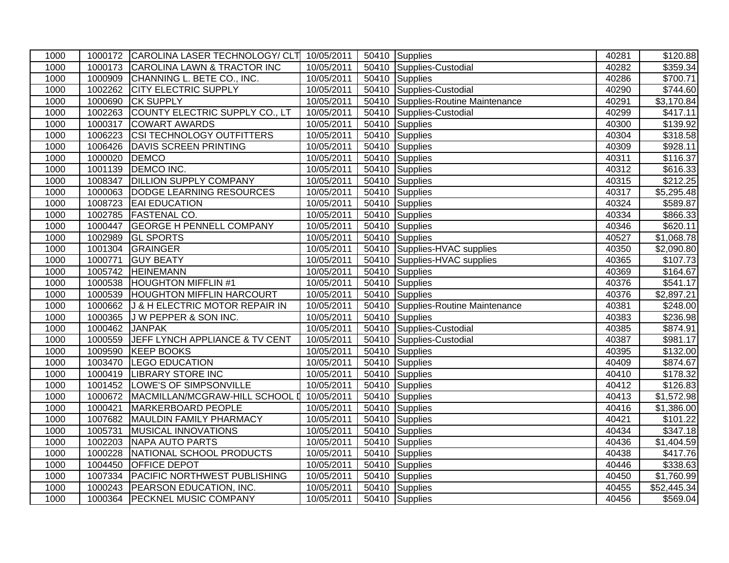| 1000 |                | 1000172 CAROLINA LASER TECHNOLOGY/ CLT 10/05/2011 |            |       | 50410 Supplies                     | 40281 | \$120.88             |
|------|----------------|---------------------------------------------------|------------|-------|------------------------------------|-------|----------------------|
| 1000 |                | 1000173 CAROLINA LAWN & TRACTOR INC               | 10/05/2011 | 50410 | Supplies-Custodial                 | 40282 | \$359.34             |
| 1000 | 1000909        | CHANNING L. BETE CO., INC.                        | 10/05/2011 | 50410 | Supplies                           | 40286 | \$700.71             |
| 1000 | 1002262        | <b>CITY ELECTRIC SUPPLY</b>                       | 10/05/2011 |       | 50410 Supplies-Custodial           | 40290 | \$744.60             |
| 1000 | 1000690        | <b>CK SUPPLY</b>                                  | 10/05/2011 |       | 50410 Supplies-Routine Maintenance | 40291 | \$3,170.84           |
| 1000 | 1002263        | COUNTY ELECTRIC SUPPLY CO., LT                    | 10/05/2011 | 50410 | Supplies-Custodial                 | 40299 | \$417.11             |
| 1000 | 1000317        | <b>COWART AWARDS</b>                              | 10/05/2011 | 50410 | Supplies                           | 40300 | \$139.92             |
| 1000 | 1006223        | <b>CSI TECHNOLOGY OUTFITTERS</b>                  | 10/05/2011 |       | 50410 Supplies                     | 40304 | \$318.58             |
| 1000 | 1006426        | <b>DAVIS SCREEN PRINTING</b>                      | 10/05/2011 |       | 50410 Supplies                     | 40309 | \$928.11             |
| 1000 | 1000020        | DEMCO                                             | 10/05/2011 | 50410 | Supplies                           | 40311 | \$116.37             |
| 1000 | 1001139        | DEMCO INC.                                        | 10/05/2011 | 50410 | Supplies                           | 40312 | \$616.33             |
| 1000 | 1008347        | <b>DILLION SUPPLY COMPANY</b>                     | 10/05/2011 |       | 50410 Supplies                     | 40315 | $\overline{$}212.25$ |
| 1000 |                | 1000063 DODGE LEARNING RESOURCES                  | 10/05/2011 |       | 50410 Supplies                     | 40317 | \$5,295.48           |
| 1000 |                | 1008723 EAI EDUCATION                             | 10/05/2011 | 50410 | Supplies                           | 40324 | \$589.87             |
| 1000 | 1002785        | <b>FASTENAL CO.</b>                               | 10/05/2011 | 50410 | Supplies                           | 40334 | \$866.33             |
| 1000 | 1000447        | <b>GEORGE H PENNELL COMPANY</b>                   | 10/05/2011 |       | 50410 Supplies                     | 40346 | \$620.11             |
| 1000 | 1002989        | <b>GL SPORTS</b>                                  | 10/05/2011 |       | 50410 Supplies                     | 40527 | \$1,068.78           |
| 1000 |                | 1001304 GRAINGER                                  | 10/05/2011 | 50410 | Supplies-HVAC supplies             | 40350 | \$2,090.80           |
| 1000 | 1000771        | <b>GUY BEATY</b>                                  | 10/05/2011 |       | 50410 Supplies-HVAC supplies       | 40365 | \$107.73             |
| 1000 | 1005742        | <b>HEINEMANN</b>                                  | 10/05/2011 |       | 50410 Supplies                     | 40369 | \$164.67             |
| 1000 | 1000538        | <b>HOUGHTON MIFFLIN #1</b>                        | 10/05/2011 | 50410 | Supplies                           | 40376 | \$541.17             |
| 1000 | 1000539        | <b>HOUGHTON MIFFLIN HARCOURT</b>                  | 10/05/2011 | 50410 | Supplies                           | 40376 | \$2,897.21           |
| 1000 | 1000662        | <b>J &amp; H ELECTRIC MOTOR REPAIR IN</b>         | 10/05/2011 |       | 50410 Supplies-Routine Maintenance | 40381 | \$248.00             |
| 1000 | 1000365        | <b>JW PEPPER &amp; SON INC.</b>                   | 10/05/2011 |       | 50410 Supplies                     | 40383 | \$236.98             |
| 1000 | 1000462 JANPAK |                                                   | 10/05/2011 | 50410 | Supplies-Custodial                 | 40385 | \$874.91             |
| 1000 | 1000559        | <b>JEFF LYNCH APPLIANCE &amp; TV CENT</b>         | 10/05/2011 | 50410 | Supplies-Custodial                 | 40387 | \$981.17             |
| 1000 | 1009590        | <b>KEEP BOOKS</b>                                 | 10/05/2011 |       | 50410 Supplies                     | 40395 | $\overline{$132.00}$ |
| 1000 | 1003470        | <b>LEGO EDUCATION</b>                             | 10/05/2011 |       | 50410 Supplies                     | 40409 | \$874.67             |
| 1000 | 1000419        | <b>LIBRARY STORE INC</b>                          | 10/05/2011 | 50410 | Supplies                           | 40410 | \$178.32             |
| 1000 | 1001452        | LOWE'S OF SIMPSONVILLE                            | 10/05/2011 |       | 50410 Supplies                     | 40412 | \$126.83             |
| 1000 | 1000672        | MACMILLAN/MCGRAW-HILL SCHOOL 0 10/05/2011         |            |       | 50410 Supplies                     | 40413 | \$1,572.98           |
| 1000 | 1000421        | <b>MARKERBOARD PEOPLE</b>                         | 10/05/2011 |       | 50410 Supplies                     | 40416 | \$1,386.00           |
| 1000 | 1007682        | MAULDIN FAMILY PHARMACY                           | 10/05/2011 | 50410 | Supplies                           | 40421 | \$101.22             |
| 1000 | 1005731        | <b>MUSICAL INNOVATIONS</b>                        | 10/05/2011 | 50410 | Supplies                           | 40434 | \$347.18             |
| 1000 | 1002203        | <b>NAPA AUTO PARTS</b>                            | 10/05/2011 |       | 50410 Supplies                     | 40436 | \$1,404.59           |
| 1000 | 1000228        | NATIONAL SCHOOL PRODUCTS                          | 10/05/2011 | 50410 | Supplies                           | 40438 | \$417.76             |
| 1000 | 1004450        | <b>OFFICE DEPOT</b>                               | 10/05/2011 | 50410 | Supplies                           | 40446 | \$338.63             |
| 1000 | 1007334        | <b>PACIFIC NORTHWEST PUBLISHING</b>               | 10/05/2011 | 50410 | Supplies                           | 40450 | \$1,760.99           |
| 1000 | 1000243        | <b>PEARSON EDUCATION, INC.</b>                    | 10/05/2011 |       | 50410 Supplies                     | 40455 | \$52,445.34          |
| 1000 |                | 1000364 PECKNEL MUSIC COMPANY                     | 10/05/2011 |       | 50410 Supplies                     | 40456 | \$569.04             |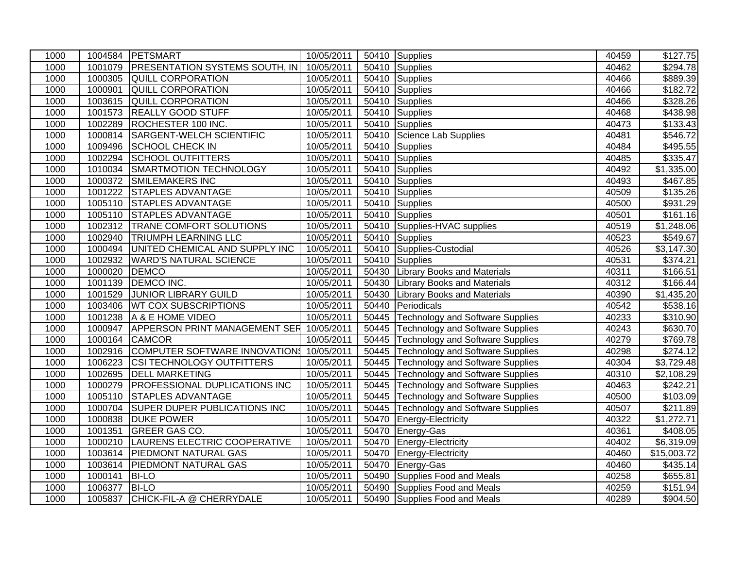| 1000 |         | 1004584 PETSMART                                 | 10/05/2011 |       | 50410 Supplies                          | 40459 | \$127.75               |
|------|---------|--------------------------------------------------|------------|-------|-----------------------------------------|-------|------------------------|
| 1000 | 1001079 | <b>PRESENTATION SYSTEMS SOUTH, IN</b>            | 10/05/2011 |       | 50410 Supplies                          | 40462 | \$294.78               |
| 1000 |         | 1000305 QUILL CORPORATION                        | 10/05/2011 | 50410 | Supplies                                | 40466 | \$889.39               |
| 1000 | 1000901 | <b>QUILL CORPORATION</b>                         | 10/05/2011 | 50410 | Supplies                                | 40466 | \$182.72               |
| 1000 | 1003615 | <b>QUILL CORPORATION</b>                         | 10/05/2011 |       | 50410 Supplies                          | 40466 | \$328.26               |
| 1000 | 1001573 | <b>REALLY GOOD STUFF</b>                         | 10/05/2011 | 50410 | Supplies                                | 40468 | \$438.98               |
| 1000 | 1002289 | ROCHESTER 100 INC.                               | 10/05/2011 | 50410 | Supplies                                | 40473 | \$133.43               |
| 1000 | 1000814 | SARGENT-WELCH SCIENTIFIC                         | 10/05/2011 | 50410 | Science Lab Supplies                    | 40481 | \$546.72               |
| 1000 | 1009496 | <b>SCHOOL CHECK IN</b>                           | 10/05/2011 |       | 50410 Supplies                          | 40484 | \$495.55               |
| 1000 | 1002294 | <b>SCHOOL OUTFITTERS</b>                         | 10/05/2011 | 50410 | Supplies                                | 40485 | \$335.47               |
| 1000 | 1010034 | SMARTMOTION TECHNOLOGY                           | 10/05/2011 | 50410 | Supplies                                | 40492 | \$1,335.00             |
| 1000 | 1000372 | <b>SMILEMAKERS INC</b>                           | 10/05/2011 | 50410 | Supplies                                | 40493 | \$467.85               |
| 1000 | 1001222 | <b>STAPLES ADVANTAGE</b>                         | 10/05/2011 |       | 50410 Supplies                          | 40509 | \$135.26               |
| 1000 | 1005110 | STAPLES ADVANTAGE                                | 10/05/2011 |       | 50410 Supplies                          | 40500 | \$931.29               |
| 1000 | 1005110 | <b>STAPLES ADVANTAGE</b>                         | 10/05/2011 |       | 50410 Supplies                          | 40501 | \$161.16               |
| 1000 | 1002312 | <b>TRANE COMFORT SOLUTIONS</b>                   | 10/05/2011 |       | 50410 Supplies-HVAC supplies            | 40519 | $\overline{$}1,248.06$ |
| 1000 | 1002940 | <b>TRIUMPH LEARNING LLC</b>                      | 10/05/2011 |       | 50410 Supplies                          | 40523 | \$549.67               |
| 1000 |         | 1000494 UNITED CHEMICAL AND SUPPLY INC           | 10/05/2011 | 50410 | Supplies-Custodial                      | 40526 | \$3,147.30             |
| 1000 | 1002932 | <b>WARD'S NATURAL SCIENCE</b>                    | 10/05/2011 | 50410 | Supplies                                | 40531 | \$374.21               |
| 1000 | 1000020 | <b>DEMCO</b>                                     | 10/05/2011 |       | 50430 Library Books and Materials       | 40311 | \$166.51               |
| 1000 | 1001139 | DEMCO INC.                                       | 10/05/2011 | 50430 | <b>Library Books and Materials</b>      | 40312 | \$166.44               |
| 1000 | 1001529 | <b>JUNIOR LIBRARY GUILD</b>                      | 10/05/2011 | 50430 | <b>Library Books and Materials</b>      | 40390 | \$1,435.20             |
| 1000 | 1003406 | <b>WT COX SUBSCRIPTIONS</b>                      | 10/05/2011 | 50440 | Periodicals                             | 40542 | \$538.16               |
| 1000 | 1001238 | A & E HOME VIDEO                                 | 10/05/2011 | 50445 | <b>Technology and Software Supplies</b> | 40233 | \$310.90               |
| 1000 |         | 1000947 APPERSON PRINT MANAGEMENT SER 10/05/2011 |            |       | 50445 Technology and Software Supplies  | 40243 | \$630.70               |
| 1000 |         | 1000164 CAMCOR                                   | 10/05/2011 |       | 50445 Technology and Software Supplies  | 40279 | \$769.78               |
| 1000 |         | 1002916 COMPUTER SOFTWARE INNOVATION 10/05/2011  |            |       | 50445 Technology and Software Supplies  | 40298 | \$274.12               |
| 1000 | 1006223 | <b>CSI TECHNOLOGY OUTFITTERS</b>                 | 10/05/2011 | 50445 | Technology and Software Supplies        | 40304 | \$3,729.48             |
| 1000 |         | 1002695 DELL MARKETING                           | 10/05/2011 | 50445 | <b>Technology and Software Supplies</b> | 40310 | \$2,108.29             |
| 1000 | 1000279 | <b>PROFESSIONAL DUPLICATIONS INC</b>             | 10/05/2011 | 50445 | Technology and Software Supplies        | 40463 | \$242.21               |
| 1000 | 1005110 | <b>STAPLES ADVANTAGE</b>                         | 10/05/2011 |       | 50445 Technology and Software Supplies  | 40500 | \$103.09               |
| 1000 | 1000704 | <b>SUPER DUPER PUBLICATIONS INC</b>              | 10/05/2011 | 50445 | <b>Technology and Software Supplies</b> | 40507 | \$211.89               |
| 1000 |         | 1000838 DUKE POWER                               | 10/05/2011 | 50470 | Energy-Electricity                      | 40322 | \$1,272.71             |
| 1000 | 1001351 | <b>GREER GAS CO.</b>                             | 10/05/2011 | 50470 | Energy-Gas                              | 40361 | \$408.05               |
| 1000 | 1000210 | LAURENS ELECTRIC COOPERATIVE                     | 10/05/2011 | 50470 | Energy-Electricity                      | 40402 | \$6,319.09             |
| 1000 | 1003614 | <b>PIEDMONT NATURAL GAS</b>                      | 10/05/2011 | 50470 | Energy-Electricity                      | 40460 | \$15,003.72            |
| 1000 |         | 1003614 PIEDMONT NATURAL GAS                     | 10/05/2011 | 50470 | Energy-Gas                              | 40460 | \$435.14               |
| 1000 | 1000141 | <b>BI-LO</b>                                     | 10/05/2011 | 50490 | Supplies Food and Meals                 | 40258 | \$655.81               |
| 1000 | 1006377 | <b>BI-LO</b>                                     | 10/05/2011 | 50490 | Supplies Food and Meals                 | 40259 | \$151.94               |
| 1000 |         | 1005837 CHICK-FIL-A @ CHERRYDALE                 | 10/05/2011 |       | 50490 Supplies Food and Meals           | 40289 | \$904.50               |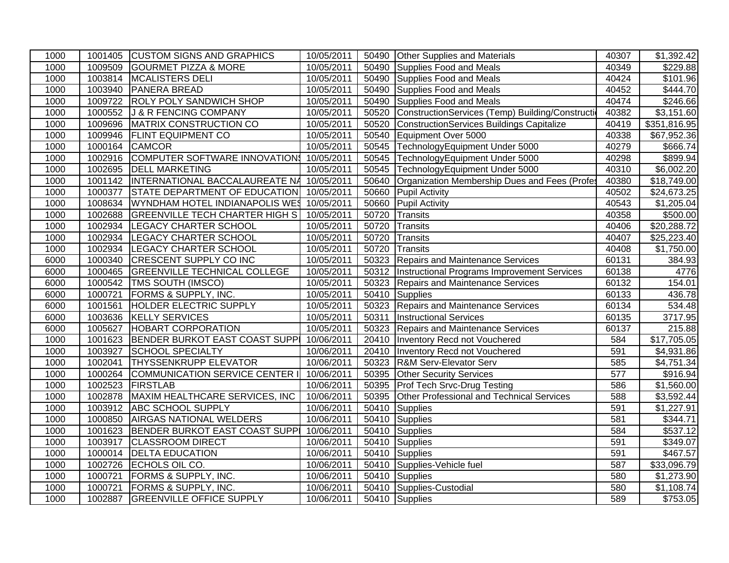| 1000 |         | 1001405 CUSTOM SIGNS AND GRAPHICS                  | 10/05/2011 |       | 50490 Other Supplies and Materials                | 40307            | \$1,392.42           |
|------|---------|----------------------------------------------------|------------|-------|---------------------------------------------------|------------------|----------------------|
| 1000 |         | 1009509 GOURMET PIZZA & MORE                       | 10/05/2011 | 50490 | Supplies Food and Meals                           | 40349            | \$229.88             |
| 1000 |         | 1003814 MCALISTERS DELI                            | 10/05/2011 | 50490 | Supplies Food and Meals                           | 40424            | $\overline{$}101.96$ |
| 1000 |         | 1003940 PANERA BREAD                               | 10/05/2011 | 50490 | Supplies Food and Meals                           | 40452            | $\sqrt{$444.70}$     |
| 1000 |         | 1009722 ROLY POLY SANDWICH SHOP                    | 10/05/2011 | 50490 | Supplies Food and Meals                           | 40474            | \$246.66             |
| 1000 |         | 1000552 J & R FENCING COMPANY                      | 10/05/2011 | 50520 | ConstructionServices (Temp) Building/Construction | 40382            | \$3,151.60           |
| 1000 | 1009696 | MATRIX CONSTRUCTION CO                             | 10/05/2011 | 50520 | ConstructionServices Buildings Capitalize         | 40419            | \$351,816.95         |
| 1000 |         | 1009946 FLINT EQUIPMENT CO                         | 10/05/2011 | 50540 | Equipment Over 5000                               | 40338            | \$67,952.36          |
| 1000 | 1000164 | <b>CAMCOR</b>                                      | 10/05/2011 | 50545 | TechnologyEquipment Under 5000                    | 40279            | \$666.74             |
| 1000 |         | 1002916 COMPUTER SOFTWARE INNOVATION\$ 10/05/2011  |            |       | 50545 TechnologyEquipment Under 5000              | 40298            | \$899.94             |
| 1000 |         | 1002695 DELL MARKETING                             | 10/05/2011 | 50545 | TechnologyEquipment Under 5000                    | 40310            | \$6,002.20           |
| 1000 |         | 1001142  INTERNATIONAL BACCALAUREATE NA 10/05/2011 |            | 50640 | Organization Membership Dues and Fees (Profes     | 40380            | \$18,749.00          |
| 1000 | 1000377 | STATE DEPARTMENT OF EDUCATION 10/05/2011           |            | 50660 | <b>Pupil Activity</b>                             | 40502            | \$24,673.25          |
| 1000 |         | 1008634 WYNDHAM HOTEL INDIANAPOLIS WES 10/05/2011  |            | 50660 | <b>Pupil Activity</b>                             | 40543            | \$1,205.04           |
| 1000 |         | 1002688 GREENVILLE TECH CHARTER HIGH S             | 10/05/2011 | 50720 | Transits                                          | 40358            | \$500.00             |
| 1000 |         | 1002934   LEGACY CHARTER SCHOOL                    | 10/05/2011 | 50720 | Transits                                          | 40406            | \$20,288.72          |
| 1000 | 1002934 | <b>LEGACY CHARTER SCHOOL</b>                       | 10/05/2011 | 50720 | Transits                                          | 40407            | \$25,223.40          |
| 1000 |         | 1002934   LEGACY CHARTER SCHOOL                    | 10/05/2011 | 50720 | Transits                                          | 40408            | \$1,750.00           |
| 6000 |         | 1000340 CRESCENT SUPPLY CO INC                     | 10/05/2011 | 50323 | <b>Repairs and Maintenance Services</b>           | 60131            | 384.93               |
| 6000 |         | 1000465 GREENVILLE TECHNICAL COLLEGE               | 10/05/2011 | 50312 | Instructional Programs Improvement Services       | 60138            | 4776                 |
| 6000 |         | 1000542   TMS SOUTH (IMSCO)                        | 10/05/2011 | 50323 | Repairs and Maintenance Services                  | 60132            | 154.01               |
| 6000 | 1000721 | <b>FORMS &amp; SUPPLY, INC.</b>                    | 10/05/2011 | 50410 | Supplies                                          | 60133            | 436.78               |
| 6000 | 1001561 | <b>HOLDER ELECTRIC SUPPLY</b>                      | 10/05/2011 | 50323 | <b>Repairs and Maintenance Services</b>           | 60134            | $\overline{534.48}$  |
| 6000 |         | 1003636 KELLY SERVICES                             | 10/05/2011 | 50311 | <b>Instructional Services</b>                     | 60135            | 3717.95              |
| 6000 |         | 1005627 HOBART CORPORATION                         | 10/05/2011 | 50323 | <b>Repairs and Maintenance Services</b>           | 60137            | 215.88               |
| 1000 |         | 1001623 BENDER BURKOT EAST COAST SUPP 10/06/2011   |            | 20410 | Inventory Recd not Vouchered                      | 584              | \$17,705.05          |
| 1000 |         | 1003927 SCHOOL SPECIALTY                           | 10/06/2011 | 20410 | <b>Inventory Recd not Vouchered</b>               | 591              | \$4,931.86           |
| 1000 |         | 1002041   THYSSENKRUPP ELEVATOR                    | 10/06/2011 | 50323 | <b>R&amp;M Serv-Elevator Serv</b>                 | 585              | \$4,751.34           |
| 1000 |         | 1000264 COMMUNICATION SERVICE CENTER I             | 10/06/2011 | 50395 | <b>Other Security Services</b>                    | $\overline{577}$ | \$916.94             |
| 1000 |         | 1002523 FIRSTLAB                                   | 10/06/2011 | 50395 | <b>Prof Tech Srvc-Drug Testing</b>                | 586              | \$1,560.00           |
| 1000 |         | 1002878   MAXIM HEALTHCARE SERVICES, INC           | 10/06/2011 | 50395 | Other Professional and Technical Services         | 588              | \$3,592.44           |
| 1000 |         | 1003912 ABC SCHOOL SUPPLY                          | 10/06/2011 | 50410 | Supplies                                          | 591              | \$1,227.91           |
| 1000 |         | 1000850 AIRGAS NATIONAL WELDERS                    | 10/06/2011 | 50410 | Supplies                                          | 581              | \$344.71             |
| 1000 |         | 1001623   BENDER BURKOT EAST COAST SUPPI           | 10/06/2011 | 50410 | Supplies                                          | 584              | \$537.12             |
| 1000 | 1003917 | <b>CLASSROOM DIRECT</b>                            | 10/06/2011 | 50410 | Supplies                                          | 591              | \$349.07             |
| 1000 | 1000014 | <b>DELTA EDUCATION</b>                             | 10/06/2011 |       | 50410 Supplies                                    | 591              | \$467.57             |
| 1000 |         | 1002726 ECHOLS OIL CO.                             | 10/06/2011 | 50410 | Supplies-Vehicle fuel                             | 587              | \$33,096.79          |
| 1000 | 1000721 | <b>FORMS &amp; SUPPLY, INC.</b>                    | 10/06/2011 | 50410 | Supplies                                          | 580              | \$1,273.90           |
| 1000 | 1000721 | <b>FORMS &amp; SUPPLY, INC.</b>                    | 10/06/2011 |       | 50410 Supplies-Custodial                          | 580              | \$1,108.74           |
| 1000 |         | 1002887 GREENVILLE OFFICE SUPPLY                   | 10/06/2011 |       | 50410 Supplies                                    | 589              | \$753.05             |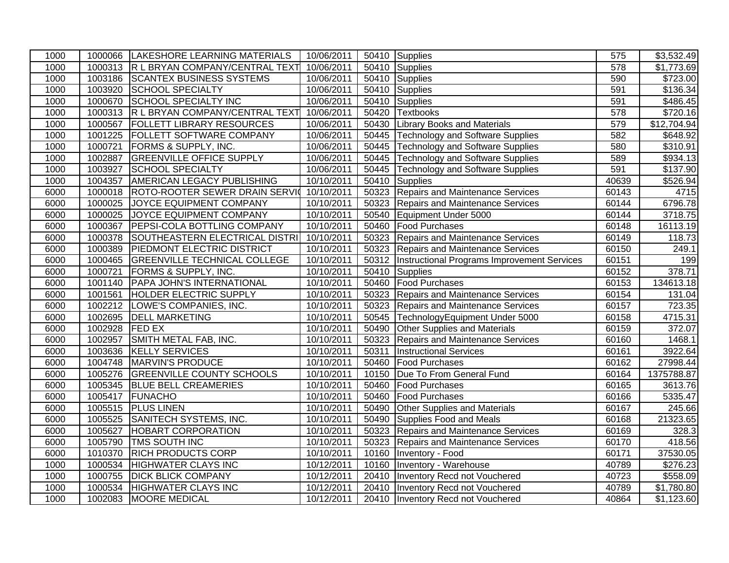| 1000 |                | 1000066 LAKESHORE LEARNING MATERIALS     | 10/06/2011 |       | 50410 Supplies                              | 575   | \$3,532.49           |
|------|----------------|------------------------------------------|------------|-------|---------------------------------------------|-------|----------------------|
| 1000 |                | 1000313 R L BRYAN COMPANY/CENTRAL TEXT   | 10/06/2011 | 50410 | Supplies                                    | 578   | \$1,773.69           |
| 1000 |                | 1003186 SCANTEX BUSINESS SYSTEMS         | 10/06/2011 | 50410 | Supplies                                    | 590   | \$723.00             |
| 1000 |                | 1003920 SCHOOL SPECIALTY                 | 10/06/2011 | 50410 | Supplies                                    | 591   | $\overline{$136.34}$ |
| 1000 | 1000670        | <b>SCHOOL SPECIALTY INC</b>              | 10/06/2011 | 50410 | Supplies                                    | 591   | \$486.45             |
| 1000 |                | 1000313 R L BRYAN COMPANY/CENTRAL TEXT   | 10/06/2011 | 50420 | <b>Textbooks</b>                            | 578   | \$720.16             |
| 1000 | 1000567        | <b>FOLLETT LIBRARY RESOURCES</b>         | 10/06/2011 | 50430 | <b>Library Books and Materials</b>          | 579   | \$12,704.94          |
| 1000 | 1001225        | <b>FOLLETT SOFTWARE COMPANY</b>          | 10/06/2011 |       | 50445 Technology and Software Supplies      | 582   | \$648.92             |
| 1000 | 1000721        | <b>FORMS &amp; SUPPLY, INC.</b>          | 10/06/2011 |       | 50445 Technology and Software Supplies      | 580   | \$310.91             |
| 1000 |                | 1002887 GREENVILLE OFFICE SUPPLY         | 10/06/2011 |       | 50445 Technology and Software Supplies      | 589   | \$934.13             |
| 1000 | 1003927        | SCHOOL SPECIALTY                         | 10/06/2011 |       | 50445 Technology and Software Supplies      | 591   | $\overline{$}137.90$ |
| 1000 | 1004357        | AMERICAN LEGACY PUBLISHING               | 10/10/2011 | 50410 | Supplies                                    | 40639 | \$526.94             |
| 6000 |                | 1000018   ROTO-ROOTER SEWER DRAIN SERVIC | 10/10/2011 |       | 50323 Repairs and Maintenance Services      | 60143 | 4715                 |
| 6000 | 1000025        | JOYCE EQUIPMENT COMPANY                  | 10/10/2011 | 50323 | Repairs and Maintenance Services            | 60144 | 6796.78              |
| 6000 |                | 1000025 JOYCE EQUIPMENT COMPANY          | 10/10/2011 |       | 50540 Equipment Under 5000                  | 60144 | 3718.75              |
| 6000 | 1000367        | <b>PEPSI-COLA BOTTLING COMPANY</b>       | 10/10/2011 | 50460 | Food Purchases                              | 60148 | 16113.19             |
| 6000 |                | 1000378 SOUTHEASTERN ELECTRICAL DISTRI   | 10/10/2011 | 50323 | Repairs and Maintenance Services            | 60149 | 118.73               |
| 6000 |                | 1000389 PIEDMONT ELECTRIC DISTRICT       | 10/10/2011 | 50323 | Repairs and Maintenance Services            | 60150 | 249.1                |
| 6000 |                | 1000465 GREENVILLE TECHNICAL COLLEGE     | 10/10/2011 | 50312 | Instructional Programs Improvement Services | 60151 | 199                  |
| 6000 | 1000721        | <b>FORMS &amp; SUPPLY, INC.</b>          | 10/10/2011 | 50410 | Supplies                                    | 60152 | 378.71               |
| 6000 | 1001140        | <b>PAPA JOHN'S INTERNATIONAL</b>         | 10/10/2011 | 50460 | Food Purchases                              | 60153 | 134613.18            |
| 6000 | 1001561        | HOLDER ELECTRIC SUPPLY                   | 10/10/2011 | 50323 | Repairs and Maintenance Services            | 60154 | 131.04               |
| 6000 | 1002212        | LOWE'S COMPANIES, INC.                   | 10/10/2011 | 50323 | Repairs and Maintenance Services            | 60157 | 723.35               |
| 6000 |                | 1002695 DELL MARKETING                   | 10/10/2011 | 50545 | TechnologyEquipment Under 5000              | 60158 | 4715.31              |
| 6000 | 1002928 FED EX |                                          | 10/10/2011 | 50490 | <b>Other Supplies and Materials</b>         | 60159 | 372.07               |
| 6000 | 1002957        | SMITH METAL FAB, INC.                    | 10/10/2011 | 50323 | Repairs and Maintenance Services            | 60160 | 1468.1               |
| 6000 |                | 1003636 KELLY SERVICES                   | 10/10/2011 | 50311 | <b>Instructional Services</b>               | 60161 | 3922.64              |
| 6000 |                | 1004748 MARVIN'S PRODUCE                 | 10/10/2011 | 50460 | <b>Food Purchases</b>                       | 60162 | 27998.44             |
| 6000 | 1005276        | <b>GREENVILLE COUNTY SCHOOLS</b>         | 10/10/2011 | 10150 | Due To From General Fund                    | 60164 | 1375788.87           |
| 6000 |                | 1005345 BLUE BELL CREAMERIES             | 10/10/2011 | 50460 | <b>Food Purchases</b>                       | 60165 | 3613.76              |
| 6000 | 1005417        | FUNACHO                                  | 10/10/2011 | 50460 | <b>Food Purchases</b>                       | 60166 | 5335.47              |
| 6000 |                | 1005515 PLUS LINEN                       | 10/10/2011 | 50490 | <b>Other Supplies and Materials</b>         | 60167 | 245.66               |
| 6000 |                | 1005525 SANITECH SYSTEMS, INC.           | 10/10/2011 | 50490 | Supplies Food and Meals                     | 60168 | 21323.65             |
| 6000 | 1005627        | <b>HOBART CORPORATION</b>                | 10/10/2011 | 50323 | Repairs and Maintenance Services            | 60169 | 328.3                |
| 6000 | 1005790        | <b>TMS SOUTH INC</b>                     | 10/10/2011 | 50323 | Repairs and Maintenance Services            | 60170 | 418.56               |
| 6000 | 1010370        | <b>RICH PRODUCTS CORP</b>                | 10/10/2011 | 10160 | Inventory - Food                            | 60171 | 37530.05             |
| 1000 | 1000534        | <b>HIGHWATER CLAYS INC</b>               | 10/12/2011 | 10160 | Inventory - Warehouse                       | 40789 | \$276.23             |
| 1000 | 1000755        | <b>DICK BLICK COMPANY</b>                | 10/12/2011 | 20410 | Inventory Recd not Vouchered                | 40723 | \$558.09             |
| 1000 | 1000534        | <b>HIGHWATER CLAYS INC</b>               | 10/12/2011 | 20410 | Inventory Recd not Vouchered                | 40789 | \$1,780.80           |
| 1000 | 1002083        | MOORE MEDICAL                            | 10/12/2011 |       | 20410   Inventory Recd not Vouchered        | 40864 | \$1,123.60           |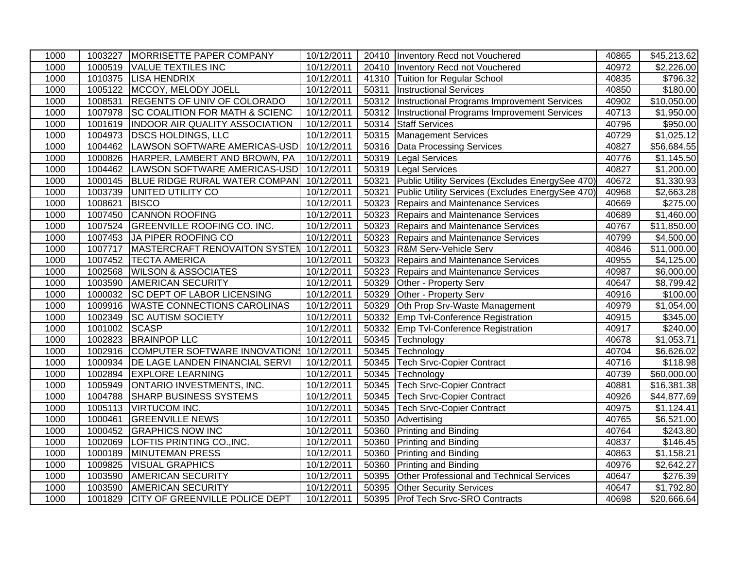| 1000 |               | 1003227 MORRISETTE PAPER COMPANY                   | 10/12/2011 |       | 20410   Inventory Recd not Vouchered               | 40865 | $\overline{$45,213.62}$ |
|------|---------------|----------------------------------------------------|------------|-------|----------------------------------------------------|-------|-------------------------|
| 1000 |               | 1000519 VALUE TEXTILES INC                         | 10/12/2011 |       | 20410   Inventory Recd not Vouchered               | 40972 | \$2,226.00              |
| 1000 |               | 1010375 LISA HENDRIX                               | 10/12/2011 |       | 41310 Tuition for Regular School                   | 40835 | \$796.32                |
| 1000 |               | 1005122 MCCOY, MELODY JOELL                        | 10/12/2011 | 50311 | <b>Instructional Services</b>                      | 40850 | $\overline{$}180.00$    |
| 1000 | 1008531       | <b>REGENTS OF UNIV OF COLORADO</b>                 | 10/12/2011 |       | 50312  Instructional Programs Improvement Services | 40902 | \$10,050.00             |
| 1000 |               | 1007978 SC COALITION FOR MATH & SCIENC             | 10/12/2011 | 50312 | Instructional Programs Improvement Services        | 40713 | \$1,950.00              |
| 1000 | 1001619       | <b>INDOOR AIR QUALITY ASSOCIATION</b>              | 10/12/2011 | 50314 | <b>Staff Services</b>                              | 40796 | \$950.00                |
| 1000 | 1004973       | <b>DSCS HOLDINGS, LLC</b>                          | 10/12/2011 | 50315 | Management Services                                | 40729 | \$1,025.12              |
| 1000 | 1004462       | LAWSON SOFTWARE AMERICAS-USD                       | 10/12/2011 |       | 50316   Data Processing Services                   | 40827 | \$56,684.55             |
| 1000 |               | 1000826 HARPER, LAMBERT AND BROWN, PA              | 10/12/2011 |       | 50319 Legal Services                               | 40776 | \$1,145.50              |
| 1000 |               | 1004462  LAWSON SOFTWARE AMERICAS-USD   10/12/2011 |            |       | 50319 Legal Services                               | 40827 | \$1,200.00              |
| 1000 |               | 1000145  BLUE RIDGE RURAL WATER COMPAN             | 10/12/2011 | 50321 | Public Utility Services (Excludes EnergySee 470)   | 40672 | \$1,330.93              |
| 1000 |               | 1003739 UNITED UTILITY CO                          | 10/12/2011 | 50321 | Public Utility Services (Excludes EnergySee 470)   | 40968 | \$2,663.28              |
| 1000 | 1008621       | <b>BISCO</b>                                       | 10/12/2011 | 50323 | Repairs and Maintenance Services                   | 40669 | \$275.00                |
| 1000 | 1007450       | <b>CANNON ROOFING</b>                              | 10/12/2011 | 50323 | Repairs and Maintenance Services                   | 40689 | \$1,460.00              |
| 1000 |               | 1007524 GREENVILLE ROOFING CO. INC.                | 10/12/2011 | 50323 | Repairs and Maintenance Services                   | 40767 | \$11,850.00             |
| 1000 |               | 1007453 JA PIPER ROOFING CO                        | 10/12/2011 | 50323 | Repairs and Maintenance Services                   | 40799 | \$4,500.00              |
| 1000 |               | 1007717 MASTERCRAFT RENOVAITON SYSTEN 10/12/2011   |            | 50323 | R&M Serv-Vehicle Serv                              | 40846 | \$11,000.00             |
| 1000 |               | 1007452 TECTA AMERICA                              | 10/12/2011 | 50323 | Repairs and Maintenance Services                   | 40955 | \$4,125.00              |
| 1000 |               | 1002568 WILSON & ASSOCIATES                        | 10/12/2011 | 50323 | Repairs and Maintenance Services                   | 40987 | \$6,000.00              |
| 1000 | 1003590       | <b>AMERICAN SECURITY</b>                           | 10/12/2011 | 50329 | Other - Property Serv                              | 40647 | \$8,799.42              |
| 1000 |               | 1000032 SC DEPT OF LABOR LICENSING                 | 10/12/2011 | 50329 | Other - Property Serv                              | 40916 | \$100.00                |
| 1000 |               | 1009916   WASTE CONNECTIONS CAROLINAS              | 10/12/2011 | 50329 | Oth Prop Srv-Waste Management                      | 40979 | \$1,054.00              |
| 1000 |               | 1002349 SC AUTISM SOCIETY                          | 10/12/2011 | 50332 | <b>Emp Tvl-Conference Registration</b>             | 40915 | \$345.00                |
| 1000 | 1001002 SCASP |                                                    | 10/12/2011 | 50332 | <b>Emp Tvl-Conference Registration</b>             | 40917 | \$240.00                |
| 1000 |               | 1002823 BRAINPOP LLC                               | 10/12/2011 | 50345 | Technology                                         | 40678 | \$1,053.71              |
| 1000 |               | 1002916 COMPUTER SOFTWARE INNOVATION\$ 10/12/2011  |            |       | 50345 Technology                                   | 40704 | \$6,626.02              |
| 1000 | 1000934       | DE LAGE LANDEN FINANCIAL SERVI                     | 10/12/2011 | 50345 | <b>Tech Srvc-Copier Contract</b>                   | 40716 | \$118.98                |
| 1000 |               | 1002894 EXPLORE LEARNING                           | 10/12/2011 |       | 50345 Technology                                   | 40739 | \$60,000.00             |
| 1000 | 1005949       | <b>ONTARIO INVESTMENTS, INC.</b>                   | 10/12/2011 | 50345 | <b>Tech Srvc-Copier Contract</b>                   | 40881 | \$16,381.38             |
| 1000 |               | 1004788 SHARP BUSINESS SYSTEMS                     | 10/12/2011 |       | 50345 Tech Srvc-Copier Contract                    | 40926 | \$44,877.69             |
| 1000 |               | 1005113 VIRTUCOM INC.                              | 10/12/2011 | 50345 | Tech Srvc-Copier Contract                          | 40975 | \$1,124.41              |
| 1000 | 1000461       | <b>GREENVILLE NEWS</b>                             | 10/12/2011 | 50350 | Advertising                                        | 40765 | \$6,521.00              |
| 1000 |               | 1000452 GRAPHICS NOW INC                           | 10/12/2011 | 50360 | <b>Printing and Binding</b>                        | 40764 | $\overline{$}243.80$    |
| 1000 | 1002069       | LOFTIS PRINTING CO., INC.                          | 10/12/2011 | 50360 | Printing and Binding                               | 40837 | \$146.45                |
| 1000 | 1000189       | MINUTEMAN PRESS                                    | 10/12/2011 |       | 50360 Printing and Binding                         | 40863 | \$1,158.21              |
| 1000 |               | 1009825   VISUAL GRAPHICS                          | 10/12/2011 | 50360 | <b>Printing and Binding</b>                        | 40976 | \$2,642.27              |
| 1000 | 1003590       | <b>AMERICAN SECURITY</b>                           | 10/12/2011 | 50395 | Other Professional and Technical Services          | 40647 | \$276.39                |
| 1000 | 1003590       | <b>AMERICAN SECURITY</b>                           | 10/12/2011 | 50395 | <b>Other Security Services</b>                     | 40647 | \$1,792.80              |
| 1000 |               | 1001829 CITY OF GREENVILLE POLICE DEPT             | 10/12/2011 |       | 50395 Prof Tech Srvc-SRO Contracts                 | 40698 | \$20,666.64             |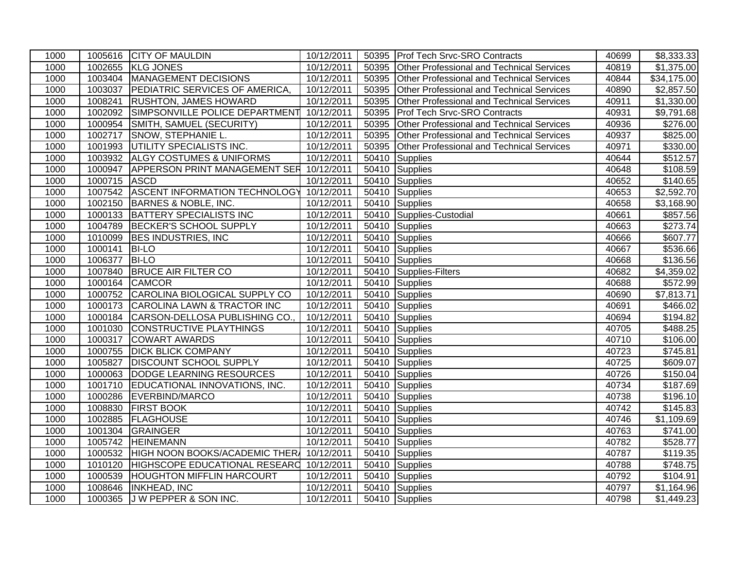| 1000 |              | 1005616 CITY OF MAULDIN                          | 10/12/2011 |       | 50395 Prof Tech Srvc-SRO Contracts               | 40699 | \$8,333.33           |
|------|--------------|--------------------------------------------------|------------|-------|--------------------------------------------------|-------|----------------------|
| 1000 |              | 1002655 KLG JONES                                | 10/12/2011 | 50395 | <b>Other Professional and Technical Services</b> | 40819 | \$1,375.00           |
| 1000 |              | 1003404 MANAGEMENT DECISIONS                     | 10/12/2011 | 50395 | <b>Other Professional and Technical Services</b> | 40844 | \$34,175.00          |
| 1000 | 1003037      | <b>PEDIATRIC SERVICES OF AMERICA,</b>            | 10/12/2011 | 50395 | <b>Other Professional and Technical Services</b> | 40890 | \$2,857.50           |
| 1000 | 1008241      | <b>RUSHTON, JAMES HOWARD</b>                     | 10/12/2011 | 50395 | Other Professional and Technical Services        | 40911 | \$1,330.00           |
| 1000 | 1002092      | SIMPSONVILLE POLICE DEPARTMENT                   | 10/12/2011 | 50395 | <b>Prof Tech Srvc-SRO Contracts</b>              | 40931 | \$9,791.68           |
| 1000 | 1000954      | SMITH, SAMUEL (SECURITY)                         | 10/12/2011 | 50395 | Other Professional and Technical Services        | 40936 | \$276.00             |
| 1000 | 1002717      | SNOW, STEPHANIE L.                               | 10/12/2011 | 50395 | <b>Other Professional and Technical Services</b> | 40937 | \$825.00             |
| 1000 |              | 1001993 UTILITY SPECIALISTS INC.                 | 10/12/2011 | 50395 | Other Professional and Technical Services        | 40971 | \$330.00             |
| 1000 |              | 1003932 ALGY COSTUMES & UNIFORMS                 | 10/12/2011 | 50410 | <b>Supplies</b>                                  | 40644 | \$512.57             |
| 1000 |              | 1000947 APPERSON PRINT MANAGEMENT SER 10/12/2011 |            | 50410 | Supplies                                         | 40648 | \$108.59             |
| 1000 | 1000715 ASCD |                                                  | 10/12/2011 |       | 50410 Supplies                                   | 40652 | \$140.65             |
| 1000 |              | 1007542 ASCENT INFORMATION TECHNOLOGY            | 10/12/2011 |       | 50410 Supplies                                   | 40653 | \$2,592.70           |
| 1000 | 1002150      | BARNES & NOBLE, INC.                             | 10/12/2011 | 50410 | Supplies                                         | 40658 | \$3,168.90           |
| 1000 |              | 1000133 BATTERY SPECIALISTS INC                  | 10/12/2011 |       | 50410 Supplies-Custodial                         | 40661 | \$857.56             |
| 1000 |              | 1004789 BECKER'S SCHOOL SUPPLY                   | 10/12/2011 |       | 50410 Supplies                                   | 40663 | \$273.74             |
| 1000 |              | 1010099 BES INDUSTRIES, INC                      | 10/12/2011 |       | 50410 Supplies                                   | 40666 | \$607.77             |
| 1000 | 1000141      | <b>BI-LO</b>                                     | 10/12/2011 | 50410 | Supplies                                         | 40667 | \$536.66             |
| 1000 | 1006377      | <b>BI-LO</b>                                     | 10/12/2011 |       | 50410 Supplies                                   | 40668 | $\overline{$}136.56$ |
| 1000 | 1007840      | <b>BRUCE AIR FILTER CO</b>                       | 10/12/2011 |       | 50410 Supplies-Filters                           | 40682 | \$4,359.02           |
| 1000 | 1000164      | <b>CAMCOR</b>                                    | 10/12/2011 | 50410 | Supplies                                         | 40688 | \$572.99             |
| 1000 | 1000752      | CAROLINA BIOLOGICAL SUPPLY CO                    | 10/12/2011 | 50410 | Supplies                                         | 40690 | \$7,813.71           |
| 1000 | 1000173      | <b>CAROLINA LAWN &amp; TRACTOR INC</b>           | 10/12/2011 |       | 50410 Supplies                                   | 40691 | \$466.02             |
| 1000 | 1000184      | CARSON-DELLOSA PUBLISHING CO.,                   | 10/12/2011 | 50410 | Supplies                                         | 40694 | \$194.82             |
| 1000 |              | 1001030 CONSTRUCTIVE PLAYTHINGS                  | 10/12/2011 | 50410 | Supplies                                         | 40705 | \$488.25             |
| 1000 | 1000317      | <b>COWART AWARDS</b>                             | 10/12/2011 | 50410 | Supplies                                         | 40710 | \$106.00             |
| 1000 |              | 1000755 DICK BLICK COMPANY                       | 10/12/2011 |       | 50410 Supplies                                   | 40723 | \$745.81             |
| 1000 | 1005827      | <b>DISCOUNT SCHOOL SUPPLY</b>                    | 10/12/2011 | 50410 | Supplies                                         | 40725 | \$609.07             |
| 1000 |              | 1000063 DODGE LEARNING RESOURCES                 | 10/12/2011 | 50410 | Supplies                                         | 40726 | \$150.04             |
| 1000 | 1001710      | EDUCATIONAL INNOVATIONS, INC.                    | 10/12/2011 | 50410 | Supplies                                         | 40734 | \$187.69             |
| 1000 |              | 1000286 EVERBIND/MARCO                           | 10/12/2011 |       | 50410 Supplies                                   | 40738 | \$196.10             |
| 1000 | 1008830      | <b>FIRST BOOK</b>                                | 10/12/2011 | 50410 | Supplies                                         | 40742 | \$145.83             |
| 1000 |              | 1002885 FLAGHOUSE                                | 10/12/2011 | 50410 | Supplies                                         | 40746 | \$1,109.69           |
| 1000 |              | 1001304 GRAINGER                                 | 10/12/2011 | 50410 | Supplies                                         | 40763 | \$741.00             |
| 1000 |              | 1005742 HEINEMANN                                | 10/12/2011 | 50410 | Supplies                                         | 40782 | \$528.77             |
| 1000 |              | 1000532 HIGH NOON BOOKS/ACADEMIC THER 10/12/2011 |            | 50410 | Supplies                                         | 40787 | \$119.35             |
| 1000 | 1010120      | HIGHSCOPE EDUCATIONAL RESEARD                    | 10/12/2011 | 50410 | Supplies                                         | 40788 | \$748.75             |
| 1000 |              | 1000539 HOUGHTON MIFFLIN HARCOURT                | 10/12/2011 | 50410 | Supplies                                         | 40792 | \$104.91             |
| 1000 |              | 1008646  INKHEAD, INC                            | 10/12/2011 |       | 50410 Supplies                                   | 40797 | \$1,164.96           |
| 1000 |              | 1000365 J W PEPPER & SON INC.                    | 10/12/2011 |       | 50410 Supplies                                   | 40798 | \$1,449.23           |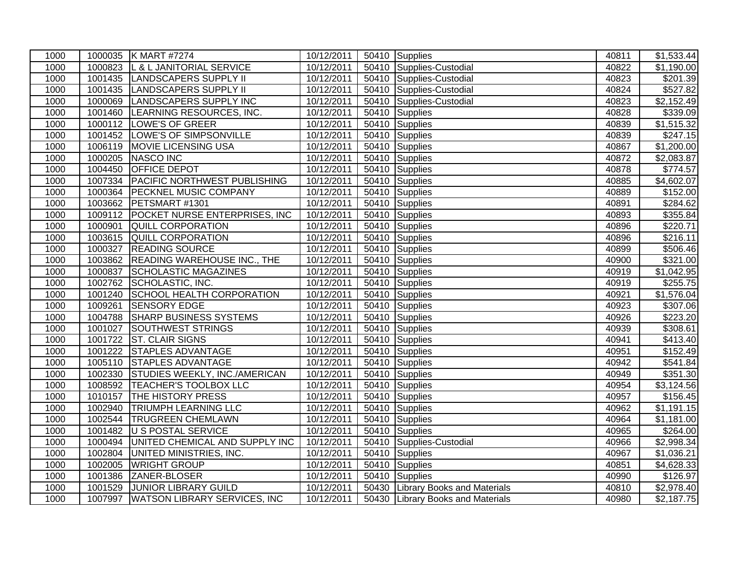| 1000 |         | 1000035 K MART #7274                   | 10/12/2011 |       | 50410 Supplies                    | 40811 | \$1,533.44           |
|------|---------|----------------------------------------|------------|-------|-----------------------------------|-------|----------------------|
| 1000 | 1000823 | L & L JANITORIAL SERVICE               | 10/12/2011 |       | 50410 Supplies-Custodial          | 40822 | \$1,190.00           |
| 1000 |         | 1001435 LANDSCAPERS SUPPLY II          | 10/12/2011 | 50410 | Supplies-Custodial                | 40823 | \$201.39             |
| 1000 |         | 1001435 LANDSCAPERS SUPPLY II          | 10/12/2011 | 50410 | Supplies-Custodial                | 40824 | \$527.82             |
| 1000 |         | 1000069 LANDSCAPERS SUPPLY INC         | 10/12/2011 | 50410 | Supplies-Custodial                | 40823 | \$2,152.49           |
| 1000 | 1001460 | LEARNING RESOURCES, INC.               | 10/12/2011 | 50410 | Supplies                          | 40828 | \$339.09             |
| 1000 | 1000112 | LOWE'S OF GREER                        | 10/12/2011 | 50410 | Supplies                          | 40839 | \$1,515.32           |
| 1000 |         | 1001452  LOWE'S OF SIMPSONVILLE        | 10/12/2011 | 50410 | Supplies                          | 40839 | \$247.15             |
| 1000 | 1006119 | MOVIE LICENSING USA                    | 10/12/2011 |       | 50410 Supplies                    | 40867 | \$1,200.00           |
| 1000 |         | 1000205 NASCO INC                      | 10/12/2011 | 50410 | Supplies                          | 40872 | \$2,083.87           |
| 1000 | 1004450 | <b>OFFICE DEPOT</b>                    | 10/12/2011 | 50410 | Supplies                          | 40878 | $\overline{$}774.57$ |
| 1000 | 1007334 | <b>PACIFIC NORTHWEST PUBLISHING</b>    | 10/12/2011 | 50410 | Supplies                          | 40885 | \$4,602.07           |
| 1000 | 1000364 | <b>PECKNEL MUSIC COMPANY</b>           | 10/12/2011 |       | 50410 Supplies                    | 40889 | \$152.00             |
| 1000 |         | 1003662 PETSMART #1301                 | 10/12/2011 | 50410 | Supplies                          | 40891 | \$284.62             |
| 1000 | 1009112 | POCKET NURSE ENTERPRISES, INC          | 10/12/2011 | 50410 | Supplies                          | 40893 | \$355.84             |
| 1000 | 1000901 | <b>QUILL CORPORATION</b>               | 10/12/2011 |       | 50410 Supplies                    | 40896 | \$220.71             |
| 1000 | 1003615 | QUILL CORPORATION                      | 10/12/2011 |       | 50410 Supplies                    | 40896 | \$216.11             |
| 1000 |         | 1000327 READING SOURCE                 | 10/12/2011 | 50410 | Supplies                          | 40899 | \$506.46             |
| 1000 |         | 1003862 READING WAREHOUSE INC., THE    | 10/12/2011 | 50410 | Supplies                          | 40900 | \$321.00             |
| 1000 | 1000837 | <b>SCHOLASTIC MAGAZINES</b>            | 10/12/2011 | 50410 | Supplies                          | 40919 | \$1,042.95           |
| 1000 |         | 1002762 SCHOLASTIC, INC.               | 10/12/2011 | 50410 | Supplies                          | 40919 | \$255.75             |
| 1000 | 1001240 | SCHOOL HEALTH CORPORATION              | 10/12/2011 | 50410 | Supplies                          | 40921 | \$1,576.04           |
| 1000 | 1009261 | <b>SENSORY EDGE</b>                    | 10/12/2011 | 50410 | Supplies                          | 40923 | \$307.06             |
| 1000 | 1004788 | <b>SHARP BUSINESS SYSTEMS</b>          | 10/12/2011 |       | 50410 Supplies                    | 40926 | \$223.20             |
| 1000 | 1001027 | SOUTHWEST STRINGS                      | 10/12/2011 | 50410 | Supplies                          | 40939 | \$308.61             |
| 1000 | 1001722 | <b>ST. CLAIR SIGNS</b>                 | 10/12/2011 | 50410 | Supplies                          | 40941 | \$413.40             |
| 1000 |         | 1001222 STAPLES ADVANTAGE              | 10/12/2011 |       | 50410 Supplies                    | 40951 | \$152.49             |
| 1000 |         | 1005110 STAPLES ADVANTAGE              | 10/12/2011 | 50410 | Supplies                          | 40942 | \$541.84             |
| 1000 |         | 1002330 STUDIES WEEKLY, INC./AMERICAN  | 10/12/2011 | 50410 | Supplies                          | 40949 | \$351.30             |
| 1000 |         | 1008592  TEACHER'S TOOLBOX LLC         | 10/12/2011 | 50410 | Supplies                          | 40954 | \$3,124.56           |
| 1000 | 1010157 | <b>THE HISTORY PRESS</b>               | 10/12/2011 |       | 50410 Supplies                    | 40957 | \$156.45             |
| 1000 | 1002940 | <b>TRIUMPH LEARNING LLC</b>            | 10/12/2011 | 50410 | Supplies                          | 40962 | \$1,191.15           |
| 1000 |         | 1002544 TRUGREEN CHEMLAWN              | 10/12/2011 | 50410 | Supplies                          | 40964 | \$1,181.00           |
| 1000 |         | 1001482 U S POSTAL SERVICE             | 10/12/2011 | 50410 | Supplies                          | 40965 | \$264.00             |
| 1000 |         | 1000494 UNITED CHEMICAL AND SUPPLY INC | 10/12/2011 | 50410 | Supplies-Custodial                | 40966 | \$2,998.34           |
| 1000 | 1002804 | <b>UNITED MINISTRIES, INC.</b>         | 10/12/2011 | 50410 | Supplies                          | 40967 | \$1,036.21           |
| 1000 | 1002005 | <b>WRIGHT GROUP</b>                    | 10/12/2011 | 50410 | Supplies                          | 40851 | \$4,628.33           |
| 1000 | 1001386 | ZANER-BLOSER                           | 10/12/2011 | 50410 | Supplies                          | 40990 | \$126.97             |
| 1000 | 1001529 | <b>JUNIOR LIBRARY GUILD</b>            | 10/12/2011 |       | 50430 Library Books and Materials | 40810 | \$2,978.40           |
| 1000 |         | 1007997   WATSON LIBRARY SERVICES, INC | 10/12/2011 |       | 50430 Library Books and Materials | 40980 | \$2,187.75           |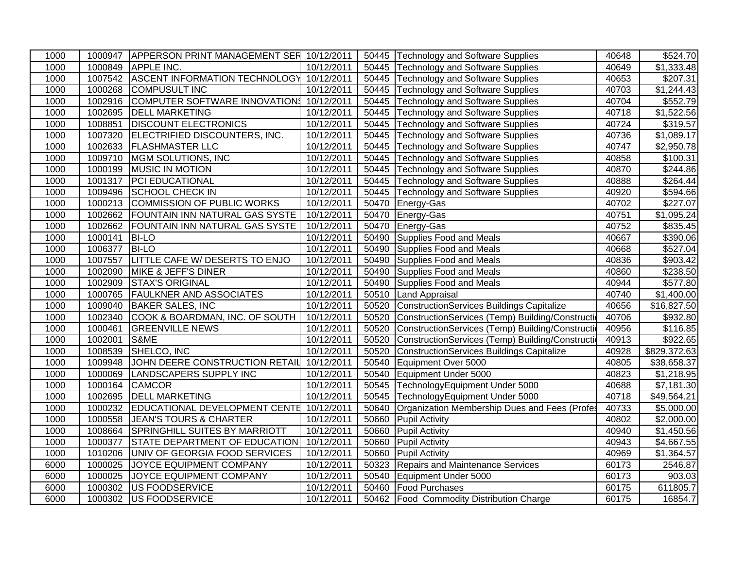| 1000 |         | 1000947 APPERSON PRINT MANAGEMENT SER 10/12/2011 |            |       | 50445 Technology and Software Supplies            | 40648 | \$524.70               |
|------|---------|--------------------------------------------------|------------|-------|---------------------------------------------------|-------|------------------------|
| 1000 |         | 1000849 APPLE INC.                               | 10/12/2011 |       | 50445 Technology and Software Supplies            | 40649 | \$1,333.48             |
| 1000 |         | 1007542 ASCENT INFORMATION TECHNOLOGY            | 10/12/2011 |       | 50445 Technology and Software Supplies            | 40653 | \$207.31               |
| 1000 |         | 1000268 COMPUSULT INC                            | 10/12/2011 |       | 50445 Technology and Software Supplies            | 40703 | $\overline{$1,244.43}$ |
| 1000 | 1002916 | COMPUTER SOFTWARE INNOVATIONS                    | 10/12/2011 | 50445 | <b>Technology and Software Supplies</b>           | 40704 | \$552.79               |
| 1000 | 1002695 | <b>DELL MARKETING</b>                            | 10/12/2011 | 50445 | Technology and Software Supplies                  | 40718 | \$1,522.56             |
| 1000 | 1008851 | <b>DISCOUNT ELECTRONICS</b>                      | 10/12/2011 | 50445 | Technology and Software Supplies                  | 40724 | \$319.57               |
| 1000 | 1007320 | ELECTRIFIED DISCOUNTERS, INC.                    | 10/12/2011 | 50445 | Technology and Software Supplies                  | 40736 | \$1,089.17             |
| 1000 | 1002633 | <b>FLASHMASTER LLC</b>                           | 10/12/2011 | 50445 | Technology and Software Supplies                  | 40747 | $\overline{$}2,950.78$ |
| 1000 | 1009710 | MGM SOLUTIONS, INC                               | 10/12/2011 | 50445 | Technology and Software Supplies                  | 40858 | \$100.31               |
| 1000 |         | 1000199 MUSIC IN MOTION                          | 10/12/2011 |       | 50445 Technology and Software Supplies            | 40870 | \$244.86               |
| 1000 | 1001317 | <b>PCI EDUCATIONAL</b>                           | 10/12/2011 |       | 50445 Technology and Software Supplies            | 40888 | \$264.44               |
| 1000 | 1009496 | <b>SCHOOL CHECK IN</b>                           | 10/12/2011 | 50445 | Technology and Software Supplies                  | 40920 | \$594.66               |
| 1000 | 1000213 | <b>COMMISSION OF PUBLIC WORKS</b>                | 10/12/2011 | 50470 | Energy-Gas                                        | 40702 | \$227.07               |
| 1000 | 1002662 | <b>FOUNTAIN INN NATURAL GAS SYSTE</b>            | 10/12/2011 | 50470 | Energy-Gas                                        | 40751 | \$1,095.24             |
| 1000 | 1002662 | <b>FOUNTAIN INN NATURAL GAS SYSTE</b>            | 10/12/2011 | 50470 | Energy-Gas                                        | 40752 | \$835.45               |
| 1000 | 1000141 | <b>BI-LO</b>                                     | 10/12/2011 | 50490 | Supplies Food and Meals                           | 40667 | \$390.06               |
| 1000 | 1006377 | <b>BI-LO</b>                                     | 10/12/2011 | 50490 | Supplies Food and Meals                           | 40668 | \$527.04               |
| 1000 | 1007557 | LITTLE CAFE W/ DESERTS TO ENJO                   | 10/12/2011 | 50490 | Supplies Food and Meals                           | 40836 | \$903.42               |
| 1000 | 1002090 | <b>MIKE &amp; JEFF'S DINER</b>                   | 10/12/2011 | 50490 | Supplies Food and Meals                           | 40860 | \$238.50               |
| 1000 | 1002909 | <b>STAX'S ORIGINAL</b>                           | 10/12/2011 | 50490 | Supplies Food and Meals                           | 40944 | \$577.80               |
| 1000 | 1000765 | <b>FAULKNER AND ASSOCIATES</b>                   | 10/12/2011 | 50510 | <b>Land Appraisal</b>                             | 40740 | \$1,400.00             |
| 1000 | 1009040 | <b>BAKER SALES, INC</b>                          | 10/12/2011 | 50520 | ConstructionServices Buildings Capitalize         | 40656 | \$16,827.50            |
| 1000 | 1002340 | COOK & BOARDMAN, INC. OF SOUTH                   | 10/12/2011 | 50520 | ConstructionServices (Temp) Building/Construction | 40706 | \$932.80               |
| 1000 | 1000461 | <b>GREENVILLE NEWS</b>                           | 10/12/2011 | 50520 | ConstructionServices (Temp) Building/Construction | 40956 | \$116.85               |
| 1000 | 1002001 | S&ME                                             | 10/12/2011 | 50520 | ConstructionServices (Temp) Building/Construction | 40913 | \$922.65               |
| 1000 | 1008539 | SHELCO, INC                                      | 10/12/2011 | 50520 | ConstructionServices Buildings Capitalize         | 40928 | \$829,372.63           |
| 1000 | 1009948 | JOHN DEERE CONSTRUCTION RETAIL                   | 10/12/2011 | 50540 | Equipment Over 5000                               | 40805 | \$38,658.37            |
| 1000 | 1000069 | LANDSCAPERS SUPPLY INC                           | 10/12/2011 | 50540 | Equipment Under 5000                              | 40823 | \$1,218.95             |
| 1000 | 1000164 | <b>CAMCOR</b>                                    | 10/12/2011 | 50545 | TechnologyEquipment Under 5000                    | 40688 | $\overline{$7,181.30}$ |
| 1000 | 1002695 | <b>DELL MARKETING</b>                            | 10/12/2011 | 50545 | TechnologyEquipment Under 5000                    | 40718 | \$49,564.21            |
| 1000 | 1000232 | EDUCATIONAL DEVELOPMENT CENTE 10/12/2011         |            | 50640 | Organization Membership Dues and Fees (Profes     | 40733 | \$5,000.00             |
| 1000 | 1000558 | <b>JEAN'S TOURS &amp; CHARTER</b>                | 10/12/2011 | 50660 | <b>Pupil Activity</b>                             | 40802 | \$2,000.00             |
| 1000 | 1008664 | SPRINGHILL SUITES BY MARRIOTT                    | 10/12/2011 | 50660 | <b>Pupil Activity</b>                             | 40940 | \$1,450.56             |
| 1000 | 1000377 | STATE DEPARTMENT OF EDUCATION                    | 10/12/2011 | 50660 | <b>Pupil Activity</b>                             | 40943 | \$4,667.55             |
| 1000 | 1010206 | UNIV OF GEORGIA FOOD SERVICES                    | 10/12/2011 | 50660 | <b>Pupil Activity</b>                             | 40969 | \$1,364.57             |
| 6000 | 1000025 | JOYCE EQUIPMENT COMPANY                          | 10/12/2011 | 50323 | <b>Repairs and Maintenance Services</b>           | 60173 | 2546.87                |
| 6000 | 1000025 | JOYCE EQUIPMENT COMPANY                          | 10/12/2011 | 50540 | Equipment Under 5000                              | 60173 | 903.03                 |
| 6000 | 1000302 | US FOODSERVICE                                   | 10/12/2011 | 50460 | <b>Food Purchases</b>                             | 60175 | 611805.7               |
| 6000 | 1000302 | <b>US FOODSERVICE</b>                            | 10/12/2011 |       | 50462 Food Commodity Distribution Charge          | 60175 | 16854.7                |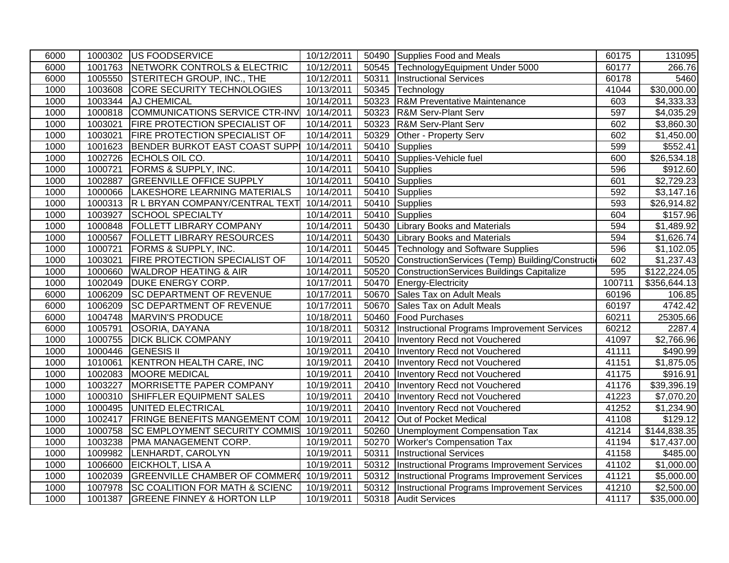| 6000         |         | 1000302 US FOODSERVICE                                                          | 10/12/2011               |       | 50490 Supplies Food and Meals                                       | 60175          | 131095                    |
|--------------|---------|---------------------------------------------------------------------------------|--------------------------|-------|---------------------------------------------------------------------|----------------|---------------------------|
| 6000         |         | 1001763 NETWORK CONTROLS & ELECTRIC                                             | 10/12/2011               | 50545 | TechnologyEquipment Under 5000                                      | 60177          | 266.76                    |
| 6000         |         | 1005550 STERITECH GROUP, INC., THE                                              | 10/12/2011               | 50311 | <b>Instructional Services</b>                                       | 60178          | 5460                      |
| 1000         |         | 1003608 CORE SECURITY TECHNOLOGIES                                              | 10/13/2011               | 50345 | Technology                                                          | 41044          | \$30,000.00               |
| 1000         |         | 1003344 AJ CHEMICAL                                                             | 10/14/2011               | 50323 | <b>R&amp;M Preventative Maintenance</b>                             | 603            | \$4,333.33                |
| 1000         |         | 1000818 COMMUNICATIONS SERVICE CTR-INV                                          | 10/14/2011               | 50323 | <b>R&amp;M Serv-Plant Serv</b>                                      | 597            | \$4,035.29                |
| 1000         | 1003021 | <b>FIRE PROTECTION SPECIALIST OF</b>                                            | 10/14/2011               | 50323 | <b>R&amp;M Serv-Plant Serv</b>                                      | 602            | \$3,860.30                |
| 1000         | 1003021 | <b>FIRE PROTECTION SPECIALIST OF</b>                                            | 10/14/2011               | 50329 | Other - Property Serv                                               | 602            | \$1,450.00                |
| 1000         | 1001623 | BENDER BURKOT EAST COAST SUPPI                                                  | 10/14/2011               | 50410 | <b>Supplies</b>                                                     | 599            | \$552.41                  |
| 1000         |         | 1002726 ECHOLS OIL CO.                                                          | 10/14/2011               | 50410 | Supplies-Vehicle fuel                                               | 600            | \$26,534.18               |
| 1000         | 1000721 | <b>FORMS &amp; SUPPLY, INC.</b>                                                 | 10/14/2011               | 50410 | Supplies                                                            | 596            | \$912.60                  |
| 1000         | 1002887 | <b>GREENVILLE OFFICE SUPPLY</b>                                                 | 10/14/2011               | 50410 | Supplies                                                            | 601            | \$2,729.23                |
| 1000         |         | 1000066  LAKESHORE LEARNING MATERIALS                                           | 10/14/2011               | 50410 | Supplies                                                            | 592            | \$3,147.16                |
| 1000         |         | 1000313 R L BRYAN COMPANY/CENTRAL TEXT                                          | 10/14/2011               | 50410 | <b>Supplies</b>                                                     | 593            | \$26,914.82               |
| 1000         | 1003927 | SCHOOL SPECIALTY                                                                | 10/14/2011               | 50410 | Supplies                                                            | 604            | \$157.96                  |
| 1000         | 1000848 | <b>FOLLETT LIBRARY COMPANY</b>                                                  | 10/14/2011               | 50430 | <b>Library Books and Materials</b>                                  | 594            | \$1,489.92                |
| 1000         |         | 1000567   FOLLETT LIBRARY RESOURCES                                             | 10/14/2011               | 50430 | <b>Library Books and Materials</b>                                  | 594            | \$1,626.74                |
| 1000         | 1000721 | <b>FORMS &amp; SUPPLY, INC.</b>                                                 | 10/14/2011               |       | 50445 Technology and Software Supplies                              | 596            | \$1,102.05                |
| 1000         | 1003021 | <b>FIRE PROTECTION SPECIALIST OF</b>                                            | 10/14/2011               | 50520 | ConstructionServices (Temp) Building/Constructi                     | 602            | \$1,237.43                |
| 1000         | 1000660 | <b>WALDROP HEATING &amp; AIR</b>                                                | 10/14/2011               | 50520 | ConstructionServices Buildings Capitalize                           | 595            | \$122,224.05              |
| 1000         |         | 1002049   DUKE ENERGY CORP.                                                     | 10/17/2011               | 50470 | Energy-Electricity                                                  | 100711         | \$356,644.13              |
| 6000         |         | <b>SC DEPARTMENT OF REVENUE</b>                                                 | 10/17/2011               | 50670 | Sales Tax on Adult Meals                                            | 60196          |                           |
|              | 1006209 |                                                                                 |                          |       |                                                                     |                | 106.85                    |
| 6000         |         | 1006209 SC DEPARTMENT OF REVENUE                                                | 10/17/2011               | 50670 | Sales Tax on Adult Meals                                            | 60197          | 4742.42                   |
| 6000         | 1004748 | MARVIN'S PRODUCE                                                                | 10/18/2011               | 50460 | <b>Food Purchases</b>                                               | 60211          | 25305.66                  |
| 6000         | 1005791 | OSORIA, DAYANA                                                                  | 10/18/2011               | 50312 | Instructional Programs Improvement Services                         | 60212          | 2287.4                    |
| 1000         | 1000755 | <b>DICK BLICK COMPANY</b>                                                       | 10/19/2011               | 20410 | Inventory Recd not Vouchered                                        | 41097          | \$2,766.96                |
| 1000         |         | 1000446 GENESIS II                                                              | 10/19/2011               | 20410 | Inventory Recd not Vouchered                                        | 41111          | \$490.99                  |
| 1000         | 1010061 | <b>KENTRON HEALTH CARE, INC</b>                                                 | 10/19/2011               | 20410 | Inventory Recd not Vouchered                                        | 41151          | \$1,875.05                |
| 1000         | 1002083 | <b>MOORE MEDICAL</b>                                                            | 10/19/2011               | 20410 | Inventory Recd not Vouchered                                        | 41175          | \$916.91                  |
| 1000         | 1003227 | MORRISETTE PAPER COMPANY                                                        | 10/19/2011               | 20410 | Inventory Recd not Vouchered                                        | 41176          | \$39,396.19               |
| 1000         |         | 1000310 SHIFFLER EQUIPMENT SALES                                                | 10/19/2011               | 20410 | Inventory Recd not Vouchered                                        | 41223          | \$7,070.20                |
| 1000         |         | 1000495 UNITED ELECTRICAL                                                       | 10/19/2011               | 20410 | Inventory Recd not Vouchered                                        | 41252          | \$1,234.90                |
| 1000         | 1002417 | <b>FRINGE BENEFITS MANGEMENT COM</b>                                            | 10/19/2011               | 20412 | Out of Pocket Medical                                               | 41108          | \$129.12                  |
| 1000         | 1000758 | <b>SC EMPLOYMENT SECURITY COMMIS</b>                                            | 10/19/2011               | 50260 | Unemployment Compensation Tax                                       | 41214          | \$144,838.35              |
| 1000         |         | 1003238   PMA MANAGEMENT CORP.                                                  | 10/19/2011               | 50270 | <b>Worker's Compensation Tax</b>                                    | 41194          | \$17,437.00               |
| 1000         | 1009982 | LENHARDT, CAROLYN                                                               | 10/19/2011               | 50311 | <b>Instructional Services</b>                                       | 41158          | \$485.00                  |
| 1000         | 1006600 | EICKHOLT, LISA A                                                                | 10/19/2011               | 50312 | Instructional Programs Improvement Services                         | 41102          | \$1,000.00                |
| 1000         | 1002039 | GREENVILLE CHAMBER OF COMMER                                                    | 10/19/2011               | 50312 | Instructional Programs Improvement Services                         | 41121          | \$5,000.00                |
| 1000<br>1000 | 1007978 | <b>SC COALITION FOR MATH &amp; SCIENC</b><br>1001387 GREENE FINNEY & HORTON LLP | 10/19/2011<br>10/19/2011 | 50312 | Instructional Programs Improvement Services<br>50318 Audit Services | 41210<br>41117 | \$2,500.00<br>\$35,000.00 |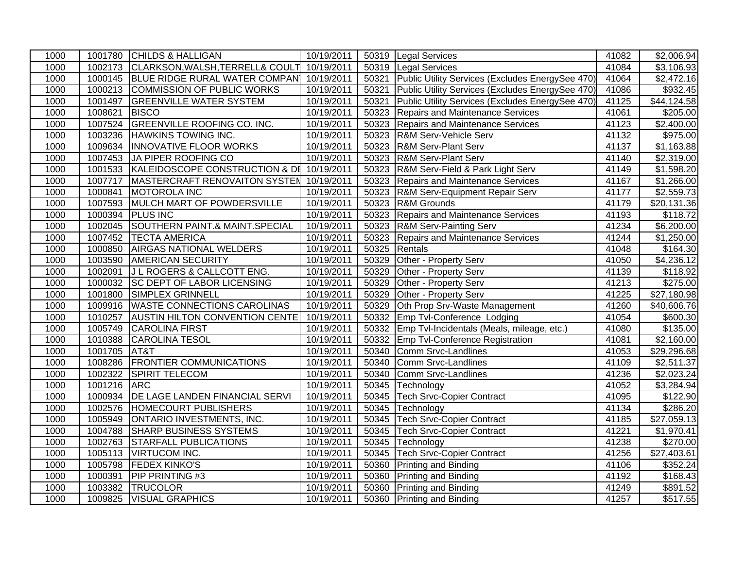| 1000 |              | 1001780 CHILDS & HALLIGAN                        | 10/19/2011 |       | 50319 Legal Services                             | 41082             | \$2,006.94              |
|------|--------------|--------------------------------------------------|------------|-------|--------------------------------------------------|-------------------|-------------------------|
| 1000 |              | 1002173 CLARKSON, WALSH, TERRELL& COULT          | 10/19/2011 |       | 50319 Legal Services                             | 41084             | \$3,106.93              |
| 1000 |              | 1000145 BLUE RIDGE RURAL WATER COMPAN 10/19/2011 |            | 50321 | Public Utility Services (Excludes EnergySee 470) | 41064             | \$2,472.16              |
| 1000 |              | 1000213 COMMISSION OF PUBLIC WORKS               | 10/19/2011 | 50321 | Public Utility Services (Excludes EnergySee 470) | 41086             | \$932.45                |
| 1000 |              | 1001497 GREENVILLE WATER SYSTEM                  | 10/19/2011 | 50321 | Public Utility Services (Excludes EnergySee 470) | 41125             | \$44,124.58             |
| 1000 | 1008621      | <b>BISCO</b>                                     | 10/19/2011 | 50323 | Repairs and Maintenance Services                 | 41061             | \$205.00                |
| 1000 |              | 1007524 GREENVILLE ROOFING CO. INC.              | 10/19/2011 | 50323 | Repairs and Maintenance Services                 | $\frac{1}{41123}$ | \$2,400.00              |
| 1000 | 1003236      | <b>HAWKINS TOWING INC.</b>                       | 10/19/2011 | 50323 | R&M Serv-Vehicle Serv                            | 41132             | \$975.00                |
| 1000 |              | 1009634  INNOVATIVE FLOOR WORKS                  | 10/19/2011 | 50323 | <b>R&amp;M Serv-Plant Serv</b>                   | 41137             | \$1,163.88              |
| 1000 |              | 1007453 JA PIPER ROOFING CO                      | 10/19/2011 | 50323 | <b>R&amp;M Serv-Plant Serv</b>                   | 41140             | \$2,319.00              |
| 1000 |              | 1001533 KALEIDOSCOPE CONSTRUCTION & DE           | 10/19/2011 | 50323 | R&M Serv-Field & Park Light Serv                 | 41149             | \$1,598.20              |
| 1000 | 1007717      | MASTERCRAFT RENOVAITON SYSTEM                    | 10/19/2011 | 50323 | Repairs and Maintenance Services                 | 41167             | \$1,266.00              |
| 1000 | 1000841      | MOTOROLA INC                                     | 10/19/2011 | 50323 | R&M Serv-Equipment Repair Serv                   | 41177             | \$2,559.73              |
| 1000 |              | 1007593 MULCH MART OF POWDERSVILLE               | 10/19/2011 | 50323 | R&M Grounds                                      | 41179             | \$20,131.36             |
| 1000 |              | 1000394 PLUS INC                                 | 10/19/2011 | 50323 | Repairs and Maintenance Services                 | 41193             | \$118.72                |
| 1000 |              | 1002045 SOUTHERN PAINT.& MAINT.SPECIAL           | 10/19/2011 | 50323 | R&M Serv-Painting Serv                           | 41234             | \$6,200.00              |
| 1000 |              | 1007452 TECTA AMERICA                            | 10/19/2011 | 50323 | Repairs and Maintenance Services                 | 41244             | \$1,250.00              |
| 1000 |              | 1000850 AIRGAS NATIONAL WELDERS                  | 10/19/2011 | 50325 | Rentals                                          | 41048             | \$164.30                |
| 1000 |              | 1003590 AMERICAN SECURITY                        | 10/19/2011 | 50329 | Other - Property Serv                            | 41050             | \$4,236.12              |
| 1000 | 1002091      | <b>JL ROGERS &amp; CALLCOTT ENG.</b>             | 10/19/2011 | 50329 | Other - Property Serv                            | 41139             | \$118.92                |
| 1000 |              | 1000032 SC DEPT OF LABOR LICENSING               | 10/19/2011 | 50329 | Other - Property Serv                            | 41213             | \$275.00                |
| 1000 |              | 1001800 SIMPLEX GRINNELL                         | 10/19/2011 | 50329 | Other - Property Serv                            | 41225             | $\overline{$27,180.98}$ |
| 1000 |              | 1009916 WASTE CONNECTIONS CAROLINAS              | 10/19/2011 | 50329 | Oth Prop Srv-Waste Management                    | 41260             | \$40,606.76             |
| 1000 |              | 1010257 AUSTIN HILTON CONVENTION CENTE           | 10/19/2011 | 50332 | Emp Tvl-Conference Lodging                       | 41054             | \$600.30                |
| 1000 |              | 1005749 CAROLINA FIRST                           | 10/19/2011 | 50332 | Emp Tvl-Incidentals (Meals, mileage, etc.)       | 41080             | \$135.00                |
| 1000 |              | 1010388 CAROLINA TESOL                           | 10/19/2011 | 50332 | <b>Emp Tvl-Conference Registration</b>           | 41081             | \$2,160.00              |
| 1000 | 1001705 AT&T |                                                  | 10/19/2011 | 50340 | Comm Srvc-Landlines                              | 41053             | \$29,296.68             |
| 1000 |              | 1008286 FRONTIER COMMUNICATIONS                  | 10/19/2011 | 50340 | <b>Comm Srvc-Landlines</b>                       | 41109             | \$2,511.37              |
| 1000 |              | 1002322 SPIRIT TELECOM                           | 10/19/2011 | 50340 | Comm Srvc-Landlines                              | 41236             | \$2,023.24              |
| 1000 | 1001216 ARC  |                                                  | 10/19/2011 | 50345 | Technology                                       | 41052             | \$3,284.94              |
| 1000 |              | 1000934 DE LAGE LANDEN FINANCIAL SERVI           | 10/19/2011 | 50345 | <b>Tech Srvc-Copier Contract</b>                 | 41095             | \$122.90                |
| 1000 |              | 1002576 HOMECOURT PUBLISHERS                     | 10/19/2011 | 50345 | Technology                                       | 41134             | \$286.20                |
| 1000 |              | 1005949 ONTARIO INVESTMENTS, INC.                | 10/19/2011 | 50345 | <b>Tech Srvc-Copier Contract</b>                 | 41185             | $\overline{$27,059.13}$ |
| 1000 |              | 1004788 SHARP BUSINESS SYSTEMS                   | 10/19/2011 | 50345 | <b>Tech Srvc-Copier Contract</b>                 | 41221             | \$1,970.41              |
| 1000 |              | 1002763 STARFALL PUBLICATIONS                    | 10/19/2011 | 50345 | Technology                                       | 41238             | \$270.00                |
| 1000 |              | 1005113   VIRTUCOM INC.                          | 10/19/2011 | 50345 | <b>Tech Srvc-Copier Contract</b>                 | 41256             | \$27,403.61             |
| 1000 |              | 1005798 FEDEX KINKO'S                            | 10/19/2011 | 50360 | Printing and Binding                             | 41106             | \$352.24                |
| 1000 | 1000391      | <b>PIP PRINTING #3</b>                           | 10/19/2011 | 50360 | <b>Printing and Binding</b>                      | 41192             | \$168.43                |
| 1000 |              | 1003382 TRUCOLOR                                 | 10/19/2011 | 50360 | Printing and Binding                             | 41249             | \$891.52                |
| 1000 |              | 1009825 VISUAL GRAPHICS                          | 10/19/2011 |       | 50360 Printing and Binding                       | 41257             | \$517.55                |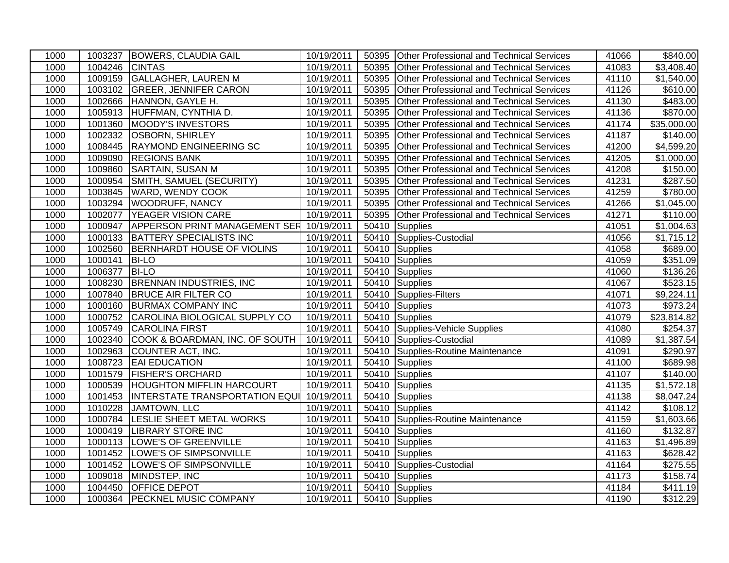| 1000 |                | 1003237 BOWERS, CLAUDIA GAIL                     | 10/19/2011             |       | 50395 Other Professional and Technical Services  | 41066 | \$840.00             |
|------|----------------|--------------------------------------------------|------------------------|-------|--------------------------------------------------|-------|----------------------|
| 1000 | 1004246 CINTAS |                                                  | $\frac{10}{10}$ 9/2011 | 50395 | Other Professional and Technical Services        | 41083 | \$3,408.40           |
| 1000 |                | 1009159 GALLAGHER, LAUREN M                      | 10/19/2011             | 50395 | <b>Other Professional and Technical Services</b> | 41110 | \$1,540.00           |
| 1000 |                | 1003102 GREER, JENNIFER CARON                    | 10/19/2011             | 50395 | <b>Other Professional and Technical Services</b> | 41126 | \$610.00             |
| 1000 |                | 1002666 HANNON, GAYLE H.                         | 10/19/2011             | 50395 | Other Professional and Technical Services        | 41130 | \$483.00             |
| 1000 |                | 1005913 HUFFMAN, CYNTHIA D.                      | 10/19/2011             | 50395 | <b>Other Professional and Technical Services</b> | 41136 | \$870.00             |
| 1000 | 1001360        | <b>MOODY'S INVESTORS</b>                         | 10/19/2011             | 50395 | <b>Other Professional and Technical Services</b> | 41174 | \$35,000.00          |
| 1000 | 1002332        | <b>OSBORN, SHIRLEY</b>                           | 10/19/2011             | 50395 | <b>Other Professional and Technical Services</b> | 41187 | $\sqrt{$}140.00$     |
| 1000 | 1008445        | <b>RAYMOND ENGINEERING SC</b>                    | 10/19/2011             | 50395 | <b>Other Professional and Technical Services</b> | 41200 | \$4,599.20           |
| 1000 |                | 1009090 REGIONS BANK                             | 10/19/2011             | 50395 | Other Professional and Technical Services        | 41205 | \$1,000.00           |
| 1000 | 1009860        | <b>SARTAIN, SUSAN M</b>                          | 10/19/2011             | 50395 | Other Professional and Technical Services        | 41208 | \$150.00             |
| 1000 |                | 1000954 SMITH, SAMUEL (SECURITY)                 | 10/19/2011             | 50395 | Other Professional and Technical Services        | 41231 | \$287.50             |
| 1000 |                | 1003845 WARD, WENDY COOK                         | 10/19/2011             | 50395 | Other Professional and Technical Services        | 41259 | \$780.00             |
| 1000 |                | 1003294 WOODRUFF, NANCY                          | 10/19/2011             | 50395 | <b>Other Professional and Technical Services</b> | 41266 | \$1,045.00           |
| 1000 | 1002077        | YEAGER VISION CARE                               | 10/19/2011             | 50395 | Other Professional and Technical Services        | 41271 | \$110.00             |
| 1000 |                | 1000947 APPERSON PRINT MANAGEMENT SER 10/19/2011 |                        |       | 50410 Supplies                                   | 41051 | \$1,004.63           |
| 1000 |                | 1000133 BATTERY SPECIALISTS INC                  | 10/19/2011             | 50410 | Supplies-Custodial                               | 41056 | \$1,715.12           |
| 1000 |                | 1002560 BERNHARDT HOUSE OF VIOLINS               | 10/19/2011             | 50410 | Supplies                                         | 41058 | \$689.00             |
| 1000 | 1000141 BI-LO  |                                                  | 10/19/2011             |       | 50410 Supplies                                   | 41059 | $\overline{$}351.09$ |
| 1000 | 1006377        | <b>BI-LO</b>                                     | 10/19/2011             | 50410 | Supplies                                         | 41060 | \$136.26             |
| 1000 |                | 1008230 BRENNAN INDUSTRIES, INC                  | 10/19/2011             | 50410 | Supplies                                         | 41067 | \$523.15             |
| 1000 | 1007840        | <b>BRUCE AIR FILTER CO</b>                       | 10/19/2011             | 50410 | Supplies-Filters                                 | 41071 | \$9,224.11           |
| 1000 |                | 1000160 BURMAX COMPANY INC                       | 10/19/2011             |       | 50410 Supplies                                   | 41073 | \$973.24             |
| 1000 |                | 1000752 CAROLINA BIOLOGICAL SUPPLY CO            | 10/19/2011             |       | 50410 Supplies                                   | 41079 | \$23,814.82          |
| 1000 |                | 1005749 CAROLINA FIRST                           | 10/19/2011             | 50410 | Supplies-Vehicle Supplies                        | 41080 | \$254.37             |
| 1000 |                | 1002340 COOK & BOARDMAN, INC. OF SOUTH           | 10/19/2011             | 50410 | Supplies-Custodial                               | 41089 | \$1,387.54           |
| 1000 |                | 1002963 COUNTER ACT, INC.                        | 10/19/2011             |       | 50410 Supplies-Routine Maintenance               | 41091 | $\sqrt{$290.97}$     |
| 1000 |                | 1008723 EAI EDUCATION                            | 10/19/2011             |       | 50410 Supplies                                   | 41100 | \$689.98             |
| 1000 |                | 1001579 FISHER'S ORCHARD                         | 10/19/2011             | 50410 | Supplies                                         | 41107 | \$140.00             |
| 1000 |                | 1000539 HOUGHTON MIFFLIN HARCOURT                | 10/19/2011             | 50410 | Supplies                                         | 41135 | \$1,572.18           |
| 1000 |                | 1001453  INTERSTATE TRANSPORTATION EQUI          | 10/19/2011             |       | 50410 Supplies                                   | 41138 | \$8,047.24           |
| 1000 |                | 1010228 JAMTOWN, LLC                             | 10/19/2011             |       | 50410 Supplies                                   | 41142 | \$108.12             |
| 1000 |                | 1000784 LESLIE SHEET METAL WORKS                 | 10/19/2011             | 50410 | Supplies-Routine Maintenance                     | 41159 | \$1,603.66           |
| 1000 |                | 1000419 LIBRARY STORE INC                        | 10/19/2011             | 50410 | Supplies                                         | 41160 | \$132.87             |
| 1000 |                | 1000113  LOWE'S OF GREENVILLE                    | 10/19/2011             | 50410 | Supplies                                         | 41163 | \$1,496.89           |
| 1000 |                | 1001452 LOWE'S OF SIMPSONVILLE                   | 10/19/2011             |       | 50410 Supplies                                   | 41163 | \$628.42             |
| 1000 |                | 1001452  LOWE'S OF SIMPSONVILLE                  | 10/19/2011             | 50410 | Supplies-Custodial                               | 41164 | \$275.55             |
| 1000 | 1009018        | MINDSTEP, INC                                    | 10/19/2011             | 50410 | Supplies                                         | 41173 | \$158.74             |
| 1000 | 1004450        | <b>OFFICE DEPOT</b>                              | 10/19/2011             |       | 50410 Supplies                                   | 41184 | \$411.19             |
| 1000 |                | 1000364 PECKNEL MUSIC COMPANY                    | 10/19/2011             |       | 50410 Supplies                                   | 41190 | \$312.29             |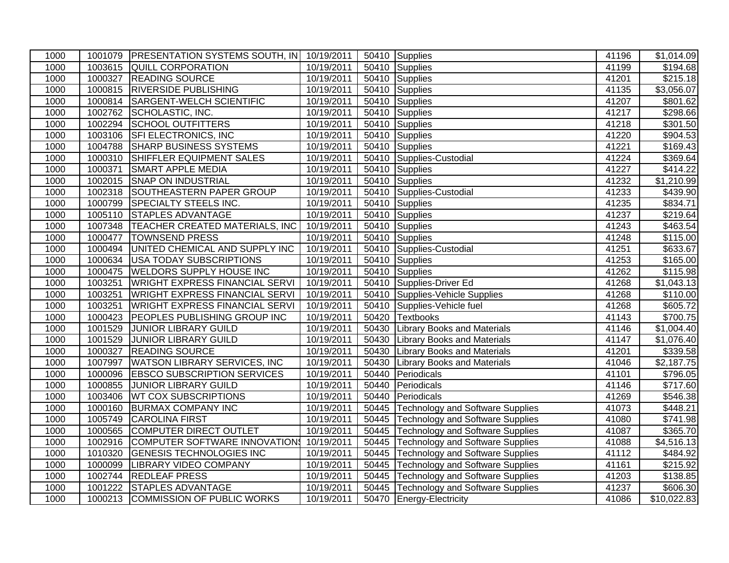| 1000 |         | 1001079   PRESENTATION SYSTEMS SOUTH, IN 10/19/2011 |            |       | 50410 Supplies                          | 41196 | \$1,014.09             |
|------|---------|-----------------------------------------------------|------------|-------|-----------------------------------------|-------|------------------------|
| 1000 |         | 1003615 QUILL CORPORATION                           | 10/19/2011 |       | 50410 Supplies                          | 41199 | \$194.68               |
| 1000 |         | 1000327 READING SOURCE                              | 10/19/2011 |       | 50410 Supplies                          | 41201 | \$215.18               |
| 1000 |         | 1000815 RIVERSIDE PUBLISHING                        | 10/19/2011 |       | 50410 Supplies                          | 41135 | $\overline{$3,056.07}$ |
| 1000 | 1000814 | <b>SARGENT-WELCH SCIENTIFIC</b>                     | 10/19/2011 |       | 50410 Supplies                          | 41207 | \$801.62               |
| 1000 | 1002762 | SCHOLASTIC, INC.                                    | 10/19/2011 |       | 50410 Supplies                          | 41217 | \$298.66               |
| 1000 | 1002294 | <b>SCHOOL OUTFITTERS</b>                            | 10/19/2011 | 50410 | Supplies                                | 41218 | \$301.50               |
| 1000 | 1003106 | <b>SFI ELECTRONICS, INC</b>                         | 10/19/2011 |       | 50410 Supplies                          | 41220 | \$904.53               |
| 1000 | 1004788 | <b>SHARP BUSINESS SYSTEMS</b>                       | 10/19/2011 |       | 50410 Supplies                          | 41221 | \$169.43               |
| 1000 | 1000310 | SHIFFLER EQUIPMENT SALES                            | 10/19/2011 |       | 50410 Supplies-Custodial                | 41224 | \$369.64               |
| 1000 | 1000371 | <b>SMART APPLE MEDIA</b>                            | 10/19/2011 |       | 50410 Supplies                          | 41227 | \$414.22               |
| 1000 | 1002015 | <b>SNAP ON INDUSTRIAL</b>                           | 10/19/2011 |       | 50410 Supplies                          | 41232 | \$1,210.99             |
| 1000 | 1002318 | SOUTHEASTERN PAPER GROUP                            | 10/19/2011 |       | 50410 Supplies-Custodial                | 41233 | \$439.90               |
| 1000 |         | 1000799 SPECIALTY STEELS INC.                       | 10/19/2011 |       | 50410 Supplies                          | 41235 | \$834.71               |
| 1000 | 1005110 | <b>STAPLES ADVANTAGE</b>                            | 10/19/2011 |       | 50410 Supplies                          | 41237 | \$219.64               |
| 1000 |         | 1007348   TEACHER CREATED MATERIALS, INC            | 10/19/2011 |       | 50410 Supplies                          | 41243 | \$463.54               |
| 1000 | 1000477 | <b>TOWNSEND PRESS</b>                               | 10/19/2011 |       | 50410 Supplies                          | 41248 | \$115.00               |
| 1000 |         | 1000494 UNITED CHEMICAL AND SUPPLY INC              | 10/19/2011 |       | 50410 Supplies-Custodial                | 41251 | \$633.67               |
| 1000 | 1000634 | <b>USA TODAY SUBSCRIPTIONS</b>                      | 10/19/2011 | 50410 | Supplies                                | 41253 | \$165.00               |
| 1000 |         | 1000475 WELDORS SUPPLY HOUSE INC                    | 10/19/2011 |       | 50410 Supplies                          | 41262 | \$115.98               |
| 1000 | 1003251 | <b>WRIGHT EXPRESS FINANCIAL SERVI</b>               | 10/19/2011 |       | 50410 Supplies-Driver Ed                | 41268 | \$1,043.13             |
| 1000 | 1003251 | <b>WRIGHT EXPRESS FINANCIAL SERVI</b>               | 10/19/2011 | 50410 | Supplies-Vehicle Supplies               | 41268 | \$110.00               |
| 1000 | 1003251 | <b>WRIGHT EXPRESS FINANCIAL SERVI</b>               | 10/19/2011 | 50410 | Supplies-Vehicle fuel                   | 41268 | \$605.72               |
| 1000 | 1000423 | <b>PEOPLES PUBLISHING GROUP INC</b>                 | 10/19/2011 | 50420 | Textbooks                               | 41143 | \$700.75               |
| 1000 | 1001529 | JUNIOR LIBRARY GUILD                                | 10/19/2011 | 50430 | <b>Library Books and Materials</b>      | 41146 | \$1,004.40             |
| 1000 | 1001529 | <b>JUNIOR LIBRARY GUILD</b>                         | 10/19/2011 | 50430 | <b>Library Books and Materials</b>      | 41147 | \$1,076.40             |
| 1000 | 1000327 | <b>READING SOURCE</b>                               | 10/19/2011 | 50430 | <b>Library Books and Materials</b>      | 41201 | \$339.58               |
| 1000 | 1007997 | <b>WATSON LIBRARY SERVICES, INC.</b>                | 10/19/2011 | 50430 | <b>Library Books and Materials</b>      | 41046 | $\overline{$2,187.75}$ |
| 1000 |         | 1000096 EBSCO SUBSCRIPTION SERVICES                 | 10/19/2011 | 50440 | Periodicals                             | 41101 | $\overline{$}796.05$   |
| 1000 | 1000855 | <b>JUNIOR LIBRARY GUILD</b>                         | 10/19/2011 | 50440 | Periodicals                             | 41146 | \$717.60               |
| 1000 |         | 1003406   WT COX SUBSCRIPTIONS                      | 10/19/2011 | 50440 | Periodicals                             | 41269 | \$546.38               |
| 1000 | 1000160 | <b>BURMAX COMPANY INC</b>                           | 10/19/2011 | 50445 | <b>Technology and Software Supplies</b> | 41073 | \$448.21               |
| 1000 |         | 1005749 CAROLINA FIRST                              | 10/19/2011 |       | 50445 Technology and Software Supplies  | 41080 | \$741.98               |
| 1000 |         | 1000565 COMPUTER DIRECT OUTLET                      | 10/19/2011 |       | 50445 Technology and Software Supplies  | 41087 | \$365.70               |
| 1000 | 1002916 | COMPUTER SOFTWARE INNOVATION\$ 10/19/2011           |            |       | 50445 Technology and Software Supplies  | 41088 | \$4,516.13             |
| 1000 | 1010320 | <b>GENESIS TECHNOLOGIES INC</b>                     | 10/19/2011 | 50445 | Technology and Software Supplies        | 41112 | \$484.92               |
| 1000 | 1000099 | <b>LIBRARY VIDEO COMPANY</b>                        | 10/19/2011 |       | 50445 Technology and Software Supplies  | 41161 | \$215.92               |
| 1000 | 1002744 | <b>REDLEAF PRESS</b>                                | 10/19/2011 |       | 50445 Technology and Software Supplies  | 41203 | \$138.85               |
| 1000 | 1001222 | STAPLES ADVANTAGE                                   | 10/19/2011 |       | 50445 Technology and Software Supplies  | 41237 | \$606.30               |
| 1000 | 1000213 | COMMISSION OF PUBLIC WORKS                          | 10/19/2011 |       | 50470 Energy-Electricity                | 41086 | \$10,022.83            |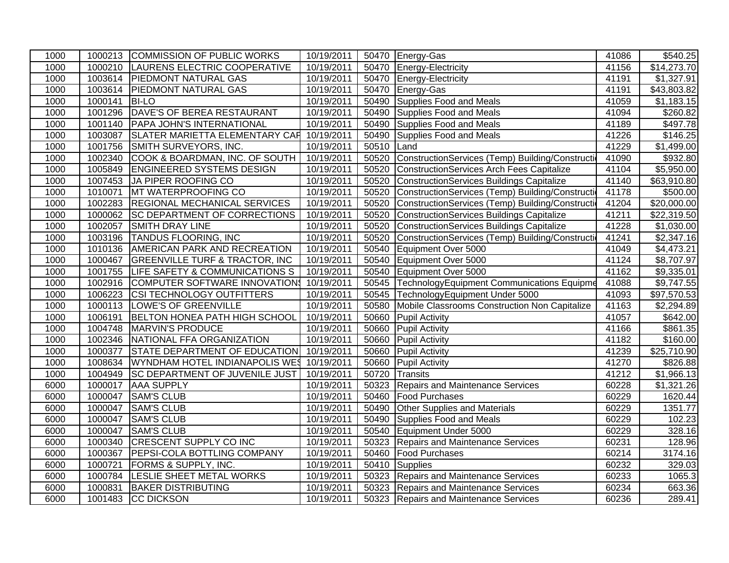| 1000 |         | 1000213 COMMISSION OF PUBLIC WORKS        | 10/19/2011 |       | 50470 Energy-Gas                                  | 41086 | $\overline{$}540.25$   |
|------|---------|-------------------------------------------|------------|-------|---------------------------------------------------|-------|------------------------|
| 1000 | 1000210 | LAURENS ELECTRIC COOPERATIVE              | 10/19/2011 | 50470 | Energy-Electricity                                | 41156 | \$14,273.70            |
| 1000 |         | 1003614 PIEDMONT NATURAL GAS              | 10/19/2011 | 50470 | Energy-Electricity                                | 41191 | \$1,327.91             |
| 1000 |         | 1003614 PIEDMONT NATURAL GAS              | 10/19/2011 | 50470 | Energy-Gas                                        | 41191 | \$43,803.82            |
| 1000 | 1000141 | <b>BI-LO</b>                              | 10/19/2011 | 50490 | Supplies Food and Meals                           | 41059 | \$1,183.15             |
| 1000 | 1001296 | DAVE'S OF BEREA RESTAURANT                | 10/19/2011 | 50490 | Supplies Food and Meals                           | 41094 | $\overline{$}260.82$   |
| 1000 | 1001140 | <b>PAPA JOHN'S INTERNATIONAL</b>          | 10/19/2011 | 50490 | Supplies Food and Meals                           | 41189 | \$497.78               |
| 1000 | 1003087 | <b>SLATER MARIETTA ELEMENTARY CAR</b>     | 10/19/2011 | 50490 | Supplies Food and Meals                           | 41226 | $\overline{$}146.25$   |
| 1000 | 1001756 | SMITH SURVEYORS, INC.                     | 10/19/2011 | 50510 | Land                                              | 41229 | \$1,499.00             |
| 1000 | 1002340 | COOK & BOARDMAN, INC. OF SOUTH            | 10/19/2011 | 50520 | ConstructionServices (Temp) Building/Construction | 41090 | \$932.80               |
| 1000 |         | 1005849 ENGINEERED SYSTEMS DESIGN         | 10/19/2011 | 50520 | ConstructionServices Arch Fees Capitalize         | 41104 | $\overline{$5,950.00}$ |
| 1000 | 1007453 | JA PIPER ROOFING CO                       | 10/19/2011 | 50520 | ConstructionServices Buildings Capitalize         | 41140 | \$63,910.80            |
| 1000 | 1010071 | MT WATERPROOFING CO                       | 10/19/2011 | 50520 | ConstructionServices (Temp) Building/Construction | 41178 | \$500.00               |
| 1000 | 1002283 | <b>REGIONAL MECHANICAL SERVICES</b>       | 10/19/2011 | 50520 | ConstructionServices (Temp) Building/Constructi   | 41204 | \$20,000.00            |
| 1000 | 1000062 | <b>SC DEPARTMENT OF CORRECTIONS</b>       | 10/19/2011 | 50520 | ConstructionServices Buildings Capitalize         | 41211 | \$22,319.50            |
| 1000 | 1002057 | <b>SMITH DRAY LINE</b>                    | 10/19/2011 | 50520 | ConstructionServices Buildings Capitalize         | 41228 | \$1,030.00             |
| 1000 |         | 1003196 TANDUS FLOORING, INC              | 10/19/2011 | 50520 | ConstructionServices (Temp) Building/Construction | 41241 | \$2,347.16             |
| 1000 |         | 1010136 AMERICAN PARK AND RECREATION      | 10/19/2011 | 50540 | Equipment Over 5000                               | 41049 | \$4,473.21             |
| 1000 | 1000467 | <b>GREENVILLE TURF &amp; TRACTOR, INC</b> | 10/19/2011 | 50540 | Equipment Over 5000                               | 41124 | \$8,707.97             |
| 1000 | 1001755 | LIFE SAFETY & COMMUNICATIONS S            | 10/19/2011 | 50540 | Equipment Over 5000                               | 41162 | \$9,335.01             |
| 1000 | 1002916 | COMPUTER SOFTWARE INNOVATION              | 10/19/2011 | 50545 | TechnologyEquipment Communications Equipme        | 41088 | \$9,747.55             |
| 1000 | 1006223 | <b>CSI TECHNOLOGY OUTFITTERS</b>          | 10/19/2011 | 50545 | TechnologyEquipment Under 5000                    | 41093 | \$97,570.53            |
| 1000 | 1000113 | <b>LOWE'S OF GREENVILLE</b>               | 10/19/2011 | 50580 | Mobile Classrooms Construction Non Capitalize     | 41163 | \$2,294.89             |
| 1000 | 1006191 | BELTON HONEA PATH HIGH SCHOOL             | 10/19/2011 | 50660 | <b>Pupil Activity</b>                             | 41057 | \$642.00               |
| 1000 |         | 1004748 MARVIN'S PRODUCE                  | 10/19/2011 | 50660 | <b>Pupil Activity</b>                             | 41166 | \$861.35               |
| 1000 |         | 1002346 NATIONAL FFA ORGANIZATION         | 10/19/2011 | 50660 | <b>Pupil Activity</b>                             | 41182 | \$160.00               |
| 1000 | 1000377 | STATE DEPARTMENT OF EDUCATION             | 10/19/2011 | 50660 | <b>Pupil Activity</b>                             | 41239 | \$25,710.90            |
| 1000 | 1008634 | WYNDHAM HOTEL INDIANAPOLIS WES            | 10/19/2011 | 50660 | <b>Pupil Activity</b>                             | 41270 | \$826.88               |
| 1000 | 1004949 | <b>SC DEPARTMENT OF JUVENILE JUST</b>     | 10/19/2011 | 50720 | Transits                                          | 41212 | \$1,966.13             |
| 6000 | 1000017 | <b>AAA SUPPLY</b>                         | 10/19/2011 | 50323 | Repairs and Maintenance Services                  | 60228 | \$1,321.26             |
| 6000 | 1000047 | <b>SAM'S CLUB</b>                         | 10/19/2011 | 50460 | <b>Food Purchases</b>                             | 60229 | 1620.44                |
| 6000 | 1000047 | <b>SAM'S CLUB</b>                         | 10/19/2011 | 50490 | <b>Other Supplies and Materials</b>               | 60229 | 1351.77                |
| 6000 | 1000047 | <b>SAM'S CLUB</b>                         | 10/19/2011 | 50490 | Supplies Food and Meals                           | 60229 | 102.23                 |
| 6000 | 1000047 | <b>SAM'S CLUB</b>                         | 10/19/2011 | 50540 | Equipment Under 5000                              | 60229 | 328.16                 |
| 6000 | 1000340 | <b>CRESCENT SUPPLY CO INC</b>             | 10/19/2011 | 50323 | Repairs and Maintenance Services                  | 60231 | 128.96                 |
| 6000 | 1000367 | <b>PEPSI-COLA BOTTLING COMPANY</b>        | 10/19/2011 | 50460 | <b>Food Purchases</b>                             | 60214 | 3174.16                |
| 6000 | 1000721 | <b>FORMS &amp; SUPPLY, INC.</b>           | 10/19/2011 | 50410 | Supplies                                          | 60232 | 329.03                 |
| 6000 | 1000784 | <b>LESLIE SHEET METAL WORKS</b>           | 10/19/2011 | 50323 | Repairs and Maintenance Services                  | 60233 | 1065.3                 |
| 6000 | 1000831 | <b>BAKER DISTRIBUTING</b>                 | 10/19/2011 | 50323 | Repairs and Maintenance Services                  | 60234 | 663.36                 |
| 6000 | 1001483 | <b>CC DICKSON</b>                         | 10/19/2011 |       | 50323 Repairs and Maintenance Services            | 60236 | 289.41                 |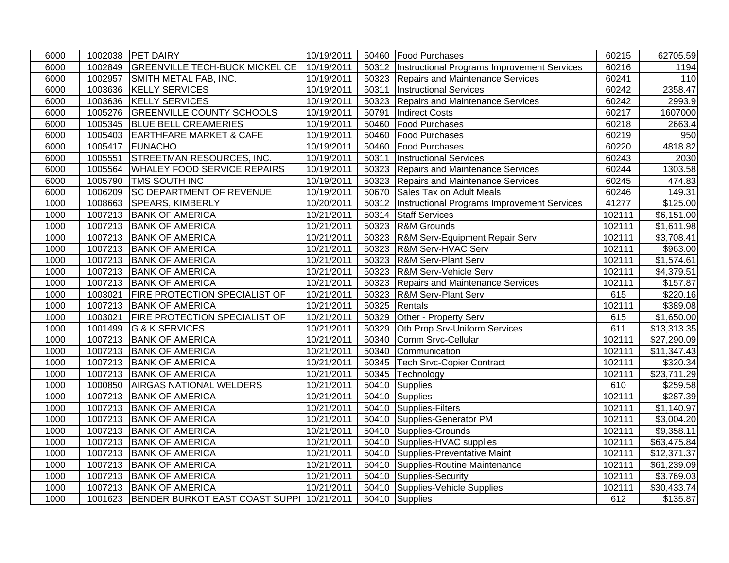| 6000 |         | 1002038 PET DAIRY                                 | 10/19/2011 |       | 50460 Food Purchases                               | 60215  | 62705.59    |
|------|---------|---------------------------------------------------|------------|-------|----------------------------------------------------|--------|-------------|
| 6000 |         | 1002849 GREENVILLE TECH-BUCK MICKEL CE            | 10/19/2011 |       | 50312  Instructional Programs Improvement Services | 60216  | 1194        |
| 6000 |         | 1002957 SMITH METAL FAB, INC.                     | 10/19/2011 | 50323 | Repairs and Maintenance Services                   | 60241  | 110         |
| 6000 |         | 1003636 KELLY SERVICES                            | 10/19/2011 | 50311 | <b>Instructional Services</b>                      | 60242  | 2358.47     |
| 6000 |         | 1003636 KELLY SERVICES                            | 10/19/2011 | 50323 | Repairs and Maintenance Services                   | 60242  | 2993.9      |
| 6000 |         | 1005276 GREENVILLE COUNTY SCHOOLS                 | 10/19/2011 | 50791 | <b>Indirect Costs</b>                              | 60217  | 1607000     |
| 6000 |         | 1005345 BLUE BELL CREAMERIES                      | 10/19/2011 | 50460 | <b>Food Purchases</b>                              | 60218  | 2663.4      |
| 6000 |         | 1005403 EARTHFARE MARKET & CAFE                   | 10/19/2011 | 50460 | <b>Food Purchases</b>                              | 60219  | 950         |
| 6000 |         | 1005417 FUNACHO                                   | 10/19/2011 | 50460 | <b>Food Purchases</b>                              | 60220  | 4818.82     |
| 6000 | 1005551 | <b>STREETMAN RESOURCES, INC.</b>                  | 10/19/2011 | 50311 | <b>Instructional Services</b>                      | 60243  | 2030        |
| 6000 |         | 1005564 WHALEY FOOD SERVICE REPAIRS               | 10/19/2011 | 50323 | Repairs and Maintenance Services                   | 60244  | 1303.58     |
| 6000 |         | 1005790 TMS SOUTH INC                             | 10/19/2011 | 50323 | Repairs and Maintenance Services                   | 60245  | 474.83      |
| 6000 |         | 1006209 SC DEPARTMENT OF REVENUE                  | 10/19/2011 | 50670 | Sales Tax on Adult Meals                           | 60246  | 149.31      |
| 1000 |         | 1008663 SPEARS, KIMBERLY                          | 10/20/2011 | 50312 | Instructional Programs Improvement Services        | 41277  | \$125.00    |
| 1000 |         | 1007213 BANK OF AMERICA                           | 10/21/2011 | 50314 | <b>Staff Services</b>                              | 102111 | \$6,151.00  |
| 1000 |         | 1007213 BANK OF AMERICA                           | 10/21/2011 |       | 50323 R&M Grounds                                  | 102111 | \$1,611.98  |
| 1000 |         | 1007213 BANK OF AMERICA                           | 10/21/2011 | 50323 | <b>R&amp;M Serv-Equipment Repair Serv</b>          | 102111 | \$3,708.41  |
| 1000 |         | 1007213 BANK OF AMERICA                           | 10/21/2011 | 50323 | R&M Serv-HVAC Serv                                 | 102111 | \$963.00    |
| 1000 |         | 1007213 BANK OF AMERICA                           | 10/21/2011 | 50323 | <b>R&amp;M Serv-Plant Serv</b>                     | 102111 | \$1,574.61  |
| 1000 |         | 1007213 BANK OF AMERICA                           | 10/21/2011 | 50323 | R&M Serv-Vehicle Serv                              | 102111 | \$4,379.51  |
| 1000 |         | 1007213 BANK OF AMERICA                           | 10/21/2011 | 50323 | Repairs and Maintenance Services                   | 102111 | \$157.87    |
| 1000 | 1003021 | <b>FIRE PROTECTION SPECIALIST OF</b>              | 10/21/2011 | 50323 | <b>R&amp;M Serv-Plant Serv</b>                     | 615    | \$220.16    |
| 1000 |         | 1007213 BANK OF AMERICA                           | 10/21/2011 | 50325 | Rentals                                            | 102111 | \$389.08    |
| 1000 | 1003021 | <b>FIRE PROTECTION SPECIALIST OF</b>              | 10/21/2011 | 50329 | Other - Property Serv                              | 615    | \$1,650.00  |
| 1000 |         | 1001499 G & K SERVICES                            | 10/21/2011 | 50329 | Oth Prop Srv-Uniform Services                      | 611    | \$13,313.35 |
| 1000 |         | 1007213 BANK OF AMERICA                           | 10/21/2011 | 50340 | Comm Srvc-Cellular                                 | 102111 | \$27,290.09 |
| 1000 |         | 1007213 BANK OF AMERICA                           | 10/21/2011 | 50340 | Communication                                      | 102111 | \$11,347.43 |
| 1000 |         | 1007213 BANK OF AMERICA                           | 10/21/2011 | 50345 | <b>Tech Srvc-Copier Contract</b>                   | 102111 | \$320.34    |
| 1000 |         | 1007213 BANK OF AMERICA                           | 10/21/2011 | 50345 | Technology                                         | 102111 | \$23,711.29 |
| 1000 |         | 1000850 AIRGAS NATIONAL WELDERS                   | 10/21/2011 | 50410 | Supplies                                           | 610    | \$259.58    |
| 1000 |         | 1007213 BANK OF AMERICA                           | 10/21/2011 |       | 50410 Supplies                                     | 102111 | \$287.39    |
| 1000 |         | 1007213 BANK OF AMERICA                           | 10/21/2011 | 50410 | Supplies-Filters                                   | 102111 | \$1,140.97  |
| 1000 |         | 1007213 BANK OF AMERICA                           | 10/21/2011 | 50410 | Supplies-Generator PM                              | 102111 | \$3,004.20  |
| 1000 |         | 1007213 BANK OF AMERICA                           | 10/21/2011 | 50410 | Supplies-Grounds                                   | 102111 | \$9,358.11  |
| 1000 |         | 1007213 BANK OF AMERICA                           | 10/21/2011 |       | 50410 Supplies-HVAC supplies                       | 102111 | \$63,475.84 |
| 1000 |         | 1007213 BANK OF AMERICA                           | 10/21/2011 |       | 50410 Supplies-Preventative Maint                  | 102111 | \$12,371.37 |
| 1000 |         | 1007213 BANK OF AMERICA                           | 10/21/2011 | 50410 | Supplies-Routine Maintenance                       | 102111 | \$61,239.09 |
| 1000 |         | 1007213 BANK OF AMERICA                           | 10/21/2011 | 50410 | Supplies-Security                                  | 102111 | \$3,769.03  |
| 1000 |         | 1007213 BANK OF AMERICA                           | 10/21/2011 |       | 50410 Supplies-Vehicle Supplies                    | 102111 | \$30,433.74 |
| 1000 |         | 1001623 BENDER BURKOT EAST COAST SUPPI 10/21/2011 |            |       | 50410 Supplies                                     | 612    | \$135.87    |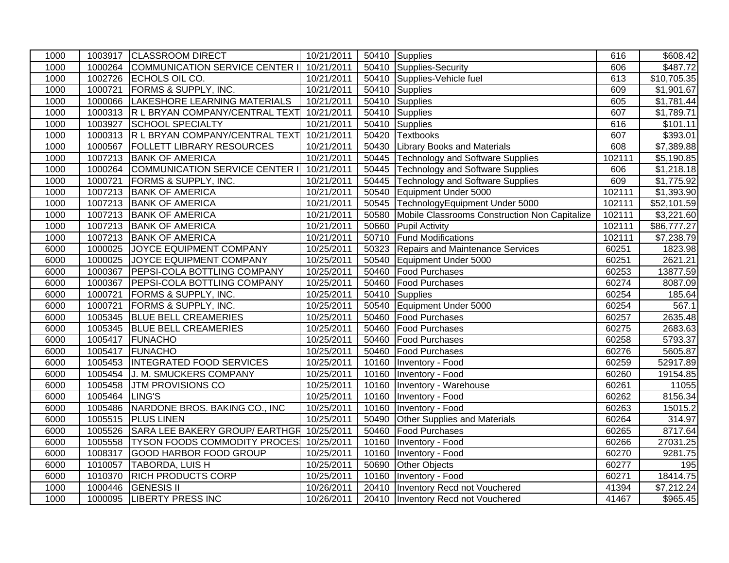| 1000 |                | 1003917 CLASSROOM DIRECT                          | 10/21/2011 |       | 50410 Supplies                                | 616    | \$608.42                |
|------|----------------|---------------------------------------------------|------------|-------|-----------------------------------------------|--------|-------------------------|
| 1000 |                | 1000264 COMMUNICATION SERVICE CENTER I            | 10/21/2011 | 50410 | Supplies-Security                             | 606    | \$487.72                |
| 1000 |                | 1002726 ECHOLS OIL CO.                            | 10/21/2011 | 50410 | Supplies-Vehicle fuel                         | 613    | \$10,705.35             |
| 1000 |                | 1000721 FORMS & SUPPLY, INC.                      | 10/21/2011 | 50410 | Supplies                                      | 609    | \$1,901.67              |
| 1000 |                | 1000066 LAKESHORE LEARNING MATERIALS              | 10/21/2011 | 50410 | Supplies                                      | 605    | \$1,781.44              |
| 1000 |                | 1000313 R L BRYAN COMPANY/CENTRAL TEXT            | 10/21/2011 | 50410 | Supplies                                      | 607    | \$1,789.71              |
| 1000 |                | 1003927 SCHOOL SPECIALTY                          | 10/21/2011 | 50410 | Supplies                                      | 616    | \$101.11                |
| 1000 | 1000313        | R L BRYAN COMPANY/CENTRAL TEXT                    | 10/21/2011 | 50420 | <b>Textbooks</b>                              | 607    | \$393.01                |
| 1000 |                | 1000567   FOLLETT LIBRARY RESOURCES               | 10/21/2011 |       | 50430 Library Books and Materials             | 608    | \$7,389.88              |
| 1000 |                | 1007213 BANK OF AMERICA                           | 10/21/2011 |       | 50445 Technology and Software Supplies        | 102111 | \$5,190.85              |
| 1000 |                | 1000264 COMMUNICATION SERVICE CENTER I            | 10/21/2011 |       | 50445 Technology and Software Supplies        | 606    | \$1,218.18              |
| 1000 |                | 1000721 FORMS & SUPPLY, INC.                      | 10/21/2011 |       | 50445 Technology and Software Supplies        | 609    | $\overline{\$1,775.92}$ |
| 1000 |                | 1007213 BANK OF AMERICA                           | 10/21/2011 | 50540 | Equipment Under 5000                          | 102111 | \$1,393.90              |
| 1000 |                | 1007213 BANK OF AMERICA                           | 10/21/2011 |       | 50545 TechnologyEquipment Under 5000          | 102111 | \$52,101.59             |
| 1000 |                | 1007213 BANK OF AMERICA                           | 10/21/2011 | 50580 | Mobile Classrooms Construction Non Capitalize | 102111 | \$3,221.60              |
| 1000 |                | 1007213 BANK OF AMERICA                           | 10/21/2011 |       | 50660 Pupil Activity                          | 102111 | \$86,777.27             |
| 1000 |                | 1007213 BANK OF AMERICA                           | 10/21/2011 |       | 50710 Fund Modifications                      | 102111 | \$7,238.79              |
| 6000 |                | 1000025 JOYCE EQUIPMENT COMPANY                   | 10/25/2011 | 50323 | Repairs and Maintenance Services              | 60251  | 1823.98                 |
| 6000 |                | 1000025 JOYCE EQUIPMENT COMPANY                   | 10/25/2011 | 50540 | Equipment Under 5000                          | 60251  | 2621.21                 |
| 6000 |                | 1000367 PEPSI-COLA BOTTLING COMPANY               | 10/25/2011 | 50460 | <b>Food Purchases</b>                         | 60253  | 13877.59                |
| 6000 |                | 1000367 PEPSI-COLA BOTTLING COMPANY               | 10/25/2011 | 50460 | <b>Food Purchases</b>                         | 60274  | 8087.09                 |
| 6000 | 1000721        | <b>FORMS &amp; SUPPLY, INC.</b>                   | 10/25/2011 | 50410 | Supplies                                      | 60254  | 185.64                  |
| 6000 | 1000721        | <b>FORMS &amp; SUPPLY, INC.</b>                   | 10/25/2011 | 50540 | Equipment Under 5000                          | 60254  | 567.1                   |
| 6000 |                | 1005345 BLUE BELL CREAMERIES                      | 10/25/2011 | 50460 | <b>Food Purchases</b>                         | 60257  | 2635.48                 |
| 6000 |                | 1005345 BLUE BELL CREAMERIES                      | 10/25/2011 | 50460 | <b>Food Purchases</b>                         | 60275  | 2683.63                 |
| 6000 |                | 1005417 FUNACHO                                   | 10/25/2011 | 50460 | <b>Food Purchases</b>                         | 60258  | 5793.37                 |
| 6000 |                | 1005417 FUNACHO                                   | 10/25/2011 | 50460 | <b>Food Purchases</b>                         | 60276  | 5605.87                 |
| 6000 |                | 1005453   INTEGRATED FOOD SERVICES                | 10/25/2011 | 10160 | Inventory - Food                              | 60259  | 52917.89                |
| 6000 |                | 1005454 J. M. SMUCKERS COMPANY                    | 10/25/2011 | 10160 | Inventory - Food                              | 60260  | 19154.85                |
| 6000 | 1005458        | <b>JTM PROVISIONS CO</b>                          | 10/25/2011 | 10160 | Inventory - Warehouse                         | 60261  | 11055                   |
| 6000 | 1005464 LING'S |                                                   | 10/25/2011 | 10160 | Inventory - Food                              | 60262  | 8156.34                 |
| 6000 |                | 1005486 NARDONE BROS. BAKING CO., INC             | 10/25/2011 | 10160 | Inventory - Food                              | 60263  | 15015.2                 |
| 6000 |                | 1005515 PLUS LINEN                                | 10/25/2011 | 50490 | <b>Other Supplies and Materials</b>           | 60264  | 314.97                  |
| 6000 |                | 1005526 SARA LEE BAKERY GROUP/ EARTHGR 10/25/2011 |            | 50460 | <b>Food Purchases</b>                         | 60265  | 8717.64                 |
| 6000 |                | 1005558 TYSON FOODS COMMODITY PROCES              | 10/25/2011 | 10160 | Inventory - Food                              | 60266  | 27031.25                |
| 6000 | 1008317        | GOOD HARBOR FOOD GROUP                            | 10/25/2011 | 10160 | Inventory - Food                              | 60270  | 9281.75                 |
| 6000 | 1010057        | TABORDA, LUIS H                                   | 10/25/2011 | 50690 | <b>Other Objects</b>                          | 60277  | 195                     |
| 6000 | 1010370        | <b>RICH PRODUCTS CORP</b>                         | 10/25/2011 | 10160 | Inventory - Food                              | 60271  | 18414.75                |
| 1000 | 1000446        | <b>GENESIS II</b>                                 | 10/26/2011 |       | 20410   Inventory Recd not Vouchered          | 41394  | $\overline{$7,212.24}$  |
| 1000 |                | 1000095  LIBERTY PRESS INC                        | 10/26/2011 |       | 20410   Inventory Recd not Vouchered          | 41467  | \$965.45                |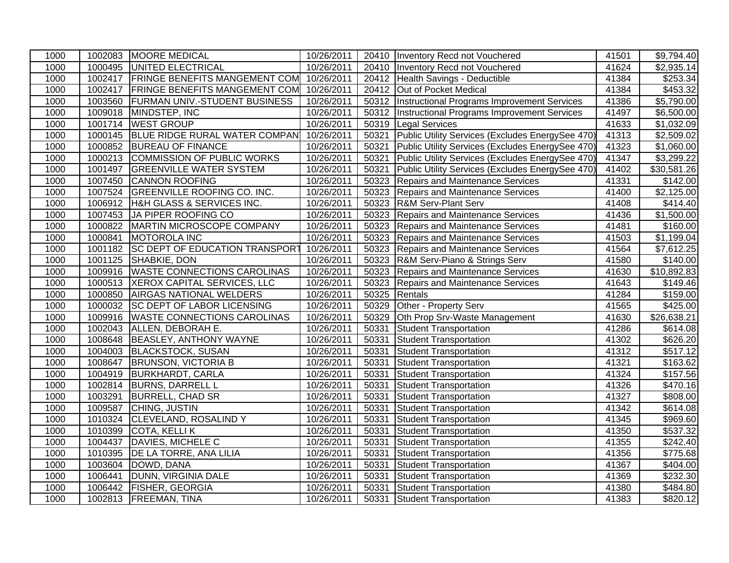| 1000 |         | 1002083 MOORE MEDICAL                              | 10/26/2011 |       | 20410   Inventory Recd not Vouchered               | 41501 | \$9,794.40              |
|------|---------|----------------------------------------------------|------------|-------|----------------------------------------------------|-------|-------------------------|
| 1000 |         | 1000495 UNITED ELECTRICAL                          | 10/26/2011 |       | 20410   Inventory Recd not Vouchered               | 41624 | \$2,935.14              |
| 1000 |         | 1002417 FRINGE BENEFITS MANGEMENT COM 10/26/2011   |            |       | 20412 Health Savings - Deductible                  | 41384 | \$253.34                |
| 1000 |         | 1002417   FRINGE BENEFITS MANGEMENT COM 10/26/2011 |            |       | 20412 Out of Pocket Medical                        | 41384 | \$453.32                |
| 1000 |         | 1003560 FURMAN UNIV.-STUDENT BUSINESS              | 10/26/2011 |       | 50312  Instructional Programs Improvement Services | 41386 | \$5,790.00              |
| 1000 |         | 1009018 MINDSTEP, INC                              | 10/26/2011 | 50312 | Instructional Programs Improvement Services        | 41497 | \$6,500.00              |
| 1000 |         | 1001714 WEST GROUP                                 | 10/26/2011 | 50319 | <b>Legal Services</b>                              | 41633 | \$1,032.09              |
| 1000 |         | 1000145 BLUE RIDGE RURAL WATER COMPAN              | 10/26/2011 | 50321 | Public Utility Services (Excludes EnergySee 470)   | 41313 | \$2,509.02              |
| 1000 |         | 1000852 BUREAU OF FINANCE                          | 10/26/2011 | 50321 | Public Utility Services (Excludes EnergySee 470)   | 41323 | \$1,060.00              |
| 1000 |         | 1000213 COMMISSION OF PUBLIC WORKS                 | 10/26/2011 | 50321 | Public Utility Services (Excludes EnergySee 470)   | 41347 | \$3,299.22              |
| 1000 |         | 1001497 GREENVILLE WATER SYSTEM                    | 10/26/2011 | 50321 | Public Utility Services (Excludes EnergySee 470)   | 41402 | $\overline{$30,581.26}$ |
| 1000 |         | 1007450 CANNON ROOFING                             | 10/26/2011 | 50323 | Repairs and Maintenance Services                   | 41331 | \$142.00                |
| 1000 |         | 1007524 GREENVILLE ROOFING CO. INC.                | 10/26/2011 | 50323 | Repairs and Maintenance Services                   | 41400 | \$2,125.00              |
| 1000 |         | 1006912 H&H GLASS & SERVICES INC.                  | 10/26/2011 | 50323 | <b>R&amp;M Serv-Plant Serv</b>                     | 41408 | \$414.40                |
| 1000 |         | 1007453 JA PIPER ROOFING CO                        | 10/26/2011 | 50323 | Repairs and Maintenance Services                   | 41436 | \$1,500.00              |
| 1000 |         | 1000822   MARTIN MICROSCOPE COMPANY                | 10/26/2011 | 50323 | <b>Repairs and Maintenance Services</b>            | 41481 | \$160.00                |
| 1000 |         | 1000841 MOTOROLA INC                               | 10/26/2011 | 50323 | Repairs and Maintenance Services                   | 41503 | \$1,199.04              |
| 1000 |         | 1001182 SC DEPT OF EDUCATION TRANSPORT             | 10/26/2011 | 50323 | Repairs and Maintenance Services                   | 41564 | \$7,612.25              |
| 1000 |         | 1001125 SHABKIE, DON                               | 10/26/2011 | 50323 | R&M Serv-Piano & Strings Serv                      | 41580 | \$140.00                |
| 1000 |         | 1009916 WASTE CONNECTIONS CAROLINAS                | 10/26/2011 | 50323 | Repairs and Maintenance Services                   | 41630 | \$10,892.83             |
| 1000 |         | 1000513  XEROX CAPITAL SERVICES, LLC               | 10/26/2011 | 50323 | Repairs and Maintenance Services                   | 41643 | \$149.46                |
| 1000 | 1000850 | <b>AIRGAS NATIONAL WELDERS</b>                     | 10/26/2011 | 50325 | Rentals                                            | 41284 | \$159.00                |
| 1000 |         | 1000032 SC DEPT OF LABOR LICENSING                 | 10/26/2011 | 50329 | Other - Property Serv                              | 41565 | \$425.00                |
| 1000 | 1009916 | <b>WASTE CONNECTIONS CAROLINAS</b>                 | 10/26/2011 | 50329 | Oth Prop Srv-Waste Management                      | 41630 | \$26,638.21             |
| 1000 |         | 1002043 ALLEN, DEBORAH E.                          | 10/26/2011 | 50331 | Student Transportation                             | 41286 | \$614.08                |
| 1000 |         | 1008648 BEASLEY, ANTHONY WAYNE                     | 10/26/2011 | 50331 | Student Transportation                             | 41302 | \$626.20                |
| 1000 |         | 1004003 BLACKSTOCK, SUSAN                          | 10/26/2011 | 50331 | Student Transportation                             | 41312 | \$517.12                |
| 1000 |         | 1008647   BRUNSON, VICTORIA B                      | 10/26/2011 | 50331 | Student Transportation                             | 41321 | \$163.62                |
| 1000 |         | 1004919 BURKHARDT, CARLA                           | 10/26/2011 | 50331 | <b>Student Transportation</b>                      | 41324 | \$157.56                |
| 1000 |         | 1002814 BURNS, DARRELL L                           | 10/26/2011 | 50331 | <b>Student Transportation</b>                      | 41326 | \$470.16                |
| 1000 | 1003291 | <b>BURRELL, CHAD SR</b>                            | 10/26/2011 | 50331 | Student Transportation                             | 41327 | \$808.00                |
| 1000 | 1009587 | CHING, JUSTIN                                      | 10/26/2011 | 50331 | Student Transportation                             | 41342 | \$614.08                |
| 1000 |         | 1010324 CLEVELAND, ROSALIND Y                      | 10/26/2011 | 50331 | <b>Student Transportation</b>                      | 41345 | \$969.60                |
| 1000 |         | 1010399 COTA, KELLI K                              | 10/26/2011 | 50331 | Student Transportation                             | 41350 | \$537.32                |
| 1000 |         | 1004437   DAVIES, MICHELE C                        | 10/26/2011 | 50331 | Student Transportation                             | 41355 | \$242.40                |
| 1000 |         | 1010395   DE LA TORRE, ANA LILIA                   | 10/26/2011 | 50331 | Student Transportation                             | 41356 | \$775.68                |
| 1000 |         | 1003604 DOWD, DANA                                 | 10/26/2011 | 50331 | Student Transportation                             | 41367 | \$404.00                |
| 1000 | 1006441 | DUNN, VIRGINIA DALE                                | 10/26/2011 | 50331 | Student Transportation                             | 41369 | \$232.30                |
| 1000 |         | 1006442 FISHER, GEORGIA                            | 10/26/2011 | 50331 | <b>Student Transportation</b>                      | 41380 | \$484.80                |
| 1000 |         | 1002813 FREEMAN, TINA                              | 10/26/2011 | 50331 | Student Transportation                             | 41383 | \$820.12                |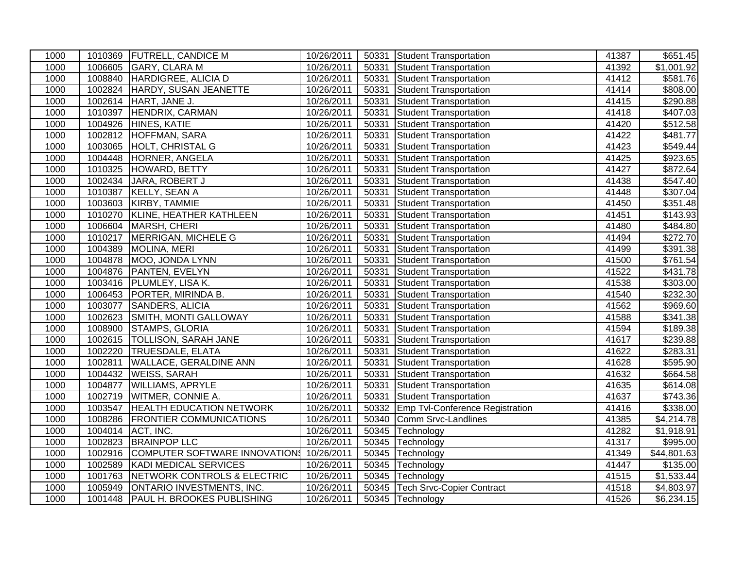| 1000 |         | 1010369 FUTRELL, CANDICE M              | 10/26/2011 | 50331 | Student Transportation                 | 41387 | $\overline{$651.45}$   |
|------|---------|-----------------------------------------|------------|-------|----------------------------------------|-------|------------------------|
| 1000 |         | 1006605 GARY, CLARA M                   | 10/26/2011 | 50331 | Student Transportation                 | 41392 | $\overline{$1,001.92}$ |
| 1000 | 1008840 | HARDIGREE, ALICIA D                     | 10/26/2011 | 50331 | Student Transportation                 | 41412 | \$581.76               |
| 1000 |         | 1002824 HARDY, SUSAN JEANETTE           | 10/26/2011 | 50331 | <b>Student Transportation</b>          | 41414 | \$808.00               |
| 1000 | 1002614 | HART, JANE J.                           | 10/26/2011 | 50331 | <b>Student Transportation</b>          | 41415 | \$290.88               |
| 1000 | 1010397 | HENDRIX, CARMAN                         | 10/26/2011 | 50331 | <b>Student Transportation</b>          | 41418 | \$407.03               |
| 1000 | 1004926 | <b>HINES, KATIE</b>                     | 10/26/2011 | 50331 | <b>Student Transportation</b>          | 41420 | \$512.58               |
| 1000 | 1002812 | <b>HOFFMAN, SARA</b>                    | 10/26/2011 | 50331 | <b>Student Transportation</b>          | 41422 | \$481.77               |
| 1000 | 1003065 | HOLT, CHRISTAL G                        | 10/26/2011 | 50331 | Student Transportation                 | 41423 | $\overline{$}549.44$   |
| 1000 | 1004448 | HORNER, ANGELA                          | 10/26/2011 | 50331 | Student Transportation                 | 41425 | \$923.65               |
| 1000 | 1010325 | HOWARD, BETTY                           | 10/26/2011 | 50331 | Student Transportation                 | 41427 | $\overline{$872.64}$   |
| 1000 | 1002434 | JARA, ROBERT J                          | 10/26/2011 | 50331 | Student Transportation                 | 41438 | \$547.40               |
| 1000 | 1010387 | KELLY, SEAN A                           | 10/26/2011 | 50331 | Student Transportation                 | 41448 | \$307.04               |
| 1000 | 1003603 | KIRBY, TAMMIE                           | 10/26/2011 | 50331 | Student Transportation                 | 41450 | \$351.48               |
| 1000 | 1010270 | KLINE, HEATHER KATHLEEN                 | 10/26/2011 | 50331 | <b>Student Transportation</b>          | 41451 | \$143.93               |
| 1000 |         | 1006604 MARSH, CHERI                    | 10/26/2011 | 50331 | Student Transportation                 | 41480 | \$484.80               |
| 1000 | 1010217 | MERRIGAN, MICHELE G                     | 10/26/2011 | 50331 | <b>Student Transportation</b>          | 41494 | \$272.70               |
| 1000 | 1004389 | MOLINA, MERI                            | 10/26/2011 | 50331 | <b>Student Transportation</b>          | 41499 | $\overline{$}391.38$   |
| 1000 | 1004878 | MOO, JONDA LYNN                         | 10/26/2011 | 50331 | <b>Student Transportation</b>          | 41500 | \$761.54               |
| 1000 | 1004876 | <b>PANTEN, EVELYN</b>                   | 10/26/2011 | 50331 | <b>Student Transportation</b>          | 41522 | \$431.78               |
| 1000 |         | 1003416 PLUMLEY, LISA K.                | 10/26/2011 | 50331 | <b>Student Transportation</b>          | 41538 | \$303.00               |
| 1000 | 1006453 | PORTER, MIRINDA B.                      | 10/26/2011 | 50331 | Student Transportation                 | 41540 | \$232.30               |
| 1000 | 1003077 | <b>SANDERS, ALICIA</b>                  | 10/26/2011 | 50331 | <b>Student Transportation</b>          | 41562 | \$969.60               |
| 1000 | 1002623 | SMITH, MONTI GALLOWAY                   | 10/26/2011 | 50331 | Student Transportation                 | 41588 | \$341.38               |
| 1000 | 1008900 | <b>STAMPS, GLORIA</b>                   | 10/26/2011 | 50331 | <b>Student Transportation</b>          | 41594 | \$189.38               |
| 1000 |         | 1002615 TOLLISON, SARAH JANE            | 10/26/2011 | 50331 | <b>Student Transportation</b>          | 41617 | \$239.88               |
| 1000 | 1002220 | <b>TRUESDALE, ELATA</b>                 | 10/26/2011 | 50331 | Student Transportation                 | 41622 | \$283.31               |
| 1000 | 1002811 | <b>WALLACE, GERALDINE ANN</b>           | 10/26/2011 | 50331 | Student Transportation                 | 41628 | \$595.90               |
| 1000 |         | 1004432   WEISS, SARAH                  | 10/26/2011 | 50331 | Student Transportation                 | 41632 | \$664.58               |
| 1000 | 1004877 | <b>WILLIAMS, APRYLE</b>                 | 10/26/2011 | 50331 | Student Transportation                 | 41635 | \$614.08               |
| 1000 | 1002719 | <b>WITMER, CONNIE A.</b>                | 10/26/2011 | 50331 | <b>Student Transportation</b>          | 41637 | \$743.36               |
| 1000 | 1003547 | <b>HEALTH EDUCATION NETWORK</b>         | 10/26/2011 | 50332 | <b>Emp Tvl-Conference Registration</b> | 41416 | \$338.00               |
| 1000 | 1008286 | <b>FRONTIER COMMUNICATIONS</b>          | 10/26/2011 | 50340 | Comm Srvc-Landlines                    | 41385 | \$4,214.78             |
| 1000 | 1004014 | ACT, INC.                               | 10/26/2011 | 50345 | Technology                             | 41282 | $\overline{1,918.91}$  |
| 1000 | 1002823 | <b>BRAINPOP LLC</b>                     | 10/26/2011 | 50345 | Technology                             | 41317 | \$995.00               |
| 1000 | 1002916 | COMPUTER SOFTWARE INNOVATION 10/26/2011 |            | 50345 | Technology                             | 41349 | \$44,801.63            |
| 1000 | 1002589 | KADI MEDICAL SERVICES                   | 10/26/2011 | 50345 | Technology                             | 41447 | \$135.00               |
| 1000 | 1001763 | NETWORK CONTROLS & ELECTRIC             | 10/26/2011 | 50345 | Technology                             | 41515 | \$1,533.44             |
| 1000 | 1005949 | ONTARIO INVESTMENTS, INC.               | 10/26/2011 | 50345 | <b>Tech Srvc-Copier Contract</b>       | 41518 | \$4,803.97             |
| 1000 |         | 1001448   PAUL H. BROOKES PUBLISHING    | 10/26/2011 |       | 50345 Technology                       | 41526 | \$6,234.15             |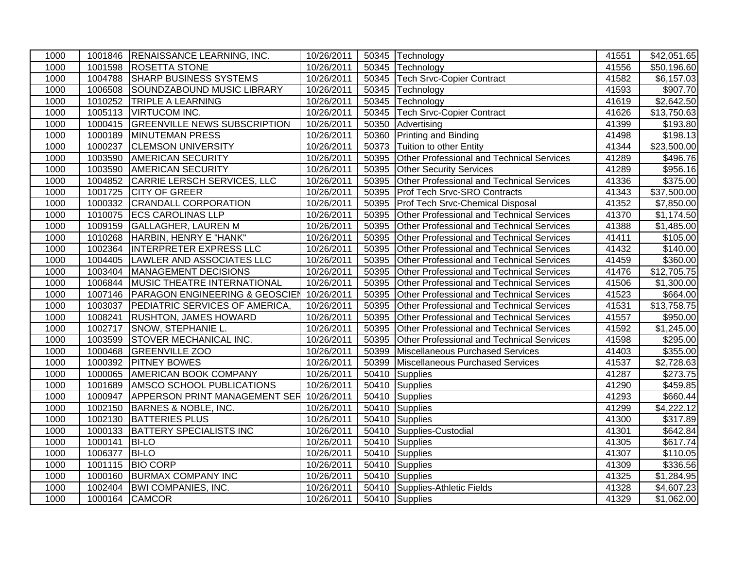| 1000 |         | 1001846 RENAISSANCE LEARNING, INC.        | 10/26/2011 |       | 50345 Technology                                 | 41551 | \$42,051.65            |
|------|---------|-------------------------------------------|------------|-------|--------------------------------------------------|-------|------------------------|
| 1000 |         | 1001598 ROSETTA STONE                     | 10/26/2011 |       | 50345 Technology                                 | 41556 | \$50,196.60            |
| 1000 |         | 1004788 SHARP BUSINESS SYSTEMS            | 10/26/2011 |       | 50345 Tech Srvc-Copier Contract                  | 41582 | \$6,157.03             |
| 1000 |         | 1006508 SOUNDZABOUND MUSIC LIBRARY        | 10/26/2011 |       | 50345 Technology                                 | 41593 | \$907.70               |
| 1000 | 1010252 | <b>TRIPLE A LEARNING</b>                  | 10/26/2011 | 50345 | Technology                                       | 41619 | \$2,642.50             |
| 1000 |         | 1005113   VIRTUCOM INC.                   | 10/26/2011 | 50345 | <b>Tech Srvc-Copier Contract</b>                 | 41626 | \$13,750.63            |
| 1000 | 1000415 | <b>GREENVILLE NEWS SUBSCRIPTION</b>       | 10/26/2011 | 50350 | Advertising                                      | 41399 | \$193.80               |
| 1000 | 1000189 | <b>MINUTEMAN PRESS</b>                    | 10/26/2011 | 50360 | Printing and Binding                             | 41498 | \$198.13               |
| 1000 | 1000237 | <b>CLEMSON UNIVERSITY</b>                 | 10/26/2011 | 50373 | Tuition to other Entity                          | 41344 | \$23,500.00            |
| 1000 |         | 1003590 AMERICAN SECURITY                 | 10/26/2011 | 50395 | <b>Other Professional and Technical Services</b> | 41289 | \$496.76               |
| 1000 | 1003590 | <b>AMERICAN SECURITY</b>                  | 10/26/2011 | 50395 | <b>Other Security Services</b>                   | 41289 | \$956.16               |
| 1000 |         | 1004852 CARRIE LERSCH SERVICES, LLC       | 10/26/2011 | 50395 | Other Professional and Technical Services        | 41336 | \$375.00               |
| 1000 |         | 1001725 CITY OF GREER                     | 10/26/2011 | 50395 | <b>Prof Tech Srvc-SRO Contracts</b>              | 41343 | \$37,500.00            |
| 1000 |         | 1000332 CRANDALL CORPORATION              | 10/26/2011 | 50395 | <b>Prof Tech Srvc-Chemical Disposal</b>          | 41352 | \$7,850.00             |
| 1000 |         | 1010075 ECS CAROLINAS LLP                 | 10/26/2011 | 50395 | <b>Other Professional and Technical Services</b> | 41370 | \$1,174.50             |
| 1000 | 1009159 | <b>GALLAGHER, LAUREN M</b>                | 10/26/2011 | 50395 | <b>Other Professional and Technical Services</b> | 41388 | \$1,485.00             |
| 1000 |         | 1010268 HARBIN, HENRY E "HANK"            | 10/26/2011 | 50395 | Other Professional and Technical Services        | 41411 | \$105.00               |
| 1000 |         | 1002364  INTERPRETER EXPRESS LLC          | 10/26/2011 | 50395 | <b>Other Professional and Technical Services</b> | 41432 | $\frac{1}{140.00}$     |
| 1000 |         | 1004405 LAWLER AND ASSOCIATES LLC         | 10/26/2011 | 50395 | Other Professional and Technical Services        | 41459 | \$360.00               |
| 1000 | 1003404 | MANAGEMENT DECISIONS                      | 10/26/2011 | 50395 | <b>Other Professional and Technical Services</b> | 41476 | \$12,705.75            |
| 1000 | 1006844 | MUSIC THEATRE INTERNATIONAL               | 10/26/2011 | 50395 | <b>Other Professional and Technical Services</b> | 41506 | \$1,300.00             |
| 1000 | 1007146 | <b>PARAGON ENGINEERING &amp; GEOSCIEN</b> | 10/26/2011 | 50395 | <b>Other Professional and Technical Services</b> | 41523 | \$664.00               |
| 1000 |         | 1003037   PEDIATRIC SERVICES OF AMERICA,  | 10/26/2011 | 50395 | <b>Other Professional and Technical Services</b> | 41531 | \$13,758.75            |
| 1000 | 1008241 | <b>RUSHTON, JAMES HOWARD</b>              | 10/26/2011 | 50395 | <b>Other Professional and Technical Services</b> | 41557 | \$950.00               |
| 1000 |         | 1002717 SNOW, STEPHANIE L.                | 10/26/2011 | 50395 | <b>Other Professional and Technical Services</b> | 41592 | $\overline{$1,245.00}$ |
| 1000 |         | 1003599 STOVER MECHANICAL INC.            | 10/26/2011 | 50395 | <b>Other Professional and Technical Services</b> | 41598 | \$295.00               |
| 1000 |         | 1000468 GREENVILLE ZOO                    | 10/26/2011 | 50399 | Miscellaneous Purchased Services                 | 41403 | \$355.00               |
| 1000 |         | 1000392 PITNEY BOWES                      | 10/26/2011 | 50399 | Miscellaneous Purchased Services                 | 41537 | \$2,728.63             |
| 1000 |         | 1000065 AMERICAN BOOK COMPANY             | 10/26/2011 | 50410 | <b>Supplies</b>                                  | 41287 | \$273.75               |
| 1000 |         | 1001689 AMSCO SCHOOL PUBLICATIONS         | 10/26/2011 | 50410 | Supplies                                         | 41290 | \$459.85               |
| 1000 |         | 1000947   APPERSON PRINT MANAGEMENT SER   | 10/26/2011 |       | 50410 Supplies                                   | 41293 | \$660.44               |
| 1000 |         | 1002150 BARNES & NOBLE, INC.              | 10/26/2011 | 50410 | Supplies                                         | 41299 | \$4,222.12             |
| 1000 |         | 1002130 BATTERIES PLUS                    | 10/26/2011 | 50410 | Supplies                                         | 41300 | \$317.89               |
| 1000 |         | 1000133 BATTERY SPECIALISTS INC           | 10/26/2011 | 50410 | Supplies-Custodial                               | 41301 | \$642.84               |
| 1000 | 1000141 | <b>BI-LO</b>                              | 10/26/2011 | 50410 | Supplies                                         | 41305 | \$617.74               |
| 1000 | 1006377 | <b>BI-LO</b>                              | 10/26/2011 | 50410 | Supplies                                         | 41307 | \$110.05               |
| 1000 | 1001115 | <b>BIO CORP</b>                           | 10/26/2011 | 50410 | <b>Supplies</b>                                  | 41309 | \$336.56               |
| 1000 | 1000160 | <b>BURMAX COMPANY INC</b>                 | 10/26/2011 |       | 50410 Supplies                                   | 41325 | \$1,284.95             |
| 1000 | 1002404 | <b>BWI COMPANIES, INC.</b>                | 10/26/2011 |       | 50410 Supplies-Athletic Fields                   | 41328 | \$4,607.23             |
| 1000 |         | 1000164 CAMCOR                            | 10/26/2011 |       | 50410 Supplies                                   | 41329 | \$1,062.00             |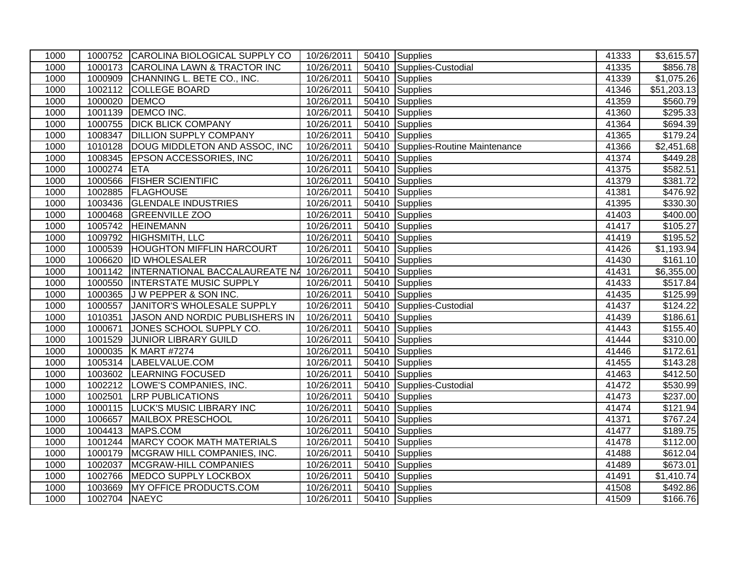| 1000 |               | 1000752 CAROLINA BIOLOGICAL SUPPLY CO              | 10/26/2011 |       | 50410 Supplies                     | 41333 | \$3,615.57  |
|------|---------------|----------------------------------------------------|------------|-------|------------------------------------|-------|-------------|
| 1000 |               | 1000173 CAROLINA LAWN & TRACTOR INC                | 10/26/2011 |       | 50410 Supplies-Custodial           | 41335 | \$856.78    |
| 1000 |               | 1000909 CHANNING L. BETE CO., INC.                 | 10/26/2011 |       | 50410 Supplies                     | 41339 | \$1,075.26  |
| 1000 |               | 1002112 COLLEGE BOARD                              | 10/26/2011 |       | 50410 Supplies                     | 41346 | \$51,203.13 |
| 1000 | 1000020       | <b>DEMCO</b>                                       | 10/26/2011 |       | 50410 Supplies                     | 41359 | \$560.79    |
| 1000 | 1001139       | DEMCO INC.                                         | 10/26/2011 |       | 50410 Supplies                     | 41360 | \$295.33    |
| 1000 | 1000755       | <b>DICK BLICK COMPANY</b>                          | 10/26/2011 |       | 50410 Supplies                     | 41364 | \$694.39    |
| 1000 | 1008347       | <b>DILLION SUPPLY COMPANY</b>                      | 10/26/2011 |       | 50410 Supplies                     | 41365 | \$179.24    |
| 1000 | 1010128       | DOUG MIDDLETON AND ASSOC, INC                      | 10/26/2011 |       | 50410 Supplies-Routine Maintenance | 41366 | \$2,451.68  |
| 1000 |               | 1008345 EPSON ACCESSORIES, INC                     | 10/26/2011 | 50410 | Supplies                           | 41374 | \$449.28    |
| 1000 | 1000274 ETA   |                                                    | 10/26/2011 |       | 50410 Supplies                     | 41375 | \$582.51    |
| 1000 |               | 1000566 FISHER SCIENTIFIC                          | 10/26/2011 |       | 50410 Supplies                     | 41379 | \$381.72    |
| 1000 |               | 1002885 FLAGHOUSE                                  | 10/26/2011 |       | 50410 Supplies                     | 41381 | \$476.92    |
| 1000 |               | 1003436 GLENDALE INDUSTRIES                        | 10/26/2011 |       | 50410 Supplies                     | 41395 | \$330.30    |
| 1000 | 1000468       | <b>GREENVILLE ZOO</b>                              | 10/26/2011 |       | 50410 Supplies                     | 41403 | \$400.00    |
| 1000 |               | 1005742 HEINEMANN                                  | 10/26/2011 |       | 50410 Supplies                     | 41417 | \$105.27    |
| 1000 |               | 1009792 HIGHSMITH, LLC                             | 10/26/2011 |       | 50410 Supplies                     | 41419 | \$195.52    |
| 1000 |               | 1000539 HOUGHTON MIFFLIN HARCOURT                  | 10/26/2011 |       | 50410 Supplies                     | 41426 | \$1,193.94  |
| 1000 | 1006620       | <b>ID WHOLESALER</b>                               | 10/26/2011 |       | 50410 Supplies                     | 41430 | \$161.10    |
| 1000 |               | 1001142  INTERNATIONAL BACCALAUREATE NA 10/26/2011 |            |       | 50410 Supplies                     | 41431 | \$6,355.00  |
| 1000 | 1000550       | <b>INTERSTATE MUSIC SUPPLY</b>                     | 10/26/2011 |       | 50410 Supplies                     | 41433 | \$517.84    |
| 1000 |               | 1000365 J W PEPPER & SON INC.                      | 10/26/2011 |       | 50410 Supplies                     | 41435 | \$125.99    |
| 1000 | 1000557       | JANITOR'S WHOLESALE SUPPLY                         | 10/26/2011 |       | 50410 Supplies-Custodial           | 41437 | \$124.22    |
| 1000 | 1010351       | JASON AND NORDIC PUBLISHERS IN                     | 10/26/2011 |       | 50410 Supplies                     | 41439 | \$186.61    |
| 1000 | 1000671       | JONES SCHOOL SUPPLY CO.                            | 10/26/2011 |       | 50410 Supplies                     | 41443 | \$155.40    |
| 1000 | 1001529       | <b>JUNIOR LIBRARY GUILD</b>                        | 10/26/2011 |       | 50410 Supplies                     | 41444 | \$310.00    |
| 1000 |               | 1000035 K MART #7274                               | 10/26/2011 |       | 50410 Supplies                     | 41446 | \$172.61    |
| 1000 |               | 1005314 LABELVALUE.COM                             | 10/26/2011 |       | 50410 Supplies                     | 41455 | \$143.28    |
| 1000 |               | 1003602 LEARNING FOCUSED                           | 10/26/2011 |       | 50410 Supplies                     | 41463 | \$412.50    |
| 1000 |               | 1002212 LOWE'S COMPANIES, INC.                     | 10/26/2011 |       | 50410 Supplies-Custodial           | 41472 | \$530.99    |
| 1000 | 1002501       | <b>LRP PUBLICATIONS</b>                            | 10/26/2011 |       | 50410 Supplies                     | 41473 | \$237.00    |
| 1000 |               | 1000115 LUCK'S MUSIC LIBRARY INC                   | 10/26/2011 |       | 50410 Supplies                     | 41474 | \$121.94    |
| 1000 |               | 1006657 MAILBOX PRESCHOOL                          | 10/26/2011 | 50410 | Supplies                           | 41371 | \$767.24    |
| 1000 |               | 1004413 MAPS.COM                                   | 10/26/2011 |       | 50410 Supplies                     | 41477 | \$189.75    |
| 1000 |               | 1001244   MARCY COOK MATH MATERIALS                | 10/26/2011 |       | 50410 Supplies                     | 41478 | \$112.00    |
| 1000 |               | 1000179   MCGRAW HILL COMPANIES, INC.              | 10/26/2011 |       | 50410 Supplies                     | 41488 | \$612.04    |
| 1000 | 1002037       | MCGRAW-HILL COMPANIES                              | 10/26/2011 | 50410 | Supplies                           | 41489 | \$673.01    |
| 1000 | 1002766       | MEDCO SUPPLY LOCKBOX                               | 10/26/2011 |       | 50410 Supplies                     | 41491 | \$1,410.74  |
| 1000 | 1003669       | MY OFFICE PRODUCTS.COM                             | 10/26/2011 |       | 50410 Supplies                     | 41508 | \$492.86    |
| 1000 | 1002704 NAEYC |                                                    | 10/26/2011 |       | 50410 Supplies                     | 41509 | \$166.76    |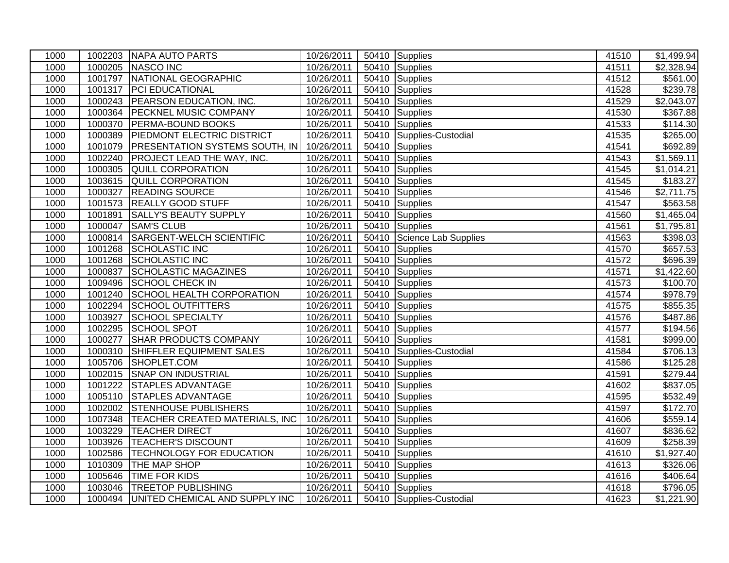| 1000 |         | 1002203 NAPA AUTO PARTS                          | 10/26/2011 |       | 50410 Supplies             | 41510 | \$1,499.94           |
|------|---------|--------------------------------------------------|------------|-------|----------------------------|-------|----------------------|
| 1000 |         | 1000205 NASCO INC                                | 10/26/2011 |       | 50410 Supplies             | 41511 | \$2,328.94           |
| 1000 |         | 1001797 NATIONAL GEOGRAPHIC                      | 10/26/2011 |       | 50410 Supplies             | 41512 | \$561.00             |
| 1000 | 1001317 | <b>PCI EDUCATIONAL</b>                           | 10/26/2011 |       | 50410 Supplies             | 41528 | \$239.78             |
| 1000 |         | 1000243 PEARSON EDUCATION, INC.                  | 10/26/2011 |       | 50410 Supplies             | 41529 | \$2,043.07           |
| 1000 |         | 1000364 PECKNEL MUSIC COMPANY                    | 10/26/2011 | 50410 | Supplies                   | 41530 | \$367.88             |
| 1000 | 1000370 | PERMA-BOUND BOOKS                                | 10/26/2011 | 50410 | Supplies                   | 41533 | \$114.30             |
| 1000 | 1000389 | PIEDMONT ELECTRIC DISTRICT                       | 10/26/2011 |       | 50410 Supplies-Custodial   | 41535 | $\overline{$}265.00$ |
| 1000 | 1001079 | <b>PRESENTATION SYSTEMS SOUTH, IN 10/26/2011</b> |            |       | 50410 Supplies             | 41541 | \$692.89             |
| 1000 | 1002240 | <b>PROJECT LEAD THE WAY, INC.</b>                | 10/26/2011 |       | 50410 Supplies             | 41543 | \$1,569.11           |
| 1000 | 1000305 | <b>QUILL CORPORATION</b>                         | 10/26/2011 | 50410 | Supplies                   | 41545 | \$1,014.21           |
| 1000 | 1003615 | <b>QUILL CORPORATION</b>                         | 10/26/2011 |       | 50410 Supplies             | 41545 | \$183.27             |
| 1000 | 1000327 | <b>READING SOURCE</b>                            | 10/26/2011 |       | 50410 Supplies             | 41546 | \$2,711.75           |
| 1000 |         | 1001573 REALLY GOOD STUFF                        | 10/26/2011 |       | 50410 Supplies             | 41547 | \$563.58             |
| 1000 | 1001891 | <b>SALLY'S BEAUTY SUPPLY</b>                     | 10/26/2011 |       | 50410 Supplies             | 41560 | \$1,465.04           |
| 1000 | 1000047 | <b>SAM'S CLUB</b>                                | 10/26/2011 |       | 50410 Supplies             | 41561 | \$1,795.81           |
| 1000 | 1000814 | <b>SARGENT-WELCH SCIENTIFIC</b>                  | 10/26/2011 |       | 50410 Science Lab Supplies | 41563 | \$398.03             |
| 1000 |         | 1001268 SCHOLASTIC INC                           | 10/26/2011 | 50410 | Supplies                   | 41570 | \$657.53             |
| 1000 | 1001268 | <b>SCHOLASTIC INC</b>                            | 10/26/2011 | 50410 | Supplies                   | 41572 | \$696.39             |
| 1000 | 1000837 | <b>SCHOLASTIC MAGAZINES</b>                      | 10/26/2011 |       | 50410 Supplies             | 41571 | \$1,422.60           |
| 1000 | 1009496 | <b>SCHOOL CHECK IN</b>                           | 10/26/2011 | 50410 | Supplies                   | 41573 | \$100.70             |
| 1000 | 1001240 | <b>SCHOOL HEALTH CORPORATION</b>                 | 10/26/2011 | 50410 | Supplies                   | 41574 | \$978.79             |
| 1000 | 1002294 | <b>SCHOOL OUTFITTERS</b>                         | 10/26/2011 | 50410 | Supplies                   | 41575 | \$855.35             |
| 1000 | 1003927 | <b>SCHOOL SPECIALTY</b>                          | 10/26/2011 |       | 50410 Supplies             | 41576 | 3487.86              |
| 1000 | 1002295 | <b>SCHOOL SPOT</b>                               | 10/26/2011 | 50410 | Supplies                   | 41577 | \$194.56             |
| 1000 | 1000277 | <b>SHAR PRODUCTS COMPANY</b>                     | 10/26/2011 | 50410 | Supplies                   | 41581 | \$999.00             |
| 1000 | 1000310 | SHIFFLER EQUIPMENT SALES                         | 10/26/2011 |       | 50410 Supplies-Custodial   | 41584 | \$706.13             |
| 1000 | 1005706 | SHOPLET.COM                                      | 10/26/2011 |       | 50410 Supplies             | 41586 | \$125.28             |
| 1000 |         | 1002015 SNAP ON INDUSTRIAL                       | 10/26/2011 |       | 50410 Supplies             | 41591 | \$279.44             |
| 1000 | 1001222 | <b>STAPLES ADVANTAGE</b>                         | 10/26/2011 |       | 50410 Supplies             | 41602 | \$837.05             |
| 1000 | 1005110 | <b>STAPLES ADVANTAGE</b>                         | 10/26/2011 |       | 50410 Supplies             | 41595 | \$532.49             |
| 1000 | 1002002 | <b>STENHOUSE PUBLISHERS</b>                      | 10/26/2011 |       | 50410 Supplies             | 41597 | \$172.70             |
| 1000 |         | 1007348 TEACHER CREATED MATERIALS, INC           | 10/26/2011 | 50410 | Supplies                   | 41606 | \$559.14             |
| 1000 | 1003229 | <b>TEACHER DIRECT</b>                            | 10/26/2011 | 50410 | Supplies                   | 41607 | \$836.62             |
| 1000 | 1003926 | <b>TEACHER'S DISCOUNT</b>                        | 10/26/2011 |       | 50410 Supplies             | 41609 | \$258.39             |
| 1000 | 1002586 | TECHNOLOGY FOR EDUCATION                         | 10/26/2011 |       | 50410 Supplies             | 41610 | \$1,927.40           |
| 1000 | 1010309 | <b>THE MAP SHOP</b>                              | 10/26/2011 |       | 50410 Supplies             | 41613 | \$326.06             |
| 1000 | 1005646 | TIME FOR KIDS                                    | 10/26/2011 | 50410 | Supplies                   | 41616 | \$406.64             |
| 1000 | 1003046 | <b>TREETOP PUBLISHING</b>                        | 10/26/2011 |       | 50410 Supplies             | 41618 | \$796.05             |
| 1000 |         | 1000494 UNITED CHEMICAL AND SUPPLY INC           | 10/26/2011 |       | 50410 Supplies-Custodial   | 41623 | \$1,221.90           |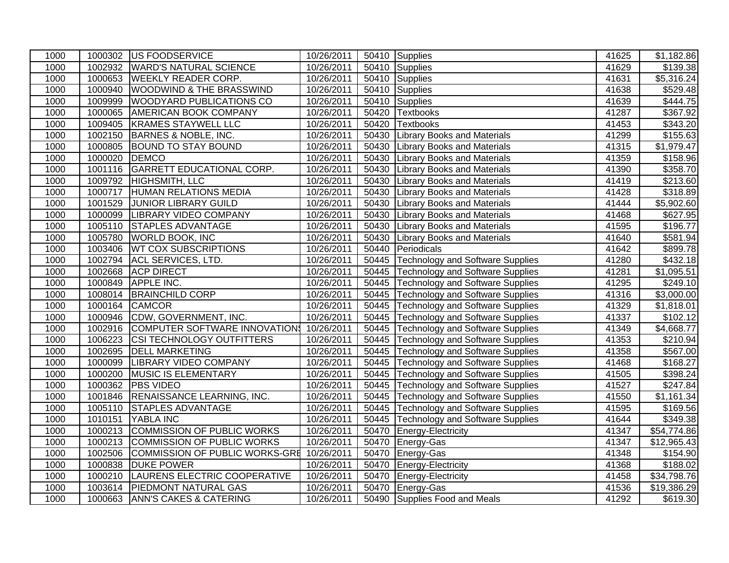| 1000 |               | 1000302 US FOODSERVICE               | 10/26/2011 |       | 50410 Supplies                          | 41625 | $\overline{31}$ , 182.86 |
|------|---------------|--------------------------------------|------------|-------|-----------------------------------------|-------|--------------------------|
| 1000 |               | 1002932 WARD'S NATURAL SCIENCE       | 10/26/2011 | 50410 | Supplies                                | 41629 | \$139.38                 |
| 1000 |               | 1000653 WEEKLY READER CORP.          | 10/26/2011 | 50410 | Supplies                                | 41631 | $\overline{$5,316.24}$   |
| 1000 | 1000940       | <b>WOODWIND &amp; THE BRASSWIND</b>  | 10/26/2011 | 50410 | Supplies                                | 41638 | \$529.48                 |
| 1000 | 1009999       | WOODYARD PUBLICATIONS CO             | 10/26/2011 | 50410 | Supplies                                | 41639 | 3444.75                  |
| 1000 | 1000065       | <b>AMERICAN BOOK COMPANY</b>         | 10/26/2011 | 50420 | <b>Textbooks</b>                        | 41287 | \$367.92                 |
| 1000 | 1009405       | <b>KRAMES STAYWELL LLC</b>           | 10/26/2011 | 50420 | <b>Textbooks</b>                        | 41453 | \$343.20                 |
| 1000 | 1002150       | BARNES & NOBLE, INC.                 | 10/26/2011 | 50430 | <b>Library Books and Materials</b>      | 41299 | \$155.63                 |
| 1000 | 1000805       | <b>BOUND TO STAY BOUND</b>           | 10/26/2011 | 50430 | <b>Library Books and Materials</b>      | 41315 | \$1,979.47               |
| 1000 | 1000020 DEMCO |                                      | 10/26/2011 | 50430 | <b>Library Books and Materials</b>      | 41359 | \$158.96                 |
| 1000 |               | 1001116 GARRETT EDUCATIONAL CORP.    | 10/26/2011 | 50430 | <b>Library Books and Materials</b>      | 41390 | \$358.70                 |
| 1000 |               | 1009792 HIGHSMITH, LLC               | 10/26/2011 | 50430 | <b>Library Books and Materials</b>      | 41419 | \$213.60                 |
| 1000 |               | 1000717 HUMAN RELATIONS MEDIA        | 10/26/2011 | 50430 | <b>Library Books and Materials</b>      | 41428 | \$318.89                 |
| 1000 |               | 1001529 JUNIOR LIBRARY GUILD         | 10/26/2011 | 50430 | <b>Library Books and Materials</b>      | 41444 | \$5,902.60               |
| 1000 |               | 1000099 LIBRARY VIDEO COMPANY        | 10/26/2011 | 50430 | <b>Library Books and Materials</b>      | 41468 | \$627.95                 |
| 1000 | 1005110       | <b>STAPLES ADVANTAGE</b>             | 10/26/2011 | 50430 | <b>Library Books and Materials</b>      | 41595 | \$196.77                 |
| 1000 |               | 1005780 WORLD BOOK, INC              | 10/26/2011 | 50430 | <b>Library Books and Materials</b>      | 41640 | \$581.94                 |
| 1000 |               | 1003406 WT COX SUBSCRIPTIONS         | 10/26/2011 | 50440 | Periodicals                             | 41642 | \$899.78                 |
| 1000 |               | 1002794 ACL SERVICES, LTD.           | 10/26/2011 |       | 50445 Technology and Software Supplies  | 41280 | \$432.18                 |
| 1000 |               | 1002668 ACP DIRECT                   | 10/26/2011 | 50445 | <b>Technology and Software Supplies</b> | 41281 | \$1,095.51               |
| 1000 | 1000849       | <b>APPLE INC.</b>                    | 10/26/2011 | 50445 | Technology and Software Supplies        | 41295 | \$249.10                 |
| 1000 | 1008014       | <b>BRAINCHILD CORP</b>               | 10/26/2011 | 50445 | <b>Technology and Software Supplies</b> | 41316 | \$3,000.00               |
| 1000 | 1000164       | <b>CAMCOR</b>                        | 10/26/2011 |       | 50445 Technology and Software Supplies  | 41329 | \$1,818.01               |
| 1000 | 1000946       | CDW, GOVERNMENT, INC.                | 10/26/2011 | 50445 | <b>Technology and Software Supplies</b> | 41337 | \$102.12                 |
| 1000 |               | 1002916 COMPUTER SOFTWARE INNOVATION | 10/26/2011 | 50445 | Technology and Software Supplies        | 41349 | \$4,668.77               |
| 1000 | 1006223       | <b>CSI TECHNOLOGY OUTFITTERS</b>     | 10/26/2011 | 50445 | Technology and Software Supplies        | 41353 | \$210.94                 |
| 1000 |               | 1002695 DELL MARKETING               | 10/26/2011 |       | 50445 Technology and Software Supplies  | 41358 | \$567.00                 |
| 1000 | 1000099       | <b>LIBRARY VIDEO COMPANY</b>         | 10/26/2011 | 50445 | Technology and Software Supplies        | 41468 | \$168.27                 |
| 1000 | 1000200       | MUSIC IS ELEMENTARY                  | 10/26/2011 | 50445 | <b>Technology and Software Supplies</b> | 41505 | \$398.24                 |
| 1000 | 1000362       | <b>PBS VIDEO</b>                     | 10/26/2011 | 50445 | Technology and Software Supplies        | 41527 | \$247.84                 |
| 1000 |               | 1001846 RENAISSANCE LEARNING, INC.   | 10/26/2011 |       | 50445 Technology and Software Supplies  | 41550 | \$1,161.34               |
| 1000 | 1005110       | <b>STAPLES ADVANTAGE</b>             | 10/26/2011 | 50445 | <b>Technology and Software Supplies</b> | 41595 | \$169.56                 |
| 1000 | 1010151       | YABLA INC                            | 10/26/2011 | 50445 | Technology and Software Supplies        | 41644 | \$349.38                 |
| 1000 | 1000213       | COMMISSION OF PUBLIC WORKS           | 10/26/2011 | 50470 | Energy-Electricity                      | 41347 | \$54,774.86              |
| 1000 | 1000213       | COMMISSION OF PUBLIC WORKS           | 10/26/2011 | 50470 | Energy-Gas                              | 41347 | \$12,965.43              |
| 1000 | 1002506       | COMMISSION OF PUBLIC WORKS-GRE       | 10/26/2011 | 50470 | Energy-Gas                              | 41348 | \$154.90                 |
| 1000 | 1000838       | <b>DUKE POWER</b>                    | 10/26/2011 | 50470 | Energy-Electricity                      | 41368 | \$188.02                 |
| 1000 | 1000210       | <b>LAURENS ELECTRIC COOPERATIVE</b>  | 10/26/2011 | 50470 | Energy-Electricity                      | 41458 | \$34,798.76              |
| 1000 | 1003614       | <b>PIEDMONT NATURAL GAS</b>          | 10/26/2011 |       | 50470 Energy-Gas                        | 41536 | $\overline{$19,386.29}$  |
| 1000 |               | 1000663 ANN'S CAKES & CATERING       | 10/26/2011 |       | 50490 Supplies Food and Meals           | 41292 | \$619.30                 |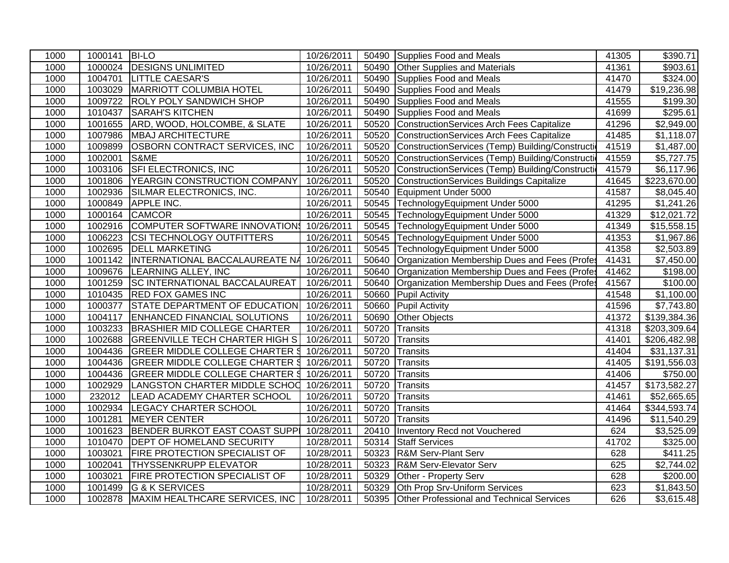| 1000 | 1000141 | <b>BI-LO</b>                                       | 10/26/2011 |       | 50490 Supplies Food and Meals                     | 41305 | \$390.71                |
|------|---------|----------------------------------------------------|------------|-------|---------------------------------------------------|-------|-------------------------|
| 1000 |         | 1000024 DESIGNS UNLIMITED                          | 10/26/2011 | 50490 | <b>Other Supplies and Materials</b>               | 41361 | \$903.61                |
| 1000 | 1004701 | <b>LITTLE CAESAR'S</b>                             | 10/26/2011 | 50490 | Supplies Food and Meals                           | 41470 | \$324.00                |
| 1000 |         | 1003029   MARRIOTT COLUMBIA HOTEL                  | 10/26/2011 | 50490 | Supplies Food and Meals                           | 41479 | $\overline{$19,236.98}$ |
| 1000 | 1009722 | <b>ROLY POLY SANDWICH SHOP</b>                     | 10/26/2011 | 50490 | Supplies Food and Meals                           | 41555 | \$199.30                |
| 1000 | 1010437 | <b>SARAH'S KITCHEN</b>                             | 10/26/2011 | 50490 | Supplies Food and Meals                           | 41699 | \$295.61                |
| 1000 | 1001655 | ARD, WOOD, HOLCOMBE, & SLATE                       | 10/26/2011 | 50520 | ConstructionServices Arch Fees Capitalize         | 41296 | \$2,949.00              |
| 1000 | 1007986 | <b>MBAJ ARCHITECTURE</b>                           | 10/26/2011 | 50520 | ConstructionServices Arch Fees Capitalize         | 41485 | \$1,118.07              |
| 1000 | 1009899 | OSBORN CONTRACT SERVICES, INC                      | 10/26/2011 | 50520 | ConstructionServices (Temp) Building/Constructi   | 41519 | \$1,487.00              |
| 1000 | 1002001 | S&ME                                               | 10/26/2011 | 50520 | ConstructionServices (Temp) Building/Construction | 41559 | \$5,727.75              |
| 1000 | 1003106 | <b>SFI ELECTRONICS, INC</b>                        | 10/26/2011 | 50520 | ConstructionServices (Temp) Building/Construction | 41579 | $\overline{$6,117.96}$  |
| 1000 | 1001806 | YEARGIN CONSTRUCTION COMPANY                       | 10/26/2011 | 50520 | ConstructionServices Buildings Capitalize         | 41645 | \$223,670.00            |
| 1000 | 1002936 | SILMAR ELECTRONICS, INC.                           | 10/26/2011 | 50540 | Equipment Under 5000                              | 41587 | \$8,045.40              |
| 1000 | 1000849 | APPLE INC.                                         | 10/26/2011 | 50545 | TechnologyEquipment Under 5000                    | 41295 | \$1,241.26              |
| 1000 | 1000164 | <b>CAMCOR</b>                                      | 10/26/2011 | 50545 | TechnologyEquipment Under 5000                    | 41329 | \$12,021.72             |
| 1000 | 1002916 | COMPUTER SOFTWARE INNOVATION 10/26/2011            |            |       | 50545 TechnologyEquipment Under 5000              | 41349 | \$15,558.15             |
| 1000 | 1006223 | CSI TECHNOLOGY OUTFITTERS                          | 10/26/2011 | 50545 | TechnologyEquipment Under 5000                    | 41353 | \$1,967.86              |
| 1000 | 1002695 | <b>DELL MARKETING</b>                              | 10/26/2011 | 50545 | TechnologyEquipment Under 5000                    | 41358 | \$2,503.89              |
| 1000 |         | 1001142  INTERNATIONAL BACCALAUREATE NA 10/26/2011 |            | 50640 | Organization Membership Dues and Fees (Profes     | 41431 | \$7,450.00              |
| 1000 | 1009676 | LEARNING ALLEY, INC                                | 10/26/2011 | 50640 | Organization Membership Dues and Fees (Profes     | 41462 | \$198.00                |
| 1000 | 1001259 | <b>SC INTERNATIONAL BACCALAUREAT</b>               | 10/26/2011 | 50640 | Organization Membership Dues and Fees (Profes     | 41567 | \$100.00                |
| 1000 |         | 1010435 RED FOX GAMES INC                          | 10/26/2011 | 50660 | <b>Pupil Activity</b>                             | 41548 | \$1,100.00              |
| 1000 | 1000377 | <b>STATE DEPARTMENT OF EDUCATION</b>               | 10/26/2011 | 50660 | <b>Pupil Activity</b>                             | 41596 | \$7,743.80              |
| 1000 | 1004117 | ENHANCED FINANCIAL SOLUTIONS                       | 10/26/2011 | 50690 | <b>Other Objects</b>                              | 41372 | \$139,384.36            |
| 1000 |         | 1003233 BRASHIER MID COLLEGE CHARTER               | 10/26/2011 | 50720 | Transits                                          | 41318 | \$203,309.64            |
| 1000 | 1002688 | <b>GREENVILLE TECH CHARTER HIGH S</b>              | 10/26/2011 | 50720 | Transits                                          | 41401 | \$206,482.98            |
| 1000 | 1004436 | GREER MIDDLE COLLEGE CHARTER \$                    | 10/26/2011 | 50720 | Transits                                          | 41404 | \$31,137.31             |
| 1000 | 1004436 | <b>GREER MIDDLE COLLEGE CHARTER \$</b>             | 10/26/2011 | 50720 | Transits                                          | 41405 | \$191,556.03            |
| 1000 | 1004436 | GREER MIDDLE COLLEGE CHARTER \$                    | 10/26/2011 | 50720 | Transits                                          | 41406 | \$750.00                |
| 1000 | 1002929 | LANGSTON CHARTER MIDDLE SCHOO                      | 10/26/2011 | 50720 | Transits                                          | 41457 | \$173,582.27            |
| 1000 | 232012  | <b>LEAD ACADEMY CHARTER SCHOOL</b>                 | 10/26/2011 | 50720 | Transits                                          | 41461 | \$52,665.65             |
| 1000 | 1002934 | <b>LEGACY CHARTER SCHOOL</b>                       | 10/26/2011 | 50720 | Transits                                          | 41464 | \$344,593.74            |
| 1000 | 1001281 | <b>MEYER CENTER</b>                                | 10/26/2011 | 50720 | Transits                                          | 41496 | \$11,540.29             |
| 1000 | 1001623 | BENDER BURKOT EAST COAST SUPPI 10/28/2011          |            | 20410 | <b>Inventory Recd not Vouchered</b>               | 624   | \$3,525.09              |
| 1000 | 1010470 | <b>DEPT OF HOMELAND SECURITY</b>                   | 10/28/2011 | 50314 | <b>Staff Services</b>                             | 41702 | \$325.00                |
| 1000 | 1003021 | FIRE PROTECTION SPECIALIST OF                      | 10/28/2011 | 50323 | <b>R&amp;M Serv-Plant Serv</b>                    | 628   | \$411.25                |
| 1000 | 1002041 | THYSSENKRUPP ELEVATOR                              | 10/28/2011 | 50323 | R&M Serv-Elevator Serv                            | 625   | \$2,744.02              |
| 1000 | 1003021 | <b>FIRE PROTECTION SPECIALIST OF</b>               | 10/28/2011 | 50329 | Other - Property Serv                             | 628   | \$200.00                |
| 1000 | 1001499 | <b>G &amp; K SERVICES</b>                          | 10/28/2011 | 50329 | Oth Prop Srv-Uniform Services                     | 623   | \$1,843.50              |
| 1000 | 1002878 | MAXIM HEALTHCARE SERVICES, INC                     | 10/28/2011 | 50395 | <b>Other Professional and Technical Services</b>  | 626   | $\overline{$3,615.48}$  |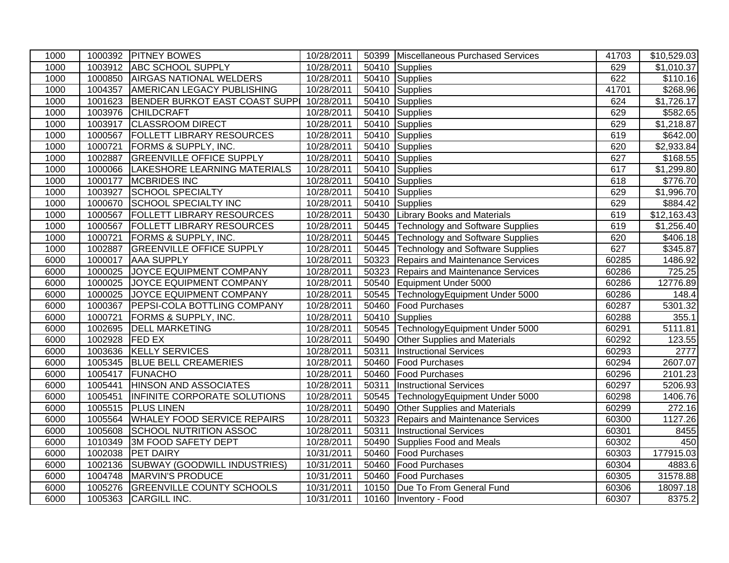| 1000 |         | 1000392 PITNEY BOWES                   | 10/28/2011 |       | 50399 Miscellaneous Purchased Services   | 41703 | \$10,529.03 |
|------|---------|----------------------------------------|------------|-------|------------------------------------------|-------|-------------|
| 1000 |         | 1003912 ABC SCHOOL SUPPLY              | 10/28/2011 | 50410 | Supplies                                 | 629   | \$1,010.37  |
| 1000 |         | 1000850 AIRGAS NATIONAL WELDERS        | 10/28/2011 | 50410 | Supplies                                 | 622   | \$110.16    |
| 1000 | 1004357 | AMERICAN LEGACY PUBLISHING             | 10/28/2011 | 50410 | Supplies                                 | 41701 | \$268.96    |
| 1000 |         | 1001623 BENDER BURKOT EAST COAST SUPPI | 10/28/2011 | 50410 | Supplies                                 | 624   | \$1,726.17  |
| 1000 | 1003976 | <b>CHILDCRAFT</b>                      | 10/28/2011 | 50410 | <b>Supplies</b>                          | 629   | \$582.65    |
| 1000 | 1003917 | <b>CLASSROOM DIRECT</b>                | 10/28/2011 | 50410 | Supplies                                 | 629   | \$1,218.87  |
| 1000 | 1000567 | <b>FOLLETT LIBRARY RESOURCES</b>       | 10/28/2011 | 50410 | Supplies                                 | 619   | \$642.00    |
| 1000 | 1000721 | <b>FORMS &amp; SUPPLY, INC.</b>        | 10/28/2011 | 50410 | Supplies                                 | 620   | \$2,933.84  |
| 1000 | 1002887 | <b>GREENVILLE OFFICE SUPPLY</b>        | 10/28/2011 | 50410 | Supplies                                 | 627   | \$168.55    |
| 1000 |         | 1000066  LAKESHORE LEARNING MATERIALS  | 10/28/2011 | 50410 | Supplies                                 | 617   | \$1,299.80  |
| 1000 | 1000177 | <b>MCBRIDES INC</b>                    | 10/28/2011 | 50410 | Supplies                                 | 618   | \$776.70    |
| 1000 |         | 1003927 SCHOOL SPECIALTY               | 10/28/2011 | 50410 | Supplies                                 | 629   | \$1,996.70  |
| 1000 | 1000670 | <b>SCHOOL SPECIALTY INC</b>            | 10/28/2011 | 50410 | Supplies                                 | 629   | \$884.42    |
| 1000 | 1000567 | <b>FOLLETT LIBRARY RESOURCES</b>       | 10/28/2011 |       | 50430 Library Books and Materials        | 619   | \$12,163.43 |
| 1000 | 1000567 | <b>FOLLETT LIBRARY RESOURCES</b>       | 10/28/2011 |       | 50445 Technology and Software Supplies   | 619   | \$1,256.40  |
| 1000 | 1000721 | <b>FORMS &amp; SUPPLY, INC.</b>        | 10/28/2011 |       | 50445   Technology and Software Supplies | 620   | \$406.18    |
| 1000 |         | 1002887 GREENVILLE OFFICE SUPPLY       | 10/28/2011 | 50445 | Technology and Software Supplies         | 627   | \$345.87    |
| 6000 | 1000017 | <b>AAA SUPPLY</b>                      | 10/28/2011 | 50323 | Repairs and Maintenance Services         | 60285 | 1486.92     |
| 6000 | 1000025 | JOYCE EQUIPMENT COMPANY                | 10/28/2011 | 50323 | Repairs and Maintenance Services         | 60286 | 725.25      |
| 6000 | 1000025 | JOYCE EQUIPMENT COMPANY                | 10/28/2011 | 50540 | Equipment Under 5000                     | 60286 | 12776.89    |
| 6000 | 1000025 | JOYCE EQUIPMENT COMPANY                | 10/28/2011 | 50545 | TechnologyEquipment Under 5000           | 60286 | 148.4       |
| 6000 | 1000367 | <b>PEPSI-COLA BOTTLING COMPANY</b>     | 10/28/2011 | 50460 | <b>Food Purchases</b>                    | 60287 | 5301.32     |
| 6000 | 1000721 | <b>FORMS &amp; SUPPLY, INC.</b>        | 10/28/2011 | 50410 | Supplies                                 | 60288 | 355.1       |
| 6000 |         | 1002695 DELL MARKETING                 | 10/28/2011 | 50545 | TechnologyEquipment Under 5000           | 60291 | 5111.81     |
| 6000 | 1002928 | <b>FED EX</b>                          | 10/28/2011 | 50490 | <b>Other Supplies and Materials</b>      | 60292 | 123.55      |
| 6000 |         | 1003636 KELLY SERVICES                 | 10/28/2011 | 50311 | <b>Instructional Services</b>            | 60293 | 2777        |
| 6000 | 1005345 | <b>BLUE BELL CREAMERIES</b>            | 10/28/2011 | 50460 | <b>Food Purchases</b>                    | 60294 | 2607.07     |
| 6000 | 1005417 | FUNACHO                                | 10/28/2011 | 50460 | <b>Food Purchases</b>                    | 60296 | 2101.23     |
| 6000 | 1005441 | <b>HINSON AND ASSOCIATES</b>           | 10/28/2011 | 50311 | <b>Instructional Services</b>            | 60297 | 5206.93     |
| 6000 | 1005451 | INFINITE CORPORATE SOLUTIONS           | 10/28/2011 | 50545 | TechnologyEquipment Under 5000           | 60298 | 1406.76     |
| 6000 |         | 1005515 PLUS LINEN                     | 10/28/2011 | 50490 | <b>Other Supplies and Materials</b>      | 60299 | 272.16      |
| 6000 | 1005564 | <b>WHALEY FOOD SERVICE REPAIRS</b>     | 10/28/2011 | 50323 | <b>Repairs and Maintenance Services</b>  | 60300 | 1127.26     |
| 6000 | 1005608 | SCHOOL NUTRITION ASSOC                 | 10/28/2011 | 50311 | <b>Instructional Services</b>            | 60301 | 8455        |
| 6000 | 1010349 | <b>3M FOOD SAFETY DEPT</b>             | 10/28/2011 | 50490 | Supplies Food and Meals                  | 60302 | 450         |
| 6000 | 1002038 | <b>PET DAIRY</b>                       | 10/31/2011 | 50460 | <b>Food Purchases</b>                    | 60303 | 177915.03   |
| 6000 | 1002136 | <b>SUBWAY (GOODWILL INDUSTRIES)</b>    | 10/31/2011 | 50460 | Food Purchases                           | 60304 | 4883.6      |
| 6000 | 1004748 | MARVIN'S PRODUCE                       | 10/31/2011 | 50460 | <b>Food Purchases</b>                    | 60305 | 31578.88    |
| 6000 | 1005276 | <b>GREENVILLE COUNTY SCHOOLS</b>       | 10/31/2011 | 10150 | Due To From General Fund                 | 60306 | 18097.18    |
| 6000 |         | 1005363 CARGILL INC.                   | 10/31/2011 |       | 10160   Inventory - Food                 | 60307 | 8375.2      |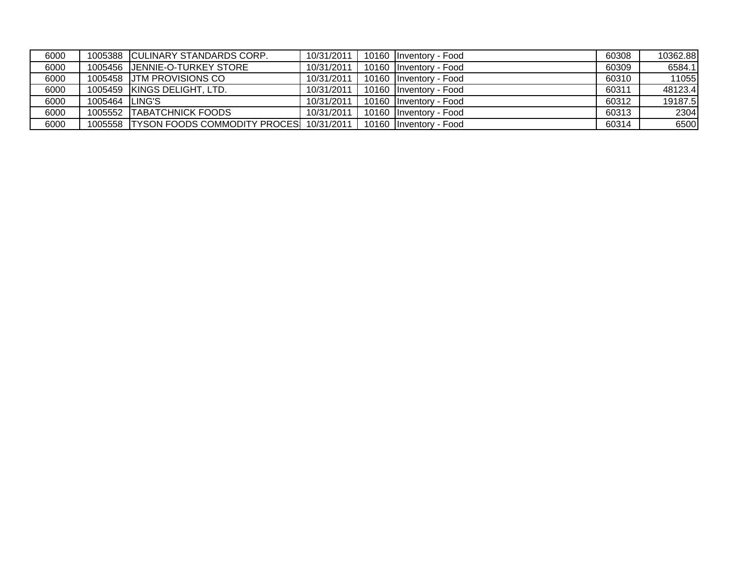| 6000 |                | 1005388 CULINARY STANDARDS CORP.                | 10/31/2011 | 10160 Inventory - Food | 60308 | 10362.88 |
|------|----------------|-------------------------------------------------|------------|------------------------|-------|----------|
| 6000 |                | 1005456 IJENNIE-O-TURKEY STORE                  | 10/31/2011 | 10160 Inventory - Food | 60309 | 6584.1   |
| 6000 |                | 1005458 JJTM PROVISIONS CO                      | 10/31/2011 | 10160 Inventory - Food | 60310 | 11055    |
| 6000 |                | 1005459 KINGS DELIGHT, LTD.                     | 10/31/2011 | 10160 Inventory - Food | 60311 | 48123.4  |
| 6000 | 1005464 LING'S |                                                 | 10/31/2011 | 10160 Inventory - Food | 60312 | 19187.5  |
| 6000 |                | 1005552 TABATCHNICK FOODS                       | 10/31/2011 | 10160 Inventory - Food | 60313 | 2304     |
| 6000 |                | 1005558 TYSON FOODS COMMODITY PROCES 10/31/2011 |            | 10160 Inventory - Food | 60314 | 6500     |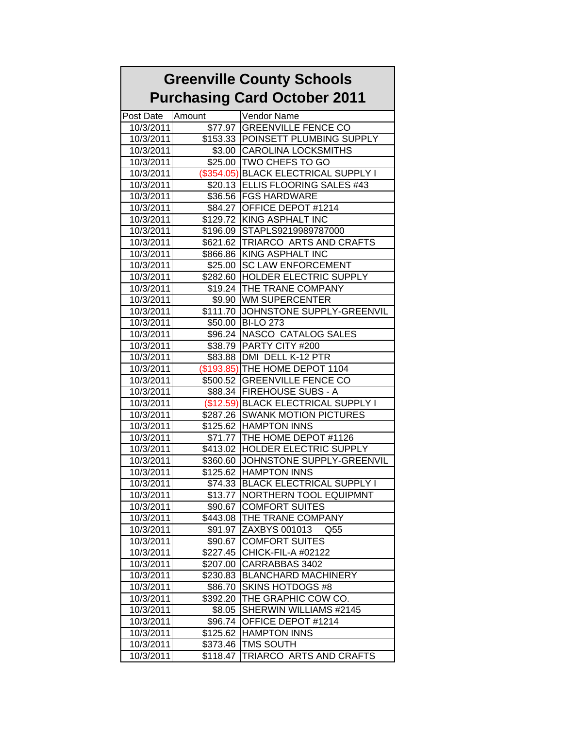## **Greenville County Schools Purchasing Card October 2011**

| Post Date | Amount       | Vendor Name                         |
|-----------|--------------|-------------------------------------|
| 10/3/2011 |              | \$77.97 GREENVILLE FENCE CO         |
| 10/3/2011 |              | \$153.33 POINSETT PLUMBING SUPPLY   |
| 10/3/2011 |              | \$3.00 CAROLINA LOCKSMITHS          |
| 10/3/2011 |              | \$25.00 TWO CHEFS TO GO             |
| 10/3/2011 | $(\$354.05)$ | <b>BLACK ELECTRICAL SUPPLY I</b>    |
| 10/3/2011 |              | \$20.13 ELLIS FLOORING SALES #43    |
| 10/3/2011 |              | \$36.56   FGS HARDWARE              |
| 10/3/2011 |              | \$84.27 OFFICE DEPOT #1214          |
| 10/3/2011 |              | \$129.72 KING ASPHALT INC           |
| 10/3/2011 |              | \$196.09 STAPLS9219989787000        |
| 10/3/2011 |              | \$621.62   TRIARCO ARTS AND CRAFTS  |
| 10/3/2011 |              | \$866.86 KING ASPHALT INC           |
| 10/3/2011 | \$25.00      | <b>SC LAW ENFORCEMENT</b>           |
| 10/3/2011 | \$282.60     | <b>HOLDER ELECTRIC SUPPLY</b>       |
| 10/3/2011 |              | \$19.24 THE TRANE COMPANY           |
| 10/3/2011 | \$9.90       | <b>WM SUPERCENTER</b>               |
| 10/3/2011 | \$111.70     | JOHNSTONE SUPPLY-GREENVIL           |
| 10/3/2011 |              | \$50.00 BI-LO 273                   |
| 10/3/2011 |              | \$96.24 NASCO CATALOG SALES         |
| 10/3/2011 |              | \$38.79   PARTY CITY #200           |
| 10/3/2011 |              | \$83.88   DMI DELL K-12 PTR         |
| 10/3/2011 |              | (\$193.85) THE HOME DEPOT 1104      |
| 10/3/2011 |              | \$500.52 GREENVILLE FENCE CO        |
| 10/3/2011 |              | \$88.34   FIREHOUSE SUBS - A        |
| 10/3/2011 |              | (\$12.59) BLACK ELECTRICAL SUPPLY I |
| 10/3/2011 |              | \$287.26 SWANK MOTION PICTURES      |
| 10/3/2011 |              | \$125.62 HAMPTON INNS               |
| 10/3/2011 |              | \$71.77 THE HOME DEPOT #1126        |
| 10/3/2011 | \$413.02     | <b>HOLDER ELECTRIC SUPPLY</b>       |
| 10/3/2011 | \$360.60     | JOHNSTONE SUPPLY-GREENVIL           |
| 10/3/2011 |              | \$125.62 HAMPTON INNS               |
| 10/3/2011 | \$74.33      | <b>BLACK ELECTRICAL SUPPLY I</b>    |
| 10/3/2011 | \$13.77      | <b>NORTHERN TOOL EQUIPMNT</b>       |
| 10/3/2011 | \$90.67      | <b>COMFORT SUITES</b>               |
| 10/3/2011 |              | \$443.08 THE TRANE COMPANY          |
| 10/3/2011 | \$91.97      | <b>ZAXBYS 001013</b><br>Q55         |
| 10/3/2011 | \$90.67      | <b>COMFORT SUITES</b>               |
| 10/3/2011 | \$227.45     | CHICK-FIL-A #02122                  |
| 10/3/2011 | \$207.00     | CARRABBAS 3402                      |
| 10/3/2011 | \$230.83     | <b>BLANCHARD MACHINERY</b>          |
| 10/3/2011 | \$86.70      | <b>SKINS HOTDOGS #8</b>             |
| 10/3/2011 | \$392.20     | THE GRAPHIC COW CO.                 |
| 10/3/2011 | \$8.05       | SHERWIN WILLIAMS #2145              |
| 10/3/2011 | \$96.74      | OFFICE DEPOT #1214                  |
| 10/3/2011 | \$125.62     | <b>HAMPTON INNS</b>                 |
| 10/3/2011 | \$373.46     | <b>TMS SOUTH</b>                    |
| 10/3/2011 | \$118.47     | TRIARCO ARTS AND CRAFTS             |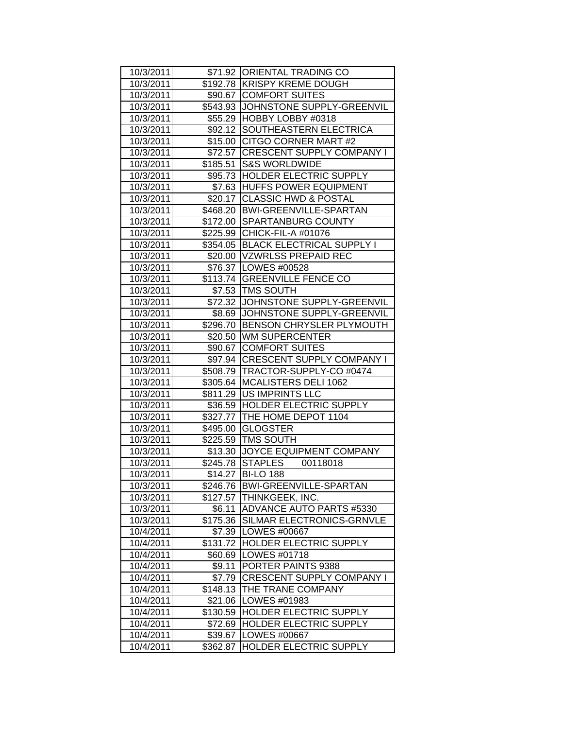| 10/3/2011 |          | \$71.92 ORIENTAL TRADING CO        |
|-----------|----------|------------------------------------|
| 10/3/2011 |          | \$192.78 KRISPY KREME DOUGH        |
| 10/3/2011 |          | \$90.67 COMFORT SUITES             |
| 10/3/2011 |          | \$543.93 JOHNSTONE SUPPLY-GREENVIL |
| 10/3/2011 |          | \$55.29 HOBBY LOBBY #0318          |
| 10/3/2011 |          | \$92.12 SOUTHEASTERN ELECTRICA     |
| 10/3/2011 |          | \$15.00 CITGO CORNER MART #2       |
| 10/3/2011 |          | \$72.57 CRESCENT SUPPLY COMPANY I  |
| 10/3/2011 | \$185.51 | <b>S&amp;S WORLDWIDE</b>           |
| 10/3/2011 |          | \$95.73 HOLDER ELECTRIC SUPPLY     |
| 10/3/2011 |          | \$7.63 HUFFS POWER EQUIPMENT       |
| 10/3/2011 | \$20.17  | <b>CLASSIC HWD &amp; POSTAL</b>    |
| 10/3/2011 |          | \$468.20   BWI-GREENVILLE-SPARTAN  |
| 10/3/2011 |          | \$172.00 SPARTANBURG COUNTY        |
| 10/3/2011 |          | \$225.99 CHICK-FIL-A #01076        |
| 10/3/2011 | \$354.05 | <b>BLACK ELECTRICAL SUPPLY I</b>   |
| 10/3/2011 |          | \$20.00   VZWRLSS PREPAID REC      |
| 10/3/2011 |          | \$76.37   LOWES #00528             |
| 10/3/2011 | \$113.74 | <b>GREENVILLE FENCE CO</b>         |
| 10/3/2011 | \$7.53   | <b>TMS SOUTH</b>                   |
| 10/3/2011 |          | \$72.32 JJOHNSTONE SUPPLY-GREENVIL |
| 10/3/2011 |          | \$8.69 JJOHNSTONE SUPPLY-GREENVIL  |
| 10/3/2011 |          | \$296.70 BENSON CHRYSLER PLYMOUTH  |
| 10/3/2011 |          | \$20.50 WM SUPERCENTER             |
| 10/3/2011 |          | \$90.67 COMFORT SUITES             |
| 10/3/2011 |          | \$97.94 CRESCENT SUPPLY COMPANY I  |
| 10/3/2011 |          | \$508.79   TRACTOR-SUPPLY-CO #0474 |
| 10/3/2011 |          | \$305.64   MCALISTERS DELI 1062    |
| 10/3/2011 | \$811.29 | <b>US IMPRINTS LLC</b>             |
| 10/3/2011 |          | \$36.59 HOLDER ELECTRIC SUPPLY     |
| 10/3/2011 |          | \$327.77 THE HOME DEPOT 1104       |
| 10/3/2011 | \$495.00 | <b>GLOGSTER</b>                    |
| 10/3/2011 |          | \$225.59 TMS SOUTH                 |
| 10/3/2011 |          | \$13.30 JJOYCE EQUIPMENT COMPANY   |
| 10/3/2011 |          | \$245.78 STAPLES<br>00118018       |
| 10/3/2011 |          | \$14.27 BI-LO 188                  |
| 10/3/2011 | \$246.76 | <b>BWI-GREENVILLE-SPARTAN</b>      |
| 10/3/2011 | \$127.57 | THINKGEEK, INC.                    |
| 10/3/2011 | \$6.11   | <b>ADVANCE AUTO PARTS #5330</b>    |
| 10/3/2011 | \$175.36 | SILMAR ELECTRONICS-GRNVLE          |
| 10/4/2011 | \$7.39   | LOWES #00667                       |
| 10/4/2011 | \$131.72 | HOLDER ELECTRIC SUPPLY             |
| 10/4/2011 | \$60.69  | LOWES #01718                       |
| 10/4/2011 | \$9.11   | PORTER PAINTS 9388                 |
| 10/4/2011 | \$7.79   | <b>CRESCENT SUPPLY COMPANY I</b>   |
| 10/4/2011 | \$148.13 | THE TRANE COMPANY                  |
| 10/4/2011 | \$21.06  | LOWES #01983                       |
| 10/4/2011 | \$130.59 | HOLDER ELECTRIC SUPPLY             |
| 10/4/2011 | \$72.69  | HOLDER ELECTRIC SUPPLY             |
| 10/4/2011 | \$39.67  | LOWES #00667                       |
| 10/4/2011 | \$362.87 | <b>HOLDER ELECTRIC SUPPLY</b>      |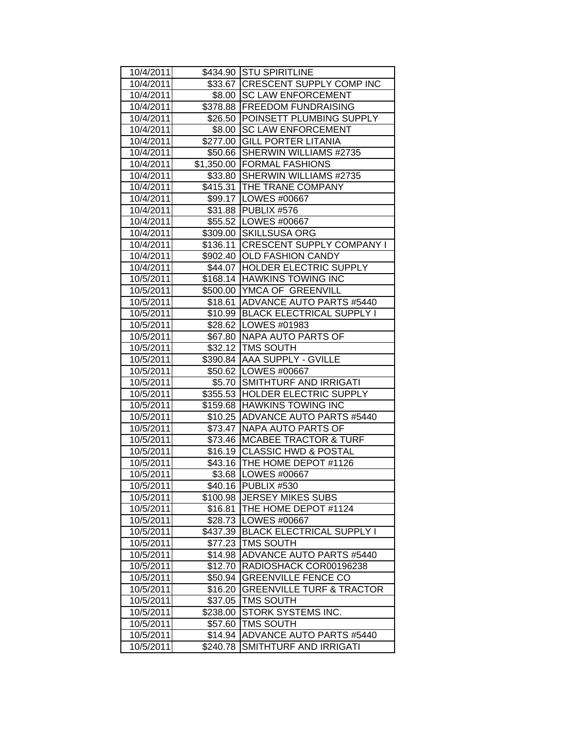| 10/4/2011 |          | \$434.90 STU SPIRITLINE              |
|-----------|----------|--------------------------------------|
| 10/4/2011 |          | \$33.67 CRESCENT SUPPLY COMP INC     |
| 10/4/2011 |          | \$8.00 SC LAW ENFORCEMENT            |
| 10/4/2011 |          | \$378.88 FREEDOM FUNDRAISING         |
| 10/4/2011 |          | \$26.50 POINSETT PLUMBING SUPPLY     |
| 10/4/2011 | \$8.00   | <b>SC LAW ENFORCEMENT</b>            |
| 10/4/2011 |          | \$277.00 GILL PORTER LITANIA         |
| 10/4/2011 |          | \$50.66 SHERWIN WILLIAMS #2735       |
| 10/4/2011 |          | \$1,350.00 FORMAL FASHIONS           |
| 10/4/2011 |          | \$33.80 SHERWIN WILLIAMS #2735       |
| 10/4/2011 |          | \$415.31   THE TRANE COMPANY         |
| 10/4/2011 |          | \$99.17   LOWES #00667               |
| 10/4/2011 |          | \$31.88 PUBLIX #576                  |
| 10/4/2011 |          | \$55.52   LOWES #00667               |
| 10/4/2011 |          | \$309.00 SKILLSUSA ORG               |
| 10/4/2011 |          | \$136.11 CRESCENT SUPPLY COMPANY I   |
| 10/4/2011 |          | \$902.40 OLD FASHION CANDY           |
| 10/4/2011 |          | \$44.07 HOLDER ELECTRIC SUPPLY       |
| 10/5/2011 |          | \$168.14 HAWKINS TOWING INC          |
| 10/5/2011 |          | \$500.00 YMCA OF GREENVILL           |
| 10/5/2011 |          | \$18.61 ADVANCE AUTO PARTS #5440     |
| 10/5/2011 |          | \$10.99 BLACK ELECTRICAL SUPPLY I    |
| 10/5/2011 |          | \$28.62   LOWES #01983               |
| 10/5/2011 |          | \$67.80   NAPA AUTO PARTS OF         |
| 10/5/2011 |          | \$32.12   TMS SOUTH                  |
| 10/5/2011 |          | \$390.84 AAA SUPPLY - GVILLE         |
| 10/5/2011 |          | \$50.62   LOWES #00667               |
| 10/5/2011 |          | \$5.70 SMITHTURF AND IRRIGATI        |
| 10/5/2011 |          | \$355.53 HOLDER ELECTRIC SUPPLY      |
| 10/5/2011 |          | \$159.68 HAWKINS TOWING INC          |
| 10/5/2011 |          | \$10.25 ADVANCE AUTO PARTS #5440     |
| 10/5/2011 |          | \$73.47 NAPA AUTO PARTS OF           |
| 10/5/2011 |          | \$73.46 MCABEE TRACTOR & TURF        |
| 10/5/2011 |          | \$16.19 CLASSIC HWD & POSTAL         |
| 10/5/2011 |          | \$43.16   THE HOME DEPOT #1126       |
| 10/5/2011 |          | \$3.68 LOWES #00667                  |
| 10/5/2011 | \$40.16  | <b>PUBLIX #530</b>                   |
| 10/5/2011 | \$100.98 | <b>JERSEY MIKES SUBS</b>             |
| 10/5/2011 | \$16.81  | THE HOME DEPOT #1124                 |
| 10/5/2011 | \$28.73  | LOWES #00667                         |
| 10/5/2011 | \$437.39 | <b>BLACK ELECTRICAL SUPPLY I</b>     |
| 10/5/2011 | \$77.23  | <b>TMS SOUTH</b>                     |
| 10/5/2011 | \$14.98  | <b>ADVANCE AUTO PARTS #5440</b>      |
| 10/5/2011 | \$12.70  | RADIOSHACK COR00196238               |
| 10/5/2011 | \$50.94  | <b>GREENVILLE FENCE CO</b>           |
| 10/5/2011 | \$16.20  | <b>GREENVILLE TURF &amp; TRACTOR</b> |
| 10/5/2011 | \$37.05  | <b>TMS SOUTH</b>                     |
| 10/5/2011 | \$238.00 | STORK SYSTEMS INC.                   |
| 10/5/2011 | \$57.60  | <b>TMS SOUTH</b>                     |
| 10/5/2011 | \$14.94  | ADVANCE AUTO PARTS #5440             |
| 10/5/2011 | \$240.78 | SMITHTURF AND IRRIGATI               |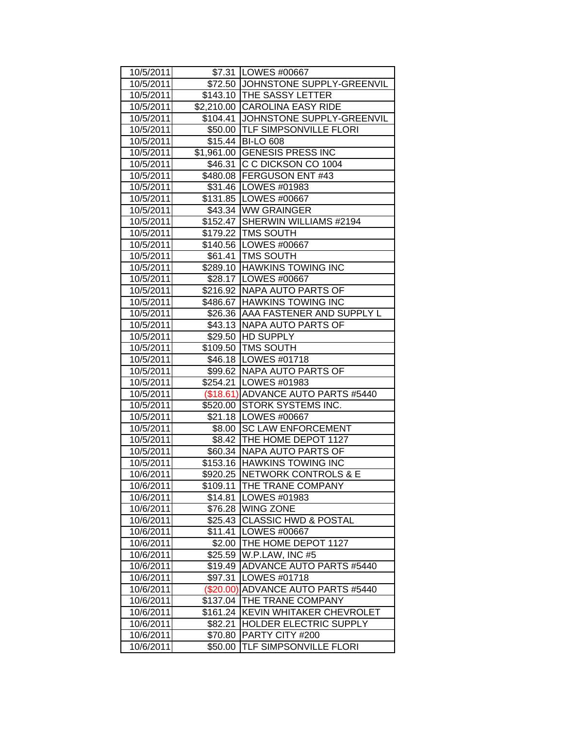| 10/5/2011 |           | \$7.31   LOWES #00667               |
|-----------|-----------|-------------------------------------|
| 10/5/2011 |           | \$72.50 JJOHNSTONE SUPPLY-GREENVIL  |
| 10/5/2011 |           | \$143.10 THE SASSY LETTER           |
| 10/5/2011 |           | \$2,210.00 CAROLINA EASY RIDE       |
| 10/5/2011 |           | \$104.41 JJOHNSTONE SUPPLY-GREENVIL |
| 10/5/2011 |           | \$50.00   TLF SIMPSONVILLE FLORI    |
| 10/5/2011 |           | \$15.44 BI-LO 608                   |
| 10/5/2011 |           | \$1,961.00 GENESIS PRESS INC        |
| 10/5/2011 |           | \$46.31 C C DICKSON CO 1004         |
| 10/5/2011 |           | \$480.08   FERGUSON ENT #43         |
| 10/5/2011 |           | \$31.46   LOWES #01983              |
| 10/5/2011 |           | \$131.85   LOWES #00667             |
| 10/5/2011 |           | \$43.34 WW GRAINGER                 |
| 10/5/2011 |           | \$152.47 SHERWIN WILLIAMS #2194     |
| 10/5/2011 |           | \$179.22   TMS SOUTH                |
| 10/5/2011 |           | \$140.56 LOWES #00667               |
| 10/5/2011 |           | \$61.41   TMS SOUTH                 |
| 10/5/2011 |           | \$289.10 HAWKINS TOWING INC         |
| 10/5/2011 |           | \$28.17 LOWES #00667                |
| 10/5/2011 |           | \$216.92 NAPA AUTO PARTS OF         |
| 10/5/2011 |           | \$486.67 HAWKINS TOWING INC         |
| 10/5/2011 |           | \$26.36   AAA FASTENER AND SUPPLY L |
| 10/5/2011 |           | \$43.13   NAPA AUTO PARTS OF        |
| 10/5/2011 |           | \$29.50 HD SUPPLY                   |
| 10/5/2011 |           | \$109.50 TMS SOUTH                  |
| 10/5/2011 |           | \$46.18   LOWES #01718              |
| 10/5/2011 |           | \$99.62   NAPA AUTO PARTS OF        |
| 10/5/2011 |           | \$254.21   LOWES #01983             |
| 10/5/2011 |           | (\$18.61) ADVANCE AUTO PARTS #5440  |
| 10/5/2011 |           | \$520.00 STORK SYSTEMS INC.         |
| 10/5/2011 |           | \$21.18   LOWES #00667              |
| 10/5/2011 |           | \$8.00 SC LAW ENFORCEMENT           |
| 10/5/2011 |           | \$8.42   THE HOME DEPOT 1127        |
| 10/5/2011 |           | \$60.34   NAPA AUTO PARTS OF        |
| 10/5/2011 |           | \$153.16 HAWKINS TOWING INC         |
| 10/6/2011 |           | \$920.25 NETWORK CONTROLS & E       |
| 10/6/2011 | \$109.11  | THE TRANE COMPANY                   |
| 10/6/2011 | \$14.81   | LOWES #01983                        |
| 10/6/2011 | \$76.28   | <b>WING ZONE</b>                    |
| 10/6/2011 | \$25.43   | <b>CLASSIC HWD &amp; POSTAL</b>     |
| 10/6/2011 | \$11.41   | <b>LOWES #00667</b>                 |
| 10/6/2011 | \$2.00    | THE HOME DEPOT 1127                 |
| 10/6/2011 | \$25.59   | W.P.LAW, INC #5                     |
| 10/6/2011 | \$19.49   | <b>ADVANCE AUTO PARTS #5440</b>     |
| 10/6/2011 | \$97.31   | LOWES #01718                        |
| 10/6/2011 | (\$20.00) | <b>ADVANCE AUTO PARTS #5440</b>     |
| 10/6/2011 | \$137.04  | THE TRANE COMPANY                   |
| 10/6/2011 | \$161.24  | <b>KEVIN WHITAKER CHEVROLET</b>     |
| 10/6/2011 | \$82.21   | HOLDER ELECTRIC SUPPLY              |
| 10/6/2011 | \$70.80   | PARTY CITY #200                     |
| 10/6/2011 | \$50.00   | TLF SIMPSONVILLE FLORI              |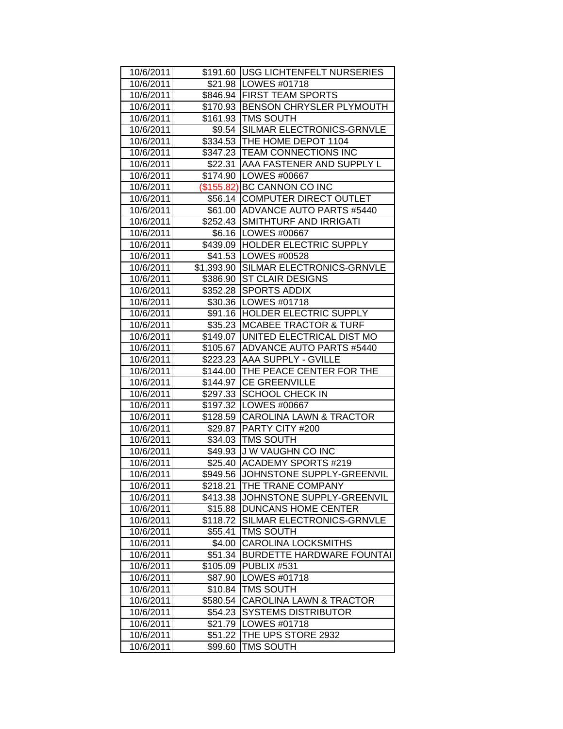| 10/6/2011 |          | \$191.60   USG LICHTENFELT NURSERIES |
|-----------|----------|--------------------------------------|
| 10/6/2011 |          | \$21.98   LOWES #01718               |
| 10/6/2011 |          | \$846.94 FIRST TEAM SPORTS           |
| 10/6/2011 |          | \$170.93 BENSON CHRYSLER PLYMOUTH    |
| 10/6/2011 |          | \$161.93 TMS SOUTH                   |
| 10/6/2011 |          | \$9.54 SILMAR ELECTRONICS-GRNVLE     |
| 10/6/2011 |          | \$334.53 THE HOME DEPOT 1104         |
| 10/6/2011 |          | \$347.23 TEAM CONNECTIONS INC        |
| 10/6/2011 |          | \$22.31 AAA FASTENER AND SUPPLY L    |
| 10/6/2011 |          | \$174.90 LOWES #00667                |
| 10/6/2011 |          | (\$155.82) BC CANNON CO INC          |
| 10/6/2011 |          | \$56.14 COMPUTER DIRECT OUTLET       |
| 10/6/2011 |          | \$61.00 ADVANCE AUTO PARTS #5440     |
| 10/6/2011 |          | \$252.43 SMITHTURF AND IRRIGATI      |
| 10/6/2011 |          | \$6.16   LOWES #00667                |
| 10/6/2011 |          | \$439.09 HOLDER ELECTRIC SUPPLY      |
| 10/6/2011 |          | \$41.53   LOWES #00528               |
| 10/6/2011 |          | \$1,393.90 SILMAR ELECTRONICS-GRNVLE |
| 10/6/2011 | \$386.90 | <b>ST CLAIR DESIGNS</b>              |
| 10/6/2011 | \$352.28 | SPORTS ADDIX                         |
| 10/6/2011 |          | \$30.36   LOWES #01718               |
| 10/6/2011 |          | \$91.16 HOLDER ELECTRIC SUPPLY       |
| 10/6/2011 |          | \$35.23   MCABEE TRACTOR & TURF      |
| 10/6/2011 |          | \$149.07 UNITED ELECTRICAL DIST MO   |
| 10/6/2011 |          | \$105.67 ADVANCE AUTO PARTS #5440    |
| 10/6/2011 |          | \$223.23 AAA SUPPLY - GVILLE         |
| 10/6/2011 |          | \$144.00 THE PEACE CENTER FOR THE    |
| 10/6/2011 |          | \$144.97   CE GREENVILLE             |
| 10/6/2011 |          | \$297.33 SCHOOL CHECK IN             |
| 10/6/2011 |          | \$197.32   LOWES #00667              |
| 10/6/2011 |          | \$128.59 CAROLINA LAWN & TRACTOR     |
| 10/6/2011 |          | \$29.87   PARTY CITY #200            |
| 10/6/2011 |          | \$34.03 TMS SOUTH                    |
| 10/6/2011 |          | \$49.93 J W VAUGHN CO INC            |
| 10/6/2011 |          | \$25.40 ACADEMY SPORTS #219          |
| 10/6/2011 |          | \$949.56 JJOHNSTONE SUPPLY-GREENVIL  |
| 10/6/2011 | \$218.21 | THE TRANE COMPANY                    |
| 10/6/2011 | \$413.38 | JOHNSTONE SUPPLY-GREENVIL            |
| 10/6/2011 | \$15.88  | <b>DUNCANS HOME CENTER</b>           |
| 10/6/2011 | \$118.72 | SILMAR ELECTRONICS-GRNVLE            |
| 10/6/2011 | \$55.41  | <b>TMS SOUTH</b>                     |
| 10/6/2011 | \$4.00   | <b>CAROLINA LOCKSMITHS</b>           |
| 10/6/2011 | \$51.34  | <b>BURDETTE HARDWARE FOUNTAI</b>     |
| 10/6/2011 | \$105.09 | PUBLIX #531                          |
| 10/6/2011 | \$87.90  | LOWES #01718                         |
| 10/6/2011 | \$10.84  | <b>TMS SOUTH</b>                     |
| 10/6/2011 | \$580.54 | <b>CAROLINA LAWN &amp; TRACTOR</b>   |
| 10/6/2011 | \$54.23  | <b>SYSTEMS DISTRIBUTOR</b>           |
| 10/6/2011 | \$21.79  | LOWES #01718                         |
| 10/6/2011 | \$51.22  | THE UPS STORE 2932                   |
| 10/6/2011 | \$99.60  | <b>TMS SOUTH</b>                     |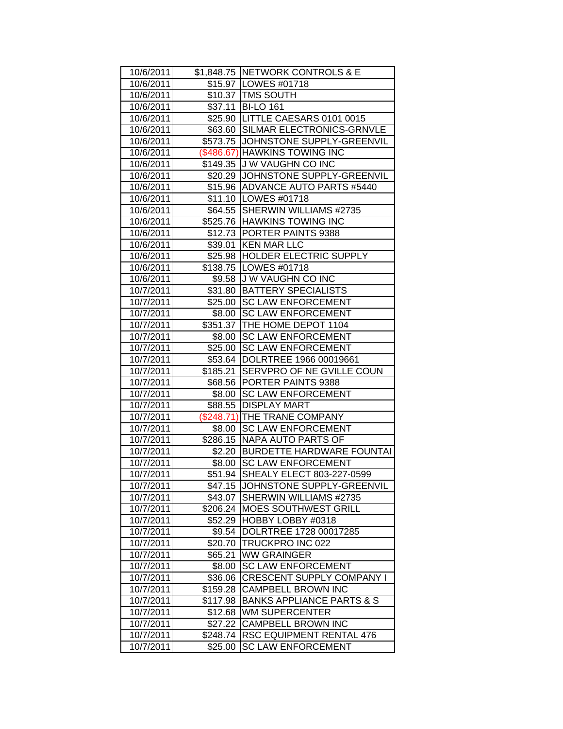| 10/6/2011 |          | \$1,848.75 NETWORK CONTROLS & E      |
|-----------|----------|--------------------------------------|
| 10/6/2011 |          | \$15.97   LOWES #01718               |
| 10/6/2011 |          | \$10.37   TMS SOUTH                  |
| 10/6/2011 |          | \$37.11 BI-LO 161                    |
| 10/6/2011 |          | \$25.90 LITTLE CAESARS 0101 0015     |
| 10/6/2011 |          | \$63.60 SILMAR ELECTRONICS-GRNVLE    |
| 10/6/2011 |          | \$573.75 JOHNSTONE SUPPLY-GREENVIL   |
| 10/6/2011 |          | (\$486.67) HAWKINS TOWING INC        |
| 10/6/2011 | \$149.35 | J W VAUGHN CO INC                    |
| 10/6/2011 |          | \$20.29 JJOHNSTONE SUPPLY-GREENVIL   |
| 10/6/2011 |          | \$15.96 ADVANCE AUTO PARTS #5440     |
| 10/6/2011 |          | \$11.10   LOWES #01718               |
| 10/6/2011 |          | \$64.55 SHERWIN WILLIAMS #2735       |
| 10/6/2011 |          | \$525.76 HAWKINS TOWING INC          |
| 10/6/2011 |          | \$12.73 PORTER PAINTS 9388           |
| 10/6/2011 |          | \$39.01 KEN MAR LLC                  |
| 10/6/2011 |          | \$25.98   HOLDER ELECTRIC SUPPLY     |
| 10/6/2011 |          | \$138.75   LOWES #01718              |
| 10/6/2011 | \$9.58   | <b>JW VAUGHN CO INC</b>              |
| 10/7/2011 | \$31.80  | <b>BATTERY SPECIALISTS</b>           |
| 10/7/2011 | \$25.00  | <b>SC LAW ENFORCEMENT</b>            |
| 10/7/2011 | \$8.00   | <b>SC LAW ENFORCEMENT</b>            |
| 10/7/2011 |          | \$351.37 THE HOME DEPOT 1104         |
| 10/7/2011 | \$8.00   | <b>SC LAW ENFORCEMENT</b>            |
| 10/7/2011 | \$25.00  | <b>SC LAW ENFORCEMENT</b>            |
| 10/7/2011 |          | \$53.64   DOLRTREE 1966 00019661     |
| 10/7/2011 | \$185.21 | SERVPRO OF NE GVILLE COUN            |
| 10/7/2011 |          | \$68.56 PORTER PAINTS 9388           |
| 10/7/2011 |          | \$8.00 SC LAW ENFORCEMENT            |
| 10/7/2011 | \$88.55  | <b>DISPLAY MART</b>                  |
| 10/7/2011 |          | (\$248.71) THE TRANE COMPANY         |
| 10/7/2011 | \$8.00   | <b>SC LAW ENFORCEMENT</b>            |
| 10/7/2011 |          | \$286.15 NAPA AUTO PARTS OF          |
| 10/7/2011 |          | \$2.20 BURDETTE HARDWARE FOUNTAI     |
| 10/7/2011 |          | \$8.00 SC LAW ENFORCEMENT            |
| 10/7/2011 |          | \$51.94 SHEALY ELECT 803-227-0599    |
| 10/7/2011 | \$47.15  | JOHNSTONE SUPPLY-GREENVIL            |
| 10/7/2011 | \$43.07  | SHERWIN WILLIAMS #2735               |
| 10/7/2011 | \$206.24 | <b>MOES SOUTHWEST GRILL</b>          |
| 10/7/2011 | \$52.29  | HOBBY LOBBY #0318                    |
| 10/7/2011 | \$9.54   | DOLRTREE 1728 00017285               |
| 10/7/2011 | \$20.70  | TRUCKPRO INC 022                     |
| 10/7/2011 | \$65.21  | <b>WW GRAINGER</b>                   |
| 10/7/2011 | \$8.00   | <b>SC LAW ENFORCEMENT</b>            |
| 10/7/2011 | \$36.06  | <b>CRESCENT SUPPLY COMPANY I</b>     |
| 10/7/2011 | \$159.28 | <b>CAMPBELL BROWN INC</b>            |
| 10/7/2011 | \$117.98 | <b>BANKS APPLIANCE PARTS &amp; S</b> |
| 10/7/2011 | \$12.68  | <b>WM SUPERCENTER</b>                |
| 10/7/2011 | \$27.22  | <b>CAMPBELL BROWN INC</b>            |
| 10/7/2011 | \$248.74 | <b>RSC EQUIPMENT RENTAL 476</b>      |
| 10/7/2011 | \$25.00  | <b>SC LAW ENFORCEMENT</b>            |
|           |          |                                      |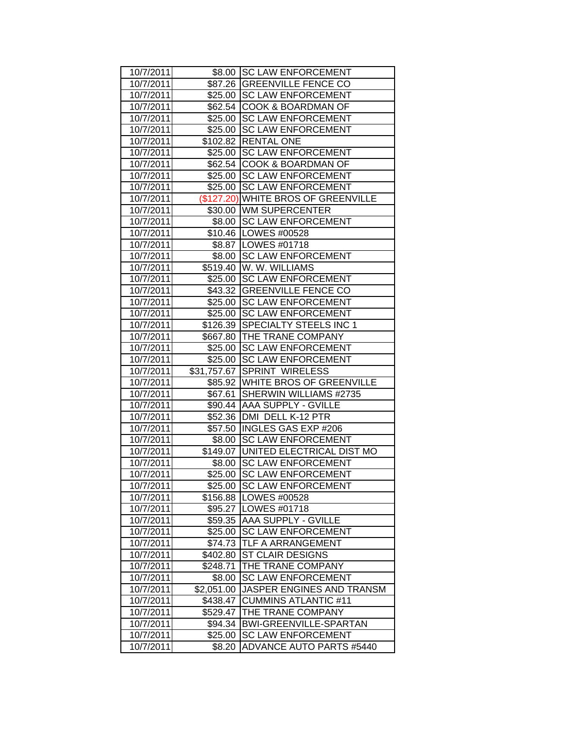| 10/7/2011 |            | \$8.00 SC LAW ENFORCEMENT           |
|-----------|------------|-------------------------------------|
| 10/7/2011 |            | \$87.26 GREENVILLE FENCE CO         |
| 10/7/2011 |            | \$25.00 SC LAW ENFORCEMENT          |
| 10/7/2011 | \$62.54    | <b>COOK &amp; BOARDMAN OF</b>       |
| 10/7/2011 | \$25.00    | <b>SC LAW ENFORCEMENT</b>           |
| 10/7/2011 | \$25.00    | <b>SC LAW ENFORCEMENT</b>           |
| 10/7/2011 |            | \$102.82 RENTAL ONE                 |
| 10/7/2011 |            | \$25.00 SC LAW ENFORCEMENT          |
| 10/7/2011 |            | \$62.54 COOK & BOARDMAN OF          |
| 10/7/2011 | \$25.00    | <b>SC LAW ENFORCEMENT</b>           |
| 10/7/2011 | \$25.00    | <b>SC LAW ENFORCEMENT</b>           |
| 10/7/2011 |            | (\$127.20) WHITE BROS OF GREENVILLE |
| 10/7/2011 |            | \$30.00 WM SUPERCENTER              |
| 10/7/2011 |            | \$8.00 SC LAW ENFORCEMENT           |
| 10/7/2011 |            | \$10.46   LOWES #00528              |
| 10/7/2011 |            | \$8.87   LOWES #01718               |
| 10/7/2011 | \$8.00     | <b>SC LAW ENFORCEMENT</b>           |
| 10/7/2011 | \$519.40   | W. W. WILLIAMS                      |
| 10/7/2011 | \$25.00    | <b>SC LAW ENFORCEMENT</b>           |
| 10/7/2011 | \$43.32    | <b>GREENVILLE FENCE CO</b>          |
| 10/7/2011 |            | \$25.00 SC LAW ENFORCEMENT          |
| 10/7/2011 | \$25.00    | <b>SC LAW ENFORCEMENT</b>           |
| 10/7/2011 | \$126.39   | SPECIALTY STEELS INC 1              |
| 10/7/2011 |            | \$667.80 THE TRANE COMPANY          |
| 10/7/2011 |            | \$25.00 SC LAW ENFORCEMENT          |
| 10/7/2011 |            | \$25.00 SC LAW ENFORCEMENT          |
| 10/7/2011 |            | \$31,757.67 SPRINT WIRELESS         |
| 10/7/2011 |            | \$85.92 WHITE BROS OF GREENVILLE    |
| 10/7/2011 | \$67.61    | SHERWIN WILLIAMS #2735              |
| 10/7/2011 |            | \$90.44 AAA SUPPLY - GVILLE         |
| 10/7/2011 |            | \$52.36   DMI DELL K-12 PTR         |
| 10/7/2011 |            | \$57.50  INGLES GAS EXP #206        |
| 10/7/2011 |            | \$8.00 SC LAW ENFORCEMENT           |
| 10/7/2011 |            | \$149.07 UNITED ELECTRICAL DIST MO  |
| 10/7/2011 | \$8.00     | <b>SC LAW ENFORCEMENT</b>           |
| 10/7/2011 | \$25.00    | <b>SC LAW ENFORCEMENT</b>           |
| 10/7/2011 | \$25.00    | <b>SC LAW ENFORCEMENT</b>           |
| 10/7/2011 | \$156.88   | LOWES #00528                        |
| 10/7/2011 | \$95.27    | LOWES #01718                        |
| 10/7/2011 | \$59.35    | AAA SUPPLY - GVILLE                 |
| 10/7/2011 | \$25.00    | <b>SC LAW ENFORCEMENT</b>           |
| 10/7/2011 | \$74.73    | TLF A ARRANGEMENT                   |
| 10/7/2011 | \$402.80   | <b>ST CLAIR DESIGNS</b>             |
| 10/7/2011 | \$248.71   | THE TRANE COMPANY                   |
| 10/7/2011 | \$8.00     | <b>SC LAW ENFORCEMENT</b>           |
| 10/7/2011 | \$2,051.00 | JASPER ENGINES AND TRANSM           |
| 10/7/2011 | \$438.47   | <b>CUMMINS ATLANTIC #11</b>         |
| 10/7/2011 | \$529.47   | THE TRANE COMPANY                   |
| 10/7/2011 | \$94.34    | BWI-GREENVILLE-SPARTAN              |
| 10/7/2011 | \$25.00    | <b>SC LAW ENFORCEMENT</b>           |
| 10/7/2011 | \$8.20     | ADVANCE AUTO PARTS #5440            |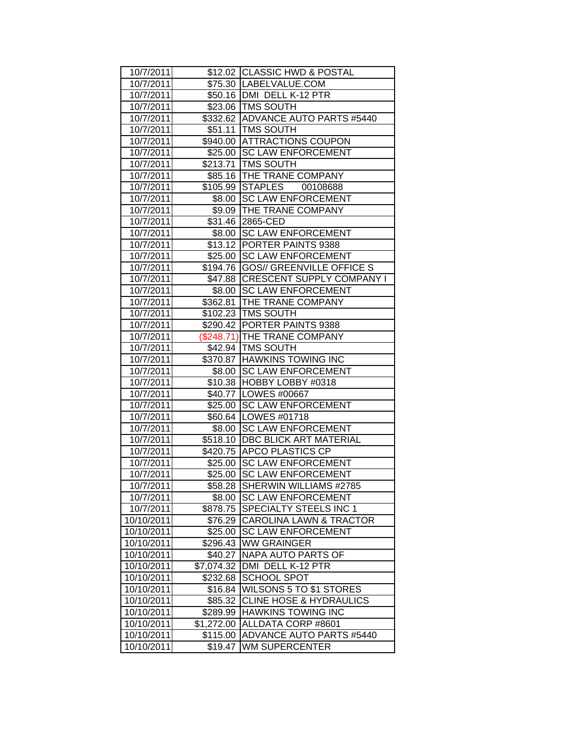| 10/7/2011  |            | \$12.02 CLASSIC HWD & POSTAL       |
|------------|------------|------------------------------------|
| 10/7/2011  |            | \$75.30   LABELVALUE.COM           |
| 10/7/2011  |            | \$50.16   DMI DELL K-12 PTR        |
| 10/7/2011  |            | \$23.06   TMS SOUTH                |
| 10/7/2011  |            | \$332.62 ADVANCE AUTO PARTS #5440  |
| 10/7/2011  |            | \$51.11 TMS SOUTH                  |
| 10/7/2011  |            | \$940.00 ATTRACTIONS COUPON        |
| 10/7/2011  |            | \$25.00 SC LAW ENFORCEMENT         |
| 10/7/2011  |            | \$213.71   TMS SOUTH               |
| 10/7/2011  |            | \$85.16 THE TRANE COMPANY          |
| 10/7/2011  |            | \$105.99 STAPLES 00108688          |
| 10/7/2011  |            | \$8.00 SC LAW ENFORCEMENT          |
| 10/7/2011  |            | \$9.09 THE TRANE COMPANY           |
| 10/7/2011  |            | \$31.46 2865-CED                   |
| 10/7/2011  |            | \$8.00 SC LAW ENFORCEMENT          |
| 10/7/2011  |            | \$13.12 PORTER PAINTS 9388         |
| 10/7/2011  |            | \$25.00 SC LAW ENFORCEMENT         |
| 10/7/2011  |            | \$194.76 GOS// GREENVILLE OFFICE S |
| 10/7/2011  |            | \$47.88 CRESCENT SUPPLY COMPANY I  |
| 10/7/2011  |            | \$8.00 SC LAW ENFORCEMENT          |
| 10/7/2011  |            | \$362.81 THE TRANE COMPANY         |
| 10/7/2011  |            | \$102.23   TMS SOUTH               |
| 10/7/2011  |            | \$290.42 PORTER PAINTS 9388        |
| 10/7/2011  |            | (\$248.71) THE TRANE COMPANY       |
| 10/7/2011  |            | \$42.94   TMS SOUTH                |
| 10/7/2011  |            | \$370.87 HAWKINS TOWING INC        |
| 10/7/2011  |            | \$8.00 SC LAW ENFORCEMENT          |
| 10/7/2011  |            | \$10.38 HOBBY LOBBY #0318          |
| 10/7/2011  |            | \$40.77   LOWES #00667             |
| 10/7/2011  |            | \$25.00 SC LAW ENFORCEMENT         |
| 10/7/2011  |            | \$60.64   LOWES #01718             |
| 10/7/2011  |            | \$8.00 SC LAW ENFORCEMENT          |
| 10/7/2011  |            | \$518.10   DBC BLICK ART MATERIAL  |
| 10/7/2011  |            | \$420.75 APCO PLASTICS CP          |
| 10/7/2011  |            | \$25.00 SC LAW ENFORCEMENT         |
| 10/7/2011  |            | \$25.00 SC LAW ENFORCEMENT         |
| 10/7/2011  | \$58.28    | SHERWIN WILLIAMS #2785             |
| 10/7/2011  | \$8.00     | <b>SC LAW ENFORCEMENT</b>          |
| 10/7/2011  | \$878.75   | SPECIALTY STEELS INC 1             |
| 10/10/2011 | \$76.29    | <b>CAROLINA LAWN &amp; TRACTOR</b> |
| 10/10/2011 | \$25.00    | <b>SC LAW ENFORCEMENT</b>          |
| 10/10/2011 | \$296.43   | <b>WW GRAINGER</b>                 |
| 10/10/2011 | \$40.27    | <b>NAPA AUTO PARTS OF</b>          |
| 10/10/2011 | \$7,074.32 | DMI DELL K-12 PTR                  |
| 10/10/2011 | \$232.68   | <b>SCHOOL SPOT</b>                 |
| 10/10/2011 | \$16.84    | WILSONS 5 TO \$1 STORES            |
| 10/10/2011 | \$85.32    | <b>CLINE HOSE &amp; HYDRAULICS</b> |
| 10/10/2011 | \$289.99   | <b>HAWKINS TOWING INC</b>          |
| 10/10/2011 | \$1,272.00 | ALLDATA CORP #8601                 |
| 10/10/2011 | \$115.00   | ADVANCE AUTO PARTS #5440           |
| 10/10/2011 | \$19.47    | <b>WM SUPERCENTER</b>              |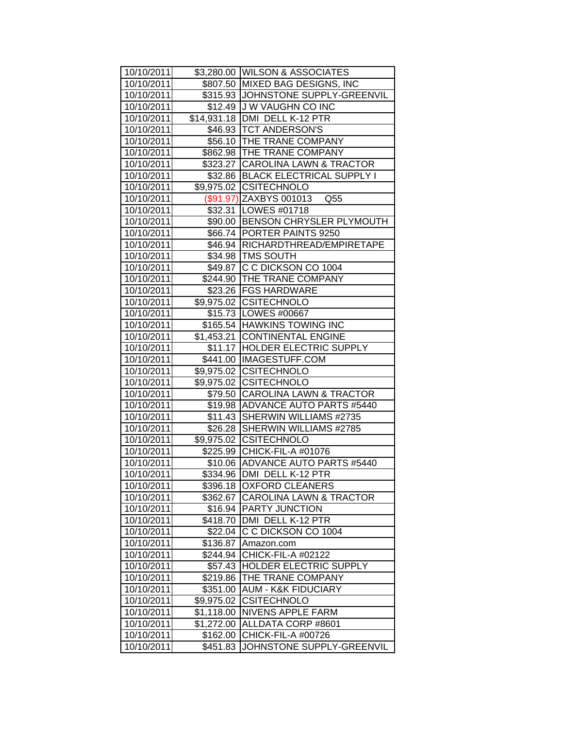| 10/10/2011 |            | \$3,280.00 WILSON & ASSOCIATES             |
|------------|------------|--------------------------------------------|
| 10/10/2011 |            | \$807.50 MIXED BAG DESIGNS, INC            |
| 10/10/2011 |            | \$315.93 JJOHNSTONE SUPPLY-GREENVIL        |
| 10/10/2011 |            | \$12.49 J W VAUGHN CO INC                  |
| 10/10/2011 |            | \$14,931.18 DMI DELL K-12 PTR              |
| 10/10/2011 |            | \$46.93   TCT ANDERSON'S                   |
| 10/10/2011 |            | \$56.10 THE TRANE COMPANY                  |
| 10/10/2011 |            | \$862.98 THE TRANE COMPANY                 |
| 10/10/2011 |            | \$323.27 CAROLINA LAWN & TRACTOR           |
| 10/10/2011 |            | \$32.86 BLACK ELECTRICAL SUPPLY I          |
| 10/10/2011 |            | \$9,975.02 CSITECHNOLO                     |
| 10/10/2011 |            | (\$91.97) ZAXBYS 001013<br>Q <sub>55</sub> |
| 10/10/2011 |            | \$32.31   LOWES #01718                     |
| 10/10/2011 |            | \$90.00 BENSON CHRYSLER PLYMOUTH           |
| 10/10/2011 |            | \$66.74 PORTER PAINTS 9250                 |
| 10/10/2011 |            | \$46.94   RICHARDTHREAD/EMPIRETAPE         |
| 10/10/2011 |            | \$34.98   TMS SOUTH                        |
| 10/10/2011 |            | \$49.87 C C DICKSON CO 1004                |
| 10/10/2011 |            | \$244.90 THE TRANE COMPANY                 |
| 10/10/2011 |            | \$23.26 FGS HARDWARE                       |
| 10/10/2011 |            | \$9,975.02 CSITECHNOLO                     |
| 10/10/2011 |            | \$15.73   LOWES #00667                     |
| 10/10/2011 |            | \$165.54 HAWKINS TOWING INC                |
| 10/10/2011 |            | \$1,453.21 CONTINENTAL ENGINE              |
| 10/10/2011 |            | \$11.17 HOLDER ELECTRIC SUPPLY             |
| 10/10/2011 |            | \$441.00  IMAGESTUFF.COM                   |
| 10/10/2011 |            | \$9,975.02 CSITECHNOLO                     |
| 10/10/2011 |            | \$9,975.02 CSITECHNOLO                     |
| 10/10/2011 |            | \$79.50 CAROLINA LAWN & TRACTOR            |
| 10/10/2011 |            | \$19.98 ADVANCE AUTO PARTS #5440           |
| 10/10/2011 | \$11.43    | SHERWIN WILLIAMS #2735                     |
| 10/10/2011 | \$26.28    | SHERWIN WILLIAMS #2785                     |
| 10/10/2011 |            | \$9,975.02 CSITECHNOLO                     |
| 10/10/2011 |            | \$225.99 CHICK-FIL-A #01076                |
| 10/10/2011 |            | \$10.06 ADVANCE AUTO PARTS #5440           |
| 10/10/2011 |            | \$334.96 DMI DELL K-12 PTR                 |
| 10/10/2011 | \$396.18   | <b>OXFORD CLEANERS</b>                     |
| 10/10/2011 | \$362.67   | <b>CAROLINA LAWN &amp; TRACTOR</b>         |
| 10/10/2011 | \$16.94    | <b>PARTY JUNCTION</b>                      |
| 10/10/2011 | \$418.70   | DMI DELL K-12 PTR                          |
| 10/10/2011 | \$22.04    | C C DICKSON CO 1004                        |
| 10/10/2011 | \$136.87   | Amazon.com                                 |
| 10/10/2011 | \$244.94   | CHICK-FIL-A #02122                         |
| 10/10/2011 | \$57.43    | <b>HOLDER ELECTRIC SUPPLY</b>              |
| 10/10/2011 | \$219.86   | THE TRANE COMPANY                          |
| 10/10/2011 | \$351.00   | <b>AUM - K&amp;K FIDUCIARY</b>             |
| 10/10/2011 | \$9,975.02 | <b>CSITECHNOLO</b>                         |
| 10/10/2011 | \$1,118.00 | NIVENS APPLE FARM                          |
| 10/10/2011 | \$1,272.00 | ALLDATA CORP #8601                         |
| 10/10/2011 | \$162.00   | CHICK-FIL-A #00726                         |
| 10/10/2011 | \$451.83   | JOHNSTONE SUPPLY-GREENVIL                  |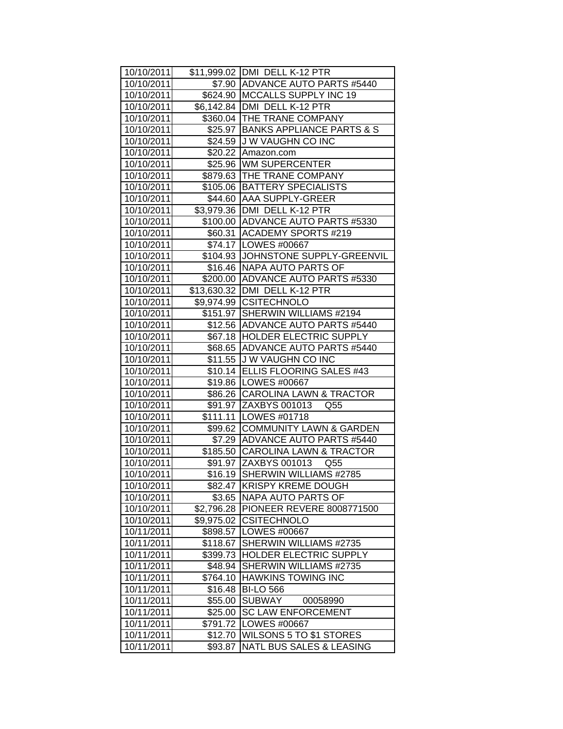| 10/10/2011 |            | \$11,999.02 DMI DELL K-12 PTR            |
|------------|------------|------------------------------------------|
| 10/10/2011 |            | \$7.90 ADVANCE AUTO PARTS #5440          |
| 10/10/2011 |            | \$624.90 MCCALLS SUPPLY INC 19           |
| 10/10/2011 |            | \$6,142.84 DMI DELL K-12 PTR             |
| 10/10/2011 |            | \$360.04 THE TRANE COMPANY               |
| 10/10/2011 |            | \$25.97 BANKS APPLIANCE PARTS & S        |
| 10/10/2011 |            | \$24.59 J W VAUGHN CO INC                |
| 10/10/2011 |            | \$20.22 Amazon.com                       |
| 10/10/2011 |            | \$25.96 WM SUPERCENTER                   |
| 10/10/2011 |            | \$879.63   THE TRANE COMPANY             |
| 10/10/2011 |            | \$105.06   BATTERY SPECIALISTS           |
| 10/10/2011 |            | \$44.60 AAA SUPPLY-GREER                 |
| 10/10/2011 |            | \$3,979.36   DMI DELL K-12 PTR           |
| 10/10/2011 |            | \$100.00 ADVANCE AUTO PARTS #5330        |
| 10/10/2011 |            | \$60.31 ACADEMY SPORTS #219              |
| 10/10/2011 |            | \$74.17   LOWES #00667                   |
| 10/10/2011 |            | \$104.93 JJOHNSTONE SUPPLY-GREENVIL      |
| 10/10/2011 |            | \$16.46 NAPA AUTO PARTS OF               |
| 10/10/2011 |            | \$200.00 ADVANCE AUTO PARTS #5330        |
| 10/10/2011 |            | \$13,630.32 DMI DELL K-12 PTR            |
| 10/10/2011 |            | \$9,974.99 CSITECHNOLO                   |
| 10/10/2011 |            | \$151.97 SHERWIN WILLIAMS #2194          |
| 10/10/2011 |            | \$12.56 ADVANCE AUTO PARTS #5440         |
| 10/10/2011 |            | \$67.18   HOLDER ELECTRIC SUPPLY         |
| 10/10/2011 |            | \$68.65   ADVANCE AUTO PARTS #5440       |
| 10/10/2011 | \$11.55    | J W VAUGHN CO INC                        |
| 10/10/2011 |            | \$10.14 ELLIS FLOORING SALES #43         |
| 10/10/2011 |            | \$19.86   LOWES #00667                   |
| 10/10/2011 |            | \$86.26 CAROLINA LAWN & TRACTOR          |
| 10/10/2011 |            | \$91.97 ZAXBYS 001013<br>Q <sub>55</sub> |
| 10/10/2011 |            | \$111.11   LOWES #01718                  |
| 10/10/2011 |            | \$99.62 COMMUNITY LAWN & GARDEN          |
| 10/10/2011 |            | \$7.29 ADVANCE AUTO PARTS #5440          |
| 10/10/2011 |            | \$185.50 CAROLINA LAWN & TRACTOR         |
| 10/10/2011 |            | \$91.97 ZAXBYS 001013 Q55                |
| 10/10/2011 |            | \$16.19 SHERWIN WILLIAMS #2785           |
| 10/10/2011 | \$82.47    | <b>KRISPY KREME DOUGH</b>                |
| 10/10/2011 | \$3.65     | <b>NAPA AUTO PARTS OF</b>                |
| 10/10/2011 | \$2,796.28 | PIONEER REVERE 8008771500                |
| 10/10/2011 | \$9,975.02 | <b>CSITECHNOLO</b>                       |
| 10/11/2011 | \$898.57   | LOWES #00667                             |
| 10/11/2011 | \$118.67   | SHERWIN WILLIAMS #2735                   |
| 10/11/2011 | \$399.73   | HOLDER ELECTRIC SUPPLY                   |
| 10/11/2011 | \$48.94    | <b>SHERWIN WILLIAMS #2735</b>            |
| 10/11/2011 | \$764.10   | <b>HAWKINS TOWING INC</b>                |
| 10/11/2011 | \$16.48    | <b>BI-LO 566</b>                         |
| 10/11/2011 | \$55.00    | <b>SUBWAY</b><br>00058990                |
| 10/11/2011 | \$25.00    | <b>SC LAW ENFORCEMENT</b>                |
| 10/11/2011 | \$791.72   | LOWES #00667                             |
| 10/11/2011 | \$12.70    | WILSONS 5 TO \$1 STORES                  |
| 10/11/2011 | \$93.87    | NATL BUS SALES & LEASING                 |
|            |            |                                          |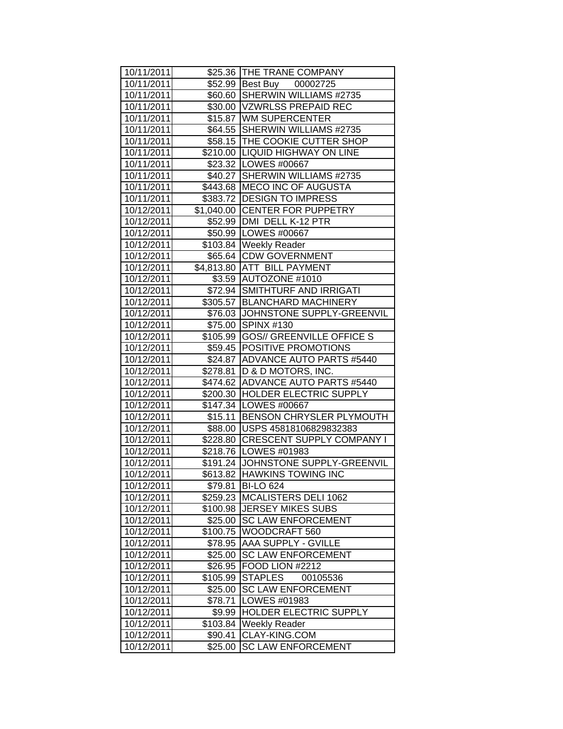| 10/11/2011 |          | \$25.36 THE TRANE COMPANY            |
|------------|----------|--------------------------------------|
| 10/11/2011 |          | \$52.99 Best Buy 00002725            |
| 10/11/2011 |          | \$60.60 SHERWIN WILLIAMS #2735       |
| 10/11/2011 |          | \$30.00 VZWRLSS PREPAID REC          |
| 10/11/2011 |          | \$15.87 WM SUPERCENTER               |
| 10/11/2011 |          | \$64.55 SHERWIN WILLIAMS #2735       |
| 10/11/2011 |          | \$58.15 THE COOKIE CUTTER SHOP       |
| 10/11/2011 |          | \$210.00 LIQUID HIGHWAY ON LINE      |
| 10/11/2011 |          | \$23.32 LOWES #00667                 |
| 10/11/2011 |          | \$40.27 SHERWIN WILLIAMS #2735       |
| 10/11/2011 |          | \$443.68 MECO INC OF AUGUSTA         |
| 10/11/2011 |          | \$383.72 DESIGN TO IMPRESS           |
| 10/12/2011 |          | \$1,040.00 CENTER FOR PUPPETRY       |
| 10/12/2011 |          | \$52.99 DMI DELL K-12 PTR            |
| 10/12/2011 |          | \$50.99   LOWES #00667               |
| 10/12/2011 |          | \$103.84   Weekly Reader             |
| 10/12/2011 |          | \$65.64 CDW GOVERNMENT               |
| 10/12/2011 |          | \$4,813.80 ATT BILL PAYMENT          |
| 10/12/2011 |          | \$3.59 AUTOZONE #1010                |
| 10/12/2011 |          | \$72.94 SMITHTURF AND IRRIGATI       |
| 10/12/2011 |          | \$305.57 BLANCHARD MACHINERY         |
| 10/12/2011 |          | \$76.03 JOHNSTONE SUPPLY-GREENVIL    |
| 10/12/2011 |          | \$75.00 SPINX #130                   |
| 10/12/2011 |          | \$105.99   GOS// GREENVILLE OFFICE S |
| 10/12/2011 |          | \$59.45 POSITIVE PROMOTIONS          |
| 10/12/2011 |          | \$24.87 ADVANCE AUTO PARTS #5440     |
| 10/12/2011 |          | \$278.81   D & D MOTORS, INC.        |
| 10/12/2011 |          | \$474.62 ADVANCE AUTO PARTS #5440    |
| 10/12/2011 |          | \$200.30 HOLDER ELECTRIC SUPPLY      |
| 10/12/2011 |          | \$147.34   LOWES #00667              |
| 10/12/2011 |          | \$15.11 BENSON CHRYSLER PLYMOUTH     |
| 10/12/2011 |          | \$88.00 USPS 45818106829832383       |
| 10/12/2011 |          | \$228.80 CRESCENT SUPPLY COMPANY I   |
| 10/12/2011 |          | \$218.76   LOWES #01983              |
| 10/12/2011 |          | \$191.24 JOHNSTONE SUPPLY-GREENVIL   |
| 10/12/2011 |          | \$613.82 HAWKINS TOWING INC          |
| 10/12/2011 | \$79.81  | <b>BI-LO 624</b>                     |
| 10/12/2011 | \$259.23 | MCALISTERS DELI 1062                 |
| 10/12/2011 | \$100.98 | <b>JERSEY MIKES SUBS</b>             |
| 10/12/2011 |          | \$25.00 SC LAW ENFORCEMENT           |
| 10/12/2011 | \$100.75 | WOODCRAFT 560                        |
| 10/12/2011 | \$78.95  | AAA SUPPLY - GVILLE                  |
| 10/12/2011 | \$25.00  | <b>SC LAW ENFORCEMENT</b>            |
| 10/12/2011 | \$26.95  | FOOD LION #2212                      |
| 10/12/2011 | \$105.99 | <b>STAPLES</b><br>00105536           |
| 10/12/2011 | \$25.00  | <b>SC LAW ENFORCEMENT</b>            |
| 10/12/2011 | \$78.71  | LOWES #01983                         |
| 10/12/2011 | \$9.99   | HOLDER ELECTRIC SUPPLY               |
| 10/12/2011 | \$103.84 | <b>Weekly Reader</b>                 |
| 10/12/2011 | \$90.41  | CLAY-KING.COM                        |
| 10/12/2011 | \$25.00  | <b>SC LAW ENFORCEMENT</b>            |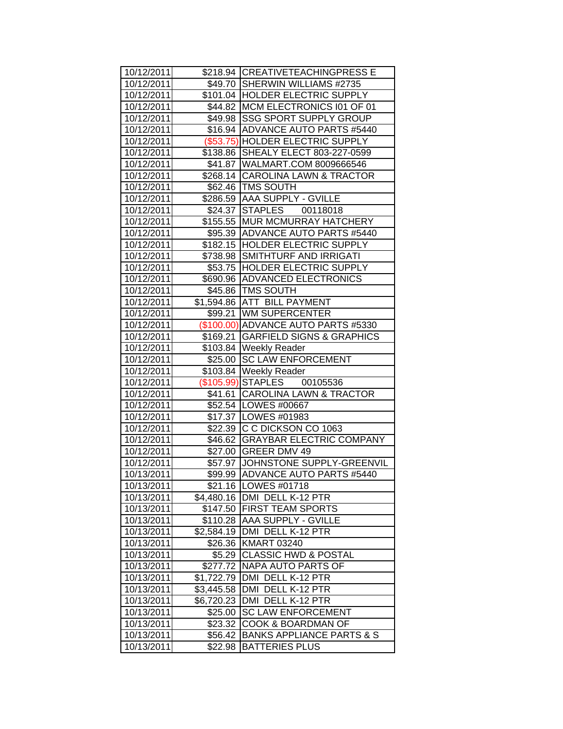| 10/12/2011 |            | \$218.94 CREATIVETEACHINGPRESS E     |
|------------|------------|--------------------------------------|
| 10/12/2011 |            | \$49.70 SHERWIN WILLIAMS #2735       |
| 10/12/2011 |            | \$101.04 HOLDER ELECTRIC SUPPLY      |
| 10/12/2011 |            | \$44.82 MCM ELECTRONICS 101 OF 01    |
| 10/12/2011 |            | \$49.98 SSG SPORT SUPPLY GROUP       |
| 10/12/2011 |            | \$16.94 ADVANCE AUTO PARTS #5440     |
| 10/12/2011 |            | (\$53.75) HOLDER ELECTRIC SUPPLY     |
| 10/12/2011 |            | \$138.86 SHEALY ELECT 803-227-0599   |
| 10/12/2011 |            | \$41.87   WALMART.COM 8009666546     |
| 10/12/2011 |            | \$268.14 CAROLINA LAWN & TRACTOR     |
| 10/12/2011 |            | \$62.46   TMS SOUTH                  |
| 10/12/2011 |            | \$286.59 AAA SUPPLY - GVILLE         |
| 10/12/2011 |            | \$24.37 STAPLES 00118018             |
| 10/12/2011 |            | \$155.55   MUR MCMURRAY HATCHERY     |
| 10/12/2011 |            | \$95.39 ADVANCE AUTO PARTS #5440     |
| 10/12/2011 |            | \$182.15 HOLDER ELECTRIC SUPPLY      |
| 10/12/2011 |            | \$738.98 SMITHTURF AND IRRIGATI      |
| 10/12/2011 |            | \$53.75 HOLDER ELECTRIC SUPPLY       |
| 10/12/2011 |            | \$690.96 ADVANCED ELECTRONICS        |
| 10/12/2011 |            | \$45.86 TMS SOUTH                    |
| 10/12/2011 |            | \$1,594.86 ATT BILL PAYMENT          |
| 10/12/2011 |            | \$99.21 WM SUPERCENTER               |
| 10/12/2011 |            | (\$100.00) ADVANCE AUTO PARTS #5330  |
| 10/12/2011 |            | \$169.21 GARFIELD SIGNS & GRAPHICS   |
| 10/12/2011 |            | \$103.84   Weekly Reader             |
| 10/12/2011 |            | \$25.00 SC LAW ENFORCEMENT           |
| 10/12/2011 |            | \$103.84   Weekly Reader             |
| 10/12/2011 |            | (\$105.99) STAPLES 00105536          |
| 10/12/2011 |            | \$41.61 CAROLINA LAWN & TRACTOR      |
| 10/12/2011 |            | \$52.54 LOWES #00667                 |
| 10/12/2011 |            | \$17.37   LOWES #01983               |
| 10/12/2011 |            | \$22.39 C C DICKSON CO 1063          |
| 10/12/2011 |            | \$46.62 GRAYBAR ELECTRIC COMPANY     |
| 10/12/2011 |            | \$27.00 GREER DMV 49                 |
| 10/12/2011 |            | \$57.97 JOHNSTONE SUPPLY-GREENVIL    |
| 10/13/2011 |            | \$99.99 ADVANCE AUTO PARTS #5440     |
| 10/13/2011 |            | \$21.16   LOWES #01718               |
| 10/13/2011 |            | \$4,480.16 DMI DELL K-12 PTR         |
| 10/13/2011 |            | \$147.50 FIRST TEAM SPORTS           |
| 10/13/2011 |            | \$110.28 AAA SUPPLY - GVILLE         |
| 10/13/2011 | \$2,584.19 | DMI DELL K-12 PTR                    |
| 10/13/2011 |            | \$26.36 KMART 03240                  |
| 10/13/2011 | \$5.29     | <b>CLASSIC HWD &amp; POSTAL</b>      |
| 10/13/2011 | \$277.72   | NAPA AUTO PARTS OF                   |
| 10/13/2011 | \$1,722.79 | DMI DELL K-12 PTR                    |
| 10/13/2011 | \$3,445.58 | DMI DELL K-12 PTR                    |
| 10/13/2011 | \$6,720.23 | DMI DELL K-12 PTR                    |
| 10/13/2011 | \$25.00    | <b>SC LAW ENFORCEMENT</b>            |
| 10/13/2011 | \$23.32    | COOK & BOARDMAN OF                   |
| 10/13/2011 | \$56.42    | <b>BANKS APPLIANCE PARTS &amp; S</b> |
| 10/13/2011 | \$22.98    | <b>BATTERIES PLUS</b>                |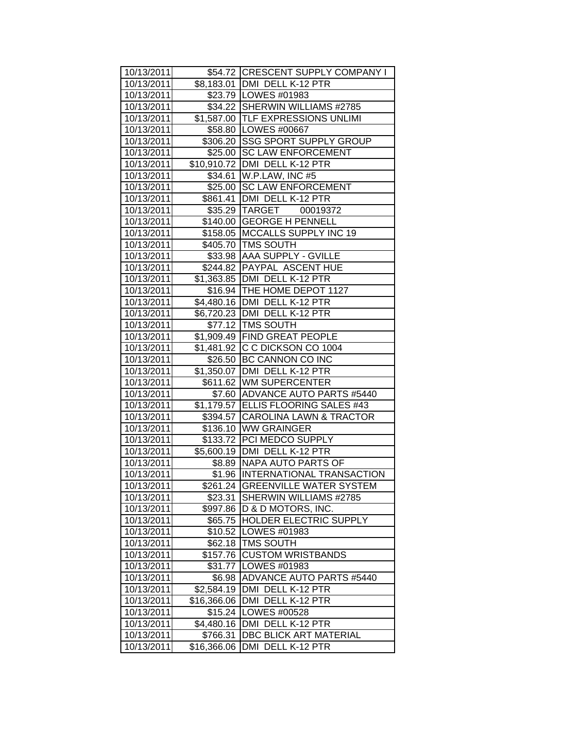| 10/13/2011               |                     | \$54.72 CRESCENT SUPPLY COMPANY I                        |
|--------------------------|---------------------|----------------------------------------------------------|
| 10/13/2011               |                     | \$8,183.01 DMI DELL K-12 PTR                             |
| 10/13/2011               |                     | \$23.79   LOWES #01983                                   |
| 10/13/2011               |                     | \$34.22 SHERWIN WILLIAMS #2785                           |
| 10/13/2011               |                     | \$1,587.00 TLF EXPRESSIONS UNLIMI                        |
| 10/13/2011               |                     | \$58.80   LOWES #00667                                   |
| 10/13/2011               |                     | \$306.20 SSG SPORT SUPPLY GROUP                          |
| 10/13/2011               |                     | \$25.00 SC LAW ENFORCEMENT                               |
| 10/13/2011               |                     | \$10,910.72 DMI DELL K-12 PTR                            |
| 10/13/2011               |                     | \$34.61 W.P.LAW, INC #5                                  |
| 10/13/2011               |                     | \$25.00 SC LAW ENFORCEMENT                               |
| 10/13/2011               |                     | \$861.41   DMI DELL K-12 PTR                             |
| 10/13/2011               |                     | \$35.29 TARGET<br>00019372                               |
| 10/13/2011               |                     | \$140.00 GEORGE H PENNELL                                |
| 10/13/2011               |                     | \$158.05 MCCALLS SUPPLY INC 19                           |
| 10/13/2011               |                     | \$405.70 TMS SOUTH                                       |
| 10/13/2011               |                     | \$33.98 AAA SUPPLY - GVILLE                              |
| 10/13/2011               |                     | \$244.82 PAYPAL ASCENT HUE                               |
| 10/13/2011               |                     | \$1,363.85 DMI DELL K-12 PTR                             |
| 10/13/2011               |                     | \$16.94 THE HOME DEPOT 1127                              |
| 10/13/2011               |                     | \$4,480.16 DMI DELL K-12 PTR                             |
| 10/13/2011               |                     | \$6,720.23 DMI DELL K-12 PTR                             |
| 10/13/2011               |                     | \$77.12   TMS SOUTH                                      |
| 10/13/2011               |                     | \$1,909.49 FIND GREAT PEOPLE                             |
| 10/13/2011               |                     | \$1,481.92 C C DICKSON CO 1004                           |
| 10/13/2011               |                     | \$26.50 BC CANNON CO INC                                 |
| 10/13/2011               |                     | \$1,350.07   DMI DELL K-12 PTR                           |
| 10/13/2011               |                     | \$611.62 WM SUPERCENTER                                  |
| 10/13/2011               |                     | \$7.60 ADVANCE AUTO PARTS #5440                          |
| 10/13/2011               |                     | \$1,179.57 ELLIS FLOORING SALES #43                      |
| 10/13/2011               |                     | \$394.57 CAROLINA LAWN & TRACTOR                         |
| 10/13/2011               |                     | \$136.10 WW GRAINGER                                     |
| 10/13/2011               |                     | \$133.72 PCI MEDCO SUPPLY                                |
| 10/13/2011               |                     | \$5,600.19 DMI DELL K-12 PTR                             |
| 10/13/2011               |                     | \$8.89 NAPA AUTO PARTS OF                                |
| 10/13/2011               |                     | \$1.96 INTERNATIONAL TRANSACTION                         |
| 10/13/2011               | \$261.24            | <b>GREENVILLE WATER SYSTEM</b><br>SHERWIN WILLIAMS #2785 |
| 10/13/2011               | \$23.31             | D & D MOTORS, INC.                                       |
| 10/13/2011<br>10/13/2011 | \$997.86<br>\$65.75 | <b>HOLDER ELECTRIC SUPPLY</b>                            |
| 10/13/2011               | \$10.52             | LOWES #01983                                             |
| 10/13/2011               | \$62.18             | <b>TMS SOUTH</b>                                         |
| 10/13/2011               | \$157.76            | <b>CUSTOM WRISTBANDS</b>                                 |
| 10/13/2011               | \$31.77             | LOWES #01983                                             |
| 10/13/2011               | \$6.98              | ADVANCE AUTO PARTS #5440                                 |
| 10/13/2011               | \$2,584.19          | DMI DELL K-12 PTR                                        |
| 10/13/2011               | \$16,366.06         | DMI DELL K-12 PTR                                        |
| 10/13/2011               | \$15.24             | LOWES #00528                                             |
| 10/13/2011               | \$4,480.16          | <b>DMI</b><br>DELL K-12 PTR                              |
| 10/13/2011               | \$766.31            | DBC BLICK ART MATERIAL                                   |
| 10/13/2011               | \$16,366.06         | DMI DELL K-12 PTR                                        |
|                          |                     |                                                          |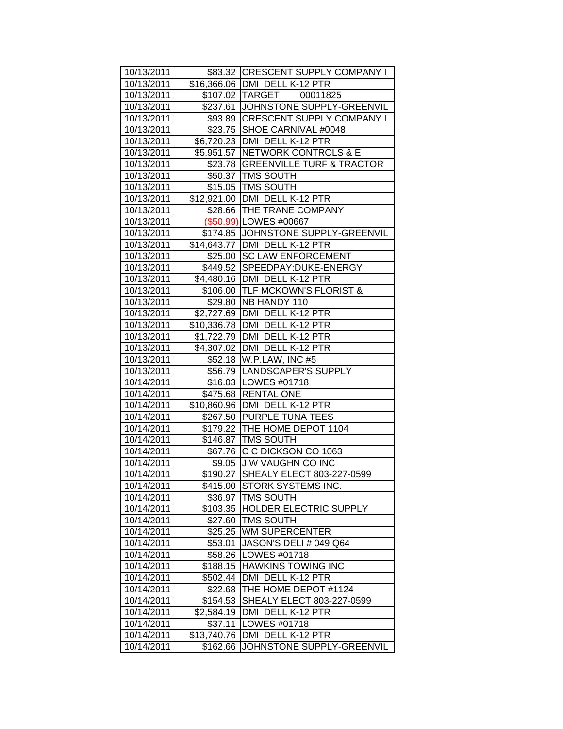| 10/13/2011 |             | \$83.32 CRESCENT SUPPLY COMPANY I   |
|------------|-------------|-------------------------------------|
| 10/13/2011 |             | \$16,366.06   DMI DELL K-12 PTR     |
| 10/13/2011 |             | \$107.02 TARGET 00011825            |
| 10/13/2011 |             | \$237.61 JOHNSTONE SUPPLY-GREENVIL  |
| 10/13/2011 |             | \$93.89 CRESCENT SUPPLY COMPANY I   |
| 10/13/2011 |             | \$23.75 SHOE CARNIVAL #0048         |
| 10/13/2011 |             | \$6,720.23   DMI DELL K-12 PTR      |
| 10/13/2011 |             | \$5,951.57 NETWORK CONTROLS & E     |
| 10/13/2011 |             | \$23.78 GREENVILLE TURF & TRACTOR   |
| 10/13/2011 |             | \$50.37   TMS SOUTH                 |
| 10/13/2011 |             | \$15.05   TMS SOUTH                 |
| 10/13/2011 |             | \$12,921.00 DMI DELL K-12 PTR       |
| 10/13/2011 |             | \$28.66 THE TRANE COMPANY           |
| 10/13/2011 |             | (\$50.99) LOWES #00667              |
| 10/13/2011 |             | \$174.85 JJOHNSTONE SUPPLY-GREENVIL |
| 10/13/2011 |             | \$14,643.77   DMI DELL K-12 PTR     |
| 10/13/2011 |             | \$25.00 SC LAW ENFORCEMENT          |
| 10/13/2011 |             | \$449.52 SPEEDPAY:DUKE-ENERGY       |
| 10/13/2011 |             | \$4,480.16 DMI DELL K-12 PTR        |
| 10/13/2011 |             | \$106.00 TLF MCKOWN'S FLORIST &     |
| 10/13/2011 |             | \$29.80 NB HANDY 110                |
| 10/13/2011 |             | \$2,727.69   DMI DELL K-12 PTR      |
| 10/13/2011 |             | \$10,336.78 DMI DELL K-12 PTR       |
| 10/13/2011 |             | \$1,722.79 DMI DELL K-12 PTR        |
| 10/13/2011 |             | \$4,307.02   DMI DELL K-12 PTR      |
| 10/13/2011 |             | \$52.18   W.P.LAW, INC #5           |
| 10/13/2011 |             | \$56.79   LANDSCAPER'S SUPPLY       |
| 10/14/2011 |             | \$16.03   LOWES #01718              |
| 10/14/2011 |             | \$475.68 RENTAL ONE                 |
| 10/14/2011 |             | \$10,860.96 DMI DELL K-12 PTR       |
| 10/14/2011 |             | \$267.50 PURPLE TUNA TEES           |
| 10/14/2011 |             | \$179.22 THE HOME DEPOT 1104        |
| 10/14/2011 |             | \$146.87 TMS SOUTH                  |
| 10/14/2011 |             | \$67.76 C C DICKSON CO 1063         |
| 10/14/2011 |             | \$9.05 J W VAUGHN CO INC            |
| 10/14/2011 | \$190.27    | SHEALY ELECT 803-227-0599           |
| 10/14/2011 | \$415.00    | STORK SYSTEMS INC.                  |
| 10/14/2011 | \$36.97     | <b>TMS SOUTH</b>                    |
| 10/14/2011 | \$103.35    | <b>HOLDER ELECTRIC SUPPLY</b>       |
| 10/14/2011 | \$27.60     | <b>TMS SOUTH</b>                    |
| 10/14/2011 | \$25.25     | <b>WM SUPERCENTER</b>               |
| 10/14/2011 | \$53.01     | <b>JASON'S DELI # 049 Q64</b>       |
| 10/14/2011 | \$58.26     | LOWES #01718                        |
| 10/14/2011 | \$188.15    | <b>HAWKINS TOWING INC</b>           |
| 10/14/2011 | \$502.44    | DMI DELL K-12 PTR                   |
| 10/14/2011 | \$22.68     | THE HOME DEPOT #1124                |
| 10/14/2011 | \$154.53    | SHEALY ELECT 803-227-0599           |
| 10/14/2011 | \$2,584.19  | DMI DELL K-12 PTR                   |
| 10/14/2011 | \$37.11     | LOWES #01718                        |
| 10/14/2011 | \$13,740.76 | DMI DELL K-12 PTR                   |
| 10/14/2011 | \$162.66    | JOHNSTONE SUPPLY-GREENVIL           |
|            |             |                                     |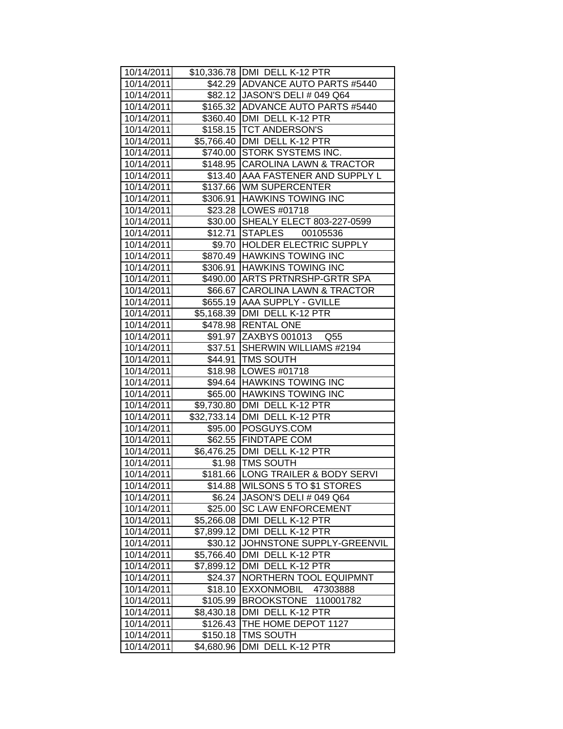| 10/14/2011 |            | \$10,336.78 DMI DELL K-12 PTR      |
|------------|------------|------------------------------------|
| 10/14/2011 |            | \$42.29 ADVANCE AUTO PARTS #5440   |
| 10/14/2011 |            | \$82.12 JASON'S DELI # 049 Q64     |
| 10/14/2011 |            | \$165.32 ADVANCE AUTO PARTS #5440  |
| 10/14/2011 |            | \$360.40 DMI DELL K-12 PTR         |
| 10/14/2011 |            | \$158.15 TCT ANDERSON'S            |
| 10/14/2011 |            | \$5,766.40   DMI DELL K-12 PTR     |
| 10/14/2011 |            | \$740.00 STORK SYSTEMS INC.        |
| 10/14/2011 |            | \$148.95 CAROLINA LAWN & TRACTOR   |
| 10/14/2011 |            | \$13.40 AAA FASTENER AND SUPPLY L  |
| 10/14/2011 |            | \$137.66 WM SUPERCENTER            |
| 10/14/2011 |            | \$306.91 HAWKINS TOWING INC        |
| 10/14/2011 |            | \$23.28   LOWES #01718             |
| 10/14/2011 |            | \$30.00 SHEALY ELECT 803-227-0599  |
| 10/14/2011 |            | \$12.71 STAPLES 00105536           |
| 10/14/2011 |            | \$9.70  HOLDER ELECTRIC SUPPLY     |
| 10/14/2011 |            | \$870.49 HAWKINS TOWING INC        |
| 10/14/2011 |            | \$306.91 HAWKINS TOWING INC        |
| 10/14/2011 |            | \$490.00 ARTS PRTNRSHP-GRTR SPA    |
| 10/14/2011 |            | \$66.67 CAROLINA LAWN & TRACTOR    |
| 10/14/2011 |            | \$655.19 AAA SUPPLY - GVILLE       |
| 10/14/2011 |            | \$5,168.39 DMI DELL K-12 PTR       |
| 10/14/2011 |            | \$478.98   RENTAL ONE              |
| 10/14/2011 |            | \$91.97 ZAXBYS 001013 Q55          |
| 10/14/2011 |            | \$37.51 SHERWIN WILLIAMS #2194     |
| 10/14/2011 |            | \$44.91   TMS SOUTH                |
| 10/14/2011 |            | \$18.98   LOWES #01718             |
| 10/14/2011 |            | \$94.64 HAWKINS TOWING INC         |
| 10/14/2011 |            | \$65.00 HAWKINS TOWING INC         |
| 10/14/2011 |            | \$9,730.80 DMI DELL K-12 PTR       |
| 10/14/2011 |            | \$32,733.14   DMI DELL K-12 PTR    |
| 10/14/2011 |            | \$95.00 POSGUYS.COM                |
| 10/14/2011 |            | \$62.55 FINDTAPE COM               |
| 10/14/2011 |            | \$6,476.25 DMI DELL K-12 PTR       |
| 10/14/2011 |            | \$1.98   TMS SOUTH                 |
| 10/14/2011 |            | \$181.66 LONG TRAILER & BODY SERVI |
| 10/14/2011 |            | \$14.88 WILSONS 5 TO \$1 STORES    |
| 10/14/2011 | \$6.24     | JASON'S DELI # 049 Q64             |
| 10/14/2011 | \$25.00    | <b>SC LAW ENFORCEMENT</b>          |
| 10/14/2011 | \$5,266.08 | DMI DELL K-12 PTR                  |
| 10/14/2011 | \$7,899.12 | DMI DELL K-12 PTR                  |
| 10/14/2011 | \$30.12    | JOHNSTONE SUPPLY-GREENVIL          |
| 10/14/2011 | \$5,766.40 | DMI DELL K-12 PTR                  |
| 10/14/2011 | \$7,899.12 | DMI DELL K-12 PTR                  |
| 10/14/2011 | \$24.37    | NORTHERN TOOL EQUIPMNT             |
| 10/14/2011 | \$18.10    | EXXONMOBIL<br>47303888             |
| 10/14/2011 | \$105.99   | BROOKSTONE 110001782               |
| 10/14/2011 | \$8,430.18 | DMI DELL K-12 PTR                  |
| 10/14/2011 | \$126.43   | THE HOME DEPOT 1127                |
| 10/14/2011 | \$150.18   | <b>TMS SOUTH</b>                   |
| 10/14/2011 | \$4,680.96 | DMI DELL K-12 PTR                  |
|            |            |                                    |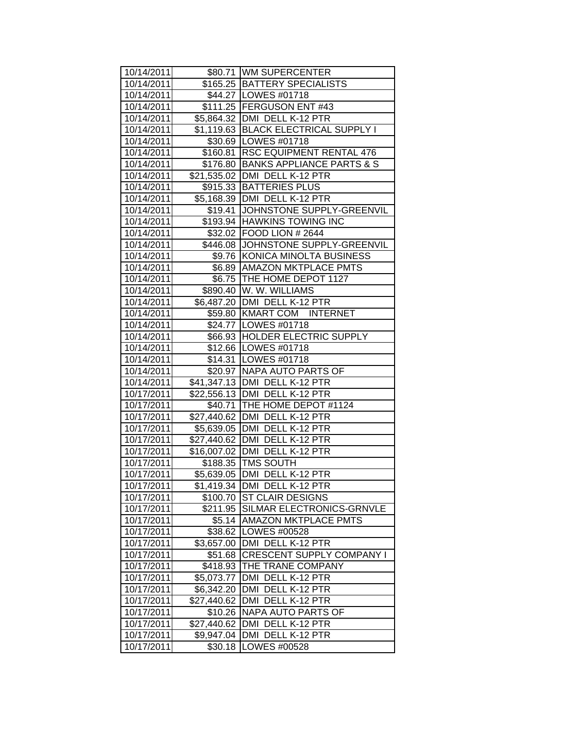| 10/14/2011               |                       | \$80.71 WM SUPERCENTER                     |
|--------------------------|-----------------------|--------------------------------------------|
| 10/14/2011               |                       | \$165.25 BATTERY SPECIALISTS               |
| 10/14/2011               |                       | \$44.27   LOWES #01718                     |
| 10/14/2011               |                       | \$111.25 FERGUSON ENT #43                  |
| 10/14/2011               |                       | \$5,864.32   DMI DELL K-12 PTR             |
| 10/14/2011               |                       | \$1,119.63 BLACK ELECTRICAL SUPPLY I       |
| 10/14/2011               |                       | \$30.69   LOWES #01718                     |
| 10/14/2011               |                       | \$160.81 RSC EQUIPMENT RENTAL 476          |
| 10/14/2011               |                       | \$176.80 BANKS APPLIANCE PARTS & S         |
| 10/14/2011               |                       | \$21,535.02 DMI DELL K-12 PTR              |
| 10/14/2011               |                       | \$915.33 BATTERIES PLUS                    |
| 10/14/2011               |                       | \$5,168.39   DMI DELL K-12 PTR             |
| 10/14/2011               |                       | \$19.41 JOHNSTONE SUPPLY-GREENVIL          |
| 10/14/2011               |                       | \$193.94 HAWKINS TOWING INC                |
| 10/14/2011               |                       | \$32.02 FOOD LION # 2644                   |
| 10/14/2011               |                       | \$446.08 JOHNSTONE SUPPLY-GREENVIL         |
| 10/14/2011               |                       | \$9.76 KONICA MINOLTA BUSINESS             |
| 10/14/2011               |                       | \$6.89 AMAZON MKTPLACE PMTS                |
| 10/14/2011               |                       | \$6.75   THE HOME DEPOT 1127               |
| 10/14/2011               |                       | \$890.40 W. W. WILLIAMS                    |
| 10/14/2011               |                       | \$6,487.20 DMI DELL K-12 PTR               |
| 10/14/2011               |                       | \$59.80 KMART COM INTERNET                 |
| 10/14/2011               |                       | \$24.77   LOWES #01718                     |
| 10/14/2011               |                       | \$66.93 HOLDER ELECTRIC SUPPLY             |
| 10/14/2011               |                       | \$12.66   LOWES #01718                     |
| 10/14/2011               |                       | \$14.31   LOWES #01718                     |
| 10/14/2011               |                       | \$20.97   NAPA AUTO PARTS OF               |
| 10/14/2011               |                       | \$41,347.13   DMI DELL K-12 PTR            |
| 10/17/2011               |                       | \$22,556.13 DMI DELL K-12 PTR              |
| 10/17/2011               |                       | \$40.71   THE HOME DEPOT #1124             |
| 10/17/2011               |                       | \$27,440.62 DMI DELL K-12 PTR              |
| 10/17/2011               |                       | \$5,639.05 DMI DELL K-12 PTR               |
| 10/17/2011               |                       | \$27,440.62 DMI DELL K-12 PTR              |
| 10/17/2011               |                       | \$16,007.02 DMI DELL K-12 PTR              |
| 10/17/2011               |                       | \$188.35 TMS SOUTH                         |
| 10/17/2011               |                       | \$5,639.05   DMI DELL K-12 PTR             |
| 10/17/2011               |                       | \$1,419.34 DMI DELL K-12 PTR               |
| 10/17/2011               | \$100.70              | <b>ST CLAIR DESIGNS</b>                    |
| 10/17/2011               |                       | \$211.95 SILMAR ELECTRONICS-GRNVLE         |
| 10/17/2011               |                       | \$5.14   AMAZON MKTPLACE PMTS              |
| 10/17/2011               | \$38.62               | LOWES #00528                               |
| 10/17/2011               | \$3,657.00            | DMI DELL K-12 PTR                          |
| 10/17/2011               | \$51.68               | <b>CRESCENT SUPPLY COMPANY I</b>           |
| 10/17/2011               | \$418.93              | THE TRANE COMPANY                          |
| 10/17/2011               | \$5,073.77            | DMI DELL K-12 PTR                          |
| 10/17/2011               | \$6,342.20            | DMI DELL K-12 PTR                          |
| 10/17/2011               | \$27,440.62           | DMI DELL K-12 PTR                          |
| 10/17/2011               | \$10.26               | <b>NAPA AUTO PARTS OF</b><br>DELL K-12 PTR |
| 10/17/2011               | \$27,440.62           | DMI<br><b>DMI</b><br>DELL K-12 PTR         |
| 10/17/2011<br>10/17/2011 | \$9,947.04<br>\$30.18 | LOWES #00528                               |
|                          |                       |                                            |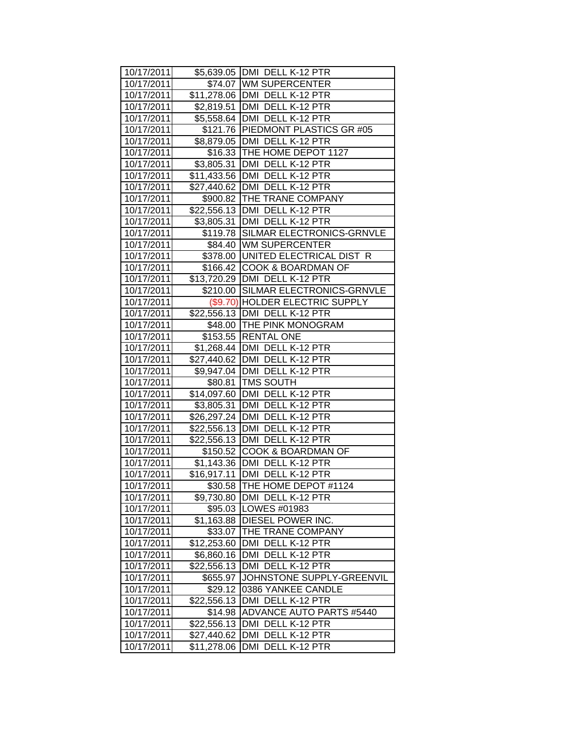| 10/17/2011 |                         | \$5,639.05   DMI DELL K-12 PTR     |
|------------|-------------------------|------------------------------------|
| 10/17/2011 |                         | \$74.07 WM SUPERCENTER             |
| 10/17/2011 |                         | \$11,278.06 DMI DELL K-12 PTR      |
| 10/17/2011 |                         | \$2,819.51 DMI DELL K-12 PTR       |
| 10/17/2011 |                         | \$5,558.64 DMI DELL K-12 PTR       |
| 10/17/2011 |                         | \$121.76 PIEDMONT PLASTICS GR #05  |
| 10/17/2011 |                         | \$8,879.05 DMI DELL K-12 PTR       |
| 10/17/2011 |                         | \$16.33 THE HOME DEPOT 1127        |
| 10/17/2011 |                         | \$3,805.31   DMI DELL K-12 PTR     |
| 10/17/2011 |                         | \$11,433.56 DMI DELL K-12 PTR      |
| 10/17/2011 |                         | \$27,440.62 DMI DELL K-12 PTR      |
| 10/17/2011 |                         | \$900.82   THE TRANE COMPANY       |
| 10/17/2011 |                         | \$22,556.13 DMI DELL K-12 PTR      |
| 10/17/2011 |                         | \$3,805.31   DMI DELL K-12 PTR     |
| 10/17/2011 |                         | \$119.78 SILMAR ELECTRONICS-GRNVLE |
| 10/17/2011 |                         | \$84.40 WM SUPERCENTER             |
| 10/17/2011 |                         | \$378.00 UNITED ELECTRICAL DIST R  |
| 10/17/2011 |                         | \$166.42 COOK & BOARDMAN OF        |
| 10/17/2011 |                         | \$13,720.29   DMI DELL K-12 PTR    |
| 10/17/2011 |                         | \$210.00 SILMAR ELECTRONICS-GRNVLE |
| 10/17/2011 |                         | (\$9.70) HOLDER ELECTRIC SUPPLY    |
| 10/17/2011 |                         | \$22,556.13 DMI DELL K-12 PTR      |
| 10/17/2011 |                         | \$48.00   THE PINK MONOGRAM        |
| 10/17/2011 |                         | \$153.55 RENTAL ONE                |
| 10/17/2011 |                         | \$1,268.44   DMI DELL K-12 PTR     |
| 10/17/2011 |                         | \$27,440.62   DMI DELL K-12 PTR    |
| 10/17/2011 |                         | \$9,947.04 DMI DELL K-12 PTR       |
| 10/17/2011 |                         | \$80.81   TMS SOUTH                |
| 10/17/2011 |                         | \$14,097.60 DMI DELL K-12 PTR      |
| 10/17/2011 | \$3,805.31              | DMI DELL K-12 PTR                  |
| 10/17/2011 |                         | \$26,297.24   DMI DELL K-12 PTR    |
| 10/17/2011 |                         | \$22,556.13 DMI DELL K-12 PTR      |
| 10/17/2011 |                         | \$22,556.13   DMI DELL K-12 PTR    |
| 10/17/2011 |                         | \$150.52 COOK & BOARDMAN OF        |
| 10/17/2011 |                         | \$1,143.36 DMI DELL K-12 PTR       |
| 10/17/2011 |                         | \$16,917.11 DMI DELL K-12 PTR      |
| 10/17/2011 | \$30.58                 | THE HOME DEPOT #1124               |
| 10/17/2011 | \$9,730.80              | DMI DELL K-12 PTR                  |
| 10/17/2011 | \$95.03                 | LOWES #01983                       |
| 10/17/2011 | \$1,163.88              | <b>DIESEL POWER INC.</b>           |
| 10/17/2011 | \$33.07                 | THE TRANE COMPANY                  |
| 10/17/2011 | \$12,253.60             | DMI DELL K-12 PTR                  |
| 10/17/2011 | \$6,860.16              | DMI DELL K-12 PTR                  |
| 10/17/2011 | $\overline{$}22,556.13$ | DMI DELL K-12 PTR                  |
| 10/17/2011 | \$655.97                | JOHNSTONE SUPPLY-GREENVIL          |
| 10/17/2011 | \$29.12                 | 0386 YANKEE CANDLE                 |
| 10/17/2011 | \$22,556.13             | DMI DELL K-12 PTR                  |
| 10/17/2011 | \$14.98                 | <b>ADVANCE AUTO PARTS #5440</b>    |
| 10/17/2011 | \$22,556.13             | <b>DMI</b><br>DELL K-12 PTR        |
| 10/17/2011 | \$27,440.62             | DMI<br>DELL K-12 PTR               |
| 10/17/2011 | \$11,278.06             | DMI DELL K-12 PTR                  |
|            |                         |                                    |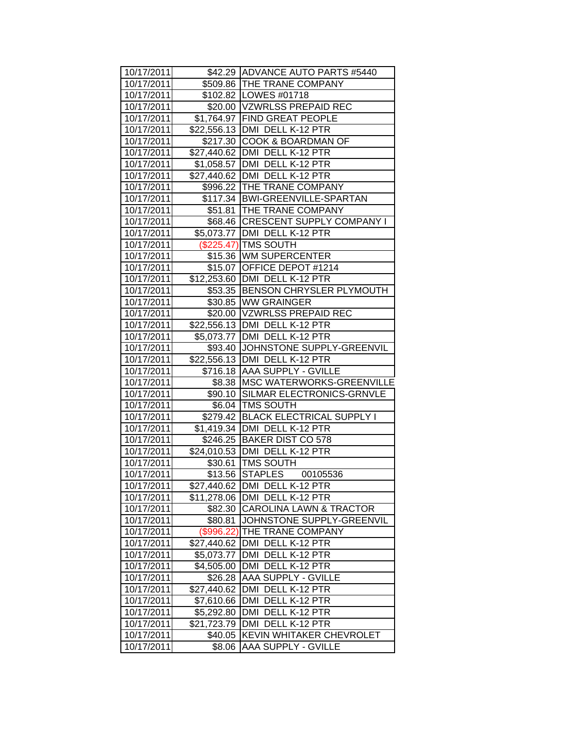| 10/17/2011 |             | \$42.29 ADVANCE AUTO PARTS #5440   |
|------------|-------------|------------------------------------|
| 10/17/2011 |             | \$509.86 THE TRANE COMPANY         |
| 10/17/2011 |             | \$102.82   LOWES #01718            |
| 10/17/2011 |             | \$20.00 VZWRLSS PREPAID REC        |
| 10/17/2011 |             | \$1,764.97 FIND GREAT PEOPLE       |
| 10/17/2011 |             | \$22,556.13 DMI DELL K-12 PTR      |
| 10/17/2011 |             | \$217.30 COOK & BOARDMAN OF        |
| 10/17/2011 |             | \$27,440.62   DMI DELL K-12 PTR    |
| 10/17/2011 |             | \$1,058.57   DMI DELL K-12 PTR     |
| 10/17/2011 |             | \$27,440.62 DMI DELL K-12 PTR      |
| 10/17/2011 |             | \$996.22   THE TRANE COMPANY       |
| 10/17/2011 |             | \$117.34   BWI-GREENVILLE-SPARTAN  |
| 10/17/2011 |             | \$51.81   THE TRANE COMPANY        |
| 10/17/2011 |             | \$68.46 CRESCENT SUPPLY COMPANY I  |
| 10/17/2011 |             | \$5,073.77 DMI DELL K-12 PTR       |
| 10/17/2011 |             | (\$225.47) TMS SOUTH               |
| 10/17/2011 |             | \$15.36 WM SUPERCENTER             |
| 10/17/2011 |             | \$15.07 OFFICE DEPOT #1214         |
| 10/17/2011 |             | \$12,253.60 DMI DELL K-12 PTR      |
| 10/17/2011 |             | \$53.35 BENSON CHRYSLER PLYMOUTH   |
| 10/17/2011 |             | \$30.85 WW GRAINGER                |
| 10/17/2011 |             | \$20.00 VZWRLSS PREPAID REC        |
| 10/17/2011 |             | \$22,556.13 DMI DELL K-12 PTR      |
| 10/17/2011 |             | \$5,073.77   DMI DELL K-12 PTR     |
| 10/17/2011 |             | \$93.40 JJOHNSTONE SUPPLY-GREENVIL |
| 10/17/2011 |             | \$22,556.13 DMI DELL K-12 PTR      |
| 10/17/2011 |             | \$716.18 AAA SUPPLY - GVILLE       |
| 10/17/2011 |             | \$8.38   MSC WATERWORKS-GREENVILLE |
| 10/17/2011 |             | \$90.10 SILMAR ELECTRONICS-GRNVLE  |
| 10/17/2011 |             | \$6.04   TMS SOUTH                 |
| 10/17/2011 |             | \$279.42 BLACK ELECTRICAL SUPPLY I |
| 10/17/2011 |             | \$1,419.34 DMI DELL K-12 PTR       |
| 10/17/2011 |             | \$246.25 BAKER DIST CO 578         |
| 10/17/2011 |             | \$24,010.53   DMI DELL K-12 PTR    |
| 10/17/2011 |             | \$30.61 TMS SOUTH                  |
| 10/17/2011 |             | \$13.56 STAPLES<br>00105536        |
| 10/17/2011 | \$27,440.62 | DMI DELL K-12 PTR                  |
| 10/17/2011 | \$11,278.06 | DMI<br>DELL K-12 PTR               |
| 10/17/2011 |             | \$82.30 CAROLINA LAWN & TRACTOR    |
| 10/17/2011 | \$80.81     | JOHNSTONE SUPPLY-GREENVIL          |
| 10/17/2011 | (\$996.22)  | THE TRANE COMPANY                  |
| 10/17/2011 | \$27,440.62 | DMI DELL K-12 PTR                  |
| 10/17/2011 | \$5,073.77  | DMI DELL K-12 PTR                  |
| 10/17/2011 | \$4,505.00  | DMI DELL K-12 PTR                  |
| 10/17/2011 | \$26.28     | AAA SUPPLY - GVILLE                |
| 10/17/2011 | \$27,440.62 | DMI DELL K-12 PTR                  |
| 10/17/2011 | \$7,610.66  | DMI DELL K-12 PTR                  |
| 10/17/2011 | \$5,292.80  | DMI DELL K-12 PTR                  |
| 10/17/2011 | \$21,723.79 | <b>DMI</b><br>DELL K-12 PTR        |
| 10/17/2011 | \$40.05     | KEVIN WHITAKER CHEVROLET           |
| 10/17/2011 | \$8.06      | AAA SUPPLY - GVILLE                |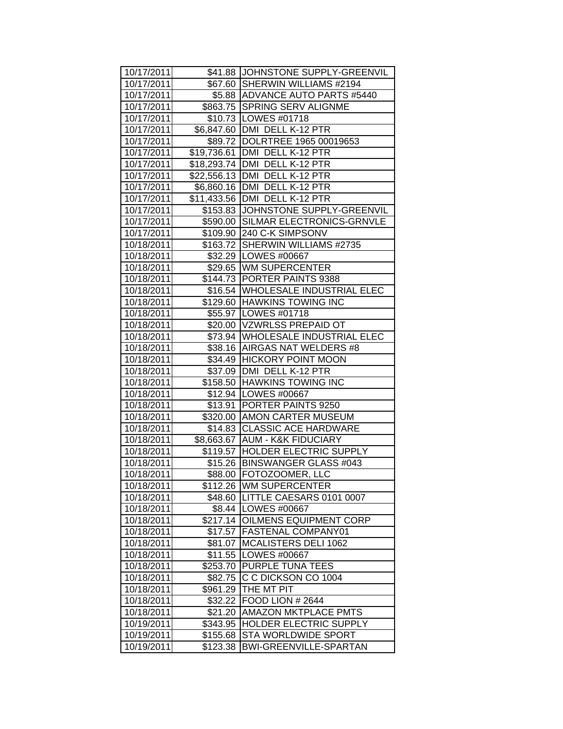| 10/17/2011 |          | \$41.88 JJOHNSTONE SUPPLY-GREENVIL  |
|------------|----------|-------------------------------------|
| 10/17/2011 |          | \$67.60 SHERWIN WILLIAMS #2194      |
| 10/17/2011 |          | \$5.88 ADVANCE AUTO PARTS #5440     |
| 10/17/2011 |          | \$863.75 SPRING SERV ALIGNME        |
| 10/17/2011 |          | \$10.73   LOWES #01718              |
| 10/17/2011 |          | \$6,847.60 DMI DELL K-12 PTR        |
| 10/17/2011 |          | \$89.72   DOLRTREE 1965 00019653    |
| 10/17/2011 |          | \$19,736.61 DMI DELL K-12 PTR       |
| 10/17/2011 |          | \$18,293.74 DMI DELL K-12 PTR       |
| 10/17/2011 |          | \$22,556.13 DMI DELL K-12 PTR       |
| 10/17/2011 |          | \$6,860.16 DMI DELL K-12 PTR        |
| 10/17/2011 |          | \$11,433.56 DMI DELL K-12 PTR       |
| 10/17/2011 |          | \$153.83 JJOHNSTONE SUPPLY-GREENVIL |
| 10/17/2011 |          | \$590.00 SILMAR ELECTRONICS-GRNVLE  |
| 10/17/2011 |          | \$109.90 240 C-K SIMPSONV           |
| 10/18/2011 |          | \$163.72 SHERWIN WILLIAMS #2735     |
| 10/18/2011 |          | \$32.29   LOWES #00667              |
| 10/18/2011 |          | \$29.65 WM SUPERCENTER              |
| 10/18/2011 |          | \$144.73 PORTER PAINTS 9388         |
| 10/18/2011 |          | \$16.54 WHOLESALE INDUSTRIAL ELEC   |
| 10/18/2011 |          | \$129.60 HAWKINS TOWING INC         |
| 10/18/2011 |          | \$55.97   LOWES #01718              |
| 10/18/2011 |          | \$20.00 VZWRLSS PREPAID OT          |
| 10/18/2011 |          | \$73.94   WHOLESALE INDUSTRIAL ELEC |
| 10/18/2011 |          | \$38.16   AIRGAS NAT WELDERS #8     |
| 10/18/2011 |          | \$34.49 HICKORY POINT MOON          |
| 10/18/2011 |          | \$37.09   DMI DELL K-12 PTR         |
| 10/18/2011 |          | \$158.50 HAWKINS TOWING INC         |
| 10/18/2011 |          | \$12.94   LOWES #00667              |
| 10/18/2011 |          | \$13.91 PORTER PAINTS 9250          |
| 10/18/2011 |          | \$320.00 AMON CARTER MUSEUM         |
| 10/18/2011 |          | \$14.83 CLASSIC ACE HARDWARE        |
| 10/18/2011 |          | \$8,663.67 AUM - K&K FIDUCIARY      |
| 10/18/2011 |          | \$119.57 HOLDER ELECTRIC SUPPLY     |
| 10/18/2011 |          | \$15.26   BINSWANGER GLASS #043     |
| 10/18/2011 |          | \$88.00 FOTOZOOMER, LLC             |
| 10/18/2011 |          | \$112.26 WM SUPERCENTER             |
| 10/18/2011 |          | \$48.60 LITTLE CAESARS 0101 0007    |
| 10/18/2011 |          | \$8.44   LOWES #00667               |
| 10/18/2011 | \$217.14 | <b>OILMENS EQUIPMENT CORP</b>       |
| 10/18/2011 | \$17.57  | <b>FASTENAL COMPANY01</b>           |
| 10/18/2011 | \$81.07  | MCALISTERS DELI 1062                |
| 10/18/2011 | \$11.55  | LOWES #00667                        |
| 10/18/2011 | \$253.70 | PURPLE TUNA TEES                    |
| 10/18/2011 | \$82.75  | C C DICKSON CO 1004                 |
| 10/18/2011 | \$961.29 | THE MT PIT                          |
| 10/18/2011 | \$32.22  | <b>FOOD LION # 2644</b>             |
| 10/18/2011 | \$21.20  | <b>AMAZON MKTPLACE PMTS</b>         |
| 10/19/2011 | \$343.95 | HOLDER ELECTRIC SUPPLY              |
| 10/19/2011 | \$155.68 | <b>STA WORLDWIDE SPORT</b>          |
| 10/19/2011 | \$123.38 | <b>BWI-GREENVILLE-SPARTAN</b>       |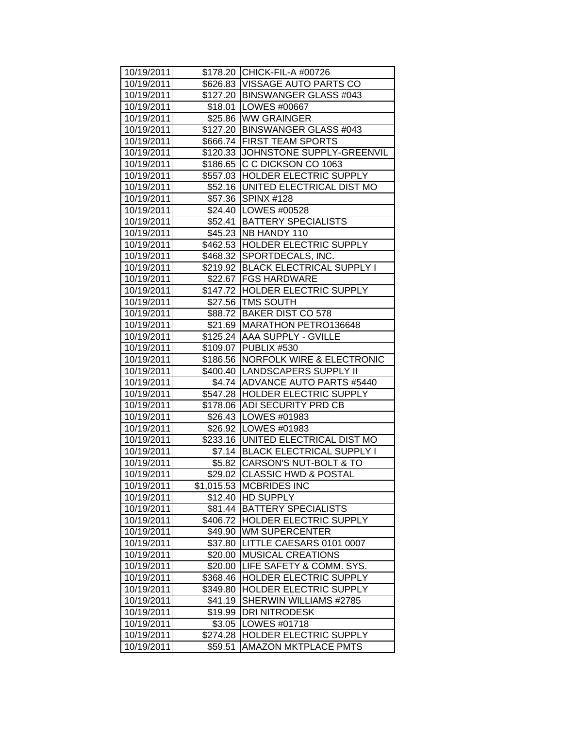| 10/19/2011 |          | \$178.20 CHICK-FIL-A #00726         |
|------------|----------|-------------------------------------|
| 10/19/2011 |          | \$626.83   VISSAGE AUTO PARTS CO    |
| 10/19/2011 |          | \$127.20 BINSWANGER GLASS #043      |
| 10/19/2011 |          | \$18.01   LOWES #00667              |
| 10/19/2011 |          | \$25.86 WW GRAINGER                 |
| 10/19/2011 |          | \$127.20 BINSWANGER GLASS #043      |
| 10/19/2011 |          | \$666.74 FIRST TEAM SPORTS          |
| 10/19/2011 |          | \$120.33 JJOHNSTONE SUPPLY-GREENVIL |
| 10/19/2011 |          | \$186.65 C C DICKSON CO 1063        |
| 10/19/2011 |          | \$557.03 HOLDER ELECTRIC SUPPLY     |
| 10/19/2011 |          | \$52.16 UNITED ELECTRICAL DIST MO   |
| 10/19/2011 |          | \$57.36 SPINX #128                  |
| 10/19/2011 |          | \$24.40   LOWES #00528              |
| 10/19/2011 |          | \$52.41   BATTERY SPECIALISTS       |
| 10/19/2011 |          | \$45.23 NB HANDY 110                |
| 10/19/2011 |          | \$462.53 HOLDER ELECTRIC SUPPLY     |
| 10/19/2011 |          | \$468.32 SPORTDECALS, INC.          |
| 10/19/2011 |          | \$219.92 BLACK ELECTRICAL SUPPLY I  |
| 10/19/2011 | \$22.67  | <b>FGS HARDWARE</b>                 |
| 10/19/2011 |          | \$147.72 HOLDER ELECTRIC SUPPLY     |
| 10/19/2011 |          | \$27.56   TMS SOUTH                 |
| 10/19/2011 |          | \$88.72 BAKER DIST CO 578           |
| 10/19/2011 |          | \$21.69   MARATHON PETRO136648      |
| 10/19/2011 |          | \$125.24 AAA SUPPLY - GVILLE        |
| 10/19/2011 |          | \$109.07 PUBLIX #530                |
| 10/19/2011 |          | \$186.56 NORFOLK WIRE & ELECTRONIC  |
| 10/19/2011 |          | \$400.40   LANDSCAPERS SUPPLY II    |
| 10/19/2011 |          | \$4.74 ADVANCE AUTO PARTS #5440     |
| 10/19/2011 |          | \$547.28 HOLDER ELECTRIC SUPPLY     |
| 10/19/2011 |          | \$178.06 ADI SECURITY PRD CB        |
| 10/19/2011 |          | \$26.43   LOWES #01983              |
| 10/19/2011 |          | \$26.92   LOWES #01983              |
| 10/19/2011 |          | \$233.16 UNITED ELECTRICAL DIST MO  |
| 10/19/2011 |          | \$7.14   BLACK ELECTRICAL SUPPLY I  |
| 10/19/2011 |          | \$5.82 CARSON'S NUT-BOLT & TO       |
| 10/19/2011 |          | \$29.02 CLASSIC HWD & POSTAL        |
| 10/19/2011 |          | \$1,015.53 MCBRIDES INC             |
| 10/19/2011 | \$12.40  | <b>HD SUPPLY</b>                    |
| 10/19/2011 | $$81.44$ | <b>BATTERY SPECIALISTS</b>          |
| 10/19/2011 |          | \$406.72 HOLDER ELECTRIC SUPPLY     |
| 10/19/2011 | \$49.90  | <b>WM SUPERCENTER</b>               |
| 10/19/2011 | \$37.80  | LITTLE CAESARS 0101 0007            |
| 10/19/2011 | \$20.00  | <b>MUSICAL CREATIONS</b>            |
| 10/19/2011 | \$20.00  | LIFE SAFETY & COMM. SYS.            |
| 10/19/2011 | \$368.46 | HOLDER ELECTRIC SUPPLY              |
| 10/19/2011 | \$349.80 | HOLDER ELECTRIC SUPPLY              |
| 10/19/2011 | \$41.19  | SHERWIN WILLIAMS #2785              |
| 10/19/2011 | \$19.99  | <b>DRI NITRODESK</b>                |
| 10/19/2011 | \$3.05   | LOWES #01718                        |
| 10/19/2011 | \$274.28 | <b>HOLDER ELECTRIC SUPPLY</b>       |
| 10/19/2011 | \$59.51  | <b>AMAZON MKTPLACE PMTS</b>         |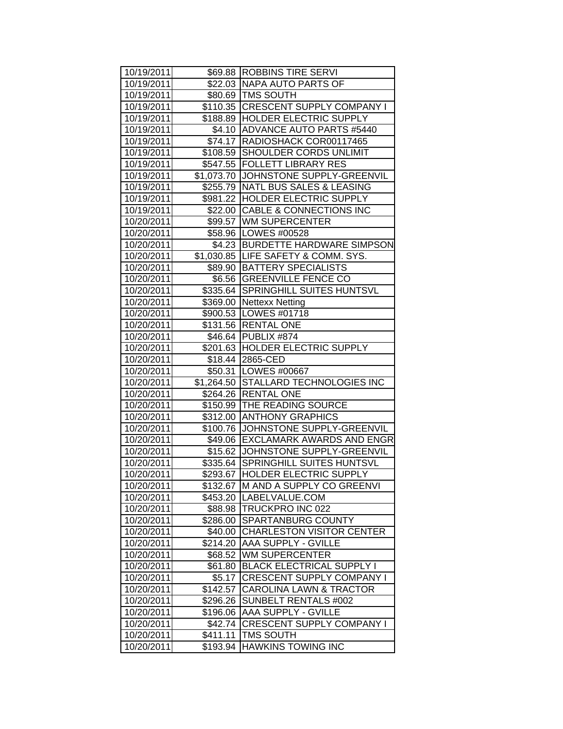| 10/19/2011 |                      | \$69.88   ROBBINS TIRE SERVI         |
|------------|----------------------|--------------------------------------|
| 10/19/2011 |                      | \$22.03 NAPA AUTO PARTS OF           |
| 10/19/2011 |                      | \$80.69   TMS SOUTH                  |
| 10/19/2011 |                      | \$110.35 CRESCENT SUPPLY COMPANY I   |
| 10/19/2011 |                      | \$188.89 HOLDER ELECTRIC SUPPLY      |
| 10/19/2011 |                      | \$4.10 ADVANCE AUTO PARTS #5440      |
| 10/19/2011 |                      | \$74.17 RADIOSHACK COR00117465       |
| 10/19/2011 |                      | \$108.59 SHOULDER CORDS UNLIMIT      |
| 10/19/2011 |                      | \$547.55 FOLLETT LIBRARY RES         |
| 10/19/2011 |                      | \$1,073.70 JOHNSTONE SUPPLY-GREENVIL |
| 10/19/2011 |                      | \$255.79 NATL BUS SALES & LEASING    |
| 10/19/2011 |                      | \$981.22  HOLDER ELECTRIC SUPPLY     |
| 10/19/2011 |                      | \$22.00 CABLE & CONNECTIONS INC      |
| 10/20/2011 |                      | \$99.57 WM SUPERCENTER               |
| 10/20/2011 |                      | \$58.96   LOWES #00528               |
| 10/20/2011 |                      | \$4.23 BURDETTE HARDWARE SIMPSON     |
| 10/20/2011 |                      | \$1,030.85 LIFE SAFETY & COMM. SYS.  |
| 10/20/2011 |                      | \$89.90   BATTERY SPECIALISTS        |
| 10/20/2011 | \$6.56               | <b>GREENVILLE FENCE CO</b>           |
| 10/20/2011 | $\overline{$}335.64$ | SPRINGHILL SUITES HUNTSVL            |
| 10/20/2011 | \$369.00             | <b>Nettexx Netting</b>               |
| 10/20/2011 |                      | \$900.53 LOWES #01718                |
| 10/20/2011 |                      | \$131.56 RENTAL ONE                  |
| 10/20/2011 |                      | \$46.64 PUBLIX #874                  |
| 10/20/2011 |                      | \$201.63 HOLDER ELECTRIC SUPPLY      |
| 10/20/2011 |                      | \$18.44 2865-CED                     |
| 10/20/2011 |                      | \$50.31   LOWES #00667               |
| 10/20/2011 |                      | \$1,264.50 STALLARD TECHNOLOGIES INC |
| 10/20/2011 |                      | \$264.26 RENTAL ONE                  |
| 10/20/2011 |                      | \$150.99 THE READING SOURCE          |
| 10/20/2011 |                      | \$312.00 ANTHONY GRAPHICS            |
| 10/20/2011 |                      | \$100.76 JOHNSTONE SUPPLY-GREENVIL   |
| 10/20/2011 |                      | \$49.06 EXCLAMARK AWARDS AND ENGR    |
| 10/20/2011 |                      | \$15.62 JJOHNSTONE SUPPLY-GREENVIL   |
| 10/20/2011 |                      | \$335.64 SPRINGHILL SUITES HUNTSVL   |
| 10/20/2011 |                      | \$293.67 HOLDER ELECTRIC SUPPLY      |
| 10/20/2011 | \$132.67             | M AND A SUPPLY CO GREENVI            |
| 10/20/2011 | \$453.20             | LABELVALUE.COM                       |
| 10/20/2011 | \$88.98              | <b>TRUCKPRO INC 022</b>              |
| 10/20/2011 |                      | \$286.00 SPARTANBURG COUNTY          |
| 10/20/2011 | \$40.00              | <b>CHARLESTON VISITOR CENTER</b>     |
| 10/20/2011 | \$214.20             | <b>AAA SUPPLY - GVILLE</b>           |
| 10/20/2011 | \$68.52              | <b>WM SUPERCENTER</b>                |
| 10/20/2011 | \$61.80              | <b>BLACK ELECTRICAL SUPPLY I</b>     |
| 10/20/2011 | \$5.17               | <b>CRESCENT SUPPLY COMPANY I</b>     |
| 10/20/2011 | \$142.57             | <b>CAROLINA LAWN &amp; TRACTOR</b>   |
| 10/20/2011 | \$296.26             | <b>SUNBELT RENTALS #002</b>          |
| 10/20/2011 | \$196.06             | AAA SUPPLY - GVILLE                  |
| 10/20/2011 | \$42.74              | <b>CRESCENT SUPPLY COMPANY I</b>     |
| 10/20/2011 | \$411.11             | <b>TMS SOUTH</b>                     |
| 10/20/2011 | \$193.94             | <b>HAWKINS TOWING INC</b>            |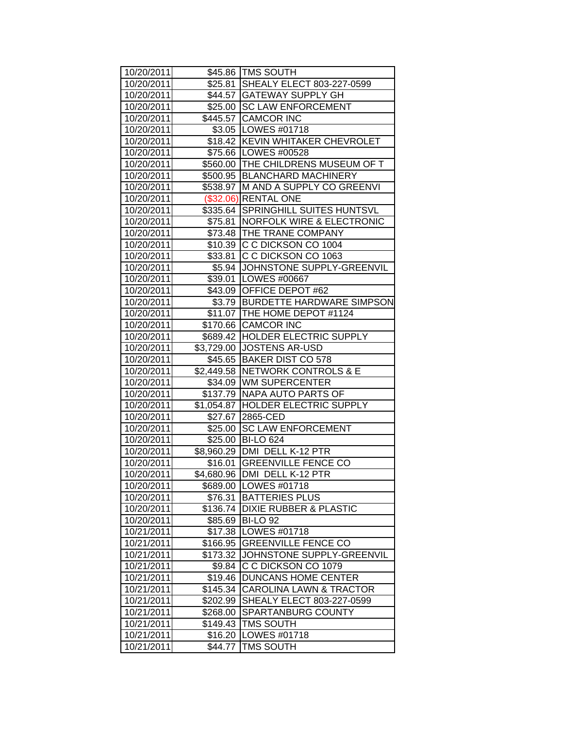| 10/20/2011 |          | \$45.86   TMS SOUTH                 |
|------------|----------|-------------------------------------|
| 10/20/2011 |          | \$25.81 SHEALY ELECT 803-227-0599   |
| 10/20/2011 |          | \$44.57 GATEWAY SUPPLY GH           |
| 10/20/2011 |          | \$25.00 SC LAW ENFORCEMENT          |
| 10/20/2011 |          | \$445.57 CAMCOR INC                 |
| 10/20/2011 |          | \$3.05   LOWES #01718               |
| 10/20/2011 |          | \$18.42 KEVIN WHITAKER CHEVROLET    |
| 10/20/2011 |          | \$75.66   LOWES #00528              |
| 10/20/2011 |          | \$560.00 THE CHILDRENS MUSEUM OF T  |
| 10/20/2011 |          | \$500.95   BLANCHARD MACHINERY      |
| 10/20/2011 |          | \$538.97 M AND A SUPPLY CO GREENVI  |
| 10/20/2011 |          | (\$32.06) RENTAL ONE                |
| 10/20/2011 |          | \$335.64 SPRINGHILL SUITES HUNTSVL  |
| 10/20/2011 |          | \$75.81   NORFOLK WIRE & ELECTRONIC |
| 10/20/2011 |          | \$73.48   THE TRANE COMPANY         |
| 10/20/2011 | \$10.39  | C C DICKSON CO 1004                 |
| 10/20/2011 | \$33.81  | C C DICKSON CO 1063                 |
| 10/20/2011 |          | \$5.94 JOHNSTONE SUPPLY-GREENVIL    |
| 10/20/2011 |          | \$39.01   LOWES #00667              |
| 10/20/2011 |          | \$43.09 OFFICE DEPOT #62            |
| 10/20/2011 |          | \$3.79 BURDETTE HARDWARE SIMPSON    |
| 10/20/2011 |          | \$11.07 THE HOME DEPOT #1124        |
| 10/20/2011 |          | \$170.66 CAMCOR INC                 |
| 10/20/2011 |          | \$689.42 HOLDER ELECTRIC SUPPLY     |
| 10/20/2011 |          | \$3,729.00  JOSTENS AR-USD          |
| 10/20/2011 |          | \$45.65 BAKER DIST CO 578           |
| 10/20/2011 |          | \$2,449.58   NETWORK CONTROLS & E   |
| 10/20/2011 |          | \$34.09 WM SUPERCENTER              |
| 10/20/2011 |          | \$137.79 NAPA AUTO PARTS OF         |
| 10/20/2011 |          | \$1,054.87 HOLDER ELECTRIC SUPPLY   |
| 10/20/2011 |          | \$27.67 2865-CED                    |
| 10/20/2011 | \$25.00  | <b>SC LAW ENFORCEMENT</b>           |
| 10/20/2011 |          | \$25.00 BI-LO 624                   |
| 10/20/2011 |          | \$8,960.29 DMI DELL K-12 PTR        |
| 10/20/2011 |          | \$16.01 GREENVILLE FENCE CO         |
| 10/20/2011 |          | \$4,680.96   DMI DELL K-12 PTR      |
| 10/20/2011 |          | \$689.00 LOWES #01718               |
| 10/20/2011 | \$76.31  | <b>BATTERIES PLUS</b>               |
| 10/20/2011 | \$136.74 | <b>DIXIE RUBBER &amp; PLASTIC</b>   |
| 10/20/2011 | \$85.69  | <b>BI-LO 92</b>                     |
| 10/21/2011 | \$17.38  | <b>LOWES #01718</b>                 |
| 10/21/2011 | \$166.95 | <b>GREENVILLE FENCE CO</b>          |
| 10/21/2011 | \$173.32 | JOHNSTONE SUPPLY-GREENVIL           |
| 10/21/2011 | \$9.84   | C C DICKSON CO 1079                 |
| 10/21/2011 | \$19.46  | <b>DUNCANS HOME CENTER</b>          |
| 10/21/2011 | \$145.34 | <b>CAROLINA LAWN &amp; TRACTOR</b>  |
| 10/21/2011 | \$202.99 | SHEALY ELECT 803-227-0599           |
| 10/21/2011 | \$268.00 | SPARTANBURG COUNTY                  |
| 10/21/2011 | \$149.43 | TMS SOUTH                           |
| 10/21/2011 | \$16.20  | LOWES #01718                        |
| 10/21/2011 | \$44.77  | <b>TMS SOUTH</b>                    |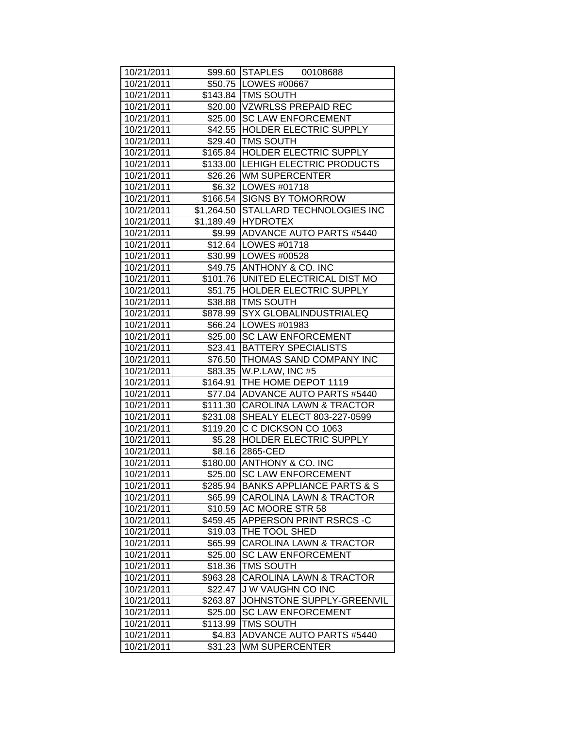| 10/21/2011 |          | \$99.60 STAPLES 00108688             |
|------------|----------|--------------------------------------|
| 10/21/2011 |          | \$50.75   LOWES #00667               |
| 10/21/2011 |          | \$143.84   TMS SOUTH                 |
| 10/21/2011 |          | \$20.00   VZWRLSS PREPAID REC        |
| 10/21/2011 |          | \$25.00 SC LAW ENFORCEMENT           |
| 10/21/2011 |          | \$42.55 HOLDER ELECTRIC SUPPLY       |
| 10/21/2011 |          | \$29.40 TMS SOUTH                    |
| 10/21/2011 |          | \$165.84 HOLDER ELECTRIC SUPPLY      |
| 10/21/2011 |          | \$133.00 LEHIGH ELECTRIC PRODUCTS    |
| 10/21/2011 |          | \$26.26 WM SUPERCENTER               |
| 10/21/2011 |          | \$6.32   LOWES #01718                |
| 10/21/2011 |          | \$166.54 SIGNS BY TOMORROW           |
| 10/21/2011 |          | \$1,264.50 STALLARD TECHNOLOGIES INC |
| 10/21/2011 |          | \$1,189.49 HYDROTEX                  |
| 10/21/2011 |          | \$9.99 ADVANCE AUTO PARTS #5440      |
| 10/21/2011 |          | \$12.64   LOWES #01718               |
| 10/21/2011 |          | \$30.99   LOWES #00528               |
| 10/21/2011 |          | \$49.75 ANTHONY & CO. INC            |
| 10/21/2011 |          | \$101.76 UNITED ELECTRICAL DIST MO   |
| 10/21/2011 |          | \$51.75 HOLDER ELECTRIC SUPPLY       |
| 10/21/2011 |          | \$38.88   TMS SOUTH                  |
| 10/21/2011 |          | \$878.99 SYX GLOBALINDUSTRIALEQ      |
| 10/21/2011 |          | \$66.24   LOWES #01983               |
| 10/21/2011 |          | \$25.00 SC LAW ENFORCEMENT           |
| 10/21/2011 | \$23.41  | <b>BATTERY SPECIALISTS</b>           |
| 10/21/2011 |          | \$76.50 THOMAS SAND COMPANY INC      |
| 10/21/2011 |          | \$83.35 W.P.LAW, INC #5              |
| 10/21/2011 |          | \$164.91   THE HOME DEPOT 1119       |
| 10/21/2011 |          | \$77.04 ADVANCE AUTO PARTS #5440     |
| 10/21/2011 |          | \$111.30 CAROLINA LAWN & TRACTOR     |
| 10/21/2011 |          | \$231.08 SHEALY ELECT 803-227-0599   |
| 10/21/2011 |          | \$119.20 C C DICKSON CO 1063         |
| 10/21/2011 |          | \$5.28 HOLDER ELECTRIC SUPPLY        |
| 10/21/2011 |          | \$8.16 2865-CED                      |
| 10/21/2011 |          | \$180.00 ANTHONY & CO. INC           |
| 10/21/2011 |          | \$25.00   SC LAW ENFORCEMENT         |
| 10/21/2011 | \$285.94 | <b>BANKS APPLIANCE PARTS &amp; S</b> |
| 10/21/2011 | \$65.99  | CAROLINA LAWN & TRACTOR              |
| 10/21/2011 | \$10.59  | AC MOORE STR 58                      |
| 10/21/2011 | \$459.45 | APPERSON PRINT RSRCS -C              |
| 10/21/2011 | \$19.03  | THE TOOL SHED                        |
| 10/21/2011 | \$65.99  | <b>CAROLINA LAWN &amp; TRACTOR</b>   |
| 10/21/2011 | \$25.00  | <b>SC LAW ENFORCEMENT</b>            |
| 10/21/2011 | \$18.36  | <b>TMS SOUTH</b>                     |
| 10/21/2011 | \$963.28 | <b>CAROLINA LAWN &amp; TRACTOR</b>   |
| 10/21/2011 | \$22.47  | J W VAUGHN CO INC                    |
| 10/21/2011 | \$263.87 | JOHNSTONE SUPPLY-GREENVIL            |
| 10/21/2011 | \$25.00  | <b>SC LAW ENFORCEMENT</b>            |
| 10/21/2011 | \$113.99 | TMS SOUTH                            |
| 10/21/2011 | \$4.83   | <b>ADVANCE AUTO PARTS #5440</b>      |
| 10/21/2011 | \$31.23  | <b>WM SUPERCENTER</b>                |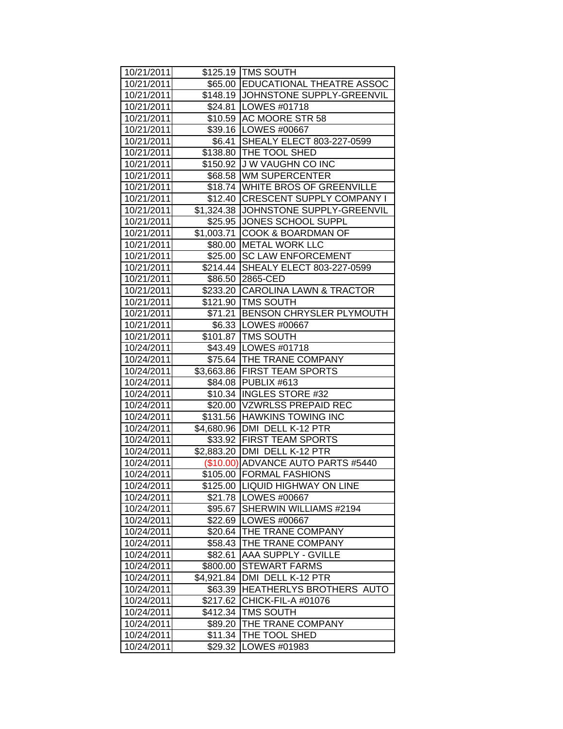| 10/21/2011 |            | \$125.19   TMS SOUTH                 |
|------------|------------|--------------------------------------|
| 10/21/2011 |            | \$65.00 EDUCATIONAL THEATRE ASSOC    |
| 10/21/2011 |            | \$148.19 JOHNSTONE SUPPLY-GREENVIL   |
| 10/21/2011 |            | \$24.81   LOWES #01718               |
| 10/21/2011 |            | \$10.59 AC MOORE STR 58              |
| 10/21/2011 |            | \$39.16   LOWES #00667               |
| 10/21/2011 |            | \$6.41 SHEALY ELECT 803-227-0599     |
| 10/21/2011 |            | \$138.80 THE TOOL SHED               |
| 10/21/2011 |            | \$150.92 J W VAUGHN CO INC           |
| 10/21/2011 |            | \$68.58 WM SUPERCENTER               |
| 10/21/2011 |            | \$18.74 WHITE BROS OF GREENVILLE     |
| 10/21/2011 |            | \$12.40 CRESCENT SUPPLY COMPANY I    |
| 10/21/2011 |            | \$1,324.38 JOHNSTONE SUPPLY-GREENVIL |
| 10/21/2011 |            | \$25.95 JONES SCHOOL SUPPL           |
| 10/21/2011 | \$1,003.71 | <b>COOK &amp; BOARDMAN OF</b>        |
| 10/21/2011 |            | \$80.00 METAL WORK LLC               |
| 10/21/2011 | \$25.00    | <b>SC LAW ENFORCEMENT</b>            |
| 10/21/2011 | \$214.44   | SHEALY ELECT 803-227-0599            |
| 10/21/2011 |            | \$86.50 2865-CED                     |
| 10/21/2011 |            | \$233.20 CAROLINA LAWN & TRACTOR     |
| 10/21/2011 |            | \$121.90   TMS SOUTH                 |
| 10/21/2011 |            | \$71.21 BENSON CHRYSLER PLYMOUTH     |
| 10/21/2011 |            | \$6.33   LOWES #00667                |
| 10/21/2011 |            | \$101.87   TMS SOUTH                 |
| 10/24/2011 |            | \$43.49   LOWES #01718               |
| 10/24/2011 |            | \$75.64 THE TRANE COMPANY            |
| 10/24/2011 |            | \$3,663.86   FIRST TEAM SPORTS       |
| 10/24/2011 |            | \$84.08 PUBLIX #613                  |
| 10/24/2011 |            | \$10.34   INGLES STORE #32           |
| 10/24/2011 |            | \$20.00 VZWRLSS PREPAID REC          |
| 10/24/2011 |            | \$131.56 HAWKINS TOWING INC          |
| 10/24/2011 |            | \$4,680.96 DMI DELL K-12 PTR         |
| 10/24/2011 |            | \$33.92 FIRST TEAM SPORTS            |
| 10/24/2011 |            | \$2,883.20 DMI DELL K-12 PTR         |
| 10/24/2011 |            | (\$10.00) ADVANCE AUTO PARTS #5440   |
| 10/24/2011 |            | \$105.00 FORMAL FASHIONS             |
| 10/24/2011 |            | \$125.00  LIQUID HIGHWAY ON LINE     |
| 10/24/2011 | \$21.78    | LOWES #00667                         |
| 10/24/2011 | \$95.67    | SHERWIN WILLIAMS #2194               |
| 10/24/2011 | \$22.69    | LOWES #00667                         |
| 10/24/2011 | \$20.64    | THE TRANE COMPANY                    |
| 10/24/2011 | \$58.43    | THE TRANE COMPANY                    |
| 10/24/2011 | \$82.61    | AAA SUPPLY - GVILLE                  |
| 10/24/2011 | \$800.00   | <b>STEWART FARMS</b>                 |
| 10/24/2011 | \$4,921.84 | DMI DELL K-12 PTR                    |
| 10/24/2011 | \$63.39    | HEATHERLYS BROTHERS AUTO             |
| 10/24/2011 | \$217.62   | CHICK-FIL-A #01076                   |
| 10/24/2011 | \$412.34   | TMS SOUTH                            |
| 10/24/2011 | \$89.20    | THE TRANE COMPANY                    |
| 10/24/2011 | \$11.34    | THE TOOL SHED                        |
| 10/24/2011 | \$29.32    | LOWES #01983                         |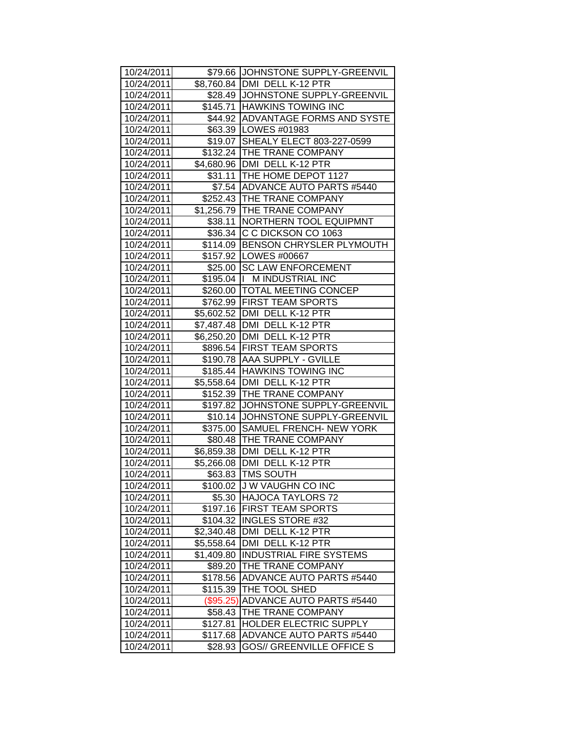| 10/24/2011 |            | \$79.66 JJOHNSTONE SUPPLY-GREENVIL |
|------------|------------|------------------------------------|
| 10/24/2011 |            | \$8,760.84 DMI DELL K-12 PTR       |
| 10/24/2011 |            | \$28.49 JJOHNSTONE SUPPLY-GREENVIL |
| 10/24/2011 |            | \$145.71 HAWKINS TOWING INC        |
|            |            |                                    |
| 10/24/2011 |            | \$44.92 ADVANTAGE FORMS AND SYSTE  |
| 10/24/2011 |            | \$63.39   LOWES #01983             |
| 10/24/2011 |            | \$19.07 SHEALY ELECT 803-227-0599  |
| 10/24/2011 |            | \$132.24 THE TRANE COMPANY         |
| 10/24/2011 |            | \$4,680.96   DMI DELL K-12 PTR     |
| 10/24/2011 |            | \$31.11 THE HOME DEPOT 1127        |
| 10/24/2011 |            | \$7.54 ADVANCE AUTO PARTS #5440    |
| 10/24/2011 |            | \$252.43 THE TRANE COMPANY         |
| 10/24/2011 |            | \$1,256.79 THE TRANE COMPANY       |
| 10/24/2011 |            | \$38.11 NORTHERN TOOL EQUIPMNT     |
| 10/24/2011 |            | \$36.34 C C DICKSON CO 1063        |
| 10/24/2011 |            | \$114.09 BENSON CHRYSLER PLYMOUTH  |
| 10/24/2011 |            | \$157.92   LOWES #00667            |
| 10/24/2011 |            | \$25.00 SC LAW ENFORCEMENT         |
| 10/24/2011 |            | \$195.04  I M INDUSTRIAL INC       |
| 10/24/2011 |            | \$260.00 TOTAL MEETING CONCEP      |
| 10/24/2011 |            | \$762.99 FIRST TEAM SPORTS         |
| 10/24/2011 |            | \$5,602.52   DMI DELL K-12 PTR     |
| 10/24/2011 |            | \$7,487.48   DMI DELL K-12 PTR     |
| 10/24/2011 |            | \$6,250.20   DMI DELL K-12 PTR     |
| 10/24/2011 |            | \$896.54 FIRST TEAM SPORTS         |
| 10/24/2011 |            | \$190.78 AAA SUPPLY - GVILLE       |
| 10/24/2011 |            | \$185.44 HAWKINS TOWING INC        |
| 10/24/2011 |            | \$5,558.64   DMI DELL K-12 PTR     |
| 10/24/2011 |            | \$152.39 THE TRANE COMPANY         |
| 10/24/2011 |            | \$197.82 JOHNSTONE SUPPLY-GREENVIL |
| 10/24/2011 | \$10.14    | JOHNSTONE SUPPLY-GREENVIL          |
| 10/24/2011 |            | \$375.00 SAMUEL FRENCH- NEW YORK   |
| 10/24/2011 |            | \$80.48   THE TRANE COMPANY        |
| 10/24/2011 |            | \$6,859.38 DMI DELL K-12 PTR       |
| 10/24/2011 |            | \$5,266.08 DMI DELL K-12 PTR       |
| 10/24/2011 |            | \$63.83 TMS SOUTH                  |
| 10/24/2011 | \$100.02   | <b>JU W VAUGHN CO INC</b>          |
| 10/24/2011 | \$5.30     | HAJOCA TAYLORS 72                  |
| 10/24/2011 | \$197.16   | <b>FIRST TEAM SPORTS</b>           |
| 10/24/2011 | \$104.32   | <b>INGLES STORE #32</b>            |
| 10/24/2011 | \$2,340.48 | DMI DELL K-12 PTR                  |
| 10/24/2011 | \$5,558.64 | DMI DELL K-12 PTR                  |
| 10/24/2011 | \$1,409.80 | <b>INDUSTRIAL FIRE SYSTEMS</b>     |
| 10/24/2011 | \$89.20    | THE TRANE COMPANY                  |
| 10/24/2011 | \$178.56   | <b>ADVANCE AUTO PARTS #5440</b>    |
| 10/24/2011 | \$115.39   | THE TOOL SHED                      |
| 10/24/2011 | (\$95.25)  | ADVANCE AUTO PARTS #5440           |
| 10/24/2011 | \$58.43    | THE TRANE COMPANY                  |
| 10/24/2011 | \$127.81   | HOLDER ELECTRIC SUPPLY             |
| 10/24/2011 | \$117.68   | ADVANCE AUTO PARTS #5440           |
| 10/24/2011 | \$28.93    | <b>GOS// GREENVILLE OFFICE S</b>   |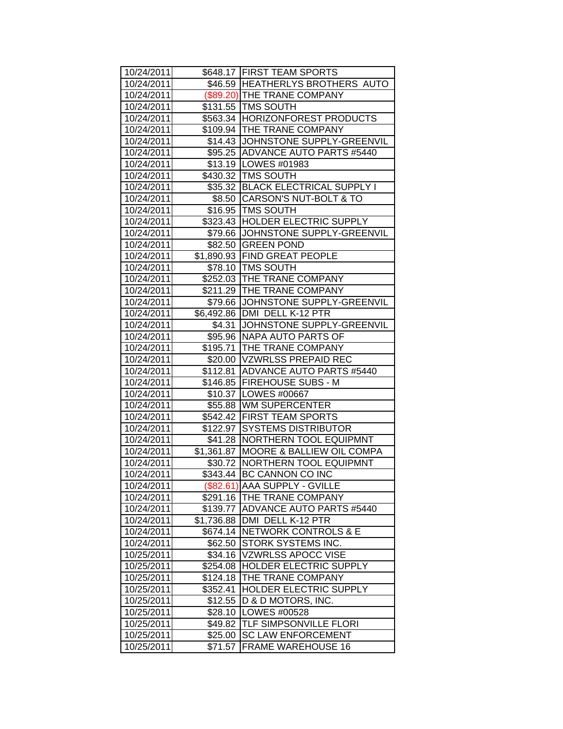| 10/24/2011 |            | \$648.17 FIRST TEAM SPORTS           |
|------------|------------|--------------------------------------|
| 10/24/2011 |            | \$46.59 HEATHERLYS BROTHERS AUTO     |
| 10/24/2011 |            | (\$89.20) THE TRANE COMPANY          |
| 10/24/2011 |            | \$131.55 TMS SOUTH                   |
| 10/24/2011 |            | \$563.34 HORIZONFOREST PRODUCTS      |
| 10/24/2011 |            | \$109.94 THE TRANE COMPANY           |
| 10/24/2011 |            | \$14.43 JOHNSTONE SUPPLY-GREENVIL    |
| 10/24/2011 |            | \$95.25 ADVANCE AUTO PARTS #5440     |
| 10/24/2011 |            | \$13.19   LOWES #01983               |
| 10/24/2011 |            | \$430.32 TMS SOUTH                   |
| 10/24/2011 |            | \$35.32 BLACK ELECTRICAL SUPPLY I    |
| 10/24/2011 |            | \$8.50 CARSON'S NUT-BOLT & TO        |
| 10/24/2011 |            | \$16.95   TMS SOUTH                  |
| 10/24/2011 |            | \$323.43 HOLDER ELECTRIC SUPPLY      |
| 10/24/2011 |            | \$79.66 JJOHNSTONE SUPPLY-GREENVIL   |
| 10/24/2011 |            | \$82.50 GREEN POND                   |
| 10/24/2011 |            | \$1,890.93 FIND GREAT PEOPLE         |
| 10/24/2011 |            | \$78.10 TMS SOUTH                    |
| 10/24/2011 |            | \$252.03 THE TRANE COMPANY           |
| 10/24/2011 |            | \$211.29 THE TRANE COMPANY           |
| 10/24/2011 |            | \$79.66 JJOHNSTONE SUPPLY-GREENVIL   |
| 10/24/2011 |            | \$6,492.86 DMI DELL K-12 PTR         |
| 10/24/2011 | \$4.31     | JOHNSTONE SUPPLY-GREENVIL            |
| 10/24/2011 |            | \$95.96   NAPA AUTO PARTS OF         |
| 10/24/2011 |            | \$195.71   THE TRANE COMPANY         |
| 10/24/2011 |            | \$20.00 VZWRLSS PREPAID REC          |
| 10/24/2011 |            | \$112.81 ADVANCE AUTO PARTS #5440    |
| 10/24/2011 |            | \$146.85   FIREHOUSE SUBS - M        |
| 10/24/2011 |            | \$10.37   LOWES #00667               |
| 10/24/2011 |            | \$55.88 WM SUPERCENTER               |
| 10/24/2011 |            | \$542.42 FIRST TEAM SPORTS           |
| 10/24/2011 |            | \$122.97 SYSTEMS DISTRIBUTOR         |
| 10/24/2011 |            | \$41.28   NORTHERN TOOL EQUIPMNT     |
| 10/24/2011 | \$1,361.87 | <b>MOORE &amp; BALLIEW OIL COMPA</b> |
| 10/24/2011 | \$30.72    | <b>NORTHERN TOOL EQUIPMNT</b>        |
| 10/24/2011 |            | \$343.44 BC CANNON CO INC            |
| 10/24/2011 |            | (\$82.61) AAA SUPPLY - GVILLE        |
| 10/24/2011 | \$291.16   | <b>THE TRANE COMPANY</b>             |
| 10/24/2011 |            | \$139.77   ADVANCE AUTO PARTS #5440  |
| 10/24/2011 | \$1,736.88 | DMI DELL K-12 PTR                    |
| 10/24/2011 | \$674.14   | <b>NETWORK CONTROLS &amp; E</b>      |
| 10/24/2011 | \$62.50    | STORK SYSTEMS INC.                   |
| 10/25/2011 | \$34.16    | <b>VZWRLSS APOCC VISE</b>            |
| 10/25/2011 | \$254.08   | <b>HOLDER ELECTRIC SUPPLY</b>        |
| 10/25/2011 | \$124.18   | THE TRANE COMPANY                    |
| 10/25/2011 | \$352.41   | <b>HOLDER ELECTRIC SUPPLY</b>        |
| 10/25/2011 | \$12.55    | D & D MOTORS, INC.                   |
| 10/25/2011 | \$28.10    | LOWES #00528                         |
| 10/25/2011 | \$49.82    | TLF SIMPSONVILLE FLORI               |
| 10/25/2011 | \$25.00    | <b>SC LAW ENFORCEMENT</b>            |
| 10/25/2011 | \$71.57    | <b>FRAME WAREHOUSE 16</b>            |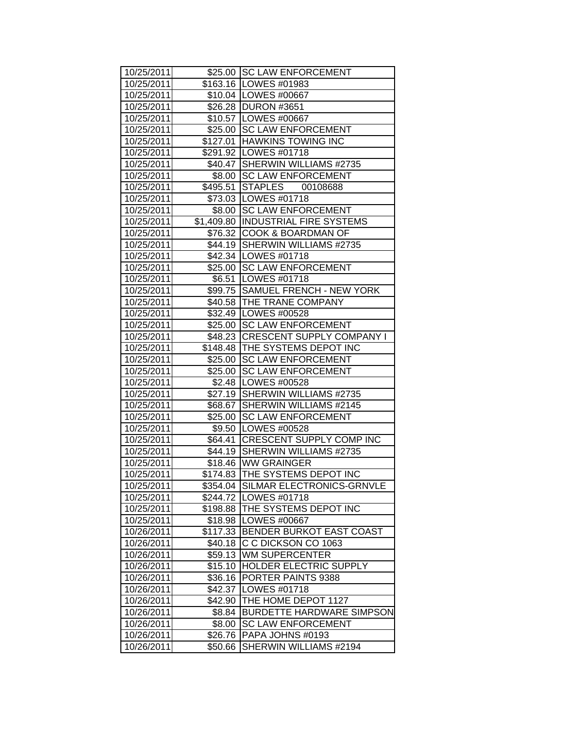| 10/25/2011 |          | \$25.00 SC LAW ENFORCEMENT          |
|------------|----------|-------------------------------------|
| 10/25/2011 |          | \$163.16   LOWES #01983             |
| 10/25/2011 |          | \$10.04 LOWES #00667                |
| 10/25/2011 |          | \$26.28 DURON #3651                 |
| 10/25/2011 |          | \$10.57   LOWES #00667              |
| 10/25/2011 |          | \$25.00 SC LAW ENFORCEMENT          |
| 10/25/2011 |          | \$127.01 HAWKINS TOWING INC         |
| 10/25/2011 |          | \$291.92 LOWES #01718               |
| 10/25/2011 |          | \$40.47 SHERWIN WILLIAMS #2735      |
| 10/25/2011 |          | \$8.00 SC LAW ENFORCEMENT           |
| 10/25/2011 |          | \$495.51 STAPLES 00108688           |
| 10/25/2011 |          | \$73.03   LOWES #01718              |
| 10/25/2011 |          | \$8.00 SC LAW ENFORCEMENT           |
| 10/25/2011 |          | \$1,409.80  INDUSTRIAL FIRE SYSTEMS |
| 10/25/2011 |          | \$76.32 COOK & BOARDMAN OF          |
| 10/25/2011 |          | \$44.19 SHERWIN WILLIAMS #2735      |
| 10/25/2011 |          | \$42.34 LOWES #01718                |
| 10/25/2011 |          | \$25.00 SC LAW ENFORCEMENT          |
| 10/25/2011 | \$6.51   | LOWES #01718                        |
| 10/25/2011 |          | \$99.75 SAMUEL FRENCH - NEW YORK    |
| 10/25/2011 |          | \$40.58 THE TRANE COMPANY           |
| 10/25/2011 |          | \$32.49   LOWES #00528              |
| 10/25/2011 |          | \$25.00 SC LAW ENFORCEMENT          |
| 10/25/2011 |          | \$48.23 CRESCENT SUPPLY COMPANY I   |
| 10/25/2011 |          | \$148.48   THE SYSTEMS DEPOT INC    |
| 10/25/2011 |          | \$25.00 SC LAW ENFORCEMENT          |
| 10/25/2011 |          | \$25.00 SC LAW ENFORCEMENT          |
| 10/25/2011 |          | \$2.48   LOWES #00528               |
| 10/25/2011 |          | \$27.19 SHERWIN WILLIAMS #2735      |
| 10/25/2011 | \$68.67  | <b>SHERWIN WILLIAMS #2145</b>       |
| 10/25/2011 | \$25.00  | <b>SC LAW ENFORCEMENT</b>           |
| 10/25/2011 |          | \$9.50 LOWES #00528                 |
| 10/25/2011 |          | \$64.41 CRESCENT SUPPLY COMP INC    |
| 10/25/2011 |          | \$44.19 SHERWIN WILLIAMS #2735      |
| 10/25/2011 |          | \$18.46 WW GRAINGER                 |
| 10/25/2011 |          | \$174.83 THE SYSTEMS DEPOT INC      |
| 10/25/2011 |          | \$354.04 SILMAR ELECTRONICS-GRNVLE  |
| 10/25/2011 |          | \$244.72   LOWES #01718             |
| 10/25/2011 | \$198.88 | THE SYSTEMS DEPOT INC               |
| 10/25/2011 |          | \$18.98   LOWES #00667              |
| 10/26/2011 |          | \$117.33 BENDER BURKOT EAST COAST   |
| 10/26/2011 | \$40.18  | C C DICKSON CO 1063                 |
| 10/26/2011 | \$59.13  | <b>WM SUPERCENTER</b>               |
| 10/26/2011 | \$15.10  | <b>HOLDER ELECTRIC SUPPLY</b>       |
| 10/26/2011 | \$36.16  | PORTER PAINTS 9388                  |
| 10/26/2011 | \$42.37  | LOWES #01718                        |
| 10/26/2011 | \$42.90  | THE HOME DEPOT 1127                 |
| 10/26/2011 | \$8.84   | <b>BURDETTE HARDWARE SIMPSON</b>    |
| 10/26/2011 | \$8.00   | <b>SC LAW ENFORCEMENT</b>           |
| 10/26/2011 | \$26.76  | PAPA JOHNS #0193                    |
| 10/26/2011 | \$50.66  | SHERWIN WILLIAMS #2194              |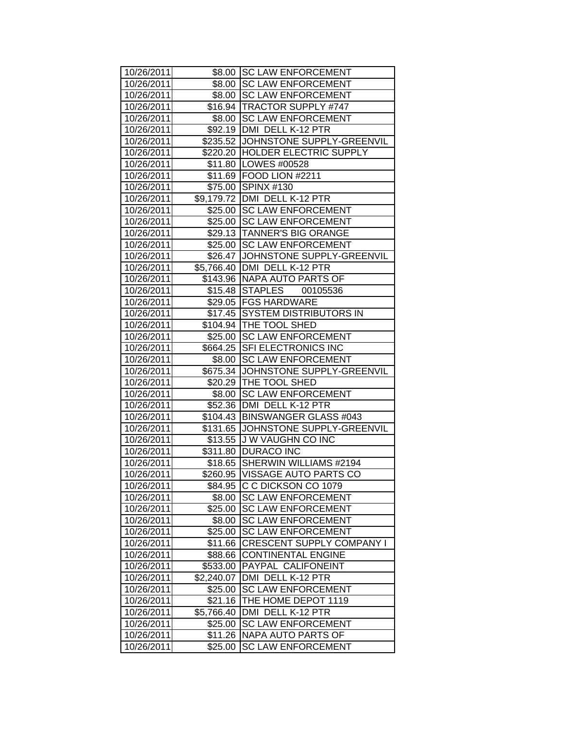| 10/26/2011 |            | \$8.00 SC LAW ENFORCEMENT           |
|------------|------------|-------------------------------------|
| 10/26/2011 |            | \$8.00 SC LAW ENFORCEMENT           |
| 10/26/2011 |            | \$8.00   SC LAW ENFORCEMENT         |
| 10/26/2011 |            | \$16.94   TRACTOR SUPPLY #747       |
| 10/26/2011 | \$8.00     | <b>SC LAW ENFORCEMENT</b>           |
| 10/26/2011 |            | \$92.19   DMI DELL K-12 PTR         |
| 10/26/2011 |            | \$235.52 JJOHNSTONE SUPPLY-GREENVIL |
| 10/26/2011 |            | \$220.20 HOLDER ELECTRIC SUPPLY     |
| 10/26/2011 |            | \$11.80   LOWES #00528              |
| 10/26/2011 |            | \$11.69   FOOD LION #2211           |
| 10/26/2011 | \$75.00    | <b>SPINX #130</b>                   |
| 10/26/2011 |            | \$9,179.72 DMI DELL K-12 PTR        |
| 10/26/2011 | \$25.00    | <b>SC LAW ENFORCEMENT</b>           |
| 10/26/2011 |            | \$25.00 SC LAW ENFORCEMENT          |
| 10/26/2011 |            | \$29.13 TANNER'S BIG ORANGE         |
| 10/26/2011 | \$25.00    | <b>SC LAW ENFORCEMENT</b>           |
| 10/26/2011 | \$26.47    | JOHNSTONE SUPPLY-GREENVIL           |
| 10/26/2011 |            | \$5,766.40 DMI DELL K-12 PTR        |
| 10/26/2011 |            | \$143.96 NAPA AUTO PARTS OF         |
| 10/26/2011 |            | \$15.48 STAPLES 00105536            |
| 10/26/2011 |            | \$29.05   FGS HARDWARE              |
| 10/26/2011 |            | \$17.45 SYSTEM DISTRIBUTORS IN      |
| 10/26/2011 |            | \$104.94   THE TOOL SHED            |
| 10/26/2011 |            | \$25.00 SC LAW ENFORCEMENT          |
| 10/26/2011 |            | \$664.25 SFI ELECTRONICS INC        |
| 10/26/2011 |            | \$8.00 SC LAW ENFORCEMENT           |
| 10/26/2011 |            | \$675.34 JOHNSTONE SUPPLY-GREENVIL  |
| 10/26/2011 |            | \$20.29 THE TOOL SHED               |
| 10/26/2011 | \$8.00     | <b>SC LAW ENFORCEMENT</b>           |
| 10/26/2011 | \$52.36    | DMI DELL K-12 PTR                   |
| 10/26/2011 |            | \$104.43   BINSWANGER GLASS #043    |
| 10/26/2011 |            | \$131.65 JJOHNSTONE SUPPLY-GREENVIL |
| 10/26/2011 |            | \$13.55 J W VAUGHN CO INC           |
| 10/26/2011 |            | \$311.80 DURACO INC                 |
| 10/26/2011 | \$18.65 I  | SHERWIN WILLIAMS #2194              |
| 10/26/2011 |            | \$260.95 VISSAGE AUTO PARTS CO      |
| 10/26/2011 | \$84.95    | C C DICKSON CO 1079                 |
| 10/26/2011 | \$8.00     | <b>SC LAW ENFORCEMENT</b>           |
| 10/26/2011 | \$25.00    | <b>SC LAW ENFORCEMENT</b>           |
| 10/26/2011 | \$8.00     | <b>SC LAW ENFORCEMENT</b>           |
| 10/26/2011 | \$25.00    | <b>SC LAW ENFORCEMENT</b>           |
| 10/26/2011 | \$11.66    | <b>CRESCENT SUPPLY COMPANY I</b>    |
| 10/26/2011 | \$88.66    | <b>CONTINENTAL ENGINE</b>           |
| 10/26/2011 | \$533.00   | PAYPAL CALIFONEINT                  |
| 10/26/2011 | \$2,240.07 | DMI DELL K-12 PTR                   |
| 10/26/2011 | \$25.00    | <b>SC LAW ENFORCEMENT</b>           |
| 10/26/2011 | \$21.16    | THE HOME DEPOT 1119                 |
| 10/26/2011 | \$5,766.40 | DMI DELL K-12 PTR                   |
| 10/26/2011 | \$25.00    | <b>SC LAW ENFORCEMENT</b>           |
| 10/26/2011 | \$11.26    | NAPA AUTO PARTS OF                  |
| 10/26/2011 | \$25.00    | <b>SC LAW ENFORCEMENT</b>           |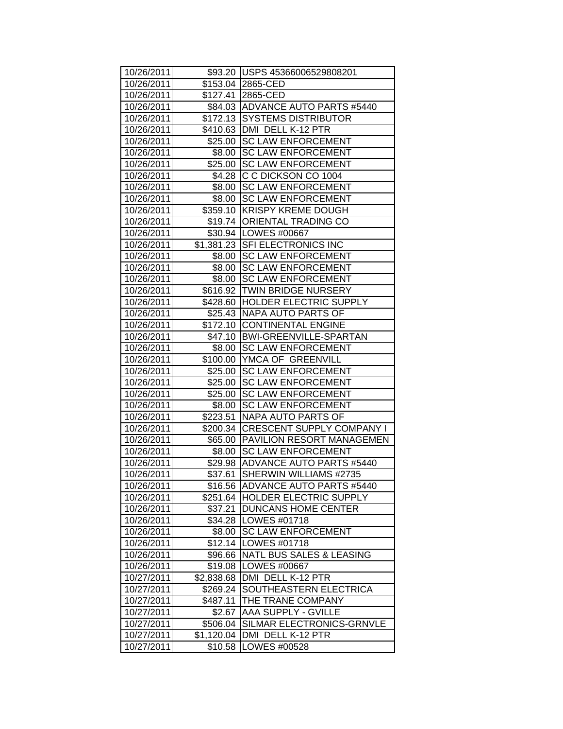| 10/26/2011 |            | \$93.20 USPS 45366006529808201     |
|------------|------------|------------------------------------|
| 10/26/2011 |            | \$153.04 2865-CED                  |
| 10/26/2011 |            | \$127.41 2865-CED                  |
| 10/26/2011 |            | \$84.03 ADVANCE AUTO PARTS #5440   |
| 10/26/2011 |            | \$172.13 SYSTEMS DISTRIBUTOR       |
| 10/26/2011 |            | \$410.63 DMI DELL K-12 PTR         |
| 10/26/2011 |            | \$25.00 SC LAW ENFORCEMENT         |
| 10/26/2011 |            | \$8.00 SC LAW ENFORCEMENT          |
| 10/26/2011 |            | \$25.00 SC LAW ENFORCEMENT         |
| 10/26/2011 |            | \$4.28 C C DICKSON CO 1004         |
| 10/26/2011 |            | \$8.00 SC LAW ENFORCEMENT          |
| 10/26/2011 |            | \$8.00 SC LAW ENFORCEMENT          |
| 10/26/2011 |            | \$359.10 KRISPY KREME DOUGH        |
| 10/26/2011 |            | \$19.74   ORIENTAL TRADING CO      |
| 10/26/2011 |            | \$30.94   LOWES #00667             |
| 10/26/2011 |            | \$1,381.23 SFI ELECTRONICS INC     |
| 10/26/2011 |            | \$8.00 SC LAW ENFORCEMENT          |
| 10/26/2011 | \$8.00     | <b>SC LAW ENFORCEMENT</b>          |
| 10/26/2011 | \$8.00     | <b>SC LAW ENFORCEMENT</b>          |
| 10/26/2011 |            | \$616.92 TWIN BRIDGE NURSERY       |
| 10/26/2011 |            | \$428.60 HOLDER ELECTRIC SUPPLY    |
| 10/26/2011 |            | \$25.43  NAPA AUTO PARTS OF        |
| 10/26/2011 |            | \$172.10 CONTINENTAL ENGINE        |
| 10/26/2011 |            | \$47.10   BWI-GREENVILLE-SPARTAN   |
| 10/26/2011 |            | \$8.00 ISC LAW ENFORCEMENT         |
| 10/26/2011 |            | \$100.00 YMCA OF GREENVILL         |
| 10/26/2011 |            | \$25.00 SC LAW ENFORCEMENT         |
| 10/26/2011 |            | \$25.00 SC LAW ENFORCEMENT         |
| 10/26/2011 |            | \$25.00 SC LAW ENFORCEMENT         |
| 10/26/2011 | \$8.00     | <b>SC LAW ENFORCEMENT</b>          |
| 10/26/2011 |            | \$223.51 NAPA AUTO PARTS OF        |
| 10/26/2011 |            | \$200.34 CRESCENT SUPPLY COMPANY I |
| 10/26/2011 |            | \$65.00 PAVILION RESORT MANAGEMEN  |
| 10/26/2011 |            | \$8.00 SC LAW ENFORCEMENT          |
| 10/26/2011 |            | \$29.98 ADVANCE AUTO PARTS #5440   |
| 10/26/2011 | \$37.61    | SHERWIN WILLIAMS #2735             |
| 10/26/2011 | \$16.56    | <b>ADVANCE AUTO PARTS #5440</b>    |
| 10/26/2011 | \$251.64   | <b>IHOLDER ELECTRIC SUPPLY</b>     |
| 10/26/2011 | \$37.21    | <b>DUNCANS HOME CENTER</b>         |
| 10/26/2011 | \$34.28    | LOWES #01718                       |
| 10/26/2011 | \$8.00     | <b>SC LAW ENFORCEMENT</b>          |
| 10/26/2011 | \$12.14    | LOWES #01718                       |
| 10/26/2011 | \$96.66    | NATL BUS SALES & LEASING           |
| 10/26/2011 | \$19.08    | LOWES #00667                       |
| 10/27/2011 | \$2,838.68 | DMI DELL K-12 PTR                  |
| 10/27/2011 | \$269.24   | SOUTHEASTERN ELECTRICA             |
| 10/27/2011 | \$487.11   | THE TRANE COMPANY                  |
| 10/27/2011 | \$2.67     | <b>AAA SUPPLY - GVILLE</b>         |
| 10/27/2011 | \$506.04   | SILMAR ELECTRONICS-GRNVLE          |
| 10/27/2011 | \$1,120.04 | DMI DELL K-12 PTR                  |
| 10/27/2011 | \$10.58    | LOWES #00528                       |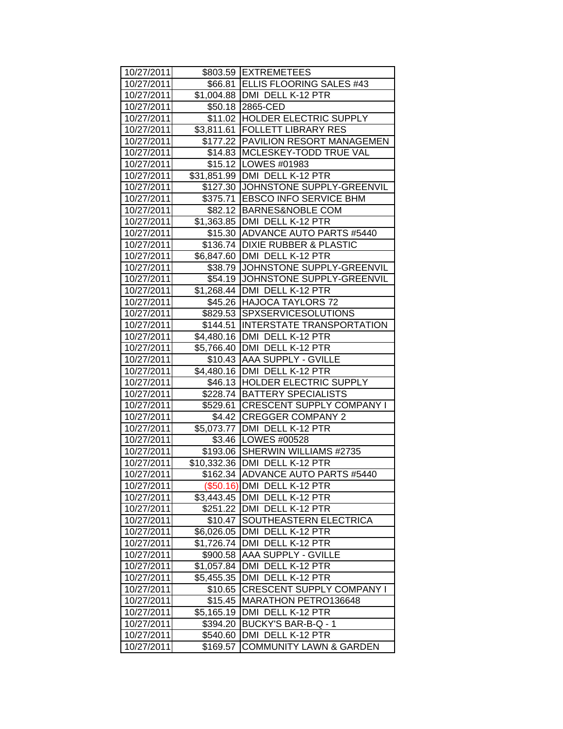| 10/27/2011 |            | \$803.59 EXTREMETEES                |
|------------|------------|-------------------------------------|
| 10/27/2011 |            | \$66.81 ELLIS FLOORING SALES #43    |
| 10/27/2011 |            | \$1,004.88   DMI DELL K-12 PTR      |
| 10/27/2011 |            | \$50.18 2865-CED                    |
| 10/27/2011 |            | \$11.02 HOLDER ELECTRIC SUPPLY      |
| 10/27/2011 |            | \$3,811.61   FOLLETT LIBRARY RES    |
| 10/27/2011 |            | \$177.22 PAVILION RESORT MANAGEMEN  |
| 10/27/2011 |            | \$14.83 MCLESKEY-TODD TRUE VAL      |
| 10/27/2011 |            | \$15.12   LOWES #01983              |
| 10/27/2011 |            | \$31,851.99   DMI DELL K-12 PTR     |
| 10/27/2011 |            | \$127.30 JJOHNSTONE SUPPLY-GREENVIL |
| 10/27/2011 |            | \$375.71 EBSCO INFO SERVICE BHM     |
| 10/27/2011 |            | \$82.12 BARNES&NOBLE COM            |
| 10/27/2011 |            | \$1,363.85   DMI DELL K-12 PTR      |
| 10/27/2011 |            | \$15.30 ADVANCE AUTO PARTS #5440    |
| 10/27/2011 |            | \$136.74 DIXIE RUBBER & PLASTIC     |
| 10/27/2011 |            | \$6,847.60   DMI DELL K-12 PTR      |
| 10/27/2011 |            | \$38.79 JOHNSTONE SUPPLY-GREENVIL   |
| 10/27/2011 |            | \$54.19 JOHNSTONE SUPPLY-GREENVIL   |
| 10/27/2011 |            | \$1,268.44 DMI DELL K-12 PTR        |
| 10/27/2011 |            | \$45.26 HAJOCA TAYLORS 72           |
| 10/27/2011 |            | \$829.53 SPXSERVICESOLUTIONS        |
| 10/27/2011 |            | \$144.51 INTERSTATE TRANSPORTATION  |
| 10/27/2011 |            | \$4,480.16 DMI DELL K-12 PTR        |
| 10/27/2011 |            | \$5,766.40 DMI DELL K-12 PTR        |
| 10/27/2011 |            | \$10.43 AAA SUPPLY - GVILLE         |
| 10/27/2011 |            | \$4,480.16 DMI DELL K-12 PTR        |
| 10/27/2011 |            | \$46.13 HOLDER ELECTRIC SUPPLY      |
| 10/27/2011 |            | \$228.74 BATTERY SPECIALISTS        |
| 10/27/2011 |            | \$529.61 CRESCENT SUPPLY COMPANY I  |
| 10/27/2011 |            | \$4.42 CREGGER COMPANY 2            |
| 10/27/2011 |            | \$5,073.77   DMI DELL K-12 PTR      |
| 10/27/2011 |            | \$3.46   LOWES #00528               |
| 10/27/2011 |            | \$193.06 SHERWIN WILLIAMS #2735     |
| 10/27/2011 |            | \$10,332.36 DMI DELL K-12 PTR       |
| 10/27/2011 |            | \$162.34 ADVANCE AUTO PARTS #5440   |
| 10/27/2011 |            | (\$50.16) DMI DELL K-12 PTR         |
| 10/27/2011 | \$3,443.45 | <b>JDMI DELL K-12 PTR</b>           |
| 10/27/2011 |            | \$251.22   DMI DELL K-12 PTR        |
| 10/27/2011 | \$10.47    | SOUTHEASTERN ELECTRICA              |
| 10/27/2011 | \$6,026.05 | DMI DELL K-12 PTR                   |
| 10/27/2011 | \$1,726.74 | DMI DELL K-12 PTR                   |
| 10/27/2011 | \$900.58   | AAA SUPPLY - GVILLE                 |
| 10/27/2011 | \$1,057.84 | DMI DELL K-12 PTR                   |
| 10/27/2011 | \$5,455.35 | DMI DELL K-12 PTR                   |
| 10/27/2011 | \$10.65    | CRESCENT SUPPLY COMPANY I           |
| 10/27/2011 | \$15.45    | MARATHON PETRO136648                |
| 10/27/2011 | \$5,165.19 | DMI DELL K-12 PTR                   |
| 10/27/2011 | \$394.20   | BUCKY'S BAR-B-Q - 1                 |
| 10/27/2011 | \$540.60   | <b>DMI</b><br>DELL K-12 PTR         |
| 10/27/2011 | \$169.57   | <b>COMMUNITY LAWN &amp; GARDEN</b>  |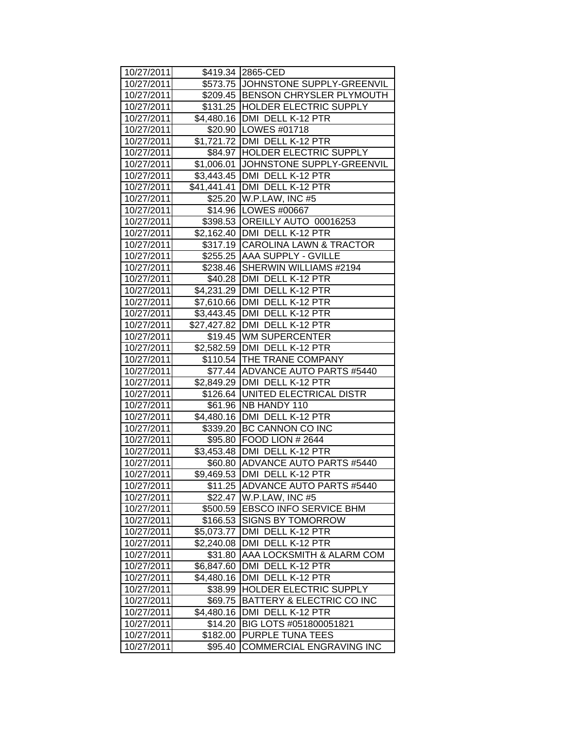| 10/27/2011 |            | \$419.34 2865-CED                    |
|------------|------------|--------------------------------------|
| 10/27/2011 |            | \$573.75 JOHNSTONE SUPPLY-GREENVIL   |
| 10/27/2011 |            | \$209.45 BENSON CHRYSLER PLYMOUTH    |
| 10/27/2011 |            | \$131.25 HOLDER ELECTRIC SUPPLY      |
| 10/27/2011 |            | \$4,480.16   DMI DELL K-12 PTR       |
| 10/27/2011 |            | \$20.90 LOWES #01718                 |
| 10/27/2011 |            | \$1,721.72 DMI DELL K-12 PTR         |
| 10/27/2011 |            | \$84.97 HOLDER ELECTRIC SUPPLY       |
| 10/27/2011 |            | \$1,006.01 JOHNSTONE SUPPLY-GREENVIL |
| 10/27/2011 |            | \$3,443.45   DMI DELL K-12 PTR       |
| 10/27/2011 |            | \$41,441.41   DMI DELL K-12 PTR      |
| 10/27/2011 |            | \$25.20 W.P.LAW, INC #5              |
| 10/27/2011 |            | \$14.96   LOWES #00667               |
| 10/27/2011 |            | \$398.53 OREILLY AUTO 00016253       |
| 10/27/2011 |            | \$2,162.40 DMI DELL K-12 PTR         |
| 10/27/2011 |            | \$317.19 CAROLINA LAWN & TRACTOR     |
| 10/27/2011 |            | \$255.25 AAA SUPPLY - GVILLE         |
| 10/27/2011 |            | \$238.46 SHERWIN WILLIAMS #2194      |
| 10/27/2011 |            | \$40.28 DMI DELL K-12 PTR            |
| 10/27/2011 |            | \$4,231.29 DMI DELL K-12 PTR         |
| 10/27/2011 |            | \$7,610.66 DMI DELL K-12 PTR         |
| 10/27/2011 |            | \$3,443.45   DMI DELL K-12 PTR       |
| 10/27/2011 |            | \$27,427.82   DMI DELL K-12 PTR      |
| 10/27/2011 |            | \$19.45 WM SUPERCENTER               |
| 10/27/2011 |            | \$2,582.59   DMI DELL K-12 PTR       |
| 10/27/2011 |            | \$110.54 THE TRANE COMPANY           |
| 10/27/2011 |            | \$77.44 ADVANCE AUTO PARTS #5440     |
| 10/27/2011 |            | \$2,849.29   DMI DELL K-12 PTR       |
| 10/27/2011 |            | \$126.64 UNITED ELECTRICAL DISTR     |
| 10/27/2011 |            | \$61.96   NB HANDY 110               |
| 10/27/2011 |            | \$4,480.16 DMI DELL K-12 PTR         |
| 10/27/2011 |            | \$339.20 BC CANNON CO INC            |
| 10/27/2011 |            | \$95.80 FOOD LION # 2644             |
| 10/27/2011 |            | \$3,453.48 DMI DELL K-12 PTR         |
| 10/27/2011 |            | \$60.80 ADVANCE AUTO PARTS #5440     |
| 10/27/2011 |            | \$9,469.53 DMI DELL K-12 PTR         |
| 10/27/2011 |            | \$11.25 ADVANCE AUTO PARTS #5440     |
| 10/27/2011 | \$22.47    | W.P.LAW, INC #5                      |
| 10/27/2011 |            | \$500.59 EBSCO INFO SERVICE BHM      |
| 10/27/2011 | \$166.53   | <b>SIGNS BY TOMORROW</b>             |
| 10/27/2011 | \$5,073.77 | DMI DELL K-12 PTR                    |
| 10/27/2011 | \$2,240.08 | DMI DELL K-12 PTR                    |
| 10/27/2011 | \$31.80    | AAA LOCKSMITH & ALARM COM            |
| 10/27/2011 | \$6,847.60 | DMI DELL K-12 PTR                    |
| 10/27/2011 | \$4,480.16 | DMI DELL K-12 PTR                    |
| 10/27/2011 | \$38.99    | HOLDER ELECTRIC SUPPLY               |
| 10/27/2011 | \$69.75    | BATTERY & ELECTRIC CO INC            |
| 10/27/2011 | \$4,480.16 | DMI DELL K-12 PTR                    |
| 10/27/2011 | \$14.20    | BIG LOTS #051800051821               |
| 10/27/2011 | \$182.00   | PURPLE TUNA TEES                     |
| 10/27/2011 | \$95.40    | <b>COMMERCIAL ENGRAVING INC</b>      |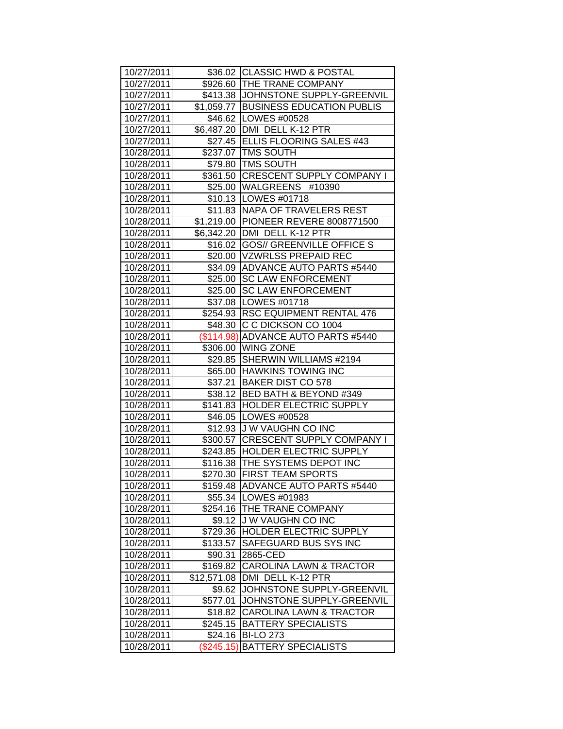| 10/27/2011 |              | \$36.02 CLASSIC HWD & POSTAL         |
|------------|--------------|--------------------------------------|
| 10/27/2011 |              | \$926.60 THE TRANE COMPANY           |
| 10/27/2011 |              | \$413.38 JJOHNSTONE SUPPLY-GREENVIL  |
| 10/27/2011 |              | \$1,059.77 BUSINESS EDUCATION PUBLIS |
| 10/27/2011 |              | \$46.62 LOWES #00528                 |
| 10/27/2011 |              | \$6,487.20 DMI DELL K-12 PTR         |
| 10/27/2011 |              | \$27.45 ELLIS FLOORING SALES #43     |
| 10/28/2011 |              | \$237.07 TMS SOUTH                   |
| 10/28/2011 |              | \$79.80   TMS SOUTH                  |
| 10/28/2011 |              | \$361.50 CRESCENT SUPPLY COMPANY I   |
| 10/28/2011 |              | \$25.00 WALGREENS #10390             |
| 10/28/2011 |              | \$10.13   LOWES #01718               |
| 10/28/2011 |              | \$11.83   NAPA OF TRAVELERS REST     |
| 10/28/2011 |              | \$1,219.00 PIONEER REVERE 8008771500 |
| 10/28/2011 |              | \$6,342.20 DMI DELL K-12 PTR         |
| 10/28/2011 |              | \$16.02 GOS// GREENVILLE OFFICE S    |
| 10/28/2011 |              | \$20.00   VZWRLSS PREPAID REC        |
| 10/28/2011 |              | \$34.09 ADVANCE AUTO PARTS #5440     |
| 10/28/2011 | \$25.00      | <b>SC LAW ENFORCEMENT</b>            |
| 10/28/2011 | \$25.00      | <b>SC LAW ENFORCEMENT</b>            |
| 10/28/2011 |              | \$37.08   LOWES #01718               |
| 10/28/2011 |              | \$254.93 RSC EQUIPMENT RENTAL 476    |
| 10/28/2011 |              | \$48.30 C C DICKSON CO 1004          |
| 10/28/2011 |              | (\$114.98) ADVANCE AUTO PARTS #5440  |
| 10/28/2011 |              | \$306.00 WING ZONE                   |
| 10/28/2011 |              | \$29.85 SHERWIN WILLIAMS #2194       |
| 10/28/2011 |              | \$65.00 HAWKINS TOWING INC           |
| 10/28/2011 |              | \$37.21 BAKER DIST CO 578            |
| 10/28/2011 |              | \$38.12 BED BATH & BEYOND #349       |
| 10/28/2011 |              | \$141.83 HOLDER ELECTRIC SUPPLY      |
| 10/28/2011 |              | \$46.05   LOWES #00528               |
| 10/28/2011 | \$12.93      | J W VAUGHN CO INC                    |
| 10/28/2011 |              | \$300.57 CRESCENT SUPPLY COMPANY I   |
| 10/28/2011 |              | \$243.85   HOLDER ELECTRIC SUPPLY    |
| 10/28/2011 |              | \$116.38 THE SYSTEMS DEPOT INC       |
| 10/28/2011 |              | \$270.30 FIRST TEAM SPORTS           |
| 10/28/2011 | \$159.48     | <b>ADVANCE AUTO PARTS #5440</b>      |
| 10/28/2011 | \$55.34      | LOWES #01983                         |
| 10/28/2011 | \$254.16     | THE TRANE COMPANY                    |
| 10/28/2011 | \$9.12       | <b>JW VAUGHN CO INC</b>              |
| 10/28/2011 | \$729.36     | <b>HOLDER ELECTRIC SUPPLY</b>        |
| 10/28/2011 | \$133.57     | SAFEGUARD BUS SYS INC                |
| 10/28/2011 | \$90.31      | 2865-CED                             |
| 10/28/2011 | \$169.82     | <b>CAROLINA LAWN &amp; TRACTOR</b>   |
| 10/28/2011 | \$12,571.08  | DMI DELL K-12 PTR                    |
| 10/28/2011 | \$9.62       | JOHNSTONE SUPPLY-GREENVIL            |
| 10/28/2011 | \$577.01     | JOHNSTONE SUPPLY-GREENVIL            |
| 10/28/2011 | \$18.82      | <b>CAROLINA LAWN &amp; TRACTOR</b>   |
| 10/28/2011 | \$245.15     | <b>BATTERY SPECIALISTS</b>           |
| 10/28/2011 | \$24.16      | <b>BI-LO 273</b>                     |
| 10/28/2011 | $(\$245.15)$ | <b>BATTERY SPECIALISTS</b>           |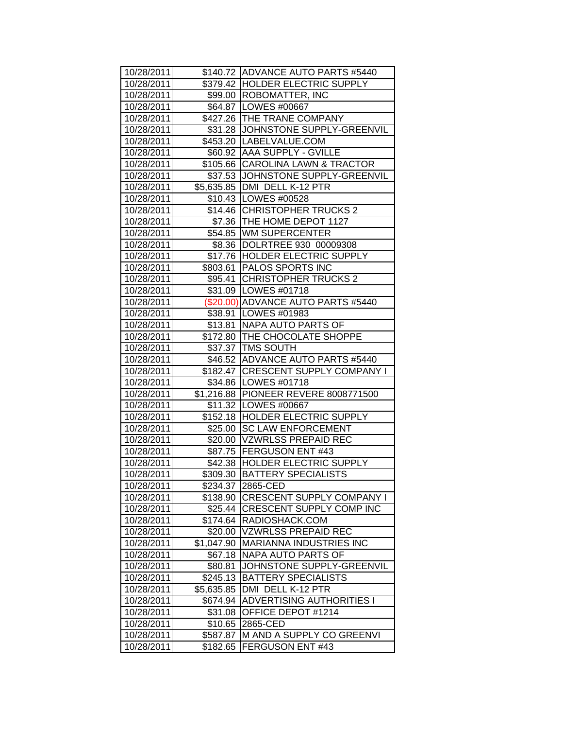| 10/28/2011 |            | \$140.72 ADVANCE AUTO PARTS #5440    |
|------------|------------|--------------------------------------|
| 10/28/2011 |            | \$379.42 HOLDER ELECTRIC SUPPLY      |
| 10/28/2011 |            | \$99.00   ROBOMATTER, INC            |
| 10/28/2011 |            | \$64.87 LOWES #00667                 |
| 10/28/2011 |            | \$427.26 THE TRANE COMPANY           |
| 10/28/2011 |            | \$31.28 JOHNSTONE SUPPLY-GREENVIL    |
| 10/28/2011 |            | \$453.20   LABELVALUE.COM            |
| 10/28/2011 |            | \$60.92   AAA SUPPLY - GVILLE        |
| 10/28/2011 |            | \$105.66 CAROLINA LAWN & TRACTOR     |
| 10/28/2011 |            | \$37.53 JJOHNSTONE SUPPLY-GREENVIL   |
| 10/28/2011 |            | \$5,635.85 DMI DELL K-12 PTR         |
| 10/28/2011 |            | \$10.43   LOWES #00528               |
| 10/28/2011 |            | \$14.46 CHRISTOPHER TRUCKS 2         |
| 10/28/2011 |            | \$7.36 THE HOME DEPOT 1127           |
| 10/28/2011 |            | \$54.85 WM SUPERCENTER               |
| 10/28/2011 |            | \$8.36 DOLRTREE 930 00009308         |
| 10/28/2011 |            | \$17.76 HOLDER ELECTRIC SUPPLY       |
| 10/28/2011 |            | \$803.61 PALOS SPORTS INC            |
| 10/28/2011 |            | \$95.41 CHRISTOPHER TRUCKS 2         |
| 10/28/2011 |            | \$31.09   LOWES #01718               |
| 10/28/2011 |            | (\$20.00) ADVANCE AUTO PARTS #5440   |
| 10/28/2011 |            | \$38.91   LOWES #01983               |
| 10/28/2011 |            | \$13.81 NAPA AUTO PARTS OF           |
| 10/28/2011 |            | \$172.80 THE CHOCOLATE SHOPPE        |
| 10/28/2011 |            | \$37.37   TMS SOUTH                  |
| 10/28/2011 |            | \$46.52 ADVANCE AUTO PARTS #5440     |
| 10/28/2011 |            | \$182.47 CRESCENT SUPPLY COMPANY I   |
| 10/28/2011 |            | \$34.86   LOWES #01718               |
| 10/28/2011 |            | \$1,216.88 PIONEER REVERE 8008771500 |
| 10/28/2011 |            | \$11.32   LOWES #00667               |
| 10/28/2011 |            | \$152.18 HOLDER ELECTRIC SUPPLY      |
| 10/28/2011 | \$25.00    | <b>SC LAW ENFORCEMENT</b>            |
| 10/28/2011 |            | \$20.00 VZWRLSS PREPAID REC          |
| 10/28/2011 |            | \$87.75 FERGUSON ENT #43             |
| 10/28/2011 |            | \$42.38 HOLDER ELECTRIC SUPPLY       |
| 10/28/2011 |            | \$309.30   BATTERY SPECIALISTS       |
| 10/28/2011 |            | \$234.37 2865-CED                    |
| 10/28/2011 | \$138.90   | <b>CRESCENT SUPPLY COMPANY I</b>     |
| 10/28/2011 | \$25.44    | <b>CRESCENT SUPPLY COMP INC</b>      |
| 10/28/2011 |            | \$174.64 RADIOSHACK.COM              |
| 10/28/2011 | \$20.00    | <b>VZWRLSS PREPAID REC</b>           |
| 10/28/2011 | \$1,047.90 | MARIANNA INDUSTRIES INC              |
| 10/28/2011 | \$67.18    | NAPA AUTO PARTS OF                   |
| 10/28/2011 | \$80.81    | JOHNSTONE SUPPLY-GREENVIL            |
| 10/28/2011 | \$245.13   | <b>BATTERY SPECIALISTS</b>           |
| 10/28/2011 | \$5,635.85 | DMI DELL K-12 PTR                    |
| 10/28/2011 | \$674.94   | <b>ADVERTISING AUTHORITIES I</b>     |
| 10/28/2011 | \$31.08    | OFFICE DEPOT #1214                   |
| 10/28/2011 | \$10.65    | 2865-CED                             |
| 10/28/2011 | \$587.87   | M AND A SUPPLY CO GREENVI            |
| 10/28/2011 | \$182.65   | FERGUSON ENT #43                     |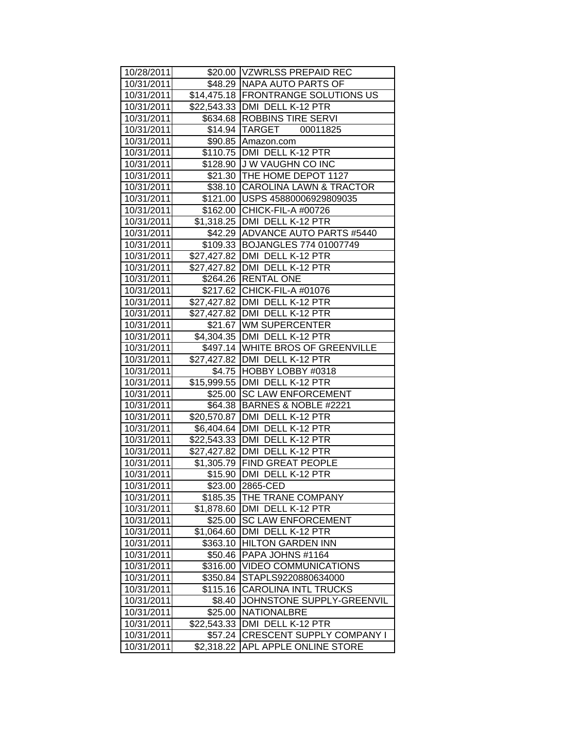| 10/28/2011 |             | \$20.00   VZWRLSS PREPAID REC                      |
|------------|-------------|----------------------------------------------------|
| 10/31/2011 |             | \$48.29   NAPA AUTO PARTS OF                       |
| 10/31/2011 |             | \$14,475.18 FRONTRANGE SOLUTIONS US                |
| 10/31/2011 |             | \$22,543.33 DMI DELL K-12 PTR                      |
| 10/31/2011 |             | \$634.68 ROBBINS TIRE SERVI                        |
| 10/31/2011 |             | \$14.94 TARGET 00011825                            |
| 10/31/2011 |             | \$90.85 Amazon.com                                 |
| 10/31/2011 |             | \$110.75   DMI DELL K-12 PTR                       |
| 10/31/2011 |             | \$128.90 J W VAUGHN CO INC                         |
| 10/31/2011 |             | \$21.30   THE HOME DEPOT 1127                      |
| 10/31/2011 |             | \$38.10 CAROLINA LAWN & TRACTOR                    |
| 10/31/2011 |             | \$121.00 USPS 45880006929809035                    |
| 10/31/2011 |             | \$162.00 CHICK-FIL-A #00726                        |
| 10/31/2011 |             | \$1,318.25 DMI DELL K-12 PTR                       |
| 10/31/2011 |             | \$42.29 ADVANCE AUTO PARTS #5440                   |
| 10/31/2011 |             | \$109.33 BOJANGLES 774 01007749                    |
| 10/31/2011 |             | \$27,427.82 DMI DELL K-12 PTR                      |
| 10/31/2011 |             | \$27,427.82 DMI DELL K-12 PTR                      |
| 10/31/2011 |             | \$264.26 RENTAL ONE                                |
| 10/31/2011 |             | \$217.62 CHICK-FIL-A #01076                        |
| 10/31/2011 |             | \$27,427.82 DMI DELL K-12 PTR                      |
| 10/31/2011 |             | \$27,427.82 DMI DELL K-12 PTR                      |
| 10/31/2011 |             | \$21.67   WM SUPERCENTER                           |
| 10/31/2011 |             | \$4,304.35   DMI DELL K-12 PTR                     |
| 10/31/2011 |             | \$497.14 WHITE BROS OF GREENVILLE                  |
| 10/31/2011 |             | \$27,427.82 DMI DELL K-12 PTR                      |
| 10/31/2011 |             | \$4.75 HOBBY LOBBY #0318                           |
| 10/31/2011 |             | \$15,999.55 DMI DELL K-12 PTR                      |
| 10/31/2011 |             | \$25.00 SC LAW ENFORCEMENT                         |
| 10/31/2011 |             | \$64.38   BARNES & NOBLE #2221                     |
| 10/31/2011 |             | \$20,570.87 DMI DELL K-12 PTR                      |
| 10/31/2011 |             | \$6,404.64   DMI DELL K-12 PTR                     |
| 10/31/2011 |             | \$22,543.33 DMI DELL K-12 PTR                      |
| 10/31/2011 |             | \$27,427.82 DMI DELL K-12 PTR                      |
| 10/31/2011 |             | \$1,305.79 FIND GREAT PEOPLE                       |
| 10/31/2011 |             | \$15.90 DMI DELL K-12 PTR                          |
| 10/31/2011 |             | \$23.00 2865-CED                                   |
| 10/31/2011 | \$185.35    | THE TRANE COMPANY                                  |
| 10/31/2011 | \$1,878.60  | DMI DELL K-12 PTR                                  |
| 10/31/2011 | \$25.00     | <b>SC LAW ENFORCEMENT</b>                          |
| 10/31/2011 | \$1,064.60  | DMI DELL K-12 PTR                                  |
| 10/31/2011 | \$363.10    | <b>HILTON GARDEN INN</b>                           |
| 10/31/2011 | \$50.46     | PAPA JOHNS #1164                                   |
| 10/31/2011 | \$316.00    | <b>VIDEO COMMUNICATIONS</b>                        |
| 10/31/2011 | \$350.84    | STAPLS9220880634000<br><b>CAROLINA INTL TRUCKS</b> |
| 10/31/2011 | \$115.16    |                                                    |
| 10/31/2011 | \$8.40      | JOHNSTONE SUPPLY-GREENVIL                          |
| 10/31/2011 | \$25.00     | <b>NATIONALBRE</b>                                 |
| 10/31/2011 | \$22,543.33 | DMI DELL K-12 PTR                                  |
| 10/31/2011 | \$57.24     | <b>CRESCENT SUPPLY COMPANY I</b>                   |
| 10/31/2011 | \$2,318.22  | <b>APL APPLE ONLINE STORE</b>                      |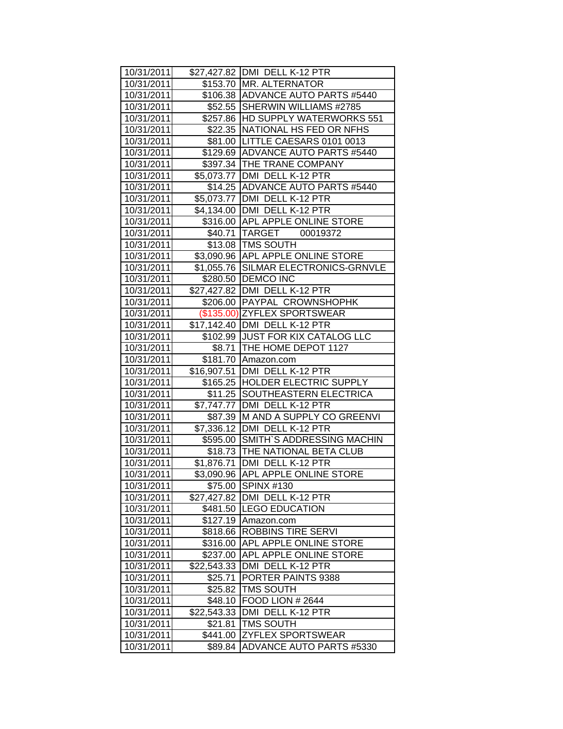| 10/31/2011 |             | \$27,427.82 DMI DELL K-12 PTR        |
|------------|-------------|--------------------------------------|
| 10/31/2011 |             | \$153.70   MR. ALTERNATOR            |
| 10/31/2011 |             | \$106.38 ADVANCE AUTO PARTS #5440    |
| 10/31/2011 |             | \$52.55 SHERWIN WILLIAMS #2785       |
| 10/31/2011 |             | \$257.86 HD SUPPLY WATERWORKS 551    |
| 10/31/2011 |             | \$22.35 NATIONAL HS FED OR NFHS      |
| 10/31/2011 |             | \$81.00 LITTLE CAESARS 0101 0013     |
| 10/31/2011 |             | \$129.69 ADVANCE AUTO PARTS #5440    |
| 10/31/2011 |             | \$397.34 THE TRANE COMPANY           |
| 10/31/2011 |             | \$5,073.77 DMI DELL K-12 PTR         |
| 10/31/2011 |             | \$14.25 ADVANCE AUTO PARTS #5440     |
| 10/31/2011 |             | \$5,073.77 DMI DELL K-12 PTR         |
| 10/31/2011 |             | \$4,134.00   DMI DELL K-12 PTR       |
| 10/31/2011 |             | \$316.00 APL APPLE ONLINE STORE      |
| 10/31/2011 |             | \$40.71 TARGET<br>00019372           |
| 10/31/2011 |             | \$13.08 TMS SOUTH                    |
| 10/31/2011 |             | \$3,090.96 APL APPLE ONLINE STORE    |
| 10/31/2011 |             | \$1,055.76 SILMAR ELECTRONICS-GRNVLE |
| 10/31/2011 |             | \$280.50   DEMCO INC                 |
| 10/31/2011 |             | \$27,427.82 DMI DELL K-12 PTR        |
| 10/31/2011 |             | \$206.00 PAYPAL CROWNSHOPHK          |
| 10/31/2011 |             | (\$135.00) ZYFLEX SPORTSWEAR         |
| 10/31/2011 |             | \$17,142.40   DMI DELL K-12 PTR      |
| 10/31/2011 |             | \$102.99 JUST FOR KIX CATALOG LLC    |
| 10/31/2011 |             | \$8.71   THE HOME DEPOT 1127         |
| 10/31/2011 |             | \$181.70 Amazon.com                  |
| 10/31/2011 |             | \$16,907.51   DMI DELL K-12 PTR      |
| 10/31/2011 |             | \$165.25  HOLDER ELECTRIC SUPPLY     |
| 10/31/2011 |             | \$11.25 SOUTHEASTERN ELECTRICA       |
| 10/31/2011 |             | \$7,747.77   DMI DELL K-12 PTR       |
| 10/31/2011 | \$87.39     | M AND A SUPPLY CO GREENVI            |
| 10/31/2011 |             | \$7,336.12 DMI DELL K-12 PTR         |
| 10/31/2011 |             | \$595.00 SMITH'S ADDRESSING MACHIN   |
| 10/31/2011 |             | \$18.73 THE NATIONAL BETA CLUB       |
| 10/31/2011 |             | \$1,876.71 DMI DELL K-12 PTR         |
| 10/31/2011 |             | \$3,090.96 APL APPLE ONLINE STORE    |
| 10/31/2011 |             | \$75.00 SPINX #130                   |
| 10/31/2011 |             | \$27,427.82  DMI DELL K-12 PTR       |
| 10/31/2011 | \$481.50    | <b>ILEGO EDUCATION</b>               |
| 10/31/2011 |             | \$127.19 Amazon.com                  |
| 10/31/2011 | \$818.66    | <b>ROBBINS TIRE SERVI</b>            |
| 10/31/2011 | \$316.00    | APL APPLE ONLINE STORE               |
| 10/31/2011 | \$237.00    | APL APPLE ONLINE STORE               |
| 10/31/2011 | \$22,543.33 | DMI DELL K-12 PTR                    |
| 10/31/2011 | \$25.71     | PORTER PAINTS 9388                   |
| 10/31/2011 | \$25.82     | <b>TMS SOUTH</b>                     |
| 10/31/2011 | \$48.10     | FOOD LION # 2644                     |
| 10/31/2011 | \$22,543.33 | DMI DELL K-12 PTR                    |
| 10/31/2011 | \$21.81     | TMS SOUTH                            |
| 10/31/2011 | \$441.00    | <b>ZYFLEX SPORTSWEAR</b>             |
| 10/31/2011 | \$89.84     | <b>ADVANCE AUTO PARTS #5330</b>      |